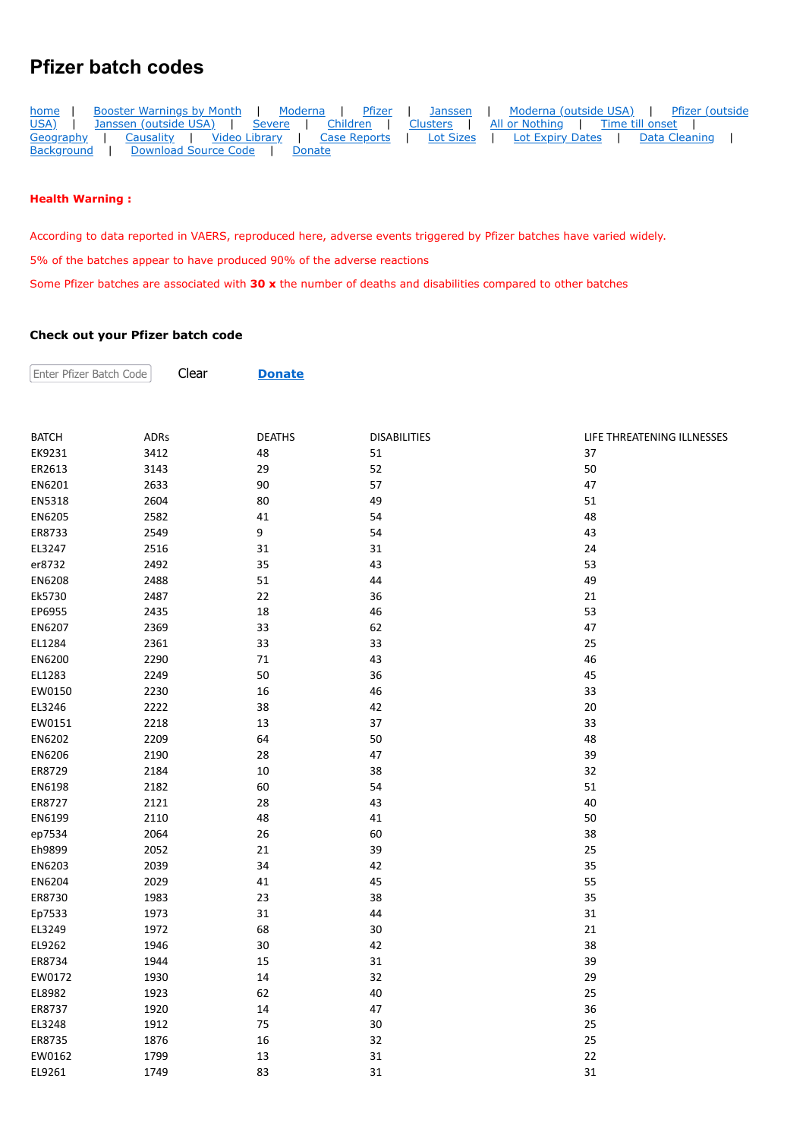## **Pfizer batch codes**

| home       | Booster Warnings by Month   Moderna   Pfizer         |                               |  |  |  | Janssen   Moderna (outside USA)   Pfizer (outside                                       |  |  |
|------------|------------------------------------------------------|-------------------------------|--|--|--|-----------------------------------------------------------------------------------------|--|--|
| USA) I     |                                                      |                               |  |  |  | Janssen (outside USA)   Severe   Children   Clusters   All or Nothing   Time till onset |  |  |
|            | Geography   Causality   Video Library   Case Reports |                               |  |  |  | Lot Sizes   Lot Expiry Dates   Data Cleaning                                            |  |  |
| Background |                                                      | Download Source Code   Donate |  |  |  |                                                                                         |  |  |

## **Health Warning :**

Enter Pfizer Batch Code

According to data reported in VAERS, reproduced here, adverse events triggered by Pfizer batches have varied widely.

5% of the batches appear to have produced 90% of the adverse reactions

Clear **[Donate](https://howbad.info/donatecreditcard.html)**

Some Pfizer batches are associated with **30 x** the number of deaths and disabilities compared to other batches

## **Check out your Pfizer batch code**

| <b>BATCH</b> | <b>ADRs</b> | <b>DEATHS</b> | <b>DISABILITIES</b> | LIFE THREATENING ILLNESSES |
|--------------|-------------|---------------|---------------------|----------------------------|
| EK9231       | 3412        | 48            | 51                  | 37                         |
| ER2613       | 3143        | 29            | 52                  | 50                         |
| EN6201       | 2633        | 90            | 57                  | 47                         |
| EN5318       | 2604        | 80            | 49                  | 51                         |
| EN6205       | 2582        | 41            | 54                  | 48                         |
| ER8733       | 2549        | 9             | 54                  | 43                         |
| EL3247       | 2516        | 31            | 31                  | 24                         |
| er8732       | 2492        | 35            | 43                  | 53                         |
| EN6208       | 2488        | 51            | 44                  | 49                         |
| Ek5730       | 2487        | 22            | 36                  | 21                         |
| EP6955       | 2435        | 18            | 46                  | 53                         |
| EN6207       | 2369        | 33            | 62                  | 47                         |
| EL1284       | 2361        | 33            | 33                  | 25                         |
| EN6200       | 2290        | 71            | 43                  | 46                         |
| EL1283       | 2249        | 50            | 36                  | 45                         |
| EW0150       | 2230        | 16            | 46                  | 33                         |
| EL3246       | 2222        | 38            | 42                  | 20                         |
| EW0151       | 2218        | 13            | 37                  | 33                         |
| EN6202       | 2209        | 64            | 50                  | 48                         |
| EN6206       | 2190        | 28            | 47                  | 39                         |
| ER8729       | 2184        | 10            | 38                  | 32                         |
| EN6198       | 2182        | 60            | 54                  | 51                         |
| ER8727       | 2121        | 28            | 43                  | 40                         |
| EN6199       | 2110        | 48            | 41                  | 50                         |
| ep7534       | 2064        | 26            | 60                  | 38                         |
| Eh9899       | 2052        | 21            | 39                  | 25                         |
| EN6203       | 2039        | 34            | 42                  | 35                         |
| EN6204       | 2029        | 41            | 45                  | 55                         |
| ER8730       | 1983        | 23            | 38                  | 35                         |
| Ep7533       | 1973        | 31            | 44                  | 31                         |
| EL3249       | 1972        | 68            | 30                  | 21                         |
| EL9262       | 1946        | 30            | 42                  | 38                         |
| ER8734       | 1944        | 15            | 31                  | 39                         |
| EW0172       | 1930        | 14            | 32                  | 29                         |
| EL8982       | 1923        | 62            | 40                  | 25                         |
| ER8737       | 1920        | 14            | 47                  | 36                         |
| EL3248       | 1912        | 75            | 30                  | 25                         |
| ER8735       | 1876        | 16            | 32                  | 25                         |
| EW0162       | 1799        | 13            | 31                  | 22                         |
| EL9261       | 1749        | 83            | 31                  | 31                         |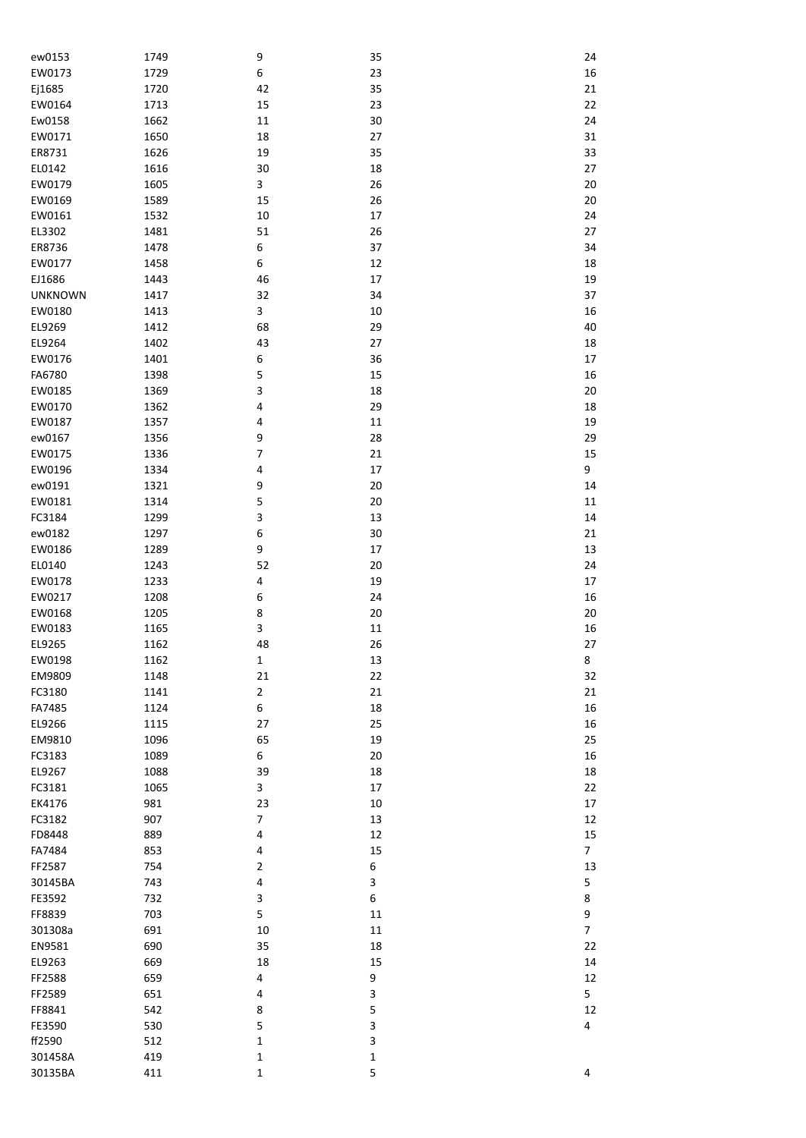| ew0153         | 1749       | 9                | 35     | 24             |
|----------------|------------|------------------|--------|----------------|
| EW0173         | 1729       | $\boldsymbol{6}$ | 23     | 16             |
| Ej1685         | 1720       | 42               | 35     | 21             |
| EW0164         | 1713       | 15               | 23     | 22             |
|                |            |                  | $30\,$ |                |
| Ew0158         | 1662       | $11\,$           |        | 24             |
| EW0171         | 1650       | 18               | 27     | 31             |
| ER8731         | 1626       | 19               | 35     | 33             |
| EL0142         | 1616       | $30\,$           | 18     | 27             |
| EW0179         | 1605       | 3                | 26     | 20             |
| EW0169         | 1589       | 15               | 26     | 20             |
| EW0161         | 1532       | $10\,$           | 17     | 24             |
| EL3302         | 1481       | 51               | 26     | 27             |
| ER8736         | 1478       | 6                | 37     | 34             |
| EW0177         | 1458       | $\boldsymbol{6}$ | 12     | 18             |
| EJ1686         | 1443       | 46               | 17     | 19             |
| <b>UNKNOWN</b> | 1417       | 32               | 34     | 37             |
| EW0180         | 1413       | 3                | $10\,$ | 16             |
| EL9269         | 1412       | 68               | 29     | 40             |
| EL9264         | 1402       | 43               | 27     | 18             |
| EW0176         | 1401       | 6                | 36     | 17             |
| FA6780         | 1398       | 5                | 15     | 16             |
| EW0185         | 1369       | 3                | 18     | 20             |
| EW0170         | 1362       | 4                | 29     | 18             |
| EW0187         | 1357       | 4                | 11     | 19             |
|                |            |                  |        |                |
| ew0167         | 1356       | 9                | 28     | 29             |
| EW0175         | 1336       | $\boldsymbol{7}$ | 21     | 15             |
| EW0196         | 1334       | 4                | 17     | 9              |
| ew0191         | 1321       | 9                | $20\,$ | 14             |
| EW0181         | 1314       | 5                | $20\,$ | 11             |
| FC3184         | 1299       | 3                | 13     | 14             |
| ew0182         | 1297       | 6                | $30\,$ | 21             |
| EW0186         | 1289       | 9                | 17     | 13             |
| EL0140         | 1243       | 52               | $20\,$ | 24             |
| EW0178         | 1233       | 4                | 19     | 17             |
| EW0217         | 1208       | 6                | 24     | 16             |
| EW0168         | 1205       | 8                | $20\,$ | 20             |
| EW0183         | 1165       | 3                | 11     | 16             |
| EL9265         | 1162       | 48               | 26     | 27             |
| EW0198         | 1162       | $\mathbf 1$      | 13     | 8              |
| EM9809         | 1148       | 21               | 22     | 32             |
| FC3180         | 1141       | $\mathbf 2$      | 21     | 21             |
| FA7485         | 1124       | $\boldsymbol{6}$ | 18     | 16             |
| EL9266         | 1115       | 27               | 25     | 16             |
| EM9810         | 1096       | 65               | 19     | 25             |
| FC3183         | 1089       | 6                | $20\,$ | 16             |
| EL9267         | 1088       | 39               | 18     | 18             |
| FC3181         | 1065       | 3                | 17     | 22             |
| EK4176         | 981        | 23               | $10\,$ | 17             |
| FC3182         | 907        | $\overline{7}$   | 13     | 12             |
| FD8448         | 889        | 4                | 12     | 15             |
| FA7484         | 853        | 4                | 15     | 7              |
| FF2587         | 754        | $\overline{2}$   | 6      | 13             |
| 30145BA        | 743        | 4                | 3      | 5              |
| FE3592         | 732        | 3                | 6      | 8              |
| FF8839         | 703        | 5                | $11\,$ | 9              |
| 301308a        | 691        | 10               | $11\,$ | $\overline{7}$ |
| EN9581         | 690        | 35               | 18     | 22             |
| EL9263         | 669        | 18               | 15     | 14             |
| FF2588         | 659        | 4                | 9      | 12             |
| FF2589         | 651        | 4                | 3      | 5              |
| FF8841         | 542        | 8                | 5      | 12             |
| FE3590         |            | 5                | 3      | 4              |
| ff2590         | 530<br>512 | $\mathbf 1$      | 3      |                |
| 301458A        | 419        | $\mathbf 1$      | 1      |                |
| 30135BA        | 411        | $\mathbf 1$      | 5      | 4              |
|                |            |                  |        |                |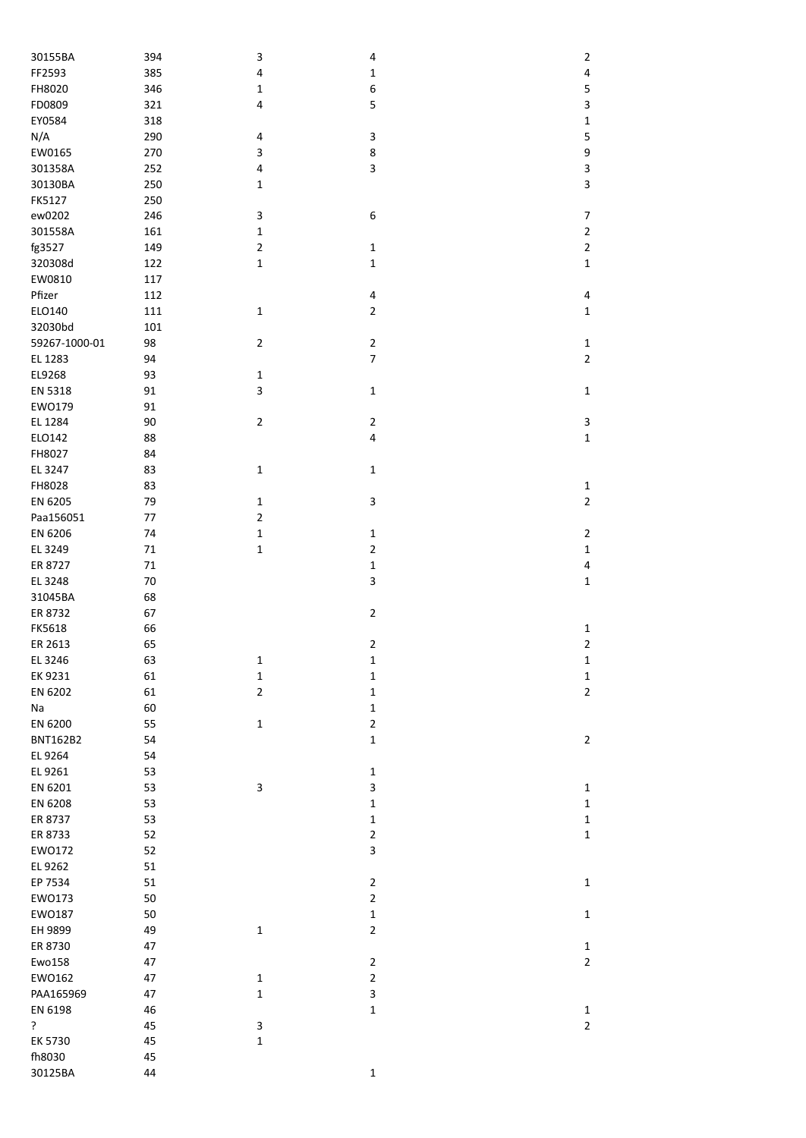| 30155BA         | 394 | 3              | 4              | $\overline{2}$                 |
|-----------------|-----|----------------|----------------|--------------------------------|
| FF2593          | 385 | $\pmb{4}$      | $\mathbf 1$    | 4                              |
| FH8020          | 346 | $\mathbf 1$    | 6              | 5                              |
| FD0809          | 321 | 4              | 5              | 3                              |
| EY0584          | 318 |                |                | $\mathbf 1$                    |
| N/A             | 290 | 4              | 3              | 5                              |
| EW0165          | 270 | 3              | 8              | 9                              |
| 301358A         | 252 | $\pmb{4}$      | 3              | 3                              |
| 30130BA         | 250 | $\mathbf 1$    |                | 3                              |
| FK5127          | 250 |                |                |                                |
| ew0202          | 246 | 3              | 6              | $\boldsymbol{7}$               |
| 301558A         | 161 | $\mathbf 1$    |                | $\overline{2}$                 |
| fg3527          | 149 | $\mathbf 2$    | $\mathbf 1$    | $\overline{2}$                 |
| 320308d         | 122 | $\mathbf 1$    |                |                                |
| EW0810          |     |                | $\mathbf 1$    | $\mathbf 1$                    |
|                 | 117 |                |                |                                |
| Pfizer          | 112 |                | 4              | 4                              |
| ELO140          | 111 | $\mathbf 1$    | $\overline{2}$ | $\mathbf{1}$                   |
| 32030bd         | 101 |                |                |                                |
| 59267-1000-01   | 98  | $\overline{2}$ | $\mathbf{2}$   | $\mathbf{1}$                   |
| EL 1283         | 94  |                | $\overline{7}$ | $\overline{2}$                 |
| EL9268          | 93  | $\mathbf 1$    |                |                                |
| EN 5318         | 91  | 3              | $\mathbf 1$    | $\mathbf 1$                    |
| EW0179          | 91  |                |                |                                |
| EL 1284         | 90  | $\mathbf 2$    | $\overline{2}$ | 3                              |
| ELO142          | 88  |                | 4              | $\mathbf 1$                    |
| FH8027          | 84  |                |                |                                |
| EL 3247         | 83  | $\mathbf 1$    | $\mathbf 1$    |                                |
| FH8028          | 83  |                |                | $\mathbf{1}$                   |
| EN 6205         | 79  | $\mathbf 1$    | 3              | $\overline{2}$                 |
| Paa156051       | 77  | $\mathbf 2$    |                |                                |
| EN 6206         | 74  | $\mathbf 1$    | $\mathbf 1$    | $\overline{2}$                 |
| EL 3249         | 71  | $\mathbf 1$    | $\overline{2}$ | $\mathbf 1$                    |
| ER 8727         | 71  |                | $\mathbf 1$    | 4                              |
| EL 3248         | 70  |                | 3              | $\mathbf 1$                    |
| 31045BA         | 68  |                |                |                                |
| ER 8732         | 67  |                | $\overline{2}$ |                                |
|                 |     |                |                |                                |
| FK5618          | 66  |                |                | $\mathbf{1}$<br>$\overline{2}$ |
| ER 2613         | 65  |                | $\overline{2}$ |                                |
| EL 3246         | 63  | $\mathbf 1$    | $\mathbf 1$    | $\mathbf{1}$                   |
| EK 9231         | 61  | $\mathbf 1$    | $\mathbf 1$    | $\mathbf 1$                    |
| EN 6202         | 61  | $\overline{2}$ | $\mathbf 1$    | $\mathbf{2}$                   |
| Na              | 60  |                | $\mathbf 1$    |                                |
| EN 6200         | 55  | $\mathbf 1$    | $\mathbf 2$    |                                |
| <b>BNT162B2</b> | 54  |                | $\mathbf 1$    | $\mathbf{2}$                   |
| EL 9264         | 54  |                |                |                                |
| EL 9261         | 53  |                | $\mathbf{1}$   |                                |
| EN 6201         | 53  | 3              | 3              | $\mathbf{1}$                   |
| EN 6208         | 53  |                | $\mathbf 1$    | $\mathbf{1}$                   |
| ER 8737         | 53  |                | $\mathbf 1$    | $\mathbf{1}$                   |
| ER 8733         | 52  |                | $\mathbf 2$    | $\mathbf 1$                    |
| EW0172          | 52  |                | 3              |                                |
| EL 9262         | 51  |                |                |                                |
| EP 7534         | 51  |                | $\overline{2}$ | $\mathbf{1}$                   |
| EW0173          | 50  |                | $\mathbf 2$    |                                |
| EW0187          | 50  |                | $\mathbf 1$    | $\mathbf{1}$                   |
| EH 9899         | 49  | $\mathbf 1$    | $\overline{2}$ |                                |
| ER 8730         | 47  |                |                | $\mathbf{1}$                   |
| Ewo158          | 47  |                | $\overline{2}$ | $\overline{2}$                 |
|                 |     |                | $\mathbf 2$    |                                |
| EW0162          | 47  | $\mathbf 1$    |                |                                |
| PAA165969       | 47  | $\mathbf 1$    | 3              |                                |
| EN 6198         | 46  |                | $\mathbf 1$    | $\mathbf{1}$                   |
| ?               | 45  | 3              |                | $\overline{2}$                 |
| EK 5730         | 45  | $\mathbf 1$    |                |                                |
| fh8030          | 45  |                |                |                                |
| 30125BA         | 44  |                | $\mathbf 1$    |                                |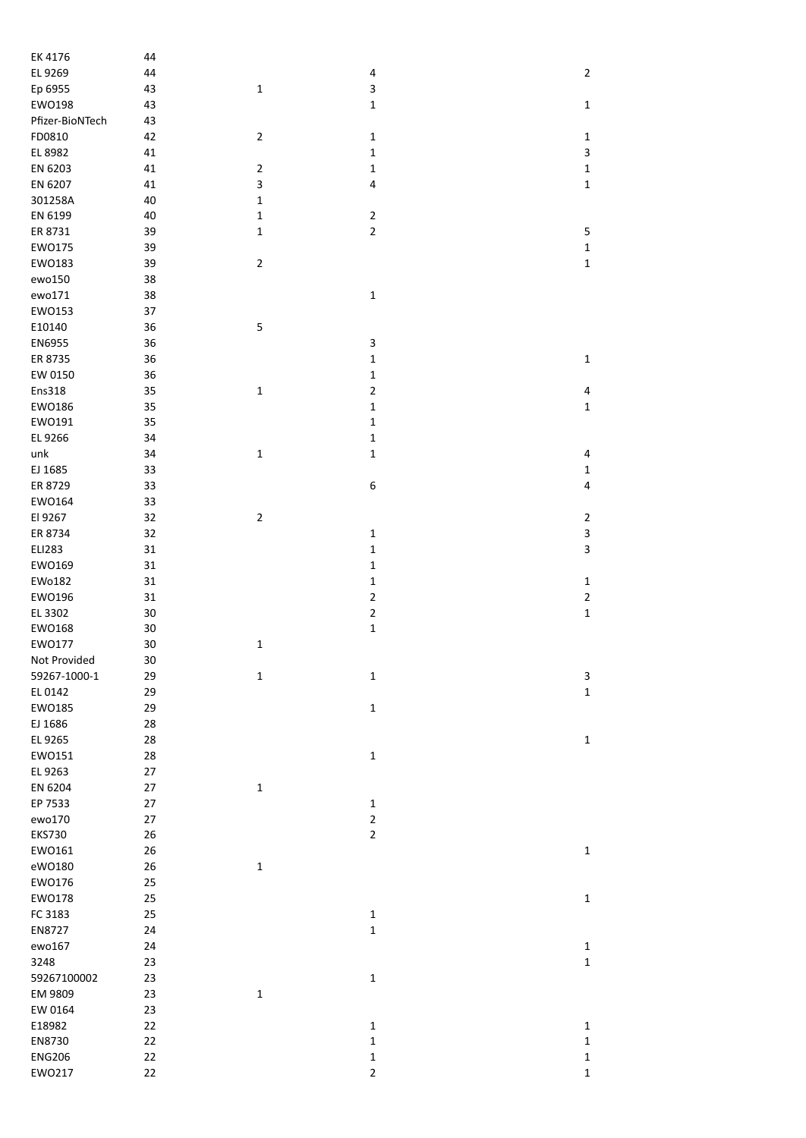| EK 4176         | 44     |                |                |                |
|-----------------|--------|----------------|----------------|----------------|
| EL 9269         | 44     |                | 4              | $\overline{2}$ |
| Ep 6955         | 43     | $\mathbf 1$    | 3              |                |
| EW0198          | 43     |                | $\mathbf 1$    | $\mathbf 1$    |
| Pfizer-BioNTech | 43     |                |                |                |
|                 |        |                |                |                |
| FD0810          | 42     | $\overline{2}$ | $\mathbf 1$    | $\mathbf 1$    |
| EL 8982         | 41     |                | $\mathbf 1$    | 3              |
| EN 6203         | 41     | $\mathbf 2$    | $\mathbf 1$    | $\mathbf 1$    |
| EN 6207         | 41     | 3              | $\pmb{4}$      | $\mathbf 1$    |
| 301258A         | 40     | $\mathbf 1$    |                |                |
| EN 6199         | 40     | $\mathbf 1$    | $\mathbf 2$    |                |
| ER 8731         | 39     | $\mathbf 1$    | $\overline{2}$ | 5              |
| EW0175          | 39     |                |                | $\mathbf 1$    |
|                 |        |                |                |                |
| EW0183          | 39     | $\mathbf 2$    |                | $\mathbf 1$    |
| ewo150          | 38     |                |                |                |
| ewo171          | 38     |                | $\mathbf 1$    |                |
| EW0153          | 37     |                |                |                |
| E10140          | 36     | 5              |                |                |
| EN6955          | 36     |                | 3              |                |
| ER 8735         | 36     |                | $\mathbf 1$    | $\mathbf 1$    |
| EW 0150         | 36     |                | $\mathbf 1$    |                |
| Ens318          | 35     | $\mathbf 1$    | $\mathbf 2$    | 4              |
| EW0186          | 35     |                | $\mathbf 1$    | $\mathbf 1$    |
|                 |        |                |                |                |
| EW0191          | 35     |                | $\mathbf 1$    |                |
| EL 9266         | 34     |                | $\mathbf 1$    |                |
| unk             | 34     | $\mathbf 1$    | $\mathbf 1$    | 4              |
| EJ 1685         | 33     |                |                | 1              |
| ER 8729         | 33     |                | 6              | 4              |
| EW0164          | 33     |                |                |                |
| El 9267         | 32     | $\overline{2}$ |                | $\mathbf{2}$   |
| ER 8734         | 32     |                | $\mathbf 1$    | 3              |
| <b>ELI283</b>   | 31     |                | $\mathbf 1$    | 3              |
|                 |        |                |                |                |
| EW0169          | 31     |                | $\mathbf 1$    |                |
| EWo182          | 31     |                | $\mathbf 1$    | $\mathbf 1$    |
| EW0196          | 31     |                | $\overline{2}$ | $\overline{c}$ |
| EL 3302         | $30\,$ |                | $\mathbf 2$    | $\mathbf 1$    |
| EW0168          | $30\,$ |                | $\mathbf 1$    |                |
| EW0177          | 30     | $\mathbf 1$    |                |                |
| Not Provided    | $30\,$ |                |                |                |
| 59267-1000-1    | 29     | $\mathbf 1$    | $\mathbf 1$    | 3              |
| EL 0142         | 29     |                |                | $\mathbf 1$    |
| EW0185          | 29     |                | $\mathbf 1$    |                |
|                 |        |                |                |                |
| EJ 1686         | 28     |                |                |                |
| EL 9265         | 28     |                |                | $\mathbf{1}$   |
| EW0151          | 28     |                | $\mathbf 1$    |                |
| EL 9263         | $27\,$ |                |                |                |
| EN 6204         | 27     | $\mathbf 1$    |                |                |
| EP 7533         | 27     |                | $\mathbf 1$    |                |
| ewo170          | 27     |                | $\mathbf 2$    |                |
| <b>EKS730</b>   | 26     |                | $\overline{2}$ |                |
| EW0161          | 26     |                |                | $\mathbf 1$    |
|                 |        |                |                |                |
| eW0180          | 26     | $\mathbf 1$    |                |                |
| EW0176          | 25     |                |                |                |
| EW0178          | 25     |                |                | $\mathbf 1$    |
| FC 3183         | 25     |                | $\mathbf 1$    |                |
| EN8727          | 24     |                | $\mathbf 1$    |                |
| ewo167          | 24     |                |                | 1              |
| 3248            | 23     |                |                | $\mathbf 1$    |
| 59267100002     | 23     |                | $\mathbf 1$    |                |
| EM 9809         | 23     | $\mathbf 1$    |                |                |
|                 |        |                |                |                |
| EW 0164         | 23     |                |                |                |
| E18982          | 22     |                | $\mathbf 1$    | $\mathbf 1$    |
| EN8730          | 22     |                | $\mathbf 1$    | $\mathbf 1$    |
| <b>ENG206</b>   | 22     |                | $\mathbf 1$    | $\mathbf{1}$   |
| EW0217          | 22     |                | $\mathbf 2$    | $\mathbf 1$    |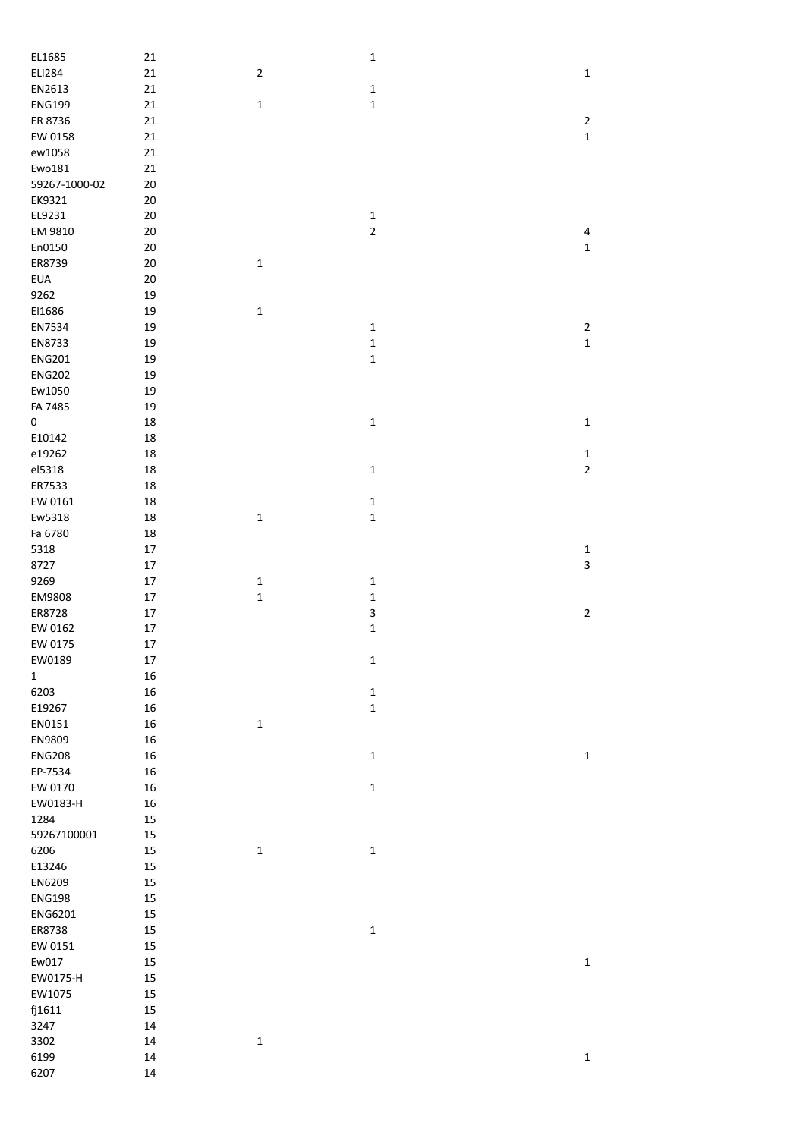| EL1685        | 21     |                | $\mathbf 1$  |                         |
|---------------|--------|----------------|--------------|-------------------------|
| ELI284        | 21     | $\overline{2}$ |              | $\mathbf 1$             |
| EN2613        | 21     |                | $\mathbf 1$  |                         |
| <b>ENG199</b> | 21     | $\mathbf 1$    | $\mathbf 1$  |                         |
| ER 8736       | 21     |                |              | $\mathbf{2}$            |
| EW 0158       | 21     |                |              | $\mathbf 1$             |
|               |        |                |              |                         |
| ew1058        | 21     |                |              |                         |
| Ewo181        | 21     |                |              |                         |
| 59267-1000-02 | 20     |                |              |                         |
| EK9321        | 20     |                |              |                         |
| EL9231        | 20     |                | $\mathbf 1$  |                         |
| EM 9810       | 20     |                | $\mathbf 2$  | $\overline{\mathbf{r}}$ |
| En0150        | 20     |                |              | $\mathbf 1$             |
| ER8739        | 20     | $\mathbf 1$    |              |                         |
| <b>EUA</b>    | $20\,$ |                |              |                         |
|               |        |                |              |                         |
| 9262          | 19     |                |              |                         |
| El1686        | 19     | $\mathbf 1$    |              |                         |
| EN7534        | 19     |                | $\mathbf 1$  | $\mathbf 2$             |
| EN8733        | 19     |                | $\mathbf 1$  | $\mathbf 1$             |
| <b>ENG201</b> | 19     |                | $\mathbf{1}$ |                         |
| <b>ENG202</b> | 19     |                |              |                         |
| Ew1050        | 19     |                |              |                         |
| FA 7485       | 19     |                |              |                         |
|               |        |                |              |                         |
| $\mathsf 0$   | 18     |                | $\mathbf 1$  | $\mathbf 1$             |
| E10142        | 18     |                |              |                         |
| e19262        | 18     |                |              | $\mathbf 1$             |
| el5318        | 18     |                | $\mathbf 1$  | $\overline{2}$          |
| ER7533        | 18     |                |              |                         |
| EW 0161       | 18     |                | $\mathbf 1$  |                         |
| Ew5318        | 18     | $\mathbf 1$    | $\mathbf 1$  |                         |
|               |        |                |              |                         |
| Fa 6780       | 18     |                |              |                         |
| 5318          | 17     |                |              | $\mathbf 1$             |
| 8727          | $17\,$ |                |              | 3                       |
| 9269          | $17\,$ | $\mathbf 1$    | $\mathbf 1$  |                         |
| EM9808        | $17\,$ | $\mathbf 1$    | $\mathbf 1$  |                         |
| ER8728        | $17\,$ |                | 3            | $\mathbf 2$             |
| EW 0162       | $17\,$ |                | $\mathbf 1$  |                         |
| EW 0175       | 17     |                |              |                         |
| EW0189        | 17     |                |              |                         |
|               |        |                | 1            |                         |
| $\mathbf 1$   | 16     |                |              |                         |
| 6203          | 16     |                | $\mathbf 1$  |                         |
| E19267        | $16\,$ |                | $\mathbf 1$  |                         |
| EN0151        | 16     | $\mathbf 1$    |              |                         |
| EN9809        | 16     |                |              |                         |
| <b>ENG208</b> | 16     |                | $\mathbf 1$  | $\mathbf 1$             |
| EP-7534       | 16     |                |              |                         |
| EW 0170       | 16     |                | $\mathbf 1$  |                         |
|               |        |                |              |                         |
| EW0183-H      | 16     |                |              |                         |
| 1284          | 15     |                |              |                         |
| 59267100001   | 15     |                |              |                         |
| 6206          | 15     | $\mathbf 1$    | $\mathbf 1$  |                         |
| E13246        | 15     |                |              |                         |
| EN6209        | 15     |                |              |                         |
| <b>ENG198</b> | 15     |                |              |                         |
|               |        |                |              |                         |
| ENG6201       | 15     |                |              |                         |
| ER8738        | 15     |                | $\mathbf 1$  |                         |
| EW 0151       | 15     |                |              |                         |
| Ew017         | 15     |                |              | $\mathbf 1$             |
| EW0175-H      | 15     |                |              |                         |
| EW1075        | 15     |                |              |                         |
| fj1611        | 15     |                |              |                         |
|               |        |                |              |                         |
| 3247          | $14\,$ |                |              |                         |
| 3302          | $14\,$ | $\mathbf 1$    |              |                         |
| 6199          | $14\,$ |                |              | $\mathbf 1$             |
| 6207          | 14     |                |              |                         |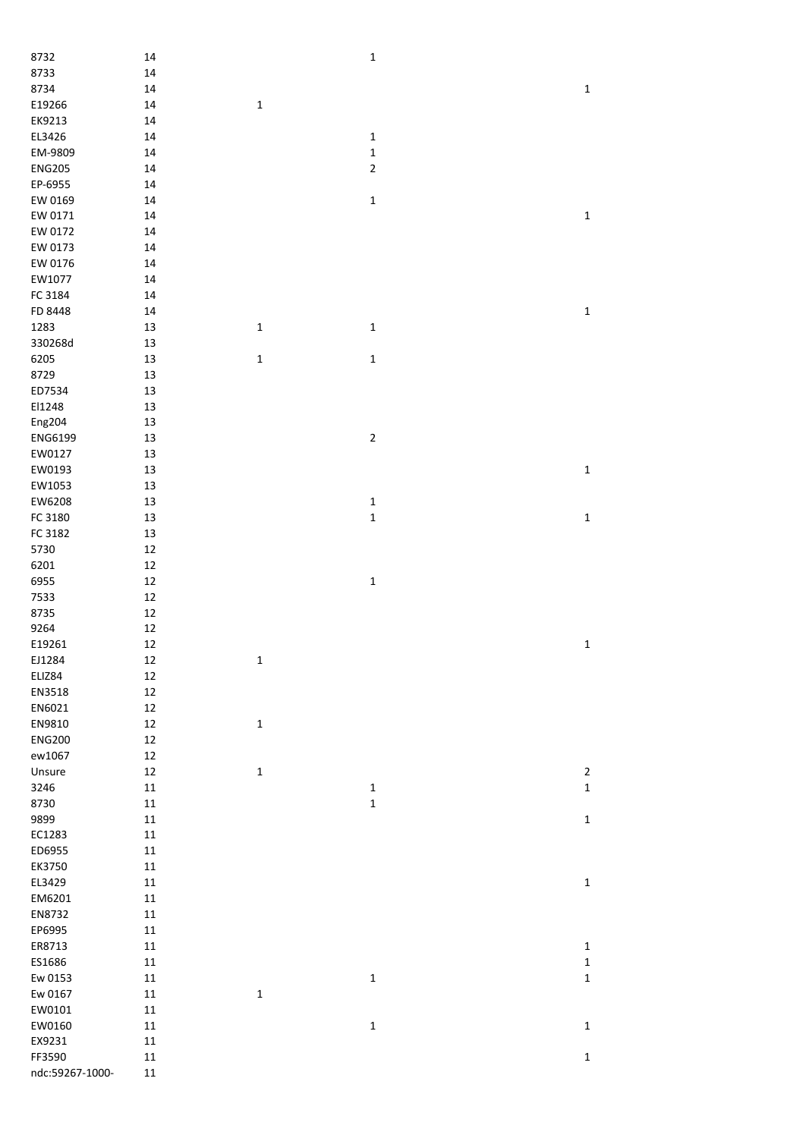| 8732            | 14         |              | $\mathbf{1}$   |             |
|-----------------|------------|--------------|----------------|-------------|
| 8733            | $14\,$     |              |                |             |
| 8734            | $14\,$     |              |                | $\mathbf 1$ |
| E19266          | 14         | $\mathbf{1}$ |                |             |
| EK9213          | 14         |              |                |             |
| EL3426          | 14         |              | $\mathbf 1$    |             |
| EM-9809         | 14         |              | $\mathbf 1$    |             |
| <b>ENG205</b>   | 14         |              | $\overline{2}$ |             |
| EP-6955         | 14         |              |                |             |
| EW 0169         | 14         |              | $\mathbf{1}$   |             |
| EW 0171         | 14         |              |                | $\mathbf 1$ |
| EW 0172         | 14         |              |                |             |
| EW 0173         | 14         |              |                |             |
| EW 0176         | 14         |              |                |             |
| EW1077          | 14         |              |                |             |
| FC 3184         | 14         |              |                |             |
| FD 8448         | 14         |              |                | $\mathbf 1$ |
| 1283            | 13         | $\mathbf 1$  | $\mathbf 1$    |             |
| 330268d         | 13         |              |                |             |
|                 |            |              |                |             |
| 6205            | 13         | $\mathbf 1$  | $\mathbf 1$    |             |
| 8729            | 13         |              |                |             |
| ED7534          | 13         |              |                |             |
| El1248          | 13         |              |                |             |
| Eng204          | 13         |              |                |             |
| ENG6199         | 13         |              | $\mathbf 2$    |             |
| EW0127          | 13         |              |                |             |
| EW0193          | 13         |              |                | $\mathbf 1$ |
| EW1053          | 13         |              |                |             |
| EW6208          | 13         |              | $\mathbf 1$    |             |
| FC 3180         | 13         |              | $\mathbf 1$    | $\mathbf 1$ |
| FC 3182         | 13         |              |                |             |
| 5730            | $12\,$     |              |                |             |
| 6201            | $12\,$     |              |                |             |
| 6955            | 12         |              | $\mathbf{1}$   |             |
| 7533            | 12         |              |                |             |
| 8735            | $12\,$     |              |                |             |
| 9264            | $12\,$     |              |                |             |
| E19261          | 12         |              |                | $\mathbf 1$ |
| EJ1284          | 12         | $\mathbf 1$  |                |             |
| ELIZ84          | 12         |              |                |             |
| EN3518          | 12         |              |                |             |
| EN6021          | $12\,$     |              |                |             |
| EN9810          | $12\,$     | $\mathbf 1$  |                |             |
| <b>ENG200</b>   | $12\,$     |              |                |             |
| ew1067          | 12         |              |                |             |
|                 |            |              |                |             |
| Unsure          | 12         | $\mathbf 1$  |                | $\mathbf 2$ |
| 3246            | $11\,$     |              | $\mathbf 1$    | $\mathbf 1$ |
| 8730            | $11\,$     |              | $\mathbf 1$    |             |
| 9899            | $11\,$     |              |                | $\mathbf 1$ |
| EC1283          | $11\,$     |              |                |             |
| ED6955          | $11\,$     |              |                |             |
| EK3750          | $11\,$     |              |                |             |
| EL3429          | $11\,$     |              |                | $\mathbf 1$ |
| EM6201          | $11\,$     |              |                |             |
| EN8732          | $11\,$     |              |                |             |
| EP6995          | ${\bf 11}$ |              |                |             |
| ER8713          | ${\bf 11}$ |              |                | $\mathbf 1$ |
| ES1686          | ${\bf 11}$ |              |                | $\mathbf 1$ |
| Ew 0153         | ${\bf 11}$ |              | $\mathbf 1$    | $\mathbf 1$ |
| Ew 0167         | ${\bf 11}$ | $\mathbf 1$  |                |             |
| EW0101          | ${\bf 11}$ |              |                |             |
| EW0160          | ${\bf 11}$ |              | $\mathbf 1$    | $\mathbf 1$ |
| EX9231          | ${\bf 11}$ |              |                |             |
| FF3590          | ${\bf 11}$ |              |                | $\mathbf 1$ |
| ndc:59267-1000- | ${\bf 11}$ |              |                |             |
|                 |            |              |                |             |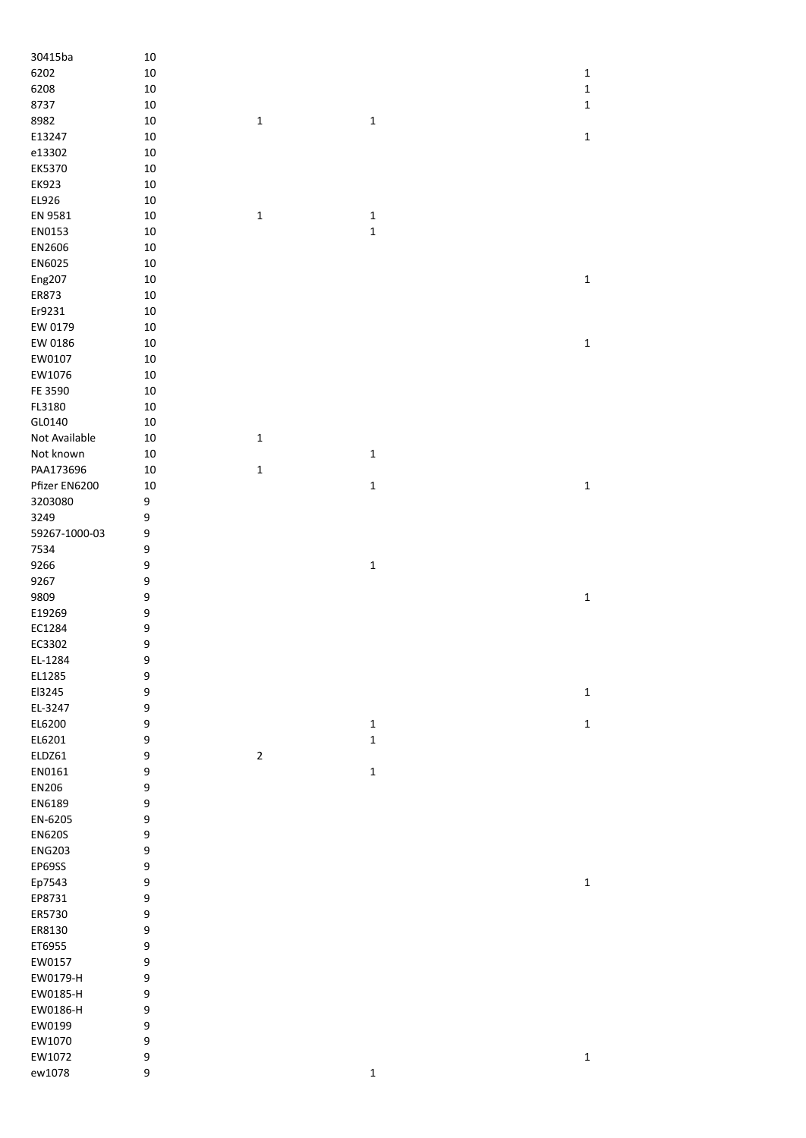| 30415ba       | $10\,$ |                |             |             |
|---------------|--------|----------------|-------------|-------------|
| 6202          | $10\,$ |                |             | $\mathbf 1$ |
| 6208          | $10\,$ |                |             | $\mathbf 1$ |
| 8737          | $10\,$ |                |             | $\mathbf 1$ |
| 8982          | $10\,$ | $\mathbf 1$    | $\mathbf 1$ |             |
| E13247        | $10\,$ |                |             | $\mathbf 1$ |
| e13302        | $10\,$ |                |             |             |
| EK5370        | $10\,$ |                |             |             |
| EK923         | $10\,$ |                |             |             |
| EL926         | $10\,$ |                |             |             |
| EN 9581       | $10\,$ | $\mathbf 1$    | $\mathbf 1$ |             |
| EN0153        | $10\,$ |                | $\mathbf 1$ |             |
| EN2606        |        |                |             |             |
|               | $10\,$ |                |             |             |
| EN6025        | $10\,$ |                |             |             |
| Eng207        | $10\,$ |                |             | $\mathbf 1$ |
| ER873         | $10\,$ |                |             |             |
| Er9231        | $10\,$ |                |             |             |
| EW 0179       | $10\,$ |                |             |             |
| EW 0186       | $10\,$ |                |             | $\mathbf 1$ |
| EW0107        | $10\,$ |                |             |             |
| EW1076        | $10\,$ |                |             |             |
| FE 3590       | $10\,$ |                |             |             |
| FL3180        | $10\,$ |                |             |             |
| GL0140        | $10\,$ |                |             |             |
| Not Available | $10\,$ | $\mathbf 1$    |             |             |
| Not known     | $10\,$ |                | $\mathbf 1$ |             |
|               |        |                |             |             |
| PAA173696     | $10\,$ | $\mathbf 1$    |             |             |
| Pfizer EN6200 | $10\,$ |                | $\mathbf 1$ | $\mathbf 1$ |
| 3203080       | 9      |                |             |             |
| 3249          | 9      |                |             |             |
| 59267-1000-03 | 9      |                |             |             |
| 7534          | 9      |                |             |             |
| 9266          | 9      |                | $\mathbf 1$ |             |
| 9267          | 9      |                |             |             |
| 9809          | 9      |                |             | $\mathbf 1$ |
| E19269        | 9      |                |             |             |
| EC1284        | 9      |                |             |             |
| EC3302        | 9      |                |             |             |
| EL-1284       | 9      |                |             |             |
| EL1285        | 9      |                |             |             |
| El3245        | 9      |                |             | $\mathbf 1$ |
| EL-3247       | 9      |                |             |             |
|               |        |                |             |             |
| EL6200        | 9      |                | $\mathbf 1$ | $\mathbf 1$ |
| EL6201        | 9      |                | $\mathbf 1$ |             |
| ELDZ61        | 9      | $\overline{2}$ |             |             |
| EN0161        | 9      |                | $\mathbf 1$ |             |
| EN206         | 9      |                |             |             |
| EN6189        | 9      |                |             |             |
| EN-6205       | 9      |                |             |             |
| <b>EN620S</b> | 9      |                |             |             |
| <b>ENG203</b> | 9      |                |             |             |
| EP69SS        | 9      |                |             |             |
| Ep7543        | 9      |                |             | $\mathbf 1$ |
| EP8731        | 9      |                |             |             |
| ER5730        | 9      |                |             |             |
| ER8130        | 9      |                |             |             |
| ET6955        |        |                |             |             |
|               | 9      |                |             |             |
| EW0157        | 9      |                |             |             |
| EW0179-H      | 9      |                |             |             |
| EW0185-H      | 9      |                |             |             |
| EW0186-H      | 9      |                |             |             |
| EW0199        | 9      |                |             |             |
| EW1070        | 9      |                |             |             |
| EW1072        | 9      |                |             | $\mathbf 1$ |
| ew1078        | 9      |                | $\mathbf 1$ |             |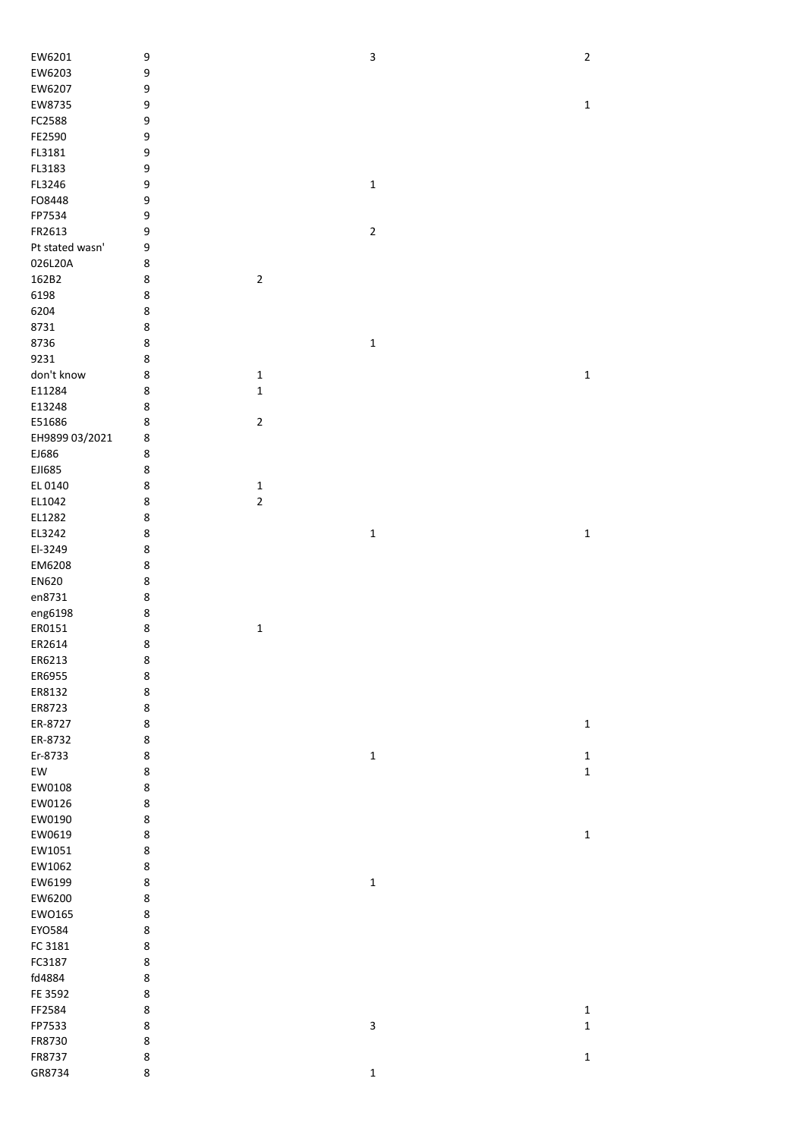| EW6201           | 9      |             | 3           | $\mathbf 2$  |
|------------------|--------|-------------|-------------|--------------|
| EW6203           | 9      |             |             |              |
| EW6207           | 9      |             |             |              |
| EW8735           | 9      |             |             | $\mathbf 1$  |
| FC2588           | 9      |             |             |              |
| FE2590           | 9      |             |             |              |
| FL3181           | 9      |             |             |              |
| FL3183           | 9      |             |             |              |
| FL3246           | 9      |             | $\mathbf 1$ |              |
| FO8448           | 9      |             |             |              |
| FP7534           | 9      |             |             |              |
| FR2613           | 9      |             | $\mathbf 2$ |              |
| Pt stated wasn'  | 9      |             |             |              |
| 026L20A          | 8      |             |             |              |
| 162B2            | 8      | $\sqrt{2}$  |             |              |
| 6198             | 8      |             |             |              |
| 6204             | 8      |             |             |              |
| 8731             | 8      |             |             |              |
| 8736             | 8      |             | $\mathbf 1$ |              |
| 9231             | 8      |             |             |              |
| don't know       | 8      | $\mathbf 1$ |             | $\mathbf 1$  |
| E11284           | 8      | $\mathbf 1$ |             |              |
| E13248           | 8      |             |             |              |
| E51686           | 8      | $\mathbf 2$ |             |              |
| EH9899 03/2021   | 8      |             |             |              |
| EJ686            | 8      |             |             |              |
| EJ1685           | 8      |             |             |              |
| EL 0140          | 8      | $\mathbf 1$ |             |              |
| EL1042           | 8      | $\mathbf 2$ |             |              |
| EL1282<br>EL3242 | 8      |             |             |              |
| El-3249          | 8<br>8 |             | $\mathbf 1$ | $\mathbf 1$  |
| EM6208           | 8      |             |             |              |
| EN620            | 8      |             |             |              |
| en8731           | 8      |             |             |              |
| eng6198          | 8      |             |             |              |
| ER0151           | 8      | $\mathbf 1$ |             |              |
| ER2614           | 8      |             |             |              |
| ER6213           | 8      |             |             |              |
| ER6955           | 8      |             |             |              |
| ER8132           | 8      |             |             |              |
| ER8723           | 8      |             |             |              |
| ER-8727          | 8      |             |             | $\mathbf 1$  |
| ER-8732          | 8      |             |             |              |
| Er-8733          | 8      |             | $\mathbf 1$ | $\mathbf{1}$ |
| EW               | 8      |             |             | $\mathbf 1$  |
| EW0108           | 8      |             |             |              |
| EW0126           | 8      |             |             |              |
| EW0190           | 8      |             |             |              |
| EW0619           | 8      |             |             | $\mathbf 1$  |
| EW1051           | 8      |             |             |              |
| EW1062           | 8      |             |             |              |
| EW6199           | 8      |             | $\mathbf 1$ |              |
| EW6200           | 8      |             |             |              |
| EW0165           | 8      |             |             |              |
| EYO584           | 8      |             |             |              |
| FC 3181          | 8      |             |             |              |
| FC3187           | 8      |             |             |              |
| fd4884           | 8      |             |             |              |
| FE 3592          | 8      |             |             |              |
| FF2584           | 8      |             |             | $\mathbf 1$  |
| FP7533           | 8      |             | 3           | $\mathbf 1$  |
| FR8730           | 8      |             |             |              |
| FR8737           | 8      |             |             | $\mathbf 1$  |
| GR8734           | 8      |             | $\mathbf 1$ |              |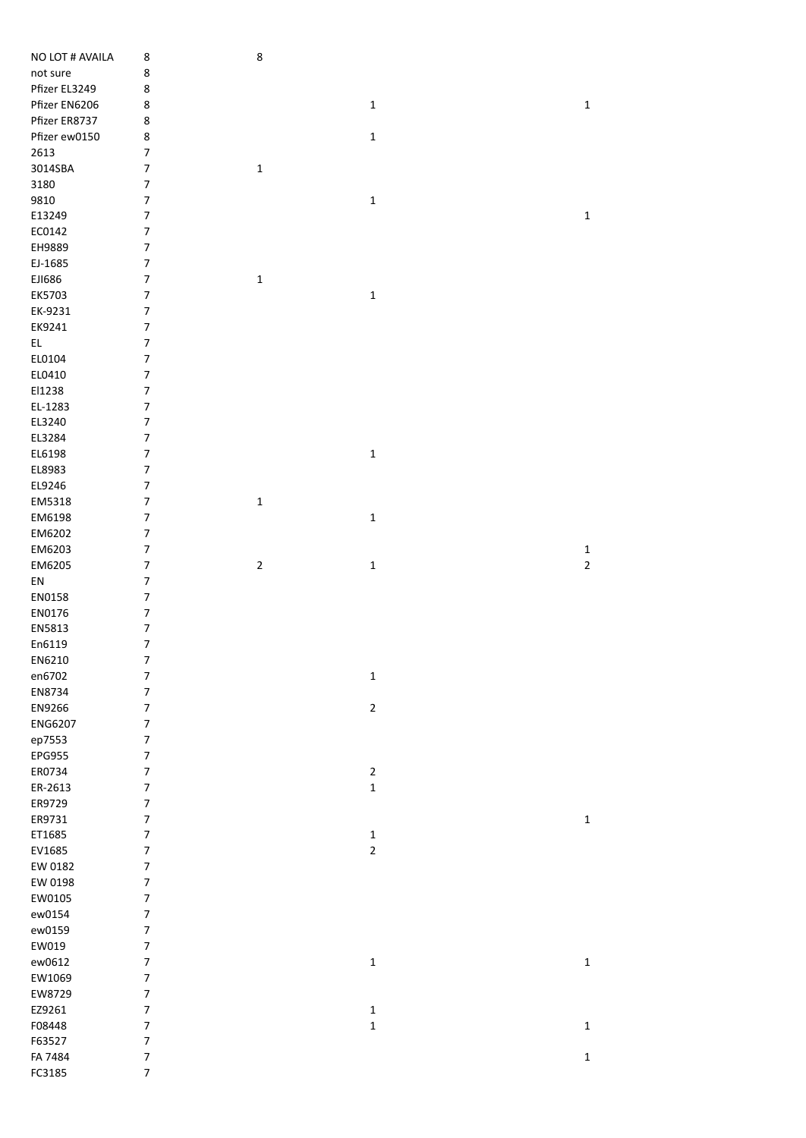| NO LOT # AVAILA   | 8                                                    | 8            |             |                |
|-------------------|------------------------------------------------------|--------------|-------------|----------------|
| not sure          | 8                                                    |              |             |                |
| Pfizer EL3249     | 8                                                    |              |             |                |
| Pfizer EN6206     | 8                                                    |              | $\mathbf 1$ | $\mathbf 1$    |
| Pfizer ER8737     | 8                                                    |              |             |                |
| Pfizer ew0150     | 8                                                    |              | $\mathbf 1$ |                |
| 2613              | $\boldsymbol{7}$                                     |              |             |                |
| 3014SBA           | $\overline{\mathcal{I}}$                             | $\mathbf 1$  |             |                |
| 3180              | $\boldsymbol{7}$                                     |              |             |                |
|                   | $\overline{\mathcal{I}}$                             |              |             |                |
| 9810              |                                                      |              | $\mathbf 1$ |                |
| E13249            | $\boldsymbol{7}$                                     |              |             | $\mathbf 1$    |
| EC0142            | $\boldsymbol{7}$                                     |              |             |                |
| EH9889            | $\boldsymbol{7}$                                     |              |             |                |
| EJ-1685           | $\boldsymbol{7}$                                     |              |             |                |
| EJ1686            | $\boldsymbol{7}$                                     | $\mathbf 1$  |             |                |
| EK5703            | $\overline{\mathcal{I}}$                             |              | $\mathbf 1$ |                |
| EK-9231           | $\boldsymbol{7}$                                     |              |             |                |
| EK9241            | $\boldsymbol{7}$                                     |              |             |                |
| EL.               | $\boldsymbol{7}$                                     |              |             |                |
| EL0104            | $\boldsymbol{7}$                                     |              |             |                |
| EL0410            | $\boldsymbol{7}$                                     |              |             |                |
| El1238            | $\boldsymbol{7}$                                     |              |             |                |
| EL-1283           | $\overline{\mathcal{I}}$                             |              |             |                |
| EL3240            | $\boldsymbol{7}$                                     |              |             |                |
| EL3284            | $\boldsymbol{7}$                                     |              |             |                |
| EL6198            | $\boldsymbol{7}$                                     |              | $\mathbf 1$ |                |
| EL8983            | $\boldsymbol{7}$                                     |              |             |                |
| EL9246            | $\boldsymbol{7}$                                     |              |             |                |
| EM5318            | $\boldsymbol{7}$                                     | $\mathbf{1}$ |             |                |
| EM6198            | $\boldsymbol{7}$                                     |              | $\mathbf 1$ |                |
| EM6202            | $\boldsymbol{7}$                                     |              |             |                |
| EM6203            | $\boldsymbol{7}$                                     |              |             | $\mathbf{1}$   |
| EM6205            | $\boldsymbol{7}$                                     | $\mathbf 2$  | $\mathbf 1$ | $\overline{2}$ |
| ${\sf EN}$        | $\boldsymbol{7}$                                     |              |             |                |
| EN0158            | $\boldsymbol{7}$                                     |              |             |                |
| EN0176            | $\boldsymbol{7}$                                     |              |             |                |
| EN5813            | $\boldsymbol{7}$                                     |              |             |                |
| En6119            | $\boldsymbol{7}$                                     |              |             |                |
| EN6210            | 7                                                    |              |             |                |
| en6702            | $\boldsymbol{7}$                                     |              | $\mathbf 1$ |                |
| EN8734            | $\boldsymbol{7}$                                     |              |             |                |
| EN9266            | $\boldsymbol{7}$                                     |              | $\mathbf 2$ |                |
| ENG6207           | $\boldsymbol{7}$                                     |              |             |                |
| ep7553            | $\boldsymbol{7}$                                     |              |             |                |
| EPG955            | $\overline{\mathcal{I}}$                             |              |             |                |
| ER0734            | $\overline{\mathcal{I}}$                             |              | $\mathbf 2$ |                |
| ER-2613           | $\boldsymbol{7}$                                     |              | $\mathbf 1$ |                |
| ER9729            | $\boldsymbol{7}$                                     |              |             |                |
| ER9731            | $\boldsymbol{7}$                                     |              |             | $\mathbf{1}$   |
| ET1685            | $\boldsymbol{7}$                                     |              | $\mathbf 1$ |                |
| EV1685            | $\overline{\mathcal{I}}$                             |              | $\mathbf 2$ |                |
| EW 0182           | $\overline{\mathcal{I}}$                             |              |             |                |
| EW 0198           | $\boldsymbol{7}$                                     |              |             |                |
| EW0105            | $\boldsymbol{7}$                                     |              |             |                |
|                   | $\boldsymbol{7}$                                     |              |             |                |
| ew0154            |                                                      |              |             |                |
| ew0159            | $\overline{\mathcal{I}}$<br>$\overline{\mathcal{I}}$ |              |             |                |
| EW019<br>ew0612   |                                                      |              |             |                |
|                   |                                                      |              | $\mathbf 1$ | $\mathbf 1$    |
|                   | $\overline{\mathcal{I}}$                             |              |             |                |
| EW1069            | $\boldsymbol{7}$                                     |              |             |                |
| EW8729            | 7                                                    |              |             |                |
| EZ9261            | $\boldsymbol{7}$                                     |              | $\mathbf 1$ |                |
| F08448            | $\boldsymbol{7}$                                     |              | $\mathbf 1$ | $\mathbf 1$    |
| F63527            | $\boldsymbol{7}$                                     |              |             |                |
| FA 7484<br>FC3185 | $\boldsymbol{7}$<br>$\overline{\mathcal{I}}$         |              |             | $\mathbf 1$    |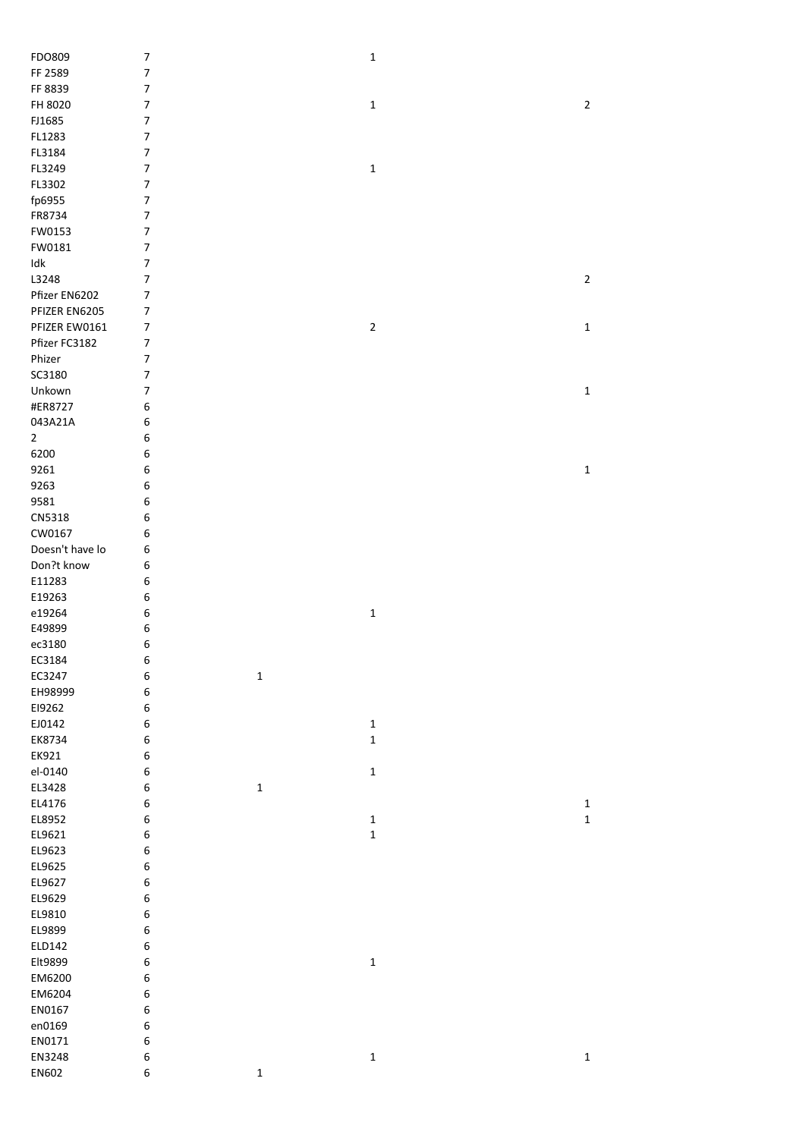| FDO809                   | $\boldsymbol{7}$         |             | $\mathbf 1$ |             |
|--------------------------|--------------------------|-------------|-------------|-------------|
| FF 2589                  | $\overline{7}$           |             |             |             |
|                          | $\overline{\mathcal{I}}$ |             |             |             |
| FF 8839                  |                          |             |             |             |
| FH 8020                  | $\boldsymbol{7}$         |             | $\mathbf 1$ | $\mathbf 2$ |
| FJ1685                   | $\boldsymbol{7}$         |             |             |             |
| FL1283                   | $\boldsymbol{7}$         |             |             |             |
| FL3184                   | $\boldsymbol{7}$         |             |             |             |
| FL3249                   | $\boldsymbol{7}$         |             | $\mathbf 1$ |             |
| FL3302                   | $\boldsymbol{7}$         |             |             |             |
| fp6955                   | $\boldsymbol{7}$         |             |             |             |
| FR8734                   | $\boldsymbol{7}$         |             |             |             |
| FW0153                   | $\boldsymbol{7}$         |             |             |             |
|                          |                          |             |             |             |
| FW0181                   | $\boldsymbol{7}$         |             |             |             |
| $\operatorname{\sf Idk}$ | $\overline{7}$           |             |             |             |
| L3248                    | $\boldsymbol{7}$         |             |             | $\sqrt{2}$  |
| Pfizer EN6202            | $\overline{7}$           |             |             |             |
| PFIZER EN6205            | $\boldsymbol{7}$         |             |             |             |
| PFIZER EW0161            | $\boldsymbol{7}$         |             | $\mathbf 2$ | $\mathbf 1$ |
| Pfizer FC3182            | $\boldsymbol{7}$         |             |             |             |
| Phizer                   | $\boldsymbol{7}$         |             |             |             |
|                          |                          |             |             |             |
| SC3180                   | 7                        |             |             |             |
| Unkown                   | 7                        |             |             | $\mathbf 1$ |
| #ER8727                  | 6                        |             |             |             |
| 043A21A                  | 6                        |             |             |             |
| $\overline{2}$           | 6                        |             |             |             |
| 6200                     | 6                        |             |             |             |
| 9261                     | 6                        |             |             | $\mathbf 1$ |
|                          | 6                        |             |             |             |
| 9263                     |                          |             |             |             |
| 9581                     | 6                        |             |             |             |
| CN5318                   | 6                        |             |             |             |
| CW0167                   | 6                        |             |             |             |
| Doesn't have lo          | 6                        |             |             |             |
| Don?t know               | 6                        |             |             |             |
| E11283                   | 6                        |             |             |             |
| E19263                   | 6                        |             |             |             |
| e19264                   | 6                        |             | $\mathbf 1$ |             |
|                          |                          |             |             |             |
| E49899                   | 6                        |             |             |             |
| ec3180                   | 6                        |             |             |             |
| EC3184                   | 6                        |             |             |             |
| EC3247                   | 6                        | $\mathbf 1$ |             |             |
| EH98999                  | 6                        |             |             |             |
| E19262                   | 6                        |             |             |             |
| EJ0142                   | 6                        |             | $\mathbf 1$ |             |
| EK8734                   | 6                        |             | $\mathbf 1$ |             |
|                          |                          |             |             |             |
| EK921                    | 6                        |             |             |             |
| el-0140                  | 6                        |             | $\mathbf 1$ |             |
| EL3428                   | 6                        | $\mathbf 1$ |             |             |
| EL4176                   | 6                        |             |             | $\mathbf 1$ |
| EL8952                   | 6                        |             | $\mathbf 1$ | $\mathbf 1$ |
| EL9621                   | 6                        |             | $\mathbf 1$ |             |
| EL9623                   | 6                        |             |             |             |
| EL9625                   | 6                        |             |             |             |
|                          |                          |             |             |             |
| EL9627                   | 6                        |             |             |             |
| EL9629                   | 6                        |             |             |             |
| EL9810                   | 6                        |             |             |             |
| EL9899                   | 6                        |             |             |             |
| ELD142                   | 6                        |             |             |             |
| Elt9899                  | 6                        |             | $\mathbf 1$ |             |
| EM6200                   | 6                        |             |             |             |
| EM6204                   | 6                        |             |             |             |
|                          |                          |             |             |             |
| EN0167                   | 6                        |             |             |             |
| en0169                   | 6                        |             |             |             |
| EN0171                   | 6                        |             |             |             |
|                          |                          |             |             |             |
| EN3248                   | 6                        |             | $\mathbf 1$ | $\mathbf 1$ |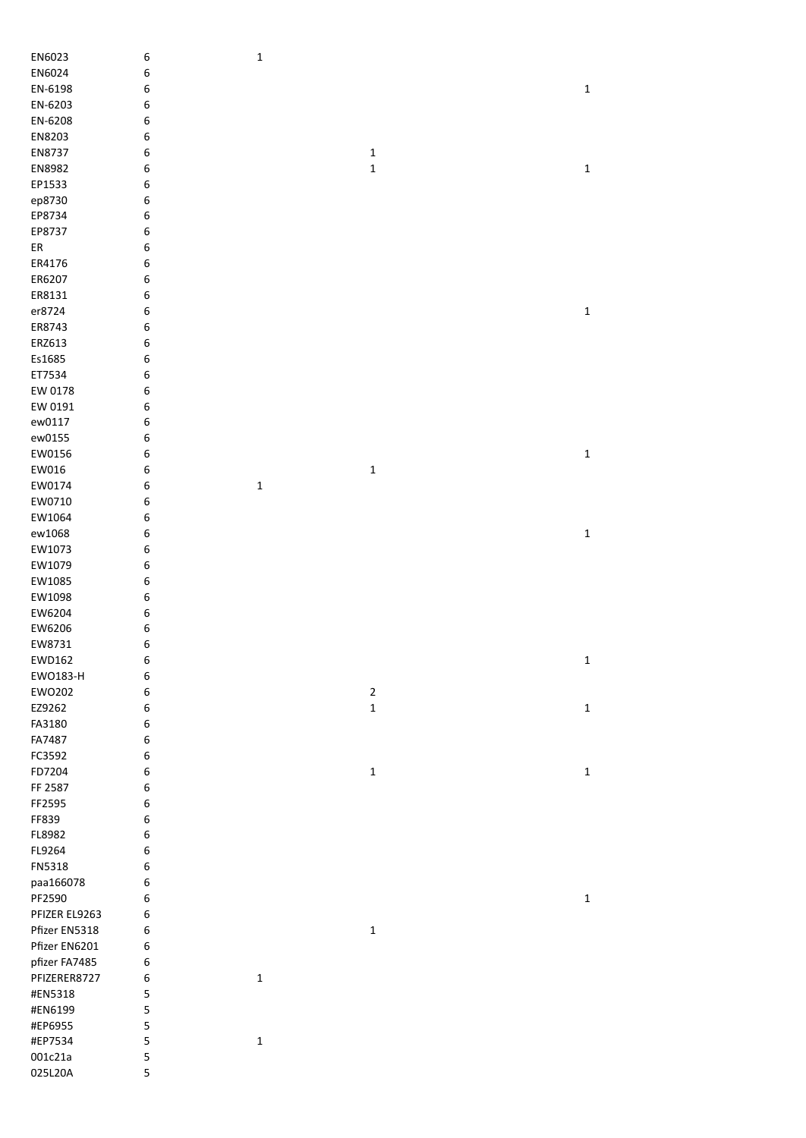| EN6023        | $\boldsymbol{6}$ | $\mathbf 1$ |                |              |
|---------------|------------------|-------------|----------------|--------------|
| EN6024        | 6                |             |                |              |
| EN-6198       | 6                |             |                | $\mathbf 1$  |
| EN-6203       | 6                |             |                |              |
| EN-6208       | 6                |             |                |              |
| EN8203        | 6                |             |                |              |
| EN8737        | 6                |             | $\mathbf 1$    |              |
| EN8982        | 6                |             | $\mathbf 1$    | $\mathbf 1$  |
| EP1533        | 6                |             |                |              |
| ep8730        | 6                |             |                |              |
| EP8734        | 6                |             |                |              |
| EP8737        | 6                |             |                |              |
| ER            | 6                |             |                |              |
| ER4176        |                  |             |                |              |
| ER6207        | 6<br>6           |             |                |              |
|               |                  |             |                |              |
| ER8131        | 6                |             |                |              |
| er8724        | 6                |             |                | $\mathbf 1$  |
| ER8743        | 6                |             |                |              |
| ERZ613        | 6                |             |                |              |
| Es1685        | 6                |             |                |              |
| ET7534        | 6                |             |                |              |
| EW 0178       | 6                |             |                |              |
| EW 0191       | 6                |             |                |              |
| ew0117        | 6                |             |                |              |
| ew0155        | 6                |             |                |              |
| EW0156        | 6                |             |                | $\mathbf 1$  |
| EW016         | 6                |             | $\mathbf 1$    |              |
| EW0174        | 6                | $\mathbf 1$ |                |              |
| EW0710        | 6                |             |                |              |
| EW1064        | 6                |             |                |              |
| ew1068        | 6                |             |                | $\mathbf 1$  |
| EW1073        | 6                |             |                |              |
| EW1079        | 6                |             |                |              |
| EW1085        | 6                |             |                |              |
| EW1098        | 6                |             |                |              |
| EW6204        | 6                |             |                |              |
| EW6206        | 6                |             |                |              |
| EW8731        | 6                |             |                |              |
| EWD162        | 6                |             |                | $\mathbf 1$  |
| EW0183-H      | 6                |             |                |              |
| EW0202        | 6                |             | $\overline{2}$ |              |
| EZ9262        | 6                |             | $\mathbf 1$    | $\mathbf{1}$ |
| FA3180        |                  |             |                |              |
|               | 6                |             |                |              |
| FA7487        | 6                |             |                |              |
| FC3592        | 6                |             |                |              |
| FD7204        | 6                |             | $\mathbf 1$    | $\mathbf 1$  |
| FF 2587       | 6                |             |                |              |
| FF2595        | 6                |             |                |              |
| FF839         | 6                |             |                |              |
| FL8982        | 6                |             |                |              |
| FL9264        | 6                |             |                |              |
| FN5318        | 6                |             |                |              |
| paa166078     | 6                |             |                |              |
| PF2590        | 6                |             |                | $\mathbf 1$  |
| PFIZER EL9263 | 6                |             |                |              |
| Pfizer EN5318 | 6                |             | $\mathbf 1$    |              |
| Pfizer EN6201 | 6                |             |                |              |
| pfizer FA7485 | 6                |             |                |              |
| PFIZERER8727  | 6                | $\mathbf 1$ |                |              |
| #EN5318       | 5                |             |                |              |
| #EN6199       | 5                |             |                |              |
|               |                  |             |                |              |
| #EP6955       | 5                |             |                |              |
| #EP7534       | 5                | $\mathbf 1$ |                |              |
| 001c21a       | 5                |             |                |              |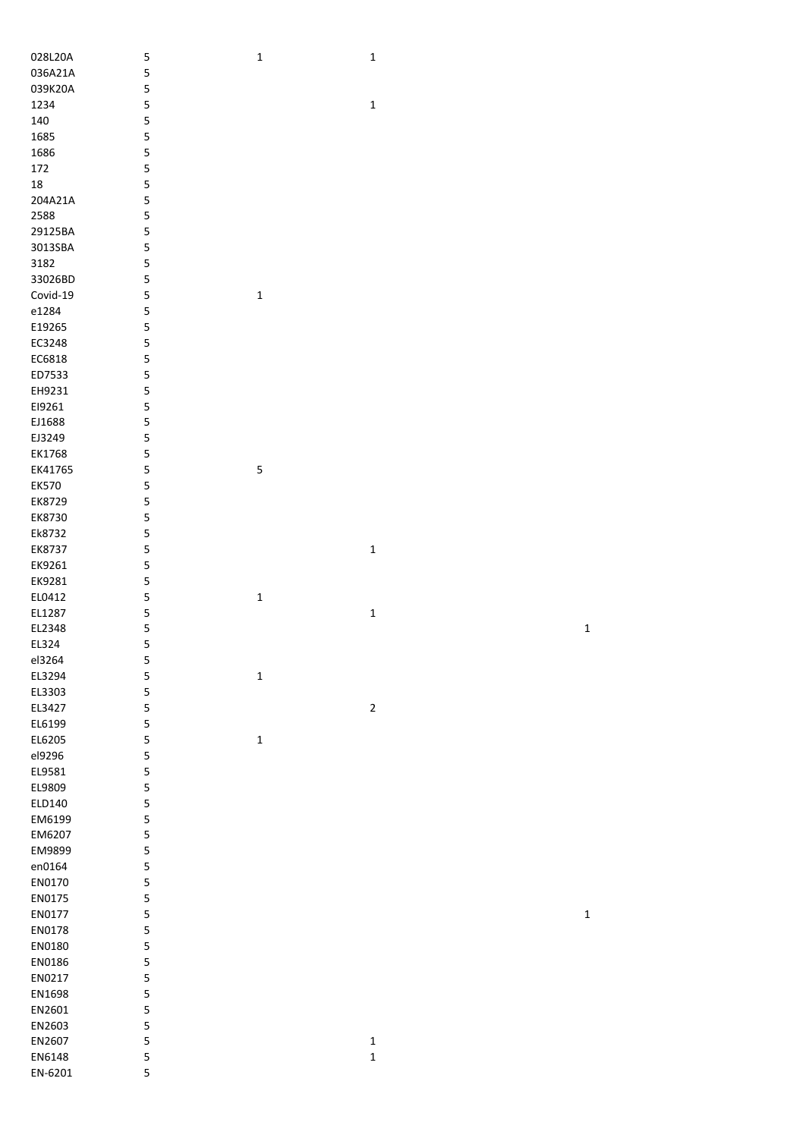| 028L20A      | 5 | $\mathbf 1$  | $\mathbf 1$ |             |
|--------------|---|--------------|-------------|-------------|
| 036A21A      | 5 |              |             |             |
| 039K20A      | 5 |              |             |             |
|              |   |              |             |             |
| 1234         | 5 |              | $\mathbf 1$ |             |
| 140          | 5 |              |             |             |
| 1685         | 5 |              |             |             |
| 1686         | 5 |              |             |             |
|              |   |              |             |             |
| 172          | 5 |              |             |             |
| $18\,$       | 5 |              |             |             |
| 204A21A      | 5 |              |             |             |
|              |   |              |             |             |
| 2588         | 5 |              |             |             |
| 29125BA      | 5 |              |             |             |
| 3013SBA      | 5 |              |             |             |
| 3182         | 5 |              |             |             |
|              |   |              |             |             |
| 33026BD      | 5 |              |             |             |
| Covid-19     | 5 | $\mathbf 1$  |             |             |
| e1284        | 5 |              |             |             |
| E19265       | 5 |              |             |             |
|              |   |              |             |             |
| EC3248       | 5 |              |             |             |
| EC6818       | 5 |              |             |             |
| ED7533       | 5 |              |             |             |
|              |   |              |             |             |
| EH9231       | 5 |              |             |             |
| E19261       | 5 |              |             |             |
| EJ1688       | 5 |              |             |             |
| EJ3249       | 5 |              |             |             |
|              |   |              |             |             |
| EK1768       | 5 |              |             |             |
| EK41765      | 5 | 5            |             |             |
| <b>EK570</b> | 5 |              |             |             |
| EK8729       | 5 |              |             |             |
|              |   |              |             |             |
| EK8730       | 5 |              |             |             |
| Ek8732       | 5 |              |             |             |
| EK8737       | 5 |              | $\mathbf 1$ |             |
|              |   |              |             |             |
| EK9261       | 5 |              |             |             |
| EK9281       | 5 |              |             |             |
| EL0412       | 5 | $\mathbf 1$  |             |             |
| EL1287       | 5 |              | $\mathbf 1$ |             |
|              |   |              |             |             |
| EL2348       | 5 |              |             | $\mathbf 1$ |
| EL324        | 5 |              |             |             |
| el3264       | 5 |              |             |             |
|              |   |              |             |             |
| EL3294       | 5 | $\mathbf 1$  |             |             |
| EL3303       | 5 |              |             |             |
| EL3427       | 5 |              | $\mathbf 2$ |             |
| EL6199       | 5 |              |             |             |
|              |   |              |             |             |
| EL6205       | 5 | $\mathbf{1}$ |             |             |
| el9296       | 5 |              |             |             |
| EL9581       | 5 |              |             |             |
| EL9809       |   |              |             |             |
|              | 5 |              |             |             |
| ELD140       | 5 |              |             |             |
| EM6199       | 5 |              |             |             |
| EM6207       | 5 |              |             |             |
|              |   |              |             |             |
| EM9899       | 5 |              |             |             |
| en0164       | 5 |              |             |             |
| EN0170       | 5 |              |             |             |
| EN0175       | 5 |              |             |             |
|              |   |              |             |             |
| EN0177       | 5 |              |             | $\mathbf 1$ |
| EN0178       | 5 |              |             |             |
| EN0180       | 5 |              |             |             |
|              |   |              |             |             |
| EN0186       | 5 |              |             |             |
| EN0217       | 5 |              |             |             |
| EN1698       | 5 |              |             |             |
| EN2601       | 5 |              |             |             |
|              |   |              |             |             |
| EN2603       | 5 |              |             |             |
| EN2607       | 5 |              | $\mathbf 1$ |             |
| EN6148       | 5 |              | $\mathbf 1$ |             |
|              |   |              |             |             |
| EN-6201      | 5 |              |             |             |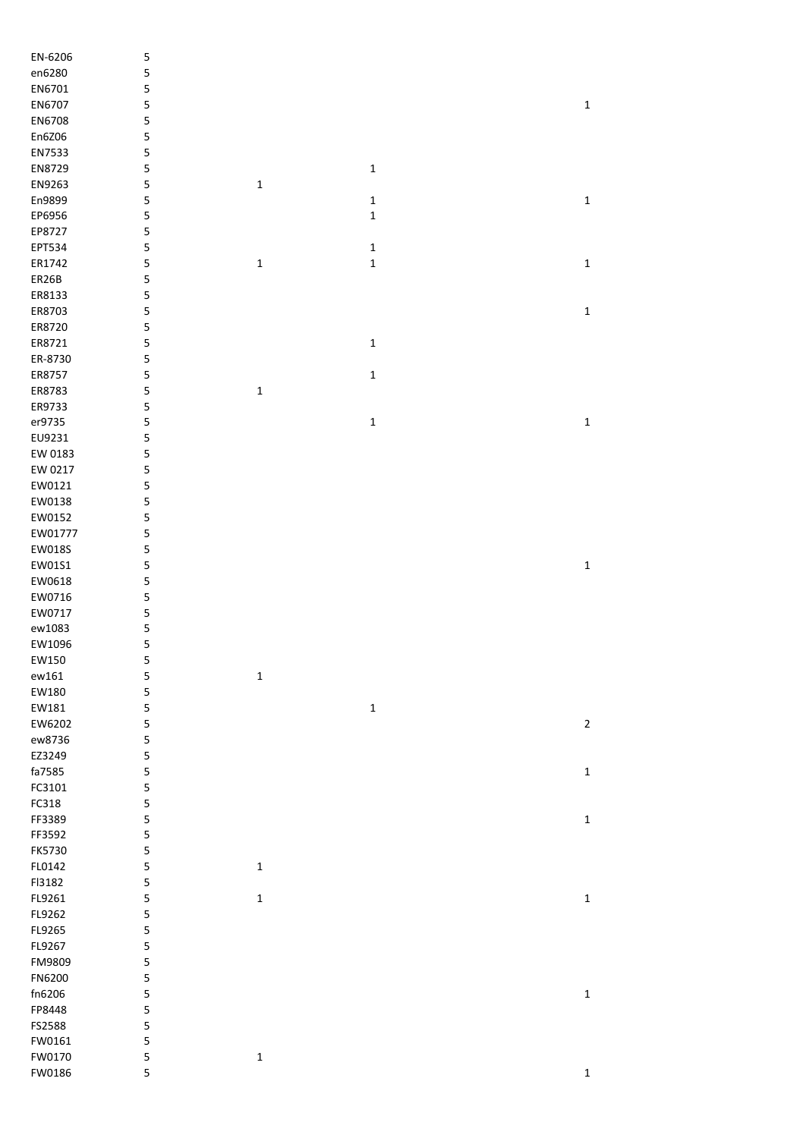| EN-6206 | 5 |             |             |             |
|---------|---|-------------|-------------|-------------|
| en6280  | 5 |             |             |             |
| EN6701  |   |             |             |             |
|         | 5 |             |             |             |
| EN6707  | 5 |             |             | $\mathbf 1$ |
| EN6708  | 5 |             |             |             |
| En6Z06  | 5 |             |             |             |
| EN7533  | 5 |             |             |             |
| EN8729  | 5 |             | $\mathbf 1$ |             |
| EN9263  | 5 | $\mathbf 1$ |             |             |
| En9899  | 5 |             | $\mathbf 1$ | $\mathbf 1$ |
|         |   |             |             |             |
| EP6956  | 5 |             | $\mathbf 1$ |             |
| EP8727  | 5 |             |             |             |
| EPT534  | 5 |             | $\mathbf 1$ |             |
| ER1742  | 5 | $\mathbf 1$ | $\mathbf 1$ | $\mathbf 1$ |
| ER26B   | 5 |             |             |             |
| ER8133  | 5 |             |             |             |
| ER8703  | 5 |             |             | $\mathbf 1$ |
|         |   |             |             |             |
| ER8720  | 5 |             |             |             |
| ER8721  | 5 |             | $\mathbf 1$ |             |
| ER-8730 | 5 |             |             |             |
| ER8757  | 5 |             | $\mathbf 1$ |             |
| ER8783  | 5 | $\mathbf 1$ |             |             |
| ER9733  | 5 |             |             |             |
| er9735  | 5 |             | $\mathbf 1$ | $\mathbf 1$ |
|         |   |             |             |             |
| EU9231  | 5 |             |             |             |
| EW 0183 | 5 |             |             |             |
| EW 0217 | 5 |             |             |             |
| EW0121  | 5 |             |             |             |
| EW0138  | 5 |             |             |             |
| EW0152  | 5 |             |             |             |
| EW01777 |   |             |             |             |
|         | 5 |             |             |             |
| EW018S  | 5 |             |             |             |
| EW01S1  | 5 |             |             | $\mathbf 1$ |
| EW0618  | 5 |             |             |             |
| EW0716  | 5 |             |             |             |
| EW0717  | 5 |             |             |             |
| ew1083  | 5 |             |             |             |
|         | 5 |             |             |             |
| EW1096  |   |             |             |             |
| EW150   | 5 |             |             |             |
| ew161   | 5 | $\mathbf 1$ |             |             |
| EW180   | 5 |             |             |             |
| EW181   | 5 |             | $\mathbf 1$ |             |
| EW6202  | 5 |             |             | $\mathbf 2$ |
| ew8736  | 5 |             |             |             |
| EZ3249  | 5 |             |             |             |
|         |   |             |             |             |
| fa7585  | 5 |             |             | $\mathbf 1$ |
| FC3101  | 5 |             |             |             |
| FC318   | 5 |             |             |             |
| FF3389  | 5 |             |             | $\mathbf 1$ |
| FF3592  | 5 |             |             |             |
| FK5730  | 5 |             |             |             |
| FL0142  | 5 | $\mathbf 1$ |             |             |
|         |   |             |             |             |
| FI3182  | 5 |             |             |             |
| FL9261  | 5 | $\mathbf 1$ |             | $\mathbf 1$ |
| FL9262  | 5 |             |             |             |
| FL9265  | 5 |             |             |             |
| FL9267  | 5 |             |             |             |
| FM9809  | 5 |             |             |             |
| FN6200  | 5 |             |             |             |
|         | 5 |             |             |             |
| fn6206  |   |             |             | $\mathbf 1$ |
| FP8448  | 5 |             |             |             |
| FS2588  | 5 |             |             |             |
| FW0161  | 5 |             |             |             |
| FW0170  | 5 | $\mathbf 1$ |             |             |
| FW0186  | 5 |             |             | $\mathbf 1$ |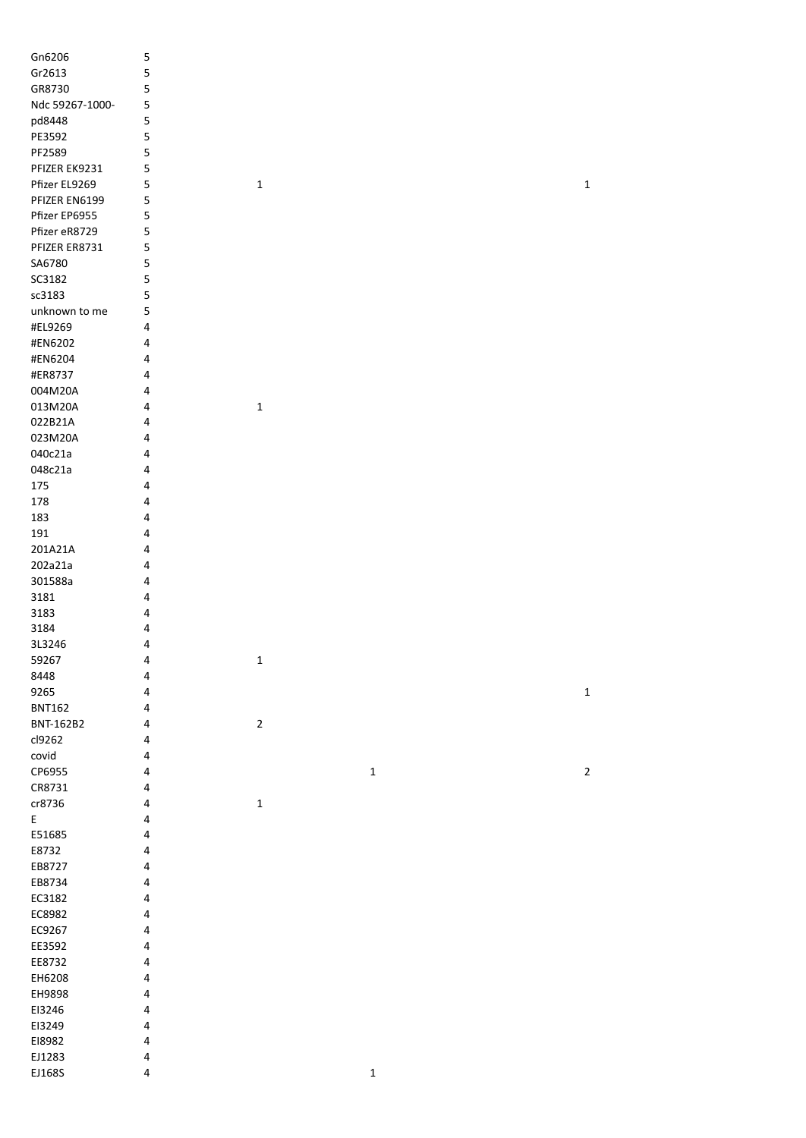| Gn6206                                     | 5              |             |             |             |
|--------------------------------------------|----------------|-------------|-------------|-------------|
| Gr2613                                     | 5              |             |             |             |
| GR8730                                     | 5              |             |             |             |
| Ndc 59267-1000-                            | 5              |             |             |             |
| pd8448                                     | 5              |             |             |             |
| PE3592                                     | 5              |             |             |             |
| PF2589                                     | 5              |             |             |             |
| PFIZER EK9231                              | 5              |             |             |             |
| Pfizer EL9269                              | 5              | $\mathbf 1$ |             | $\mathbf 1$ |
| PFIZER EN6199                              | 5              |             |             |             |
| Pfizer EP6955                              | 5              |             |             |             |
| Pfizer eR8729                              | 5              |             |             |             |
| PFIZER ER8731                              |                |             |             |             |
|                                            | 5              |             |             |             |
| SA6780                                     | 5              |             |             |             |
| SC3182                                     | 5              |             |             |             |
| sc3183                                     | 5              |             |             |             |
| unknown to me                              | 5              |             |             |             |
| #EL9269                                    | $\overline{a}$ |             |             |             |
| #EN6202                                    | 4              |             |             |             |
| #EN6204                                    | 4              |             |             |             |
| #ER8737                                    | 4              |             |             |             |
| 004M20A                                    | 4              |             |             |             |
| 013M20A                                    | 4              | $\mathbf 1$ |             |             |
| 022B21A                                    | 4              |             |             |             |
| 023M20A                                    | 4              |             |             |             |
| 040c21a                                    | 4              |             |             |             |
| 048c21a                                    | 4              |             |             |             |
| 175                                        | 4              |             |             |             |
| 178                                        | 4              |             |             |             |
| 183                                        | 4              |             |             |             |
| 191                                        | 4              |             |             |             |
| 201A21A                                    | 4              |             |             |             |
| 202a21a                                    | 4              |             |             |             |
| 301588a                                    | 4              |             |             |             |
| 3181                                       | 4              |             |             |             |
| 3183                                       |                |             |             |             |
|                                            | 4              |             |             |             |
| 3184                                       | 4              |             |             |             |
| 3L3246                                     | 4              |             |             |             |
| 59267                                      | 4              | 1           |             |             |
| 8448                                       | $\pmb{4}$      |             |             |             |
| 9265                                       | 4              |             |             | $\mathbf 1$ |
| <b>BNT162</b>                              | $\pmb{4}$      |             |             |             |
| BNT-162B2                                  | $\pmb{4}$      | $\mathbf 2$ |             |             |
| cl9262                                     | 4              |             |             |             |
| covid                                      | 4              |             |             |             |
| CP6955                                     | 4              |             | $\mathbf 1$ | $\mathbf 2$ |
| CR8731                                     | 4              |             |             |             |
| cr8736                                     | 4              | $\mathbf 1$ |             |             |
| $\mathsf{E}% _{0}\left( \mathsf{E}\right)$ | 4              |             |             |             |
| E51685                                     | 4              |             |             |             |
| E8732                                      | 4              |             |             |             |
| EB8727                                     | 4              |             |             |             |
| EB8734                                     | 4              |             |             |             |
| EC3182                                     | 4              |             |             |             |
| EC8982                                     | 4              |             |             |             |
| EC9267                                     | 4              |             |             |             |
| EE3592                                     | 4              |             |             |             |
| EE8732                                     | 4              |             |             |             |
| EH6208                                     | 4              |             |             |             |
| EH9898                                     | 4              |             |             |             |
|                                            |                |             |             |             |
| EI3246                                     | 4              |             |             |             |
| EI3249                                     | 4              |             |             |             |
| E18982                                     | $\pmb{4}$      |             |             |             |
| EJ1283                                     | $\pmb{4}$      |             |             |             |
| EJ168S                                     | 4              |             | $\mathbf 1$ |             |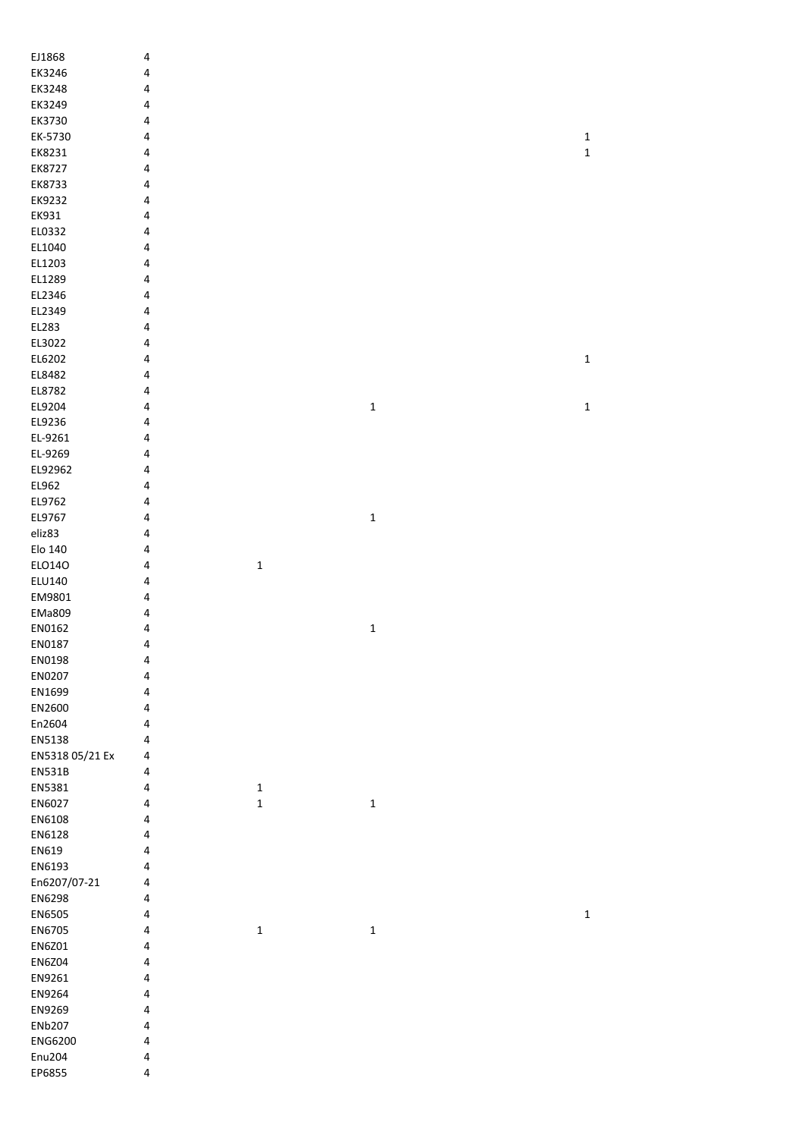| EJ1868          | $\overline{\mathbf{4}}$ |             |             |             |
|-----------------|-------------------------|-------------|-------------|-------------|
| EK3246          | 4                       |             |             |             |
| EK3248          | 4                       |             |             |             |
| EK3249          | 4                       |             |             |             |
| EK3730          | 4                       |             |             |             |
| EK-5730         | 4                       |             |             | $\mathbf 1$ |
| EK8231          | 4                       |             |             | $\mathbf 1$ |
| EK8727          | 4                       |             |             |             |
| EK8733          | 4                       |             |             |             |
| EK9232          | 4                       |             |             |             |
| EK931           | 4                       |             |             |             |
| EL0332          | 4                       |             |             |             |
| EL1040          | 4                       |             |             |             |
| EL1203          | 4                       |             |             |             |
| EL1289          | 4                       |             |             |             |
| EL2346          | 4                       |             |             |             |
| EL2349          | 4                       |             |             |             |
| EL283           | 4                       |             |             |             |
| EL3022          | 4                       |             |             |             |
| EL6202          | $\overline{\mathbf{4}}$ |             |             | $\mathbf 1$ |
|                 |                         |             |             |             |
| EL8482          | 4                       |             |             |             |
| EL8782          | 4                       |             |             |             |
| EL9204          | $\overline{\mathbf{4}}$ |             | $\mathbf 1$ | $\mathbf 1$ |
| EL9236          | 4                       |             |             |             |
| EL-9261         | 4                       |             |             |             |
| EL-9269         | 4                       |             |             |             |
| EL92962         | 4                       |             |             |             |
| EL962           | 4                       |             |             |             |
| EL9762          | 4                       |             |             |             |
| EL9767          | 4                       |             | $\mathbf 1$ |             |
| eliz83          | 4                       |             |             |             |
| Elo 140         | $\overline{\mathbf{4}}$ |             |             |             |
| ELO140          | 4                       | $\mathbf 1$ |             |             |
| ELU140          | 4                       |             |             |             |
| EM9801          | 4                       |             |             |             |
| EMa809          | 4                       |             |             |             |
| EN0162          | 4                       |             | $\mathbf 1$ |             |
| EN0187          | 4                       |             |             |             |
| EN0198          | 4                       |             |             |             |
| EN0207          | 4                       |             |             |             |
| EN1699          | $\overline{\mathbf{4}}$ |             |             |             |
| EN2600          | 4                       |             |             |             |
| En2604          | 4                       |             |             |             |
| EN5138          | 4                       |             |             |             |
| EN5318 05/21 Ex | 4                       |             |             |             |
| EN531B          | 4                       |             |             |             |
| EN5381          | $\overline{\mathbf{4}}$ | $\mathbf 1$ |             |             |
| EN6027          | 4                       | $\mathbf 1$ | $\mathbf 1$ |             |
| EN6108          | 4                       |             |             |             |
| EN6128          | 4                       |             |             |             |
| EN619           | 4                       |             |             |             |
| EN6193          | 4                       |             |             |             |
| En6207/07-21    | 4                       |             |             |             |
| EN6298          | 4                       |             |             |             |
| EN6505          | 4                       |             |             | $\mathbf 1$ |
| EN6705          | 4                       | $\mathbf 1$ | $\mathbf 1$ |             |
| EN6Z01          | 4                       |             |             |             |
|                 |                         |             |             |             |
| <b>EN6Z04</b>   | 4                       |             |             |             |
| EN9261          | 4                       |             |             |             |
| EN9264          | 4                       |             |             |             |
| EN9269          | 4                       |             |             |             |
| <b>ENb207</b>   | 4                       |             |             |             |
| ENG6200         | 4                       |             |             |             |
| Enu204          | 4                       |             |             |             |
| EP6855          | 4                       |             |             |             |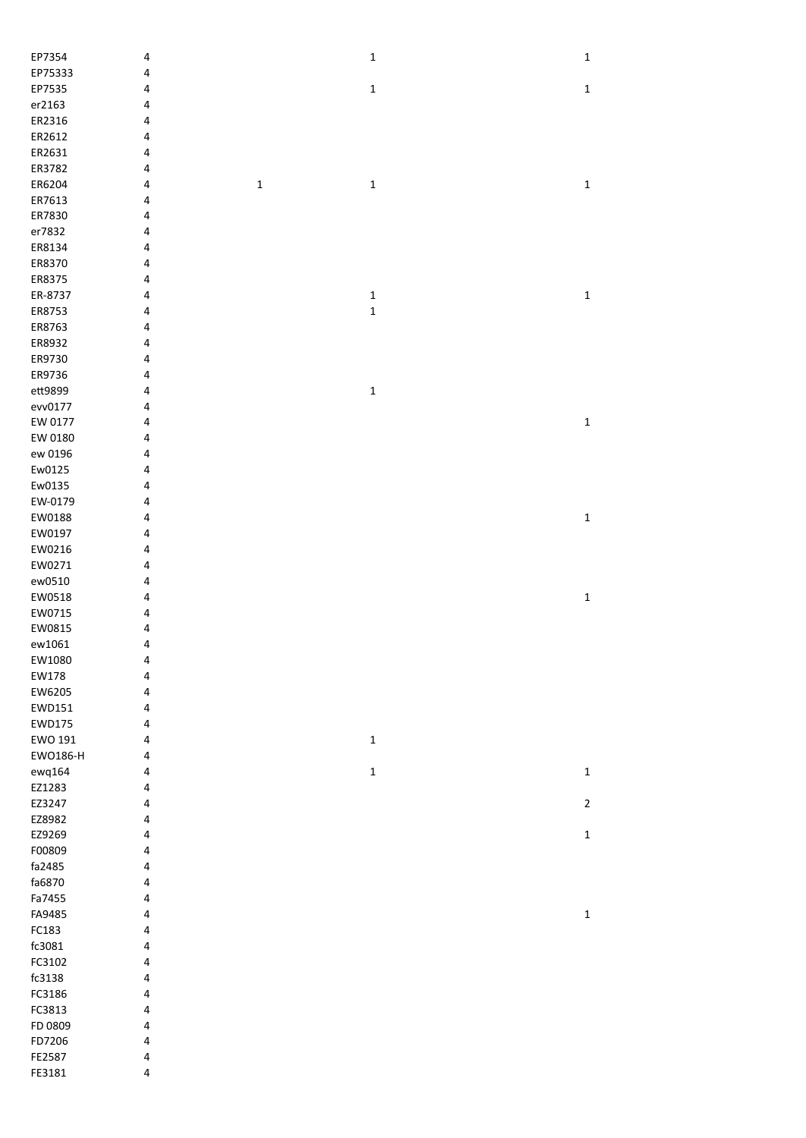| EP7354   | 4 |             | $\mathbf 1$ | $\mathbf 1$ |
|----------|---|-------------|-------------|-------------|
| EP75333  | 4 |             |             |             |
| EP7535   | 4 |             | $\mathbf 1$ | $\mathbf 1$ |
| er2163   | 4 |             |             |             |
| ER2316   | 4 |             |             |             |
| ER2612   | 4 |             |             |             |
| ER2631   | 4 |             |             |             |
| ER3782   | 4 |             |             |             |
| ER6204   | 4 | $\mathbf 1$ | $\mathbf 1$ | $\mathbf 1$ |
| ER7613   | 4 |             |             |             |
| ER7830   | 4 |             |             |             |
|          |   |             |             |             |
| er7832   | 4 |             |             |             |
| ER8134   | 4 |             |             |             |
| ER8370   | 4 |             |             |             |
| ER8375   | 4 |             |             |             |
| ER-8737  | 4 |             | $\mathbf 1$ | $\mathbf 1$ |
| ER8753   | 4 |             | $\mathbf 1$ |             |
| ER8763   | 4 |             |             |             |
| ER8932   | 4 |             |             |             |
| ER9730   | 4 |             |             |             |
| ER9736   | 4 |             |             |             |
| ett9899  | 4 |             | $\mathbf 1$ |             |
| evv0177  | 4 |             |             |             |
| EW 0177  | 4 |             |             | $\mathbf 1$ |
| EW 0180  | 4 |             |             |             |
| ew 0196  | 4 |             |             |             |
| Ew0125   | 4 |             |             |             |
| Ew0135   | 4 |             |             |             |
| EW-0179  | 4 |             |             |             |
| EW0188   | 4 |             |             | $\mathbf 1$ |
|          |   |             |             |             |
| EW0197   | 4 |             |             |             |
| EW0216   | 4 |             |             |             |
| EW0271   | 4 |             |             |             |
| ew0510   | 4 |             |             |             |
| EW0518   | 4 |             |             | $\mathbf 1$ |
| EW0715   | 4 |             |             |             |
| EW0815   | 4 |             |             |             |
| ew1061   | 4 |             |             |             |
| EW1080   | 4 |             |             |             |
| EW178    | 4 |             |             |             |
| EW6205   | 4 |             |             |             |
| EWD151   | 4 |             |             |             |
| EWD175   | 4 |             |             |             |
| EWO 191  | 4 |             | $\mathbf 1$ |             |
| EWO186-H | 4 |             |             |             |
| ewq164   | 4 |             | $\mathbf 1$ | $\mathbf 1$ |
| EZ1283   | 4 |             |             |             |
| EZ3247   | 4 |             |             | $\mathbf 2$ |
| EZ8982   | 4 |             |             |             |
| EZ9269   | 4 |             |             | $\mathbf 1$ |
| F00809   | 4 |             |             |             |
| fa2485   |   |             |             |             |
|          | 4 |             |             |             |
| fa6870   | 4 |             |             |             |
| Fa7455   | 4 |             |             |             |
| FA9485   | 4 |             |             | $\mathbf 1$ |
| FC183    | 4 |             |             |             |
| fc3081   | 4 |             |             |             |
| FC3102   | 4 |             |             |             |
| fc3138   | 4 |             |             |             |
| FC3186   | 4 |             |             |             |
| FC3813   | 4 |             |             |             |
| FD 0809  | 4 |             |             |             |
| FD7206   | 4 |             |             |             |
| FE2587   | 4 |             |             |             |
| FE3181   | 4 |             |             |             |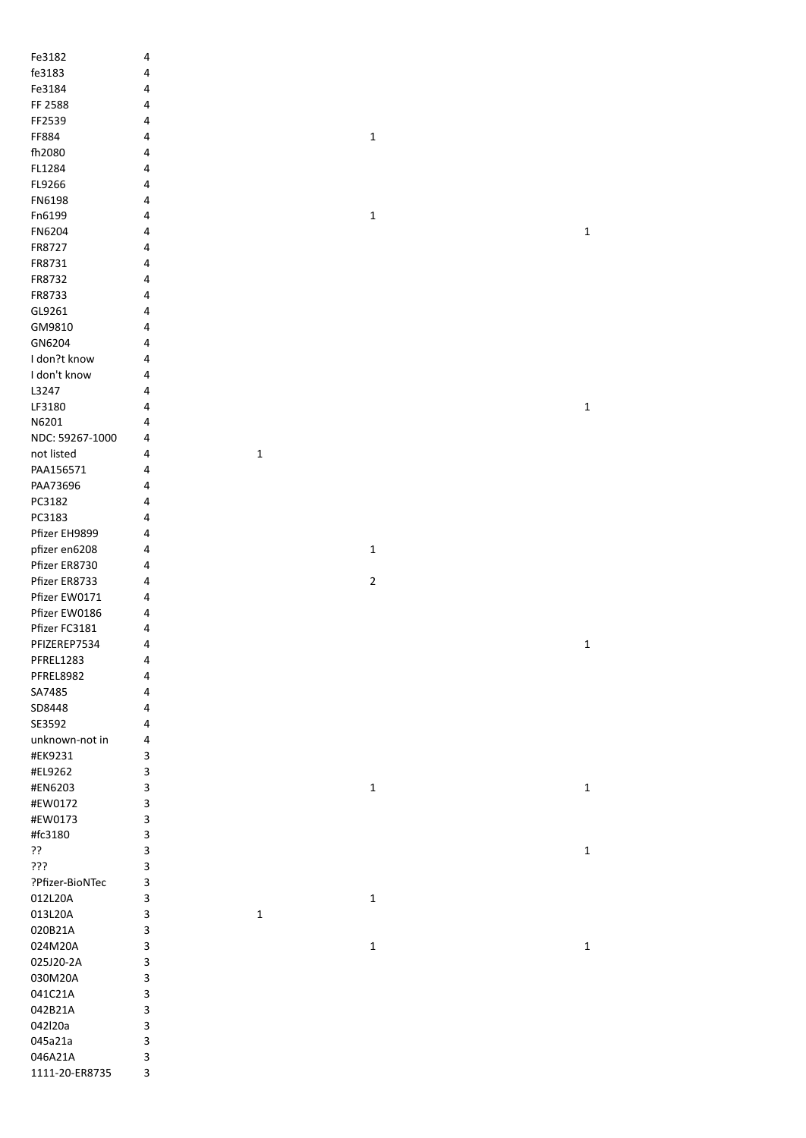| Fe3182           | $\pmb{4}$ |             |             |             |
|------------------|-----------|-------------|-------------|-------------|
| fe3183           | $\pmb{4}$ |             |             |             |
| Fe3184           | 4         |             |             |             |
| FF 2588          |           |             |             |             |
|                  | 4         |             |             |             |
| FF2539           | 4         |             |             |             |
| FF884            | 4         |             | $\mathbf 1$ |             |
| fh2080           | 4         |             |             |             |
| FL1284           | 4         |             |             |             |
| FL9266           | 4         |             |             |             |
| FN6198           |           |             |             |             |
|                  | 4         |             |             |             |
| Fn6199           | 4         |             | $\mathbf 1$ |             |
| FN6204           | 4         |             |             | $\mathbf 1$ |
| FR8727           | 4         |             |             |             |
| FR8731           | 4         |             |             |             |
| FR8732           | 4         |             |             |             |
| FR8733           | 4         |             |             |             |
|                  |           |             |             |             |
| GL9261           | 4         |             |             |             |
| GM9810           | 4         |             |             |             |
| GN6204           | 4         |             |             |             |
| I don?t know     | $\pmb{4}$ |             |             |             |
| I don't know     | 4         |             |             |             |
| L3247            | 4         |             |             |             |
| LF3180           | 4         |             |             | $\mathbf 1$ |
|                  |           |             |             |             |
| N6201            | 4         |             |             |             |
| NDC: 59267-1000  | 4         |             |             |             |
| not listed       | 4         | $\mathbf 1$ |             |             |
| PAA156571        | 4         |             |             |             |
| PAA73696         | 4         |             |             |             |
| PC3182           | 4         |             |             |             |
| PC3183           | 4         |             |             |             |
|                  |           |             |             |             |
| Pfizer EH9899    | 4         |             |             |             |
| pfizer en6208    | 4         |             | $\mathbf 1$ |             |
| Pfizer ER8730    | 4         |             |             |             |
| Pfizer ER8733    | 4         |             | $\mathbf 2$ |             |
| Pfizer EW0171    | 4         |             |             |             |
| Pfizer EW0186    | 4         |             |             |             |
|                  |           |             |             |             |
| Pfizer FC3181    | 4         |             |             |             |
| PFIZEREP7534     | 4         |             |             | $\mathbf 1$ |
| PFREL1283        | 4         |             |             |             |
| <b>PFREL8982</b> | $\pmb{4}$ |             |             |             |
| SA7485           | 4         |             |             |             |
| SD8448           | 4         |             |             |             |
| SE3592           | 4         |             |             |             |
| unknown-not in   |           |             |             |             |
|                  | $\pmb{4}$ |             |             |             |
| #EK9231          | 3         |             |             |             |
| #EL9262          | 3         |             |             |             |
| #EN6203          | 3         |             | $\mathbf 1$ | $\mathbf 1$ |
| #EW0172          | 3         |             |             |             |
| #EW0173          | 3         |             |             |             |
| #fc3180          | 3         |             |             |             |
| ??               | 3         |             |             | $\mathbf 1$ |
|                  |           |             |             |             |
| ???              | 3         |             |             |             |
| ?Pfizer-BioNTec  | 3         |             |             |             |
| 012L20A          | 3         |             | $\mathbf 1$ |             |
| 013L20A          | 3         | $\mathbf 1$ |             |             |
| 020B21A          | 3         |             |             |             |
| 024M20A          | 3         |             | $\mathbf 1$ | $\mathbf 1$ |
| 025J20-2A        | 3         |             |             |             |
|                  |           |             |             |             |
| 030M20A          | 3         |             |             |             |
| 041C21A          | 3         |             |             |             |
| 042B21A          | 3         |             |             |             |
| 042l20a          | 3         |             |             |             |
| 045a21a          | 3         |             |             |             |
| 046A21A          | 3         |             |             |             |
| 1111-20-ER8735   | 3         |             |             |             |
|                  |           |             |             |             |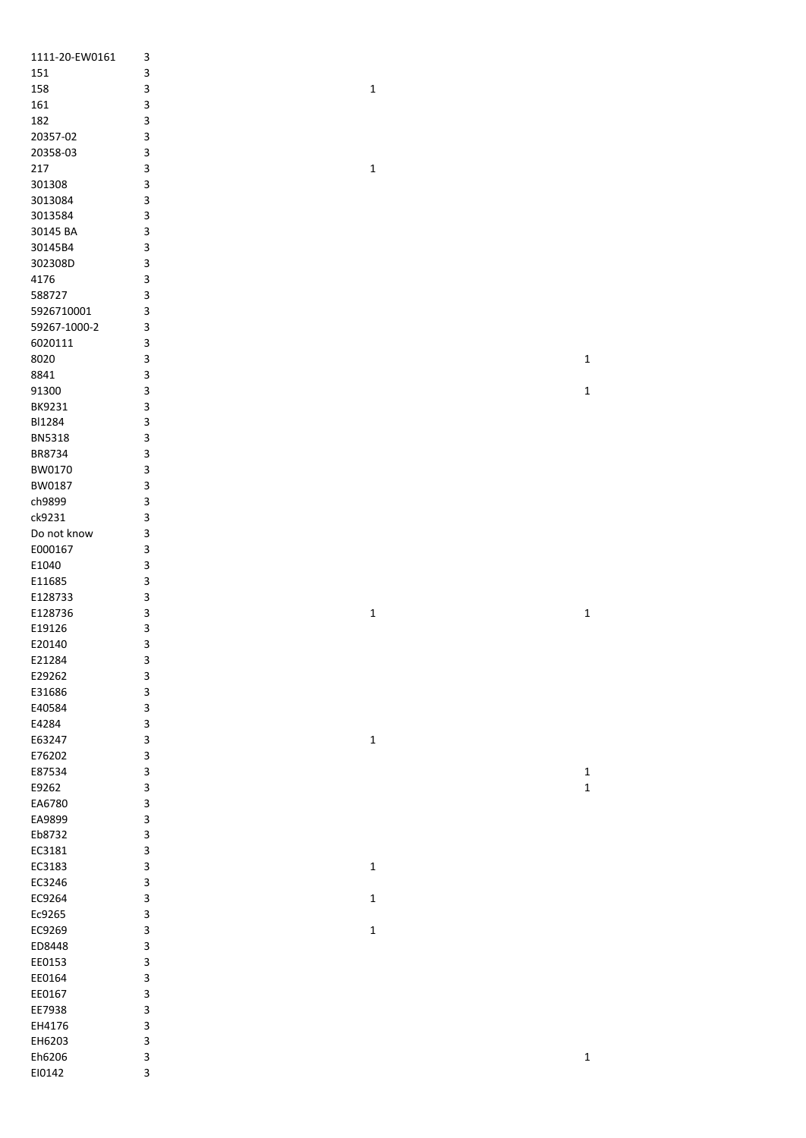| 1111-20-EW0161         | 3           |             |             |
|------------------------|-------------|-------------|-------------|
| 151                    | 3           |             |             |
| 158                    | 3           | $\mathbf 1$ |             |
| 161                    | 3           |             |             |
| 182                    | 3           |             |             |
| 20357-02               | 3           |             |             |
| 20358-03               | 3           |             |             |
| 217                    | 3           | $\mathbf 1$ |             |
| 301308                 | 3           |             |             |
| 3013084                | 3           |             |             |
| 3013584                | 3           |             |             |
| 30145 BA               | 3           |             |             |
| 30145B4                | 3           |             |             |
| 302308D                | 3           |             |             |
| 4176                   | 3           |             |             |
| 588727                 | 3           |             |             |
| 5926710001             | 3           |             |             |
| 59267-1000-2           | 3           |             |             |
| 6020111                | 3           |             |             |
| 8020                   | 3           |             | $\mathbf 1$ |
| 8841                   | 3           |             |             |
| 91300                  | 3           |             | $\mathbf 1$ |
| BK9231                 | 3           |             |             |
| BI1284                 | 3           |             |             |
| <b>BN5318</b>          | 3           |             |             |
| BR8734                 | 3           |             |             |
| BW0170                 | 3           |             |             |
| BW0187                 | 3           |             |             |
| ch9899                 | 3           |             |             |
| ck9231                 | 3           |             |             |
| Do not know<br>E000167 | 3           |             |             |
| E1040                  | 3<br>3      |             |             |
| E11685                 | 3           |             |             |
| E128733                | 3           |             |             |
| E128736                | 3           | $\mathbf 1$ | $\mathbf 1$ |
| E19126                 | 3           |             |             |
| E20140                 | 3           |             |             |
| E21284                 | 3           |             |             |
| E29262                 | 3           |             |             |
| E31686                 | 3           |             |             |
| E40584                 | 3           |             |             |
| E4284                  | 3           |             |             |
| E63247                 | 3           | $\mathbf 1$ |             |
| E76202                 | 3           |             |             |
| E87534                 | 3           |             | $\mathbf 1$ |
| E9262                  | 3           |             | $\mathbf 1$ |
| EA6780                 | $\mathsf 3$ |             |             |
| EA9899                 | $\mathsf 3$ |             |             |
| Eb8732                 | 3           |             |             |
| EC3181                 | 3           |             |             |
| EC3183                 | 3           | $\mathbf 1$ |             |
| EC3246                 | 3           |             |             |
| EC9264                 | 3           | 1           |             |
| Ec9265                 | 3           |             |             |
| EC9269                 | 3           | $\mathbf 1$ |             |
| ED8448                 | 3           |             |             |
| EE0153                 | 3           |             |             |
| EE0164                 | 3           |             |             |
| EE0167                 | 3           |             |             |
| EE7938                 | 3           |             |             |
| EH4176                 | 3           |             |             |
| EH6203                 | 3           |             |             |
| Eh6206                 | 3           |             | $\mathbf 1$ |
| EI0142                 | 3           |             |             |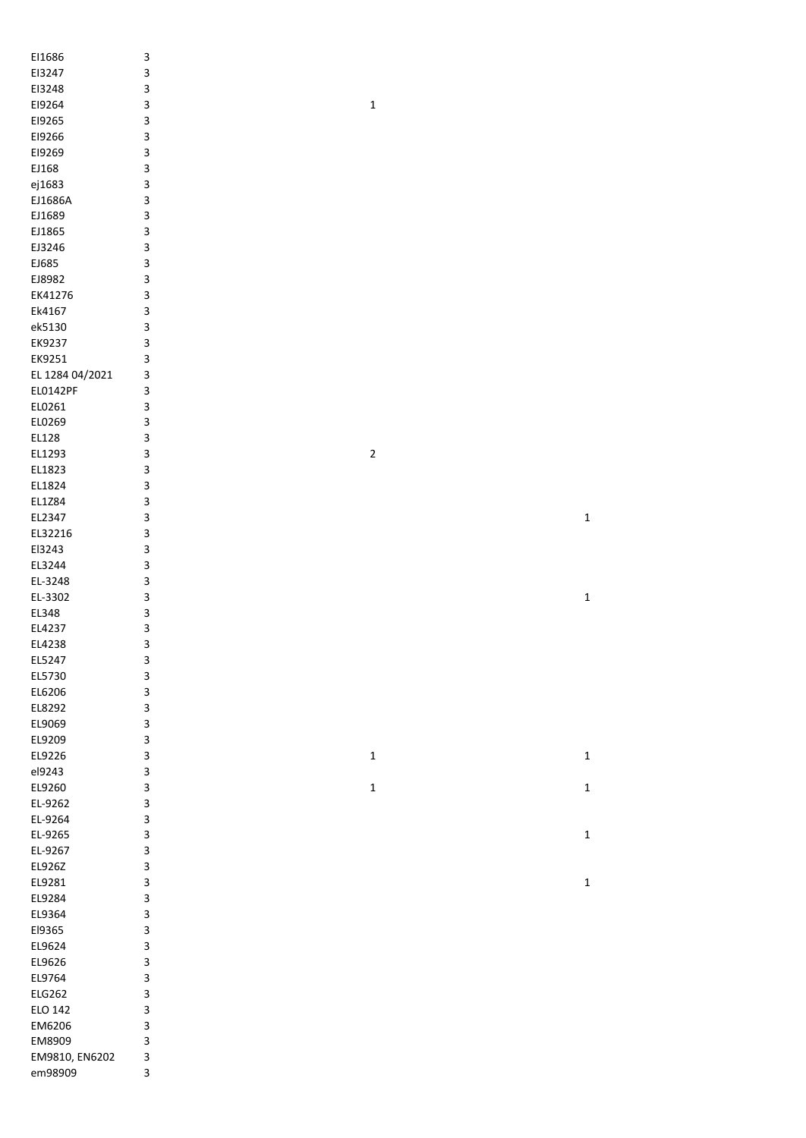| EI1686          | 3 |             |              |
|-----------------|---|-------------|--------------|
| EI3247          | 3 |             |              |
| EI3248          | 3 |             |              |
| EI9264          | 3 | $\mathbf 1$ |              |
| E19265          | 3 |             |              |
| EI9266          | 3 |             |              |
| E19269          | 3 |             |              |
| EJ168           | 3 |             |              |
| ej1683          | 3 |             |              |
| EJ1686A         | 3 |             |              |
| EJ1689          | 3 |             |              |
| EJ1865          | 3 |             |              |
| EJ3246          | 3 |             |              |
| EJ685           | 3 |             |              |
| EJ8982          | 3 |             |              |
| EK41276         | 3 |             |              |
| Ek4167          | 3 |             |              |
| ek5130          | 3 |             |              |
| EK9237          |   |             |              |
|                 | 3 |             |              |
| EK9251          | 3 |             |              |
| EL 1284 04/2021 | 3 |             |              |
| EL0142PF        | 3 |             |              |
| EL0261          | 3 |             |              |
| EL0269          | 3 |             |              |
| EL128           | 3 |             |              |
| EL1293          | 3 | $\mathbf 2$ |              |
| EL1823          | 3 |             |              |
| EL1824          | 3 |             |              |
| EL1Z84          | 3 |             |              |
| EL2347          | 3 |             | $\mathbf 1$  |
| EL32216         | 3 |             |              |
| El3243          | 3 |             |              |
| EL3244          | 3 |             |              |
| EL-3248         | 3 |             |              |
| EL-3302         | 3 |             | $\mathbf 1$  |
| EL348           | 3 |             |              |
| EL4237          | 3 |             |              |
| EL4238          | 3 |             |              |
| EL5247          | з |             |              |
| EL5730          | 3 |             |              |
| EL6206          | 3 |             |              |
| EL8292          | 3 |             |              |
| EL9069          | 3 |             |              |
|                 |   |             |              |
| EL9209          | 3 |             |              |
| EL9226          | 3 | $\mathbf 1$ | $\mathbf{1}$ |
| el9243          | 3 |             |              |
| EL9260          | 3 | $\mathbf 1$ | $\mathbf 1$  |
| EL-9262         | 3 |             |              |
| EL-9264         | 3 |             |              |
| EL-9265         | 3 |             | $\mathbf 1$  |
| EL-9267         | 3 |             |              |
| EL926Z          | 3 |             |              |
| EL9281          | 3 |             | $\mathbf 1$  |
| EL9284          | 3 |             |              |
| EL9364          | 3 |             |              |
| El9365          | 3 |             |              |
| EL9624          | 3 |             |              |
| EL9626          | 3 |             |              |
| EL9764          | 3 |             |              |
| <b>ELG262</b>   | 3 |             |              |
| ELO 142         | 3 |             |              |
| EM6206          | 3 |             |              |
| EM8909          | 3 |             |              |
| EM9810, EN6202  | 3 |             |              |
| em98909         | 3 |             |              |
|                 |   |             |              |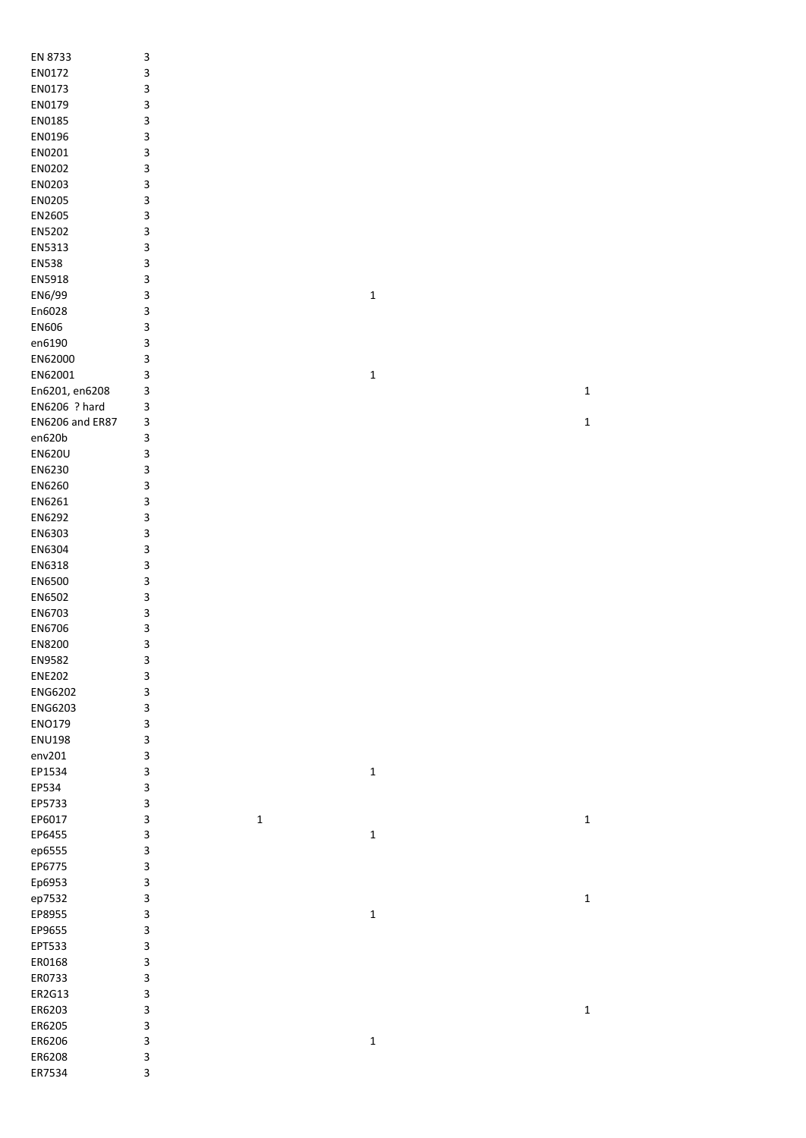| EN 8733         | 3                       |             |             |
|-----------------|-------------------------|-------------|-------------|
|                 |                         |             |             |
| EN0172          | 3                       |             |             |
| EN0173          | 3                       |             |             |
| EN0179          | 3                       |             |             |
| EN0185          | 3                       |             |             |
| EN0196          | 3                       |             |             |
| EN0201          | 3                       |             |             |
| EN0202          | 3                       |             |             |
|                 |                         |             |             |
| EN0203          | 3                       |             |             |
| EN0205          | 3                       |             |             |
| EN2605          | 3                       |             |             |
| EN5202          | 3                       |             |             |
| EN5313          | 3                       |             |             |
| <b>EN538</b>    | 3                       |             |             |
| EN5918          | 3                       |             |             |
|                 |                         |             |             |
| EN6/99          | 3                       | $\mathbf 1$ |             |
| En6028          | 3                       |             |             |
| EN606           | 3                       |             |             |
| en6190          | 3                       |             |             |
| EN62000         | 3                       |             |             |
| EN62001         | 3                       | $\mathbf 1$ |             |
| En6201, en6208  | 3                       |             | $\mathbf 1$ |
|                 |                         |             |             |
| EN6206 ? hard   | 3                       |             |             |
| EN6206 and ER87 | 3                       |             | $\mathbf 1$ |
| en620b          | 3                       |             |             |
| <b>EN620U</b>   | 3                       |             |             |
| EN6230          | 3                       |             |             |
| EN6260          | 3                       |             |             |
| EN6261          | 3                       |             |             |
| EN6292          | 3                       |             |             |
|                 |                         |             |             |
| EN6303          | 3                       |             |             |
| EN6304          | 3                       |             |             |
| EN6318          | 3                       |             |             |
| EN6500          | 3                       |             |             |
| EN6502          | 3                       |             |             |
| EN6703          | 3                       |             |             |
|                 |                         |             |             |
| EN6706          | 3                       |             |             |
| EN8200          | 3                       |             |             |
| EN9582          | 3                       |             |             |
| <b>ENE202</b>   | 3                       |             |             |
| ENG6202         | 3                       |             |             |
| ENG6203         | 3                       |             |             |
| ENO179          | 3                       |             |             |
| <b>ENU198</b>   |                         |             |             |
|                 | 3                       |             |             |
| env201          | 3                       |             |             |
| EP1534          | 3                       | $\mathbf 1$ |             |
| EP534           | 3                       |             |             |
| EP5733          | 3                       |             |             |
| EP6017          | 3<br>$\mathbf 1$        |             | $\mathbf 1$ |
| EP6455          | 3                       | $\mathbf 1$ |             |
| ep6555          | 3                       |             |             |
| EP6775          | 3                       |             |             |
|                 |                         |             |             |
| Ep6953          | $\overline{\mathbf{3}}$ |             |             |
| ep7532          | $\overline{\mathbf{3}}$ |             | $\mathbf 1$ |
| EP8955          | $\overline{\mathbf{3}}$ | $\mathbf 1$ |             |
| EP9655          | 3                       |             |             |
| EPT533          | 3                       |             |             |
| ER0168          | 3                       |             |             |
| ER0733          | 3                       |             |             |
|                 |                         |             |             |
| ER2G13          | 3                       |             |             |
| ER6203          | 3                       |             | $\mathbf 1$ |
| ER6205          | 3                       |             |             |
| ER6206          | 3                       | $\mathbf 1$ |             |
| ER6208          | 3                       |             |             |
| ER7534          | 3                       |             |             |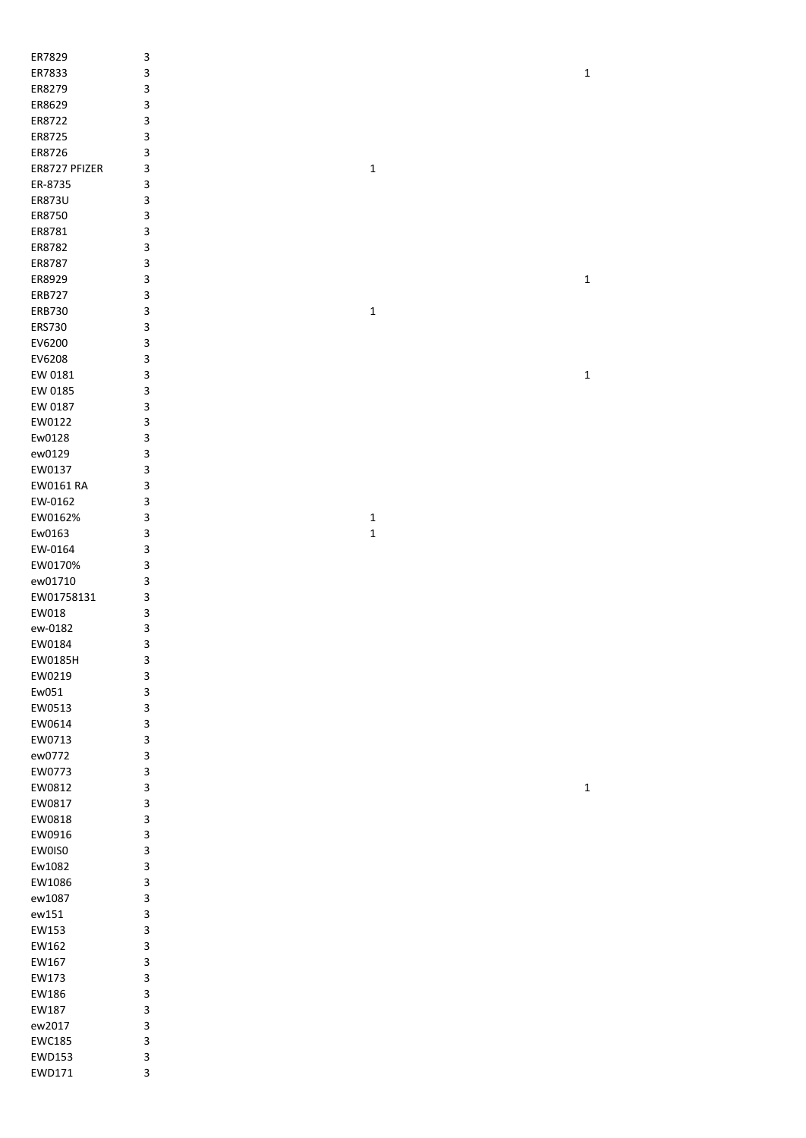| ER7829        | 3 |             |             |
|---------------|---|-------------|-------------|
| ER7833        | 3 |             | $\mathbf 1$ |
| ER8279        | 3 |             |             |
| ER8629        | 3 |             |             |
| ER8722        |   |             |             |
|               | 3 |             |             |
| ER8725        | 3 |             |             |
| ER8726        | 3 |             |             |
| ER8727 PFIZER | 3 | $\mathbf 1$ |             |
| ER-8735       | 3 |             |             |
| ER873U        | 3 |             |             |
| ER8750        | 3 |             |             |
| ER8781        | 3 |             |             |
| ER8782        | 3 |             |             |
|               |   |             |             |
| ER8787        | 3 |             |             |
| ER8929        | 3 |             | $\mathbf 1$ |
| <b>ERB727</b> | 3 |             |             |
| ERB730        | 3 | $\mathbf 1$ |             |
| ERS730        | 3 |             |             |
| EV6200        | 3 |             |             |
| EV6208        | 3 |             |             |
| EW 0181       | 3 |             | $\mathbf 1$ |
|               |   |             |             |
| EW 0185       | 3 |             |             |
| EW 0187       | 3 |             |             |
| EW0122        | 3 |             |             |
| Ew0128        | 3 |             |             |
| ew0129        | 3 |             |             |
| EW0137        | 3 |             |             |
| EW0161 RA     | 3 |             |             |
| EW-0162       | 3 |             |             |
| EW0162%       | 3 |             |             |
|               |   | $\mathbf 1$ |             |
| Ew0163        | 3 | $\mathbf 1$ |             |
| EW-0164       | 3 |             |             |
| EW0170%       | 3 |             |             |
| ew01710       | 3 |             |             |
| EW01758131    | 3 |             |             |
| EW018         | 3 |             |             |
| ew-0182       | 3 |             |             |
| EW0184        | 3 |             |             |
|               |   |             |             |
| EW0185H       | 3 |             |             |
| EW0219        | 3 |             |             |
| Ew051         | 3 |             |             |
| EW0513        | 3 |             |             |
| EW0614        | 3 |             |             |
| EW0713        | 3 |             |             |
| ew0772        | 3 |             |             |
| EW0773        | 3 |             |             |
|               |   |             |             |
| EW0812        | 3 |             | $\mathbf 1$ |
| EW0817        | 3 |             |             |
| EW0818        | 3 |             |             |
| EW0916        | 3 |             |             |
| EW0IS0        | 3 |             |             |
| Ew1082        | 3 |             |             |
| EW1086        | 3 |             |             |
|               | 3 |             |             |
| ew1087        |   |             |             |
| ew151         | 3 |             |             |
| EW153         | 3 |             |             |
| EW162         | 3 |             |             |
| EW167         | 3 |             |             |
| EW173         | 3 |             |             |
| EW186         | 3 |             |             |
| EW187         | 3 |             |             |
| ew2017        | 3 |             |             |
|               |   |             |             |
| EWC185        | 3 |             |             |
| EWD153        | 3 |             |             |
| EWD171        | 3 |             |             |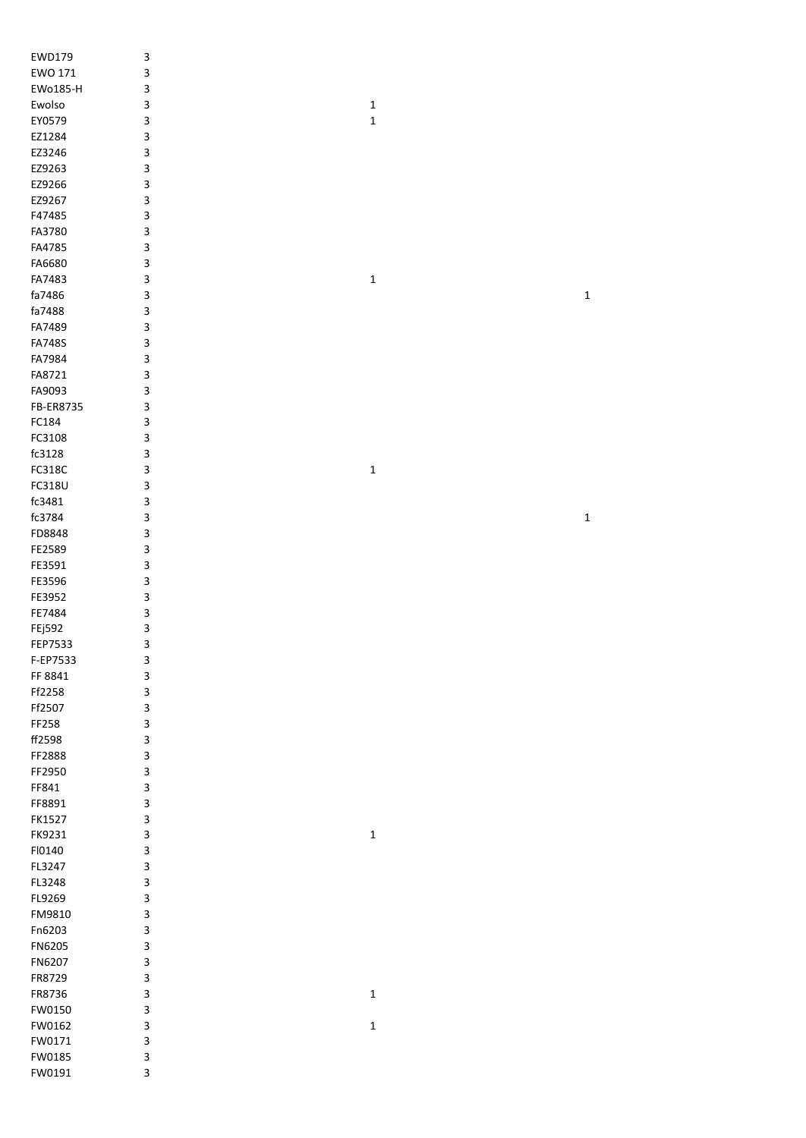| EWD179           | 3                         |             |             |
|------------------|---------------------------|-------------|-------------|
| EWO 171          | 3                         |             |             |
| EWo185-H         | 3                         |             |             |
| Ewolso           | 3                         | $\mathbf 1$ |             |
| EY0579           | 3                         | $\mathbf 1$ |             |
| EZ1284           | 3                         |             |             |
| EZ3246           | 3                         |             |             |
| EZ9263           | 3                         |             |             |
| EZ9266           | 3                         |             |             |
| EZ9267           | 3                         |             |             |
| F47485           | 3                         |             |             |
| FA3780           | 3                         |             |             |
| FA4785           | 3                         |             |             |
| FA6680           | 3                         |             |             |
| FA7483           | $\mathsf 3$               | $\mathbf 1$ |             |
| fa7486           | 3                         |             | $\mathbf 1$ |
| fa7488           | $\mathsf 3$               |             |             |
| FA7489           | 3                         |             |             |
| <b>FA748S</b>    | $\ensuremath{\mathsf{3}}$ |             |             |
| FA7984           | $\mathsf 3$               |             |             |
| FA8721           | 3                         |             |             |
| FA9093           | 3                         |             |             |
| FB-ER8735        | 3                         |             |             |
| FC184            | 3                         |             |             |
| FC3108           | 3                         |             |             |
| fc3128           | 3                         |             |             |
| FC318C           | 3                         | $\mathbf 1$ |             |
| FC318U           | 3                         |             |             |
| fc3481           | 3                         |             |             |
| fc3784           | 3                         |             | $\mathbf 1$ |
| FD8848           | 3                         |             |             |
| FE2589           | 3                         |             |             |
| FE3591           | 3                         |             |             |
| FE3596           | 3                         |             |             |
| FE3952           | 3                         |             |             |
| FE7484           | 3                         |             |             |
| FEj592           | 3                         |             |             |
| FEP7533          | 3                         |             |             |
| F-EP7533         | 3                         |             |             |
| FF 8841          | $\mathsf 3$               |             |             |
| Ff2258           |                           |             |             |
| Ff2507           | 3                         |             |             |
|                  | $\ensuremath{\mathsf{3}}$ |             |             |
| FF258            | $\ensuremath{\mathsf{3}}$ |             |             |
| ff2598           | 3                         |             |             |
| FF2888           | 3                         |             |             |
| FF2950           | 3                         |             |             |
| FF841            | 3                         |             |             |
| FF8891           | 3                         |             |             |
| FK1527           | 3                         |             |             |
| FK9231           | 3                         | $\mathbf 1$ |             |
| FI0140           | 3                         |             |             |
| FL3247           | 3                         |             |             |
| FL3248           | 3                         |             |             |
| FL9269           | $\ensuremath{\mathsf{3}}$ |             |             |
| FM9810           | 3                         |             |             |
| Fn6203           | 3                         |             |             |
| FN6205           | 3                         |             |             |
| FN6207           | 3                         |             |             |
| FR8729           | 3                         |             |             |
| FR8736           | 3                         | $\mathbf 1$ |             |
| FW0150           | 3                         |             |             |
| FW0162           | 3                         | $\mathbf 1$ |             |
| FW0171           | 3                         |             |             |
| FW0185<br>FW0191 | 3<br>3                    |             |             |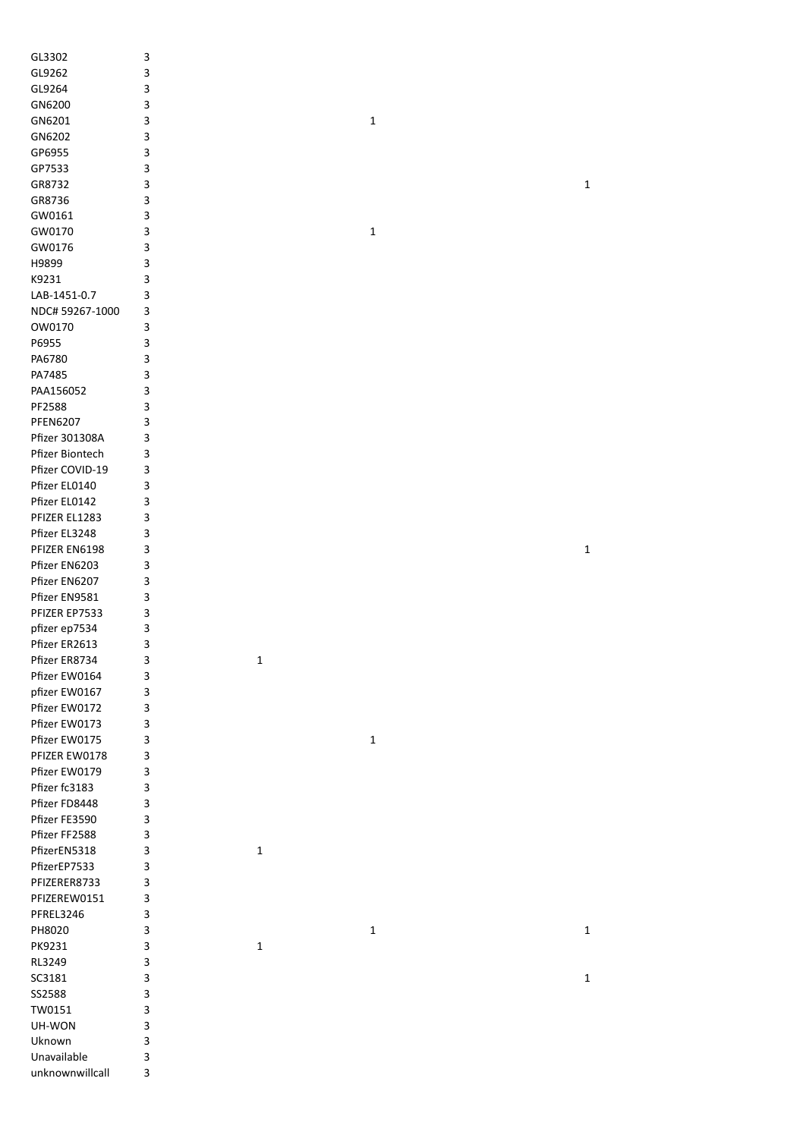| GL3302          | 3 |             |             |              |
|-----------------|---|-------------|-------------|--------------|
| GL9262          | 3 |             |             |              |
| GL9264          | 3 |             |             |              |
| GN6200          | 3 |             |             |              |
| GN6201          | 3 |             | $\mathbf 1$ |              |
| GN6202          | 3 |             |             |              |
|                 |   |             |             |              |
| GP6955          | 3 |             |             |              |
| GP7533          | 3 |             |             |              |
| GR8732          | 3 |             |             | 1            |
| GR8736          | 3 |             |             |              |
| GW0161          | 3 |             |             |              |
| GW0170          | 3 |             | $\mathbf 1$ |              |
| GW0176          | 3 |             |             |              |
| H9899           | 3 |             |             |              |
| K9231           | 3 |             |             |              |
| LAB-1451-0.7    | 3 |             |             |              |
| NDC# 59267-1000 | 3 |             |             |              |
|                 |   |             |             |              |
| OW0170          | 3 |             |             |              |
| P6955           | 3 |             |             |              |
| PA6780          | 3 |             |             |              |
| PA7485          | 3 |             |             |              |
| PAA156052       | 3 |             |             |              |
| PF2588          | 3 |             |             |              |
| <b>PFEN6207</b> | 3 |             |             |              |
| Pfizer 301308A  | 3 |             |             |              |
| Pfizer Biontech | 3 |             |             |              |
| Pfizer COVID-19 | 3 |             |             |              |
|                 |   |             |             |              |
| Pfizer EL0140   | 3 |             |             |              |
| Pfizer EL0142   | 3 |             |             |              |
| PFIZER EL1283   | 3 |             |             |              |
| Pfizer EL3248   | 3 |             |             |              |
| PFIZER EN6198   | 3 |             |             | $\mathbf{1}$ |
| Pfizer EN6203   | 3 |             |             |              |
| Pfizer EN6207   | 3 |             |             |              |
| Pfizer EN9581   | 3 |             |             |              |
| PFIZER EP7533   | 3 |             |             |              |
| pfizer ep7534   | 3 |             |             |              |
| Pfizer ER2613   | 3 |             |             |              |
|                 |   |             |             |              |
| Pfizer ER8734   | 3 | 1           |             |              |
| Pfizer EW0164   | 3 |             |             |              |
| pfizer EW0167   | 3 |             |             |              |
| Pfizer EW0172   | 3 |             |             |              |
| Pfizer EW0173   | 3 |             |             |              |
| Pfizer EW0175   | 3 |             | $\mathbf 1$ |              |
| PFIZER EW0178   | 3 |             |             |              |
| Pfizer EW0179   | 3 |             |             |              |
| Pfizer fc3183   | 3 |             |             |              |
| Pfizer FD8448   | 3 |             |             |              |
| Pfizer FE3590   | 3 |             |             |              |
| Pfizer FF2588   | 3 |             |             |              |
|                 |   |             |             |              |
| PfizerEN5318    | 3 | $\mathbf 1$ |             |              |
| PfizerEP7533    | 3 |             |             |              |
| PFIZERER8733    | 3 |             |             |              |
| PFIZEREW0151    | 3 |             |             |              |
| PFREL3246       | 3 |             |             |              |
| PH8020          | 3 |             | $\mathbf 1$ | $\mathbf 1$  |
| PK9231          | 3 | $\mathbf 1$ |             |              |
| RL3249          | 3 |             |             |              |
| SC3181          | 3 |             |             | $\mathbf 1$  |
| SS2588          | 3 |             |             |              |
|                 |   |             |             |              |
| TW0151          | 3 |             |             |              |
| UH-WON          | 3 |             |             |              |
| Uknown          | 3 |             |             |              |
| Unavailable     | 3 |             |             |              |
| unknownwillcall | 3 |             |             |              |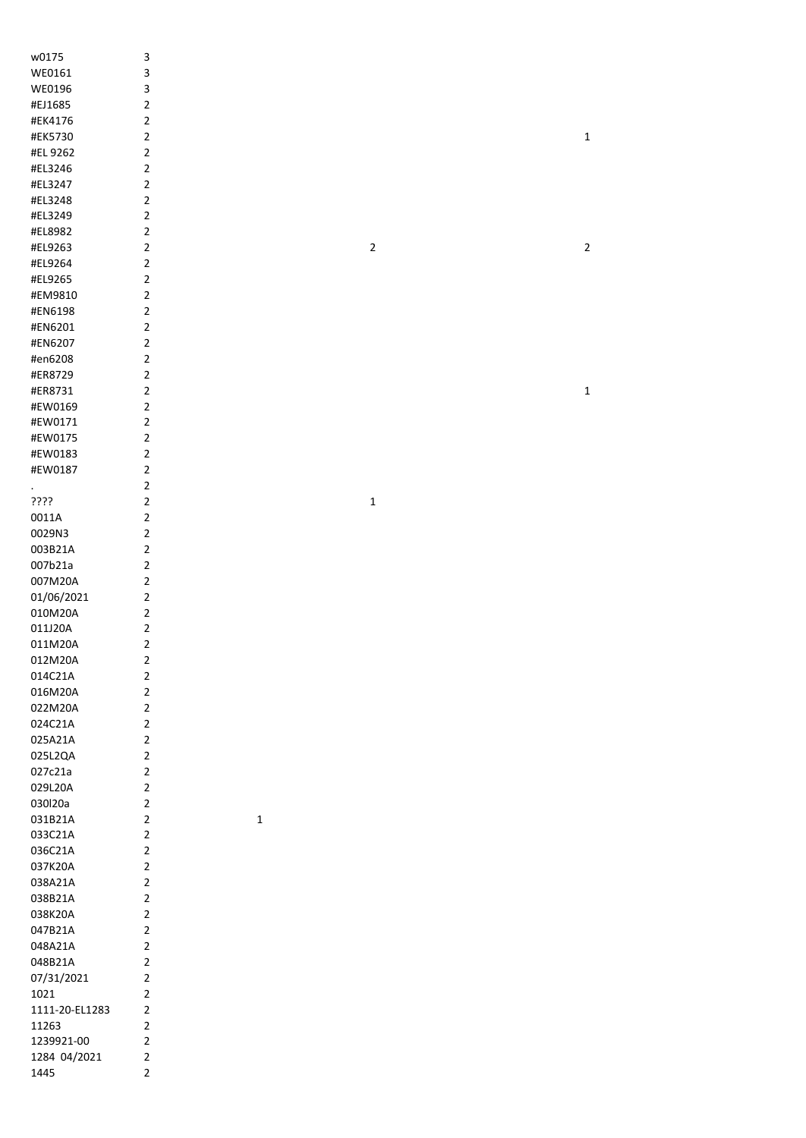| w0175          | 3              |             |                |  |
|----------------|----------------|-------------|----------------|--|
| WE0161         | 3              |             |                |  |
| WE0196         | 3              |             |                |  |
|                | $\overline{2}$ |             |                |  |
| #EJ1685        |                |             |                |  |
| #EK4176        | $\overline{2}$ |             |                |  |
| #EK5730        | $\overline{2}$ |             |                |  |
| #EL 9262       | $\overline{2}$ |             |                |  |
| #EL3246        | $\mathbf 2$    |             |                |  |
| #EL3247        | $\mathbf 2$    |             |                |  |
| #EL3248        | $\overline{2}$ |             |                |  |
| #EL3249        | $\overline{2}$ |             |                |  |
| #EL8982        | $\overline{2}$ |             |                |  |
| #EL9263        | $\overline{2}$ |             | $\overline{2}$ |  |
| #EL9264        | $\overline{2}$ |             |                |  |
| #EL9265        | $\overline{2}$ |             |                |  |
|                |                |             |                |  |
| #EM9810        | $\overline{2}$ |             |                |  |
| #EN6198        | $\overline{2}$ |             |                |  |
| #EN6201        | $\overline{2}$ |             |                |  |
| #EN6207        | $\overline{2}$ |             |                |  |
| #en6208        | $\overline{2}$ |             |                |  |
| #ER8729        | $\overline{2}$ |             |                |  |
| #ER8731        | $\overline{2}$ |             |                |  |
| #EW0169        | $\overline{2}$ |             |                |  |
| #EW0171        | $\overline{2}$ |             |                |  |
| #EW0175        | $\overline{2}$ |             |                |  |
| #EW0183        | $\mathbf 2$    |             |                |  |
| #EW0187        | $\overline{2}$ |             |                |  |
|                |                |             |                |  |
| $\epsilon$     | $\overline{2}$ |             |                |  |
| ????           | $\overline{2}$ |             | $\mathbf 1$    |  |
| 0011A          | $\overline{2}$ |             |                |  |
| 0029N3         | $\overline{2}$ |             |                |  |
| 003B21A        | $\mathbf 2$    |             |                |  |
| 007b21a        | $\overline{2}$ |             |                |  |
| 007M20A        | $\overline{2}$ |             |                |  |
| 01/06/2021     | $\overline{2}$ |             |                |  |
| 010M20A        | $\overline{2}$ |             |                |  |
| 011J20A        | $\mathbf 2$    |             |                |  |
| 011M20A        | $\mathbf 2$    |             |                |  |
| 012M20A        | $\mathbf 2$    |             |                |  |
|                |                |             |                |  |
| 014C21A        | $\overline{2}$ |             |                |  |
| 016M20A        | $\overline{2}$ |             |                |  |
| 022M20A        | $\overline{2}$ |             |                |  |
| 024C21A        | $\overline{2}$ |             |                |  |
| 025A21A        | $\overline{2}$ |             |                |  |
| 025L2QA        | $\overline{2}$ |             |                |  |
| 027c21a        | $\overline{2}$ |             |                |  |
| 029L20A        | $\overline{2}$ |             |                |  |
| 030l20a        | $\overline{2}$ |             |                |  |
| 031B21A        | $\overline{2}$ | $\mathbf 1$ |                |  |
| 033C21A        | $\overline{2}$ |             |                |  |
| 036C21A        | $\overline{2}$ |             |                |  |
| 037K20A        | $\overline{2}$ |             |                |  |
| 038A21A        | $\overline{2}$ |             |                |  |
| 038B21A        | $\overline{2}$ |             |                |  |
|                |                |             |                |  |
| 038K20A        | $\overline{2}$ |             |                |  |
| 047B21A        | $\overline{2}$ |             |                |  |
| 048A21A        | $\overline{2}$ |             |                |  |
| 048B21A        | $\overline{2}$ |             |                |  |
| 07/31/2021     | $\overline{2}$ |             |                |  |
| 1021           | $\overline{2}$ |             |                |  |
| 1111-20-EL1283 | $\overline{2}$ |             |                |  |
| 11263          | $\overline{2}$ |             |                |  |
| 1239921-00     | $\overline{2}$ |             |                |  |
| 1284 04/2021   | $\overline{2}$ |             |                |  |
| 1445           | $\overline{2}$ |             |                |  |
|                |                |             |                |  |

1

2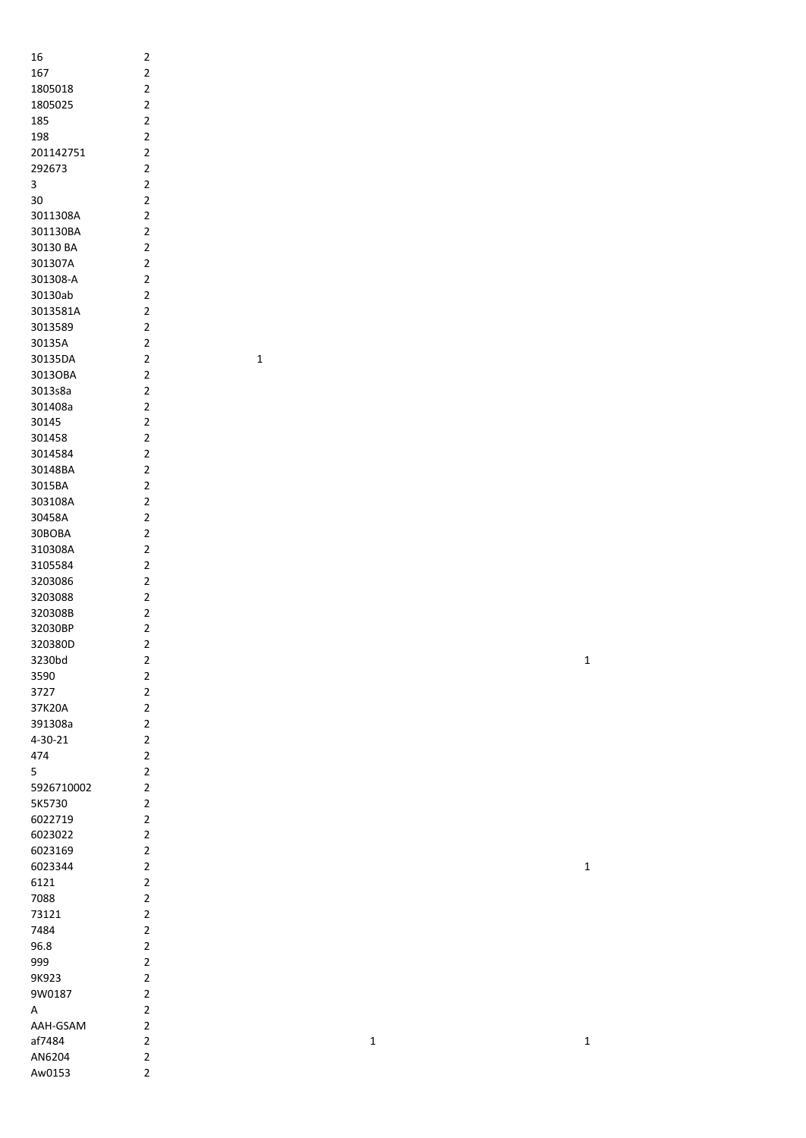| 16         | 2                       |
|------------|-------------------------|
| 167        | 2                       |
|            |                         |
| 1805018    | $\overline{2}$          |
| 1805025    | $\overline{2}$          |
| 185        | 2                       |
|            |                         |
| 198        | 2                       |
| 201142751  | $\overline{2}$          |
| 292673     | $\overline{2}$          |
| 3          | $\overline{2}$          |
|            |                         |
| 30         | $\overline{c}$          |
| 3011308A   | $\overline{2}$          |
| 301130BA   | $\overline{\mathbf{c}}$ |
|            |                         |
| 30130 BA   | $\overline{\mathbf{c}}$ |
| 301307A    | $\overline{\mathbf{c}}$ |
| 301308-A   | $\overline{\mathbf{c}}$ |
|            |                         |
| 30130ab    | $\overline{2}$          |
| 3013581A   | 2                       |
| 3013589    | 2                       |
| 30135A     | $\overline{2}$          |
|            |                         |
| 30135DA    | 2                       |
| 3013OBA    | 2                       |
| 3013s8a    | 2                       |
|            |                         |
| 301408a    | 2                       |
| 30145      | 2                       |
| 301458     | $\overline{2}$          |
|            |                         |
| 3014584    | $\overline{2}$          |
| 30148BA    | $\overline{2}$          |
| 3015BA     | $\overline{2}$          |
|            | $\overline{2}$          |
| 303108A    |                         |
| 30458A     | $\overline{2}$          |
| 30BOBA     | $\overline{2}$          |
| 310308A    | $\overline{2}$          |
|            |                         |
| 3105584    | $\overline{\mathbf{c}}$ |
| 3203086    | $\overline{\mathbf{c}}$ |
| 3203088    | $\overline{c}$          |
|            |                         |
| 320308B    | $\overline{\mathbf{c}}$ |
| 32030BP    | $\overline{\mathbf{c}}$ |
| 320380D    | $\overline{\mathbf{c}}$ |
|            |                         |
| 3230bd     | 2                       |
| 3590       | $\overline{2}$          |
| 3727       | $\overline{2}$          |
| 37K20A     | $\overline{c}$          |
|            |                         |
| 391308a    | $\overline{\mathbf{c}}$ |
| 4-30-21    | $\overline{2}$          |
| 474        | $\overline{2}$          |
|            |                         |
| 5          | $\overline{2}$          |
| 5926710002 | $\overline{\mathbf{c}}$ |
| 5K5730     | $\overline{2}$          |
| 6022719    | $\overline{2}$          |
|            |                         |
| 6023022    | $\overline{2}$          |
| 6023169    | $\overline{2}$          |
| 6023344    | $\overline{2}$          |
|            |                         |
| 6121       | $\overline{2}$          |
| 7088       | $\overline{2}$          |
| 73121      | $\overline{2}$          |
|            | $\overline{2}$          |
| 7484       |                         |
| 96.8       | $\overline{\mathbf{c}}$ |
| 999        | $\overline{\mathbf{c}}$ |
|            | $\overline{\mathbf{c}}$ |
| 9K923      |                         |
| 9W0187     | $\overline{\mathbf{c}}$ |
| A          | $\overline{\mathbf{c}}$ |
| AAH-GSAM   | $\overline{\mathbf{c}}$ |
|            |                         |
| af7484     | $\overline{2}$          |
| AN6204     | $\overline{c}$          |
| Aw0153     | $\overline{2}$          |
|            |                         |

 $\overline{\mathbf{1}}$ 

 $\overline{\mathbf{1}}$ 

 $\overline{\mathbf{1}}$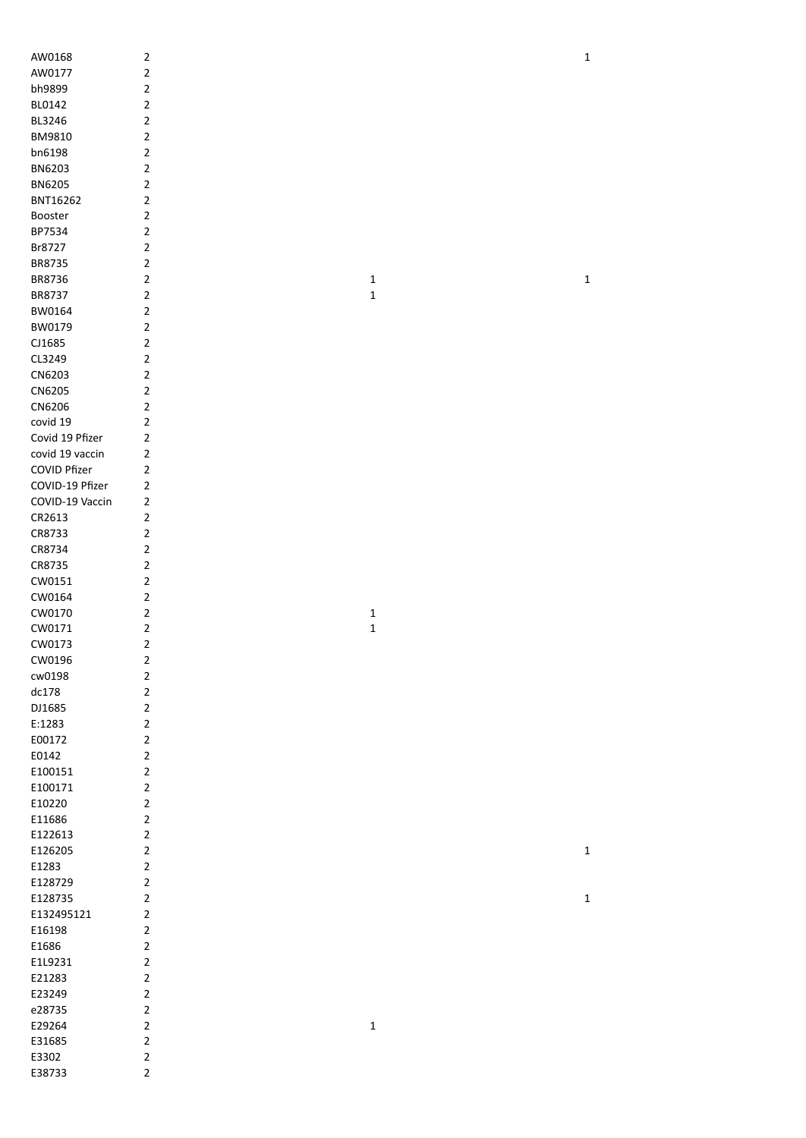| AW0168          | $\sqrt{2}$              |              | $\mathbf 1$ |
|-----------------|-------------------------|--------------|-------------|
| AW0177          | $\overline{\mathbf{c}}$ |              |             |
| bh9899          | $\overline{\mathbf{c}}$ |              |             |
| BL0142          | $\overline{2}$          |              |             |
| BL3246          | $\overline{2}$          |              |             |
|                 | $\overline{2}$          |              |             |
| BM9810          |                         |              |             |
| bn6198          | $\overline{\mathbf{c}}$ |              |             |
| BN6203          | $\overline{2}$          |              |             |
| <b>BN6205</b>   | $\overline{2}$          |              |             |
| BNT16262        | $\mathbf 2$             |              |             |
| Booster         | $\mathbf 2$             |              |             |
| BP7534          | $\mathbf 2$             |              |             |
| Br8727          | $\overline{\mathbf{c}}$ |              |             |
| BR8735          | $\overline{2}$          |              |             |
| BR8736          | $\overline{2}$          | $\mathbf 1$  | $\mathbf 1$ |
| BR8737          | $\overline{2}$          | $\mathbf 1$  |             |
| BW0164          | $\overline{2}$          |              |             |
| BW0179          | $\overline{2}$          |              |             |
| CJ1685          | $\overline{2}$          |              |             |
| CL3249          | $\overline{2}$          |              |             |
| CN6203          | $\overline{2}$          |              |             |
| CN6205          | $\overline{2}$          |              |             |
| CN6206          | $\overline{2}$          |              |             |
| covid 19        | $\overline{\mathbf{c}}$ |              |             |
| Covid 19 Pfizer | $\mathbf 2$             |              |             |
| covid 19 vaccin | $\mathbf 2$             |              |             |
| COVID Pfizer    | $\mathbf 2$             |              |             |
| COVID-19 Pfizer | $\mathbf{2}$            |              |             |
| COVID-19 Vaccin | $\mathbf 2$             |              |             |
| CR2613          | $\mathbf 2$             |              |             |
| CR8733          | $\mathbf{2}$            |              |             |
| CR8734          | $\overline{\mathbf{c}}$ |              |             |
| CR8735          | $\overline{2}$          |              |             |
| CW0151          | $\mathbf 2$             |              |             |
| CW0164          | $\mathbf 2$             |              |             |
| CW0170          | $\mathbf 2$             | $\mathbf{1}$ |             |
| CW0171          | $\overline{\mathbf{c}}$ | $\mathbf 1$  |             |
| CW0173          | $\mathbf 2$             |              |             |
| CW0196          | $\sqrt{2}$              |              |             |
| cw0198          | $\overline{2}$          |              |             |
| dc178           | $\overline{2}$          |              |             |
| DJ1685          | $\overline{2}$          |              |             |
| E:1283          | $\overline{2}$          |              |             |
| E00172          | $\overline{2}$          |              |             |
| E0142           | $\overline{2}$          |              |             |
| E100151         | $\overline{2}$          |              |             |
| E100171         | $\mathbf 2$             |              |             |
| E10220          | $\overline{2}$          |              |             |
| E11686          | $\overline{2}$          |              |             |
| E122613         | $\overline{2}$          |              |             |
| E126205         | $\mathbf 2$             |              | $\mathbf 1$ |
| E1283           | $\mathbf 2$             |              |             |
| E128729         | $\mathbf 2$             |              |             |
| E128735         | $\overline{2}$          |              | $\mathbf 1$ |
| E132495121      | $\mathbf 2$             |              |             |
| E16198          | $\mathbf 2$             |              |             |
| E1686           | $\mathbf 2$             |              |             |
| E1L9231         | $\mathbf 2$             |              |             |
| E21283          | $\mathbf 2$             |              |             |
| E23249          | $\mathbf 2$             |              |             |
| e28735          | $\mathbf 2$             |              |             |
| E29264          | $\mathbf 2$             |              |             |
|                 | $\mathbf 2$             | $\mathbf 1$  |             |
| E31685          |                         |              |             |
| E3302           | $\overline{2}$          |              |             |
| E38733          | $\overline{2}$          |              |             |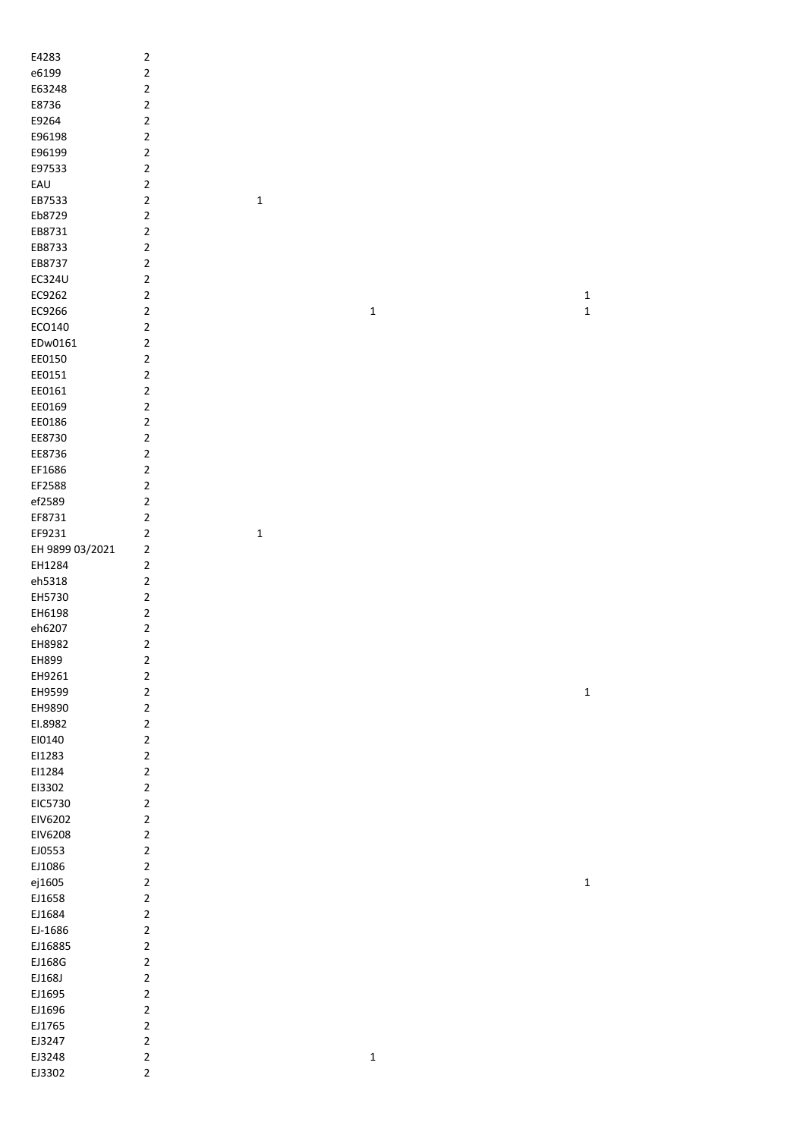| E4283           | $\sqrt{2}$              |             |             |              |  |
|-----------------|-------------------------|-------------|-------------|--------------|--|
| e6199           | $\mathbf 2$             |             |             |              |  |
| E63248          | $\overline{\mathbf{c}}$ |             |             |              |  |
|                 |                         |             |             |              |  |
| E8736           | $\mathbf 2$             |             |             |              |  |
| E9264           | $\mathbf 2$             |             |             |              |  |
| E96198          | $\mathbf 2$             |             |             |              |  |
| E96199          | $\mathbf 2$             |             |             |              |  |
|                 |                         |             |             |              |  |
| E97533          | $\mathbf 2$             |             |             |              |  |
| EAU             | $\boldsymbol{2}$        |             |             |              |  |
| EB7533          | $\mathbf 2$             | $\mathbf 1$ |             |              |  |
| Eb8729          | $\overline{c}$          |             |             |              |  |
|                 |                         |             |             |              |  |
| EB8731          | $\mathbf 2$             |             |             |              |  |
| EB8733          | $\mathbf 2$             |             |             |              |  |
| EB8737          | $\overline{\mathbf{c}}$ |             |             |              |  |
| EC324U          | $\mathbf 2$             |             |             |              |  |
|                 |                         |             |             |              |  |
| EC9262          | $\mathbf 2$             |             |             | $\mathbf{1}$ |  |
| EC9266          | $\mathbf 2$             |             | $\mathbf 1$ | $\mathbf 1$  |  |
| ECO140          | $\mathbf 2$             |             |             |              |  |
| EDw0161         | $\mathbf 2$             |             |             |              |  |
|                 |                         |             |             |              |  |
| EE0150          | $\mathbf 2$             |             |             |              |  |
| EE0151          | $\mathbf 2$             |             |             |              |  |
| EE0161          | $\boldsymbol{2}$        |             |             |              |  |
|                 |                         |             |             |              |  |
| EE0169          | $\mathbf 2$             |             |             |              |  |
| EE0186          | 2                       |             |             |              |  |
| EE8730          | $\mathbf 2$             |             |             |              |  |
| EE8736          | $\overline{\mathbf{c}}$ |             |             |              |  |
|                 |                         |             |             |              |  |
| EF1686          | $\mathbf 2$             |             |             |              |  |
| EF2588          | $\mathbf 2$             |             |             |              |  |
| ef2589          | $\mathbf 2$             |             |             |              |  |
| EF8731          | $\mathbf 2$             |             |             |              |  |
|                 |                         |             |             |              |  |
| EF9231          | $\mathbf 2$             | $\mathbf 1$ |             |              |  |
| EH 9899 03/2021 | 2                       |             |             |              |  |
| EH1284          | $\mathbf 2$             |             |             |              |  |
| eh5318          | $\mathbf 2$             |             |             |              |  |
|                 |                         |             |             |              |  |
| EH5730          | $\mathbf 2$             |             |             |              |  |
| EH6198          | $\mathbf 2$             |             |             |              |  |
| eh6207          | $\overline{\mathbf{c}}$ |             |             |              |  |
|                 | $\overline{2}$          |             |             |              |  |
| EH8982          |                         |             |             |              |  |
| EH899           | $\mathbf 2$             |             |             |              |  |
| EH9261          | $\overline{c}$          |             |             |              |  |
| EH9599          | $\mathbf 2$             |             |             | $\mathbf{1}$ |  |
|                 | $\overline{c}$          |             |             |              |  |
| EH9890          |                         |             |             |              |  |
| EI.8982         | $\mathbf 2$             |             |             |              |  |
| EI0140          | $\mathbf 2$             |             |             |              |  |
| EI1283          | $\mathbf 2$             |             |             |              |  |
|                 |                         |             |             |              |  |
| EI1284          | $\mathbf 2$             |             |             |              |  |
| EI3302          | $\mathbf 2$             |             |             |              |  |
| EIC5730         | $\mathbf 2$             |             |             |              |  |
| EIV6202         | $\mathbf 2$             |             |             |              |  |
|                 |                         |             |             |              |  |
| EIV6208         | $\overline{2}$          |             |             |              |  |
| EJ0553          | $\overline{2}$          |             |             |              |  |
| EJ1086          | $\mathbf 2$             |             |             |              |  |
| ej1605          | $\overline{2}$          |             |             | $\mathbf 1$  |  |
|                 |                         |             |             |              |  |
| EJ1658          | $\mathbf 2$             |             |             |              |  |
| EJ1684          | $\mathbf 2$             |             |             |              |  |
| EJ-1686         | $\mathbf 2$             |             |             |              |  |
| EJ16885         | $\overline{c}$          |             |             |              |  |
|                 |                         |             |             |              |  |
| EJ168G          | $\overline{c}$          |             |             |              |  |
| EJ168J          | $\mathbf 2$             |             |             |              |  |
| EJ1695          | $\mathbf 2$             |             |             |              |  |
| EJ1696          | $\mathbf 2$             |             |             |              |  |
|                 |                         |             |             |              |  |
| EJ1765          | $\overline{c}$          |             |             |              |  |
| EJ3247          | $\overline{c}$          |             |             |              |  |
| EJ3248          | $\mathbf 2$             |             | $\mathbf 1$ |              |  |
|                 | $\overline{2}$          |             |             |              |  |
| EJ3302          |                         |             |             |              |  |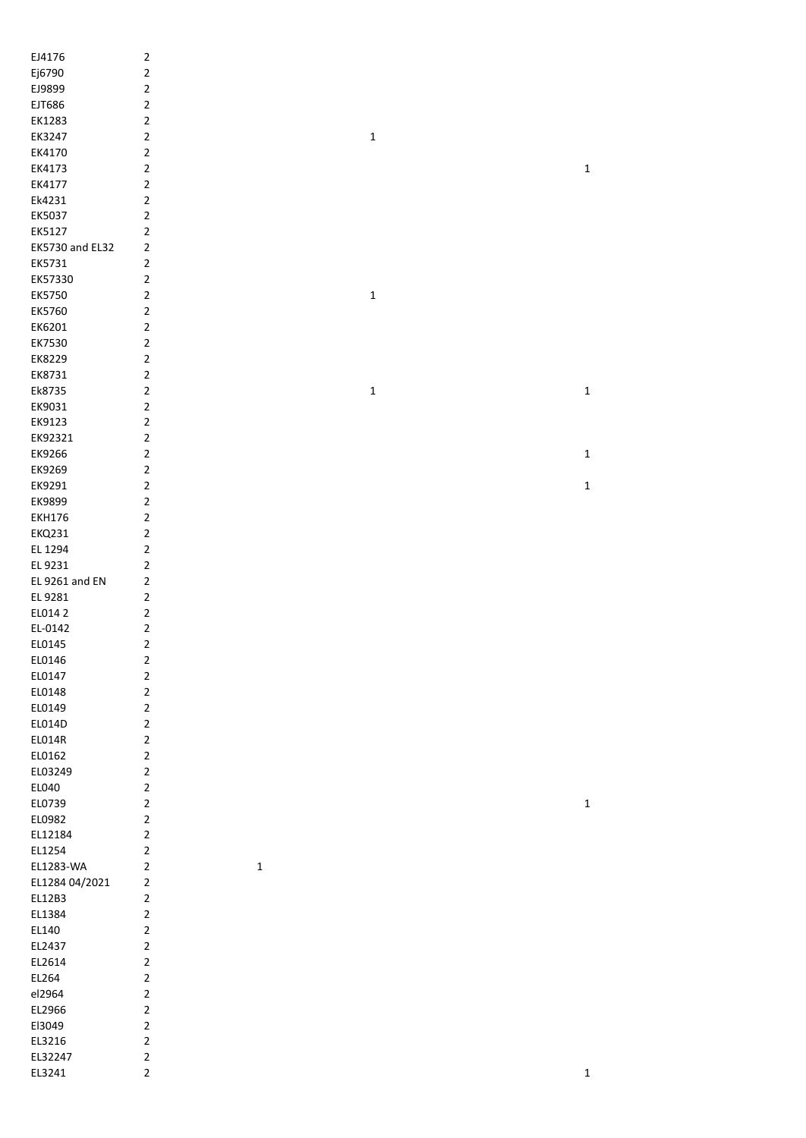| EJ4176          | $\mathbf 2$                |             |             |
|-----------------|----------------------------|-------------|-------------|
|                 |                            |             |             |
| Ej6790          | $\mathbf 2$                |             |             |
| EJ9899          | $\mathbf 2$                |             |             |
| EJT686          | $\mathbf 2$                |             |             |
| EK1283          | $\mathbf 2$                |             |             |
| EK3247          | $\mathbf 2$                | $\mathbf 1$ |             |
| EK4170          | $\mathbf 2$                |             |             |
| EK4173          | $\mathbf 2$                |             | $\mathbf 1$ |
| EK4177          | $\mathbf 2$                |             |             |
| Ek4231          | $\overline{2}$             |             |             |
|                 |                            |             |             |
| EK5037          | $\mathbf 2$                |             |             |
| EK5127          | 2                          |             |             |
| EK5730 and EL32 | $\mathbf 2$                |             |             |
| EK5731          | $\mathbf 2$                |             |             |
| EK57330         | $\mathbf 2$                |             |             |
| EK5750          | $\mathbf 2$                | $\mathbf 1$ |             |
| EK5760          | $\mathbf 2$                |             |             |
| EK6201          | $\mathbf 2$                |             |             |
|                 |                            |             |             |
| EK7530          | $\mathbf 2$                |             |             |
| EK8229          | $\overline{2}$             |             |             |
| EK8731          | $\overline{2}$             |             |             |
| Ek8735          | $\overline{2}$             | $\mathbf 1$ | $\mathbf 1$ |
| EK9031          | $\overline{2}$             |             |             |
| EK9123          | $\overline{2}$             |             |             |
| EK92321         | $\overline{2}$             |             |             |
| EK9266          | 2                          |             | $\mathbf 1$ |
|                 |                            |             |             |
| EK9269          | 2                          |             |             |
| EK9291          | 2                          |             | $\mathbf 1$ |
| EK9899          | $\mathbf 2$                |             |             |
| <b>EKH176</b>   | $\mathbf 2$                |             |             |
| <b>EKQ231</b>   | $\mathbf 2$                |             |             |
| EL 1294         | $\mathbf 2$                |             |             |
| EL 9231         | 2                          |             |             |
| EL 9261 and EN  | $\mathbf 2$                |             |             |
| EL 9281         | $\mathbf 2$                |             |             |
|                 |                            |             |             |
| EL014 2         | 2                          |             |             |
| EL-0142         | 2                          |             |             |
| EL0145          | 2                          |             |             |
| EL0146          | $\sqrt{2}$                 |             |             |
| EL0147          | $\overline{2}$             |             |             |
| EL0148          | $\overline{2}$             |             |             |
| EL0149          | $\overline{2}$             |             |             |
| EL014D          | $\overline{2}$             |             |             |
| EL014R          | $\overline{2}$             |             |             |
| EL0162          | $\overline{2}$             |             |             |
|                 |                            |             |             |
| EL03249         | $\overline{2}$             |             |             |
| EL040           | $\overline{2}$             |             |             |
| EL0739          | $\overline{2}$             |             | $\mathbf 1$ |
| EL0982          | $\overline{2}$             |             |             |
| EL12184         | $\overline{2}$             |             |             |
| EL1254          | $\mathbf 2$                |             |             |
| EL1283-WA       | $\mathbf 2$<br>$\mathbf 1$ |             |             |
| EL1284 04/2021  | $\mathbf 2$                |             |             |
| EL12B3          | $\overline{2}$             |             |             |
| EL1384          | $\mathbf 2$                |             |             |
|                 |                            |             |             |
| EL140           | $\overline{2}$             |             |             |
| EL2437          | $\overline{2}$             |             |             |
| EL2614          | $\overline{2}$             |             |             |
| EL264           | $\overline{2}$             |             |             |
| el2964          | $\overline{2}$             |             |             |
| EL2966          | $\overline{2}$             |             |             |
| El3049          | $\mathbf 2$                |             |             |
| EL3216          | $\mathbf 2$                |             |             |
| EL32247         | $\mathbf 2$                |             |             |
|                 |                            |             |             |
| EL3241          | $\overline{2}$             |             | $\mathbf 1$ |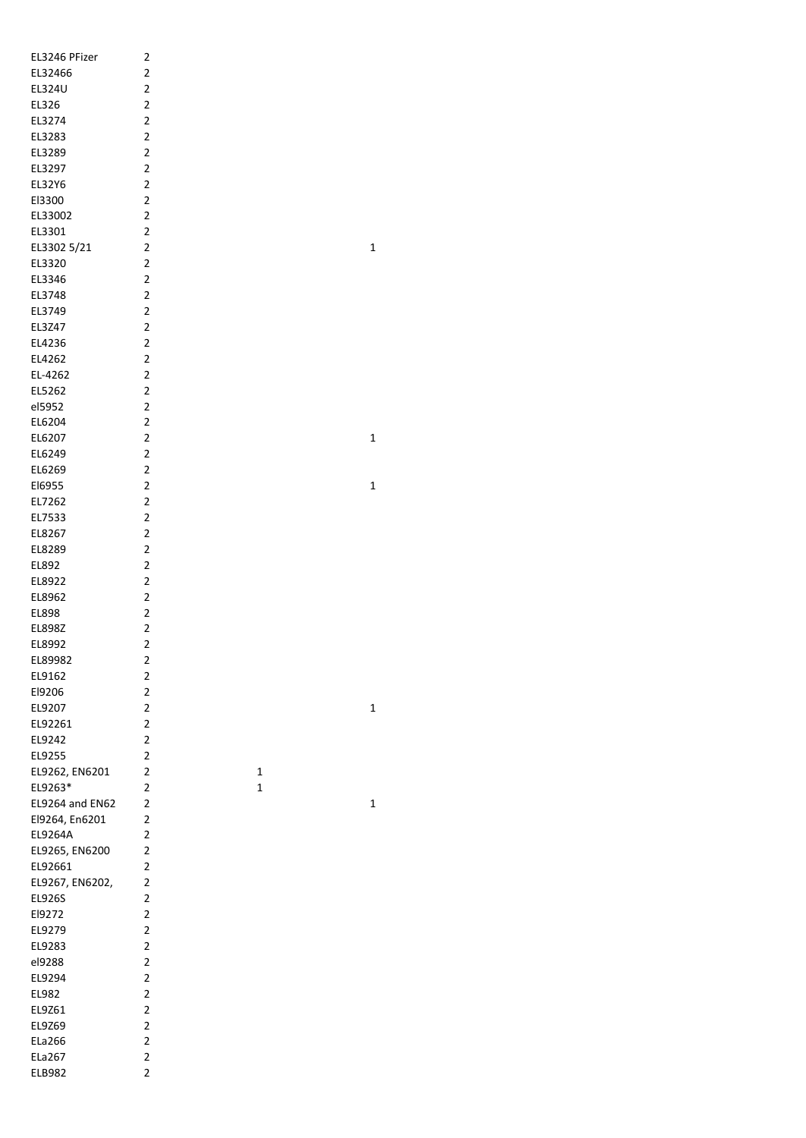| 2                       |                                                                                                                                                                                                                                                                                                                                                                                                                                                                                                                                                                                                     |
|-------------------------|-----------------------------------------------------------------------------------------------------------------------------------------------------------------------------------------------------------------------------------------------------------------------------------------------------------------------------------------------------------------------------------------------------------------------------------------------------------------------------------------------------------------------------------------------------------------------------------------------------|
| $\overline{\mathbf{c}}$ |                                                                                                                                                                                                                                                                                                                                                                                                                                                                                                                                                                                                     |
| $\overline{\mathbf{c}}$ |                                                                                                                                                                                                                                                                                                                                                                                                                                                                                                                                                                                                     |
|                         |                                                                                                                                                                                                                                                                                                                                                                                                                                                                                                                                                                                                     |
|                         |                                                                                                                                                                                                                                                                                                                                                                                                                                                                                                                                                                                                     |
|                         |                                                                                                                                                                                                                                                                                                                                                                                                                                                                                                                                                                                                     |
|                         |                                                                                                                                                                                                                                                                                                                                                                                                                                                                                                                                                                                                     |
|                         |                                                                                                                                                                                                                                                                                                                                                                                                                                                                                                                                                                                                     |
|                         |                                                                                                                                                                                                                                                                                                                                                                                                                                                                                                                                                                                                     |
|                         |                                                                                                                                                                                                                                                                                                                                                                                                                                                                                                                                                                                                     |
|                         |                                                                                                                                                                                                                                                                                                                                                                                                                                                                                                                                                                                                     |
|                         |                                                                                                                                                                                                                                                                                                                                                                                                                                                                                                                                                                                                     |
|                         |                                                                                                                                                                                                                                                                                                                                                                                                                                                                                                                                                                                                     |
|                         |                                                                                                                                                                                                                                                                                                                                                                                                                                                                                                                                                                                                     |
|                         |                                                                                                                                                                                                                                                                                                                                                                                                                                                                                                                                                                                                     |
|                         |                                                                                                                                                                                                                                                                                                                                                                                                                                                                                                                                                                                                     |
|                         |                                                                                                                                                                                                                                                                                                                                                                                                                                                                                                                                                                                                     |
|                         |                                                                                                                                                                                                                                                                                                                                                                                                                                                                                                                                                                                                     |
|                         |                                                                                                                                                                                                                                                                                                                                                                                                                                                                                                                                                                                                     |
|                         |                                                                                                                                                                                                                                                                                                                                                                                                                                                                                                                                                                                                     |
|                         |                                                                                                                                                                                                                                                                                                                                                                                                                                                                                                                                                                                                     |
|                         |                                                                                                                                                                                                                                                                                                                                                                                                                                                                                                                                                                                                     |
|                         |                                                                                                                                                                                                                                                                                                                                                                                                                                                                                                                                                                                                     |
|                         |                                                                                                                                                                                                                                                                                                                                                                                                                                                                                                                                                                                                     |
|                         |                                                                                                                                                                                                                                                                                                                                                                                                                                                                                                                                                                                                     |
|                         |                                                                                                                                                                                                                                                                                                                                                                                                                                                                                                                                                                                                     |
|                         |                                                                                                                                                                                                                                                                                                                                                                                                                                                                                                                                                                                                     |
|                         |                                                                                                                                                                                                                                                                                                                                                                                                                                                                                                                                                                                                     |
|                         |                                                                                                                                                                                                                                                                                                                                                                                                                                                                                                                                                                                                     |
|                         |                                                                                                                                                                                                                                                                                                                                                                                                                                                                                                                                                                                                     |
|                         |                                                                                                                                                                                                                                                                                                                                                                                                                                                                                                                                                                                                     |
|                         |                                                                                                                                                                                                                                                                                                                                                                                                                                                                                                                                                                                                     |
|                         |                                                                                                                                                                                                                                                                                                                                                                                                                                                                                                                                                                                                     |
|                         |                                                                                                                                                                                                                                                                                                                                                                                                                                                                                                                                                                                                     |
|                         |                                                                                                                                                                                                                                                                                                                                                                                                                                                                                                                                                                                                     |
|                         |                                                                                                                                                                                                                                                                                                                                                                                                                                                                                                                                                                                                     |
|                         |                                                                                                                                                                                                                                                                                                                                                                                                                                                                                                                                                                                                     |
|                         |                                                                                                                                                                                                                                                                                                                                                                                                                                                                                                                                                                                                     |
|                         |                                                                                                                                                                                                                                                                                                                                                                                                                                                                                                                                                                                                     |
|                         |                                                                                                                                                                                                                                                                                                                                                                                                                                                                                                                                                                                                     |
| $\overline{\mathbf{c}}$ |                                                                                                                                                                                                                                                                                                                                                                                                                                                                                                                                                                                                     |
| 2                       |                                                                                                                                                                                                                                                                                                                                                                                                                                                                                                                                                                                                     |
| $\overline{\mathbf{c}}$ |                                                                                                                                                                                                                                                                                                                                                                                                                                                                                                                                                                                                     |
| 2                       |                                                                                                                                                                                                                                                                                                                                                                                                                                                                                                                                                                                                     |
| 2                       | 1                                                                                                                                                                                                                                                                                                                                                                                                                                                                                                                                                                                                   |
| $\overline{\mathbf{c}}$ | 1                                                                                                                                                                                                                                                                                                                                                                                                                                                                                                                                                                                                   |
| $\overline{\mathbf{c}}$ |                                                                                                                                                                                                                                                                                                                                                                                                                                                                                                                                                                                                     |
| $\overline{\mathbf{c}}$ |                                                                                                                                                                                                                                                                                                                                                                                                                                                                                                                                                                                                     |
| $\overline{2}$          |                                                                                                                                                                                                                                                                                                                                                                                                                                                                                                                                                                                                     |
| 2                       |                                                                                                                                                                                                                                                                                                                                                                                                                                                                                                                                                                                                     |
| $\overline{c}$          |                                                                                                                                                                                                                                                                                                                                                                                                                                                                                                                                                                                                     |
| $\overline{\mathbf{c}}$ |                                                                                                                                                                                                                                                                                                                                                                                                                                                                                                                                                                                                     |
| $\overline{c}$          |                                                                                                                                                                                                                                                                                                                                                                                                                                                                                                                                                                                                     |
| $\overline{\mathbf{c}}$ |                                                                                                                                                                                                                                                                                                                                                                                                                                                                                                                                                                                                     |
| $\overline{\mathbf{c}}$ |                                                                                                                                                                                                                                                                                                                                                                                                                                                                                                                                                                                                     |
| 2                       |                                                                                                                                                                                                                                                                                                                                                                                                                                                                                                                                                                                                     |
| $\overline{\mathbf{c}}$ |                                                                                                                                                                                                                                                                                                                                                                                                                                                                                                                                                                                                     |
| $\overline{\mathbf{c}}$ |                                                                                                                                                                                                                                                                                                                                                                                                                                                                                                                                                                                                     |
| $\overline{\mathbf{c}}$ |                                                                                                                                                                                                                                                                                                                                                                                                                                                                                                                                                                                                     |
| $\overline{\mathbf{c}}$ |                                                                                                                                                                                                                                                                                                                                                                                                                                                                                                                                                                                                     |
| $\overline{\mathbf{c}}$ |                                                                                                                                                                                                                                                                                                                                                                                                                                                                                                                                                                                                     |
| 2                       |                                                                                                                                                                                                                                                                                                                                                                                                                                                                                                                                                                                                     |
| $\overline{\mathbf{c}}$ |                                                                                                                                                                                                                                                                                                                                                                                                                                                                                                                                                                                                     |
| $\overline{\mathbf{c}}$ |                                                                                                                                                                                                                                                                                                                                                                                                                                                                                                                                                                                                     |
|                         | $\overline{\mathbf{c}}$<br>$\overline{c}$<br>$\overline{c}$<br>$\overline{c}$<br>$\overline{c}$<br>$\overline{c}$<br>2<br>$\overline{c}$<br>$\overline{c}$<br>2<br>$\overline{\mathbf{c}}$<br>$\overline{2}$<br>2<br>2<br>2<br>$\overline{2}$<br>2<br>2<br>2<br>$\overline{\mathbf{c}}$<br>$\overline{c}$<br>$\overline{c}$<br>$\overline{2}$<br>2<br>$\overline{\mathbf{c}}$<br>$\overline{\mathbf{c}}$<br>$\overline{\mathbf{c}}$<br>2<br>$\overline{\mathbf{c}}$<br>2<br>2<br>$\overline{\mathbf{c}}$<br>$\overline{c}$<br>$\overline{c}$<br>$\overline{c}$<br>2<br>2<br>$\overline{\mathbf{c}}$ |

1

1

1

1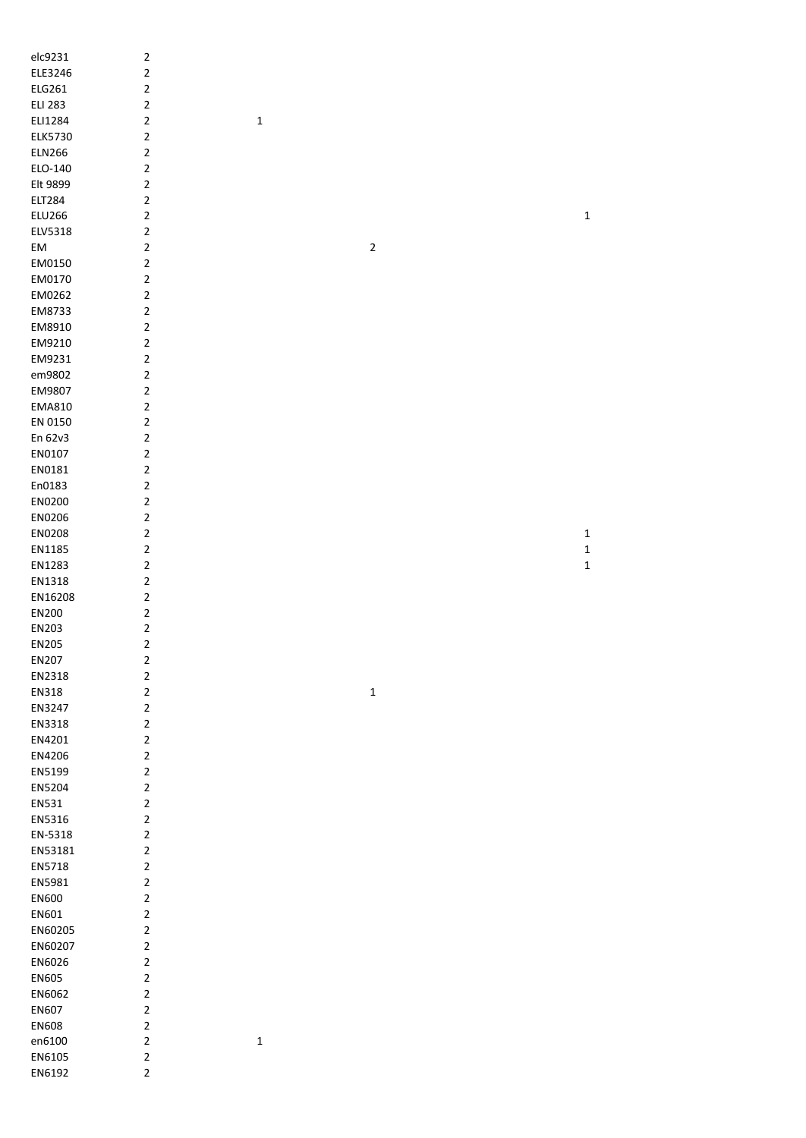| elc9231          | $\sqrt{2}$                   |             |                         |              |
|------------------|------------------------------|-------------|-------------------------|--------------|
| ELE3246          | $\mathbf 2$                  |             |                         |              |
| ELG261           | $\mathbf 2$                  |             |                         |              |
| <b>ELI 283</b>   | $\mathbf 2$                  |             |                         |              |
|                  |                              |             |                         |              |
| ELI1284          | $\mathbf 2$                  | $\mathbf 1$ |                         |              |
| ELK5730          | $\mathbf 2$                  |             |                         |              |
| <b>ELN266</b>    | $\mathbf 2$                  |             |                         |              |
| ELO-140          | $\mathbf 2$                  |             |                         |              |
| Elt 9899         | $\sqrt{2}$                   |             |                         |              |
| <b>ELT284</b>    | $\mathbf 2$                  |             |                         |              |
| <b>ELU266</b>    | $\mathbf 2$                  |             |                         | $\mathbf{1}$ |
| ELV5318          | $\sqrt{2}$                   |             |                         |              |
| EM               | $\sqrt{2}$                   |             | $\overline{\mathbf{c}}$ |              |
| EM0150           | $\mathbf 2$                  |             |                         |              |
| EM0170           | $\mathbf 2$                  |             |                         |              |
|                  |                              |             |                         |              |
| EM0262           | $\mathbf 2$                  |             |                         |              |
| EM8733           | $\mathbf 2$                  |             |                         |              |
| EM8910           | $\sqrt{2}$                   |             |                         |              |
| EM9210           | $\sqrt{2}$                   |             |                         |              |
| EM9231           | $\mathbf 2$                  |             |                         |              |
| em9802           | $\mathbf 2$                  |             |                         |              |
| EM9807           | $\mathbf 2$                  |             |                         |              |
| EMA810           | $\mathbf 2$                  |             |                         |              |
| EN 0150          | $\sqrt{2}$                   |             |                         |              |
| En 62v3          | $\mathbf 2$                  |             |                         |              |
| EN0107           | $\mathbf 2$                  |             |                         |              |
| EN0181           | $\mathbf 2$                  |             |                         |              |
|                  |                              |             |                         |              |
| En0183           | $\mathbf 2$                  |             |                         |              |
| EN0200           | $\mathbf 2$                  |             |                         |              |
| EN0206           | $\mathbf 2$                  |             |                         |              |
| EN0208           | $\mathbf 2$                  |             |                         | $\mathbf 1$  |
| EN1185           | $\mathbf 2$                  |             |                         | $\mathbf{1}$ |
| EN1283           | $\mathbf 2$                  |             |                         | $\mathbf{1}$ |
| EN1318           | $\mathbf 2$                  |             |                         |              |
| EN16208          | $\mathbf 2$                  |             |                         |              |
| EN200            | $\mathbf 2$                  |             |                         |              |
| EN203            | $\mathbf 2$                  |             |                         |              |
| EN205            | $\mathbf 2$                  |             |                         |              |
| EN207            | $\mathbf 2$                  |             |                         |              |
| EN2318           | $\mathbf 2$                  |             |                         |              |
|                  |                              |             |                         |              |
| EN318            | $\mathbf 2$                  |             | $\mathbf 1$             |              |
| EN3247           | $\sqrt{2}$                   |             |                         |              |
| EN3318           | $\sqrt{2}$                   |             |                         |              |
| EN4201           | $\overline{2}$               |             |                         |              |
| EN4206           | $\mathbf 2$                  |             |                         |              |
| EN5199           | $\sqrt{2}$                   |             |                         |              |
| EN5204           | $\mathbf 2$                  |             |                         |              |
| EN531            | $\mathbf 2$                  |             |                         |              |
| EN5316           | $\mathbf 2$                  |             |                         |              |
| EN-5318          | $\mathbf 2$                  |             |                         |              |
| EN53181          | $\mathbf 2$                  |             |                         |              |
| EN5718           | $\mathbf 2$                  |             |                         |              |
| EN5981           | $\mathbf 2$                  |             |                         |              |
| EN600            | $\mathbf 2$                  |             |                         |              |
|                  |                              |             |                         |              |
| EN601            | $\mathbf 2$                  |             |                         |              |
| EN60205          | $\mathbf 2$                  |             |                         |              |
| EN60207          | $\mathbf 2$                  |             |                         |              |
| EN6026           | $\mathbf 2$                  |             |                         |              |
| EN605            | $\mathbf 2$                  |             |                         |              |
| EN6062           | $\sqrt{2}$                   |             |                         |              |
| EN607            | $\sqrt{2}$                   |             |                         |              |
| EN608            |                              |             |                         |              |
|                  |                              |             |                         |              |
|                  | $\mathbf 2$                  |             |                         |              |
| en6100           | $\mathbf 2$                  | $\mathbf 1$ |                         |              |
| EN6105<br>EN6192 | $\sqrt{2}$<br>$\overline{2}$ |             |                         |              |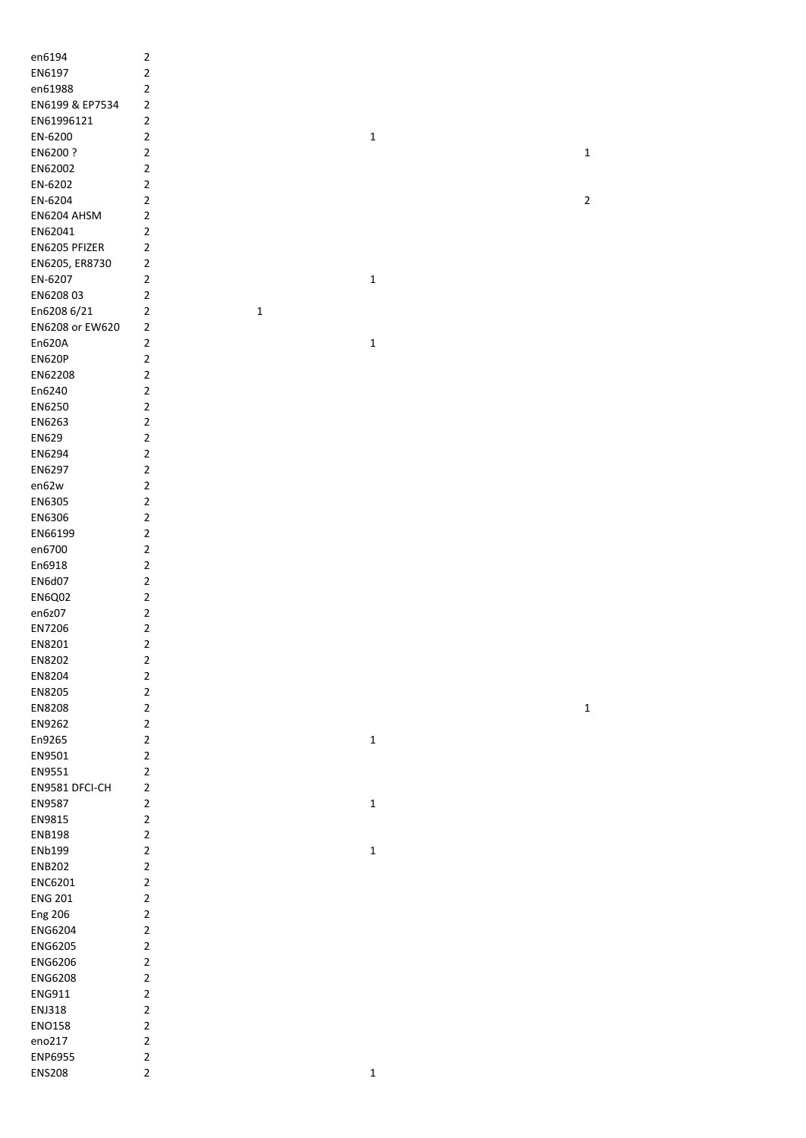| en6194          | $\mathbf 2$             |             |              |                |
|-----------------|-------------------------|-------------|--------------|----------------|
| EN6197          | $\mathbf 2$             |             |              |                |
| en61988         | $\sqrt{2}$              |             |              |                |
| EN6199 & EP7534 | 2                       |             |              |                |
| EN61996121      | $\mathbf 2$             |             |              |                |
| EN-6200         | $\mathbf 2$             |             | $\mathbf 1$  |                |
| EN6200 ?        | $\mathbf 2$             |             |              |                |
|                 |                         |             |              | $\mathbf 1$    |
| EN62002         | $\overline{\mathbf{c}}$ |             |              |                |
| EN-6202         | $\mathbf 2$             |             |              |                |
| EN-6204         | $\sqrt{2}$              |             |              | $\overline{2}$ |
| EN6204 AHSM     | 2                       |             |              |                |
| EN62041         | $\mathbf 2$             |             |              |                |
| EN6205 PFIZER   | $\mathbf 2$             |             |              |                |
| EN6205, ER8730  | $\mathbf 2$             |             |              |                |
| EN-6207         | $\mathbf 2$             |             | $\mathbf 1$  |                |
| EN620803        | $\mathbf 2$             |             |              |                |
| En6208 6/21     | $\mathbf 2$             | $\mathbf 1$ |              |                |
| EN6208 or EW620 | $\mathbf 2$             |             |              |                |
| En620A          | $\mathbf 2$             |             |              |                |
|                 |                         |             | $\mathbf 1$  |                |
| <b>EN620P</b>   | $\mathbf 2$             |             |              |                |
| EN62208         | $\overline{\mathbf{c}}$ |             |              |                |
| En6240          | $\overline{\mathbf{c}}$ |             |              |                |
| EN6250          | $\mathbf 2$             |             |              |                |
| EN6263          | $\mathbf 2$             |             |              |                |
| EN629           | $\overline{\mathbf{c}}$ |             |              |                |
| EN6294          | $\sqrt{2}$              |             |              |                |
| EN6297          | $\mathbf 2$             |             |              |                |
| en62w           | $\mathbf 2$             |             |              |                |
| EN6305          | $\mathbf 2$             |             |              |                |
| EN6306          | $\mathbf 2$             |             |              |                |
| EN66199         | $\mathbf 2$             |             |              |                |
|                 |                         |             |              |                |
| en6700          | $\sqrt{2}$              |             |              |                |
| En6918          | $\sqrt{2}$              |             |              |                |
| EN6d07          | $\sqrt{2}$              |             |              |                |
| <b>EN6Q02</b>   | $\sqrt{2}$              |             |              |                |
| en6z07          | $\mathbf 2$             |             |              |                |
| EN7206          | $\mathbf 2$             |             |              |                |
| EN8201          | $\mathbf 2$             |             |              |                |
| EN8202          | $\mathbf 2$             |             |              |                |
| EN8204          | $\mathbf 2$             |             |              |                |
| EN8205          | $\mathbf 2$             |             |              |                |
| EN8208          | $\overline{\mathbf{c}}$ |             |              | $\mathbf 1$    |
| EN9262          | $\overline{\mathbf{c}}$ |             |              |                |
|                 |                         |             |              |                |
| En9265          | $\mathbf 2$             |             | $\mathbf{1}$ |                |
| EN9501          | $\mathbf 2$             |             |              |                |
| EN9551          | $\overline{\mathbf{c}}$ |             |              |                |
| EN9581 DFCI-CH  | $\mathbf 2$             |             |              |                |
| EN9587          | $\mathbf 2$             |             | $\mathbf 1$  |                |
| EN9815          | $\mathbf 2$             |             |              |                |
| <b>ENB198</b>   | $\sqrt{2}$              |             |              |                |
| ENb199          | $\mathbf 2$             |             | $\mathbf 1$  |                |
| <b>ENB202</b>   | $\mathbf 2$             |             |              |                |
| ENC6201         | $\mathbf 2$             |             |              |                |
| <b>ENG 201</b>  | $\mathbf 2$             |             |              |                |
| <b>Eng 206</b>  | $\mathbf 2$             |             |              |                |
| ENG6204         | $\mathbf 2$             |             |              |                |
|                 |                         |             |              |                |
| ENG6205         | $\mathbf 2$             |             |              |                |
| ENG6206         | $\mathbf 2$             |             |              |                |
| ENG6208         | $\mathbf 2$             |             |              |                |
| ENG911          | $\mathbf 2$             |             |              |                |
| ENJ318          | $\mathbf 2$             |             |              |                |
| <b>ENO158</b>   | $\mathbf 2$             |             |              |                |
| eno217          | $\mathbf 2$             |             |              |                |
| ENP6955         | $\mathbf 2$             |             |              |                |
| <b>ENS208</b>   | $\overline{2}$          |             | $\mathbf 1$  |                |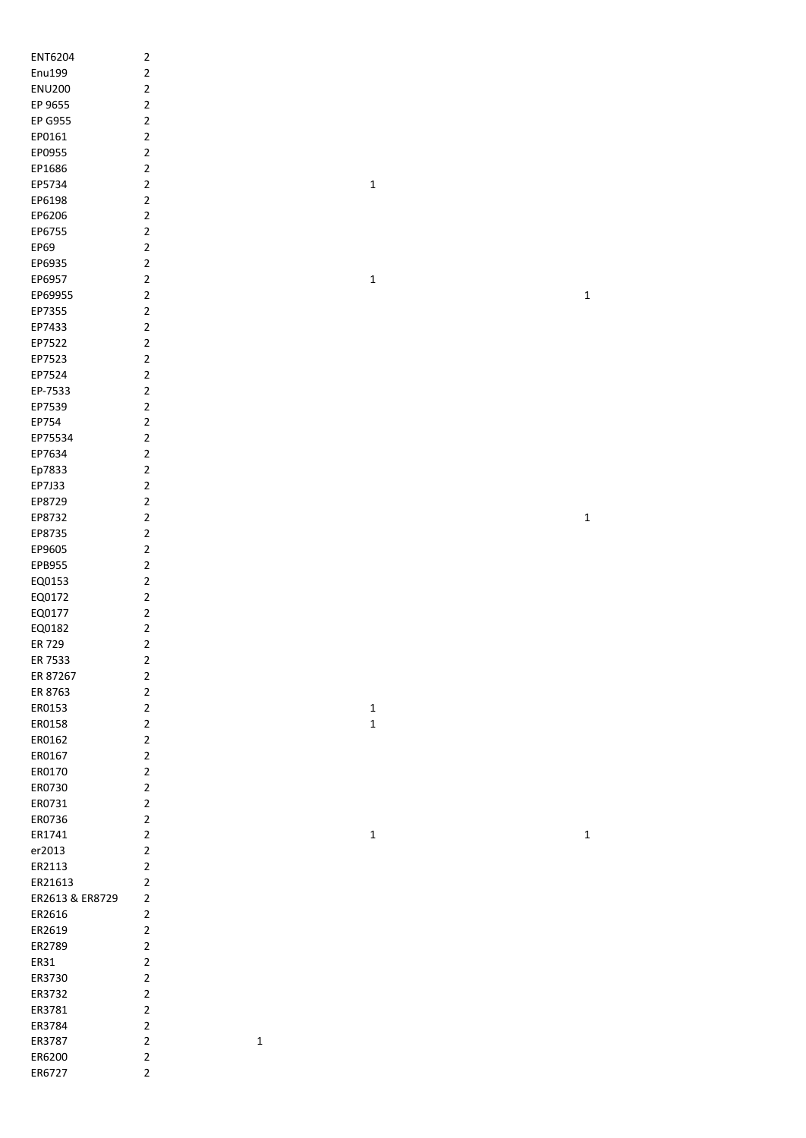| ENT6204           | $\mathbf 2$                   |             |             |             |
|-------------------|-------------------------------|-------------|-------------|-------------|
| Enu199            | $\mathbf 2$                   |             |             |             |
| <b>ENU200</b>     | $\mathbf 2$                   |             |             |             |
| EP 9655           | $\mathbf 2$                   |             |             |             |
| EP G955           | $\mathbf 2$                   |             |             |             |
| EP0161            | $\mathbf 2$                   |             |             |             |
| EP0955            | $\mathbf 2$                   |             |             |             |
| EP1686            | $\mathbf 2$                   |             |             |             |
| EP5734            | $\sqrt{2}$                    |             | $\mathbf 1$ |             |
| EP6198            | $\mathbf 2$                   |             |             |             |
| EP6206            | $\mathbf 2$                   |             |             |             |
| EP6755            | $\mathbf 2$                   |             |             |             |
| EP69              | $\mathbf 2$                   |             |             |             |
| EP6935            | $\sqrt{2}$                    |             |             |             |
| EP6957            | $\sqrt{2}$                    |             | $\mathbf 1$ |             |
| EP69955           | $\sqrt{2}$                    |             |             | $\mathbf 1$ |
| EP7355            | $\mathbf 2$                   |             |             |             |
| EP7433            | $\mathbf 2$                   |             |             |             |
| EP7522            | $\mathbf 2$                   |             |             |             |
| EP7523            | $\mathbf 2$                   |             |             |             |
| EP7524            | $\mathbf 2$                   |             |             |             |
| EP-7533           | $\mathbf 2$                   |             |             |             |
| EP7539            | $\mathbf 2$                   |             |             |             |
| EP754             | $\mathbf 2$                   |             |             |             |
| EP75534           | $\mathbf 2$                   |             |             |             |
| EP7634            | $\mathbf 2$                   |             |             |             |
| Ep7833            | $\mathbf 2$                   |             |             |             |
| EP7J33            | $\mathbf 2$                   |             |             |             |
| EP8729            | $\mathbf 2$                   |             |             |             |
| EP8732            | $\mathbf 2$                   |             |             | $\mathbf 1$ |
| EP8735            | $\mathbf 2$                   |             |             |             |
| EP9605            | $\mathbf 2$                   |             |             |             |
| EPB955            | $\sqrt{2}$                    |             |             |             |
| EQ0153            | $\sqrt{2}$                    |             |             |             |
| EQ0172            | $\mathbf 2$                   |             |             |             |
| EQ0177            | $\sqrt{2}$                    |             |             |             |
| EQ0182            | $\mathbf 2$<br>$\overline{2}$ |             |             |             |
| ER 729<br>ER 7533 | $\mathbf 2$                   |             |             |             |
| ER 87267          | $\sqrt{2}$                    |             |             |             |
| ER 8763           | $\mathbf 2$                   |             |             |             |
| ER0153            | $\mathbf 2$                   |             | $\mathbf 1$ |             |
| ER0158            | $\mathbf 2$                   |             | $\mathbf 1$ |             |
| ER0162            | $\mathbf 2$                   |             |             |             |
| ER0167            | $\overline{2}$                |             |             |             |
| ER0170            | $\overline{2}$                |             |             |             |
| ER0730            | $\mathbf 2$                   |             |             |             |
| ER0731            | $\mathbf 2$                   |             |             |             |
| ER0736            | $\mathbf 2$                   |             |             |             |
| ER1741            | $\mathbf 2$                   |             | $\mathbf 1$ | $\mathbf 1$ |
| er2013            | $\mathbf 2$                   |             |             |             |
| ER2113            | $\mathbf 2$                   |             |             |             |
| ER21613           | $\overline{\mathbf{c}}$       |             |             |             |
| ER2613 & ER8729   | $\mathbf 2$                   |             |             |             |
| ER2616            | $\mathbf 2$                   |             |             |             |
| ER2619            | $\sqrt{2}$                    |             |             |             |
| ER2789            | $\sqrt{2}$                    |             |             |             |
| ER31              | $\sqrt{2}$                    |             |             |             |
| ER3730            | $\mathbf 2$                   |             |             |             |
| ER3732            | $\mathbf 2$                   |             |             |             |
| ER3781            | $\mathbf 2$                   |             |             |             |
| ER3784            | $\sqrt{2}$                    |             |             |             |
| ER3787            | $\sqrt{2}$                    | $\mathbf 1$ |             |             |
| ER6200            | $\mathbf{2}$                  |             |             |             |
| ER6727            | $\overline{\mathbf{c}}$       |             |             |             |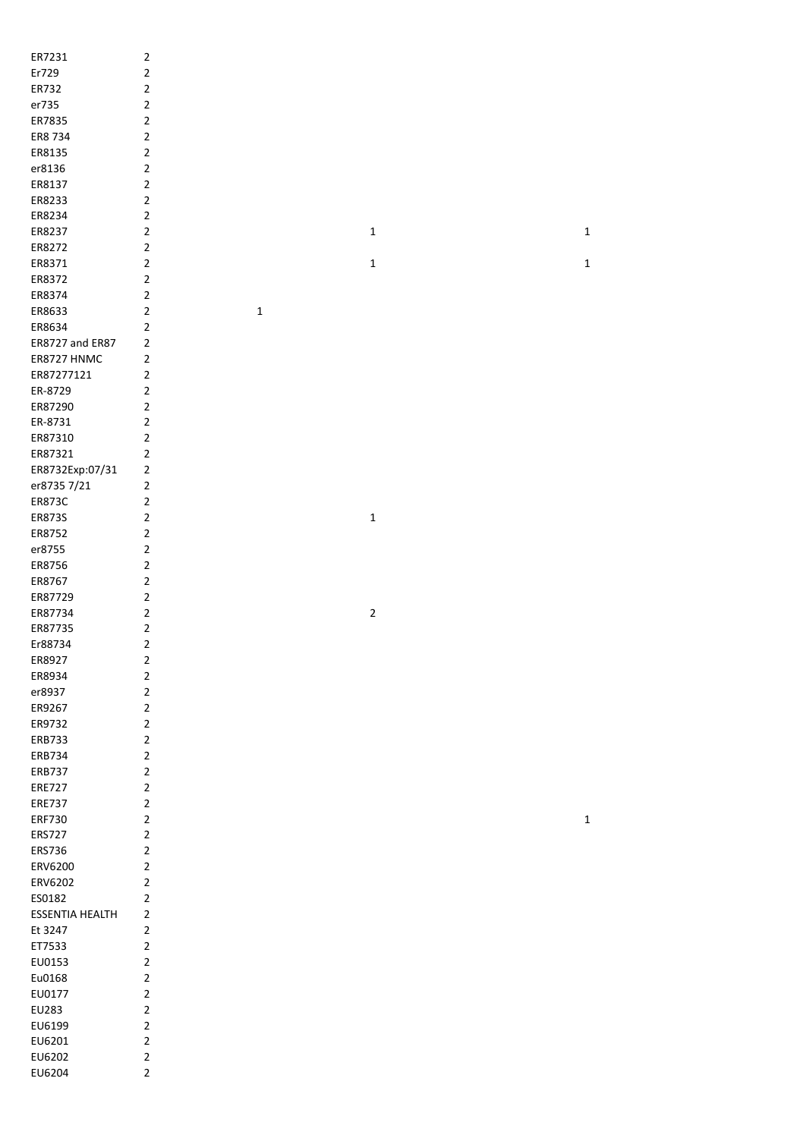| ER7231                 | $\mathbf 2$    |             |             |             |  |
|------------------------|----------------|-------------|-------------|-------------|--|
| Er729                  | $\overline{2}$ |             |             |             |  |
| ER732                  | $\mathbf 2$    |             |             |             |  |
|                        |                |             |             |             |  |
| er735                  | $\overline{2}$ |             |             |             |  |
| ER7835                 | $\overline{2}$ |             |             |             |  |
| ER8 734                | $\overline{2}$ |             |             |             |  |
| ER8135                 | $\overline{2}$ |             |             |             |  |
| er8136                 | $\overline{2}$ |             |             |             |  |
|                        | $\overline{2}$ |             |             |             |  |
| ER8137                 |                |             |             |             |  |
| ER8233                 | $\overline{2}$ |             |             |             |  |
| ER8234                 | $\overline{2}$ |             |             |             |  |
| ER8237                 | $\overline{2}$ |             | $\mathbf 1$ | $\mathbf 1$ |  |
| ER8272                 | $\overline{2}$ |             |             |             |  |
| ER8371                 | $\mathbf 2$    |             | $\mathbf 1$ | $\mathbf 1$ |  |
| ER8372                 | $\overline{2}$ |             |             |             |  |
|                        |                |             |             |             |  |
| ER8374                 | $\overline{2}$ |             |             |             |  |
| ER8633                 | $\mathbf 2$    | $\mathbf 1$ |             |             |  |
| ER8634                 | $\overline{2}$ |             |             |             |  |
| ER8727 and ER87        | $\mathbf 2$    |             |             |             |  |
| ER8727 HNMC            | $\overline{2}$ |             |             |             |  |
| ER87277121             | $\mathbf 2$    |             |             |             |  |
|                        |                |             |             |             |  |
| ER-8729                | $\overline{2}$ |             |             |             |  |
| ER87290                | $\overline{2}$ |             |             |             |  |
| ER-8731                | $\overline{2}$ |             |             |             |  |
| ER87310                | $\overline{2}$ |             |             |             |  |
| ER87321                | $\overline{2}$ |             |             |             |  |
| ER8732Exp:07/31        | $\mathbf 2$    |             |             |             |  |
|                        |                |             |             |             |  |
| er8735 7/21            | $\mathbf 2$    |             |             |             |  |
| ER873C                 | $\overline{2}$ |             |             |             |  |
| ER873S                 | $\overline{2}$ |             | $\mathbf 1$ |             |  |
| ER8752                 | $\overline{2}$ |             |             |             |  |
| er8755                 | $\overline{2}$ |             |             |             |  |
| ER8756                 | $\overline{2}$ |             |             |             |  |
| ER8767                 | $\overline{2}$ |             |             |             |  |
|                        |                |             |             |             |  |
| ER87729                | $\overline{2}$ |             |             |             |  |
| ER87734                | $\overline{2}$ |             | $\mathbf 2$ |             |  |
| ER87735                | $\overline{2}$ |             |             |             |  |
| Er88734                | $\mathbf 2$    |             |             |             |  |
| ER8927                 | $\mathbf 2$    |             |             |             |  |
| ER8934                 | $\overline{2}$ |             |             |             |  |
| er8937                 | $\mathbf 2$    |             |             |             |  |
|                        |                |             |             |             |  |
| ER9267                 | $\overline{2}$ |             |             |             |  |
| ER9732                 | $\overline{2}$ |             |             |             |  |
| ERB733                 | $\overline{2}$ |             |             |             |  |
| ERB734                 | $\overline{2}$ |             |             |             |  |
| ERB737                 | $\overline{2}$ |             |             |             |  |
| <b>ERE727</b>          | $\overline{2}$ |             |             |             |  |
| <b>ERE737</b>          | $\overline{2}$ |             |             |             |  |
|                        |                |             |             |             |  |
| <b>ERF730</b>          | $\overline{2}$ |             |             | $\mathbf 1$ |  |
| <b>ERS727</b>          | $\overline{2}$ |             |             |             |  |
| ERS736                 | $\overline{2}$ |             |             |             |  |
| ERV6200                | $\mathbf 2$    |             |             |             |  |
| ERV6202                | $\overline{2}$ |             |             |             |  |
| ES0182                 | $\overline{2}$ |             |             |             |  |
|                        | $\mathbf 2$    |             |             |             |  |
| <b>ESSENTIA HEALTH</b> |                |             |             |             |  |
| Et 3247                | $\overline{2}$ |             |             |             |  |
| ET7533                 | $\overline{2}$ |             |             |             |  |
| EU0153                 | $\overline{2}$ |             |             |             |  |
| Eu0168                 | $\overline{2}$ |             |             |             |  |
| EU0177                 | $\overline{2}$ |             |             |             |  |
| EU283                  | $\overline{2}$ |             |             |             |  |
|                        |                |             |             |             |  |
| EU6199                 | $\overline{2}$ |             |             |             |  |
| EU6201                 | $\overline{2}$ |             |             |             |  |
| EU6202                 | $\overline{2}$ |             |             |             |  |
| EU6204                 | $\overline{2}$ |             |             |             |  |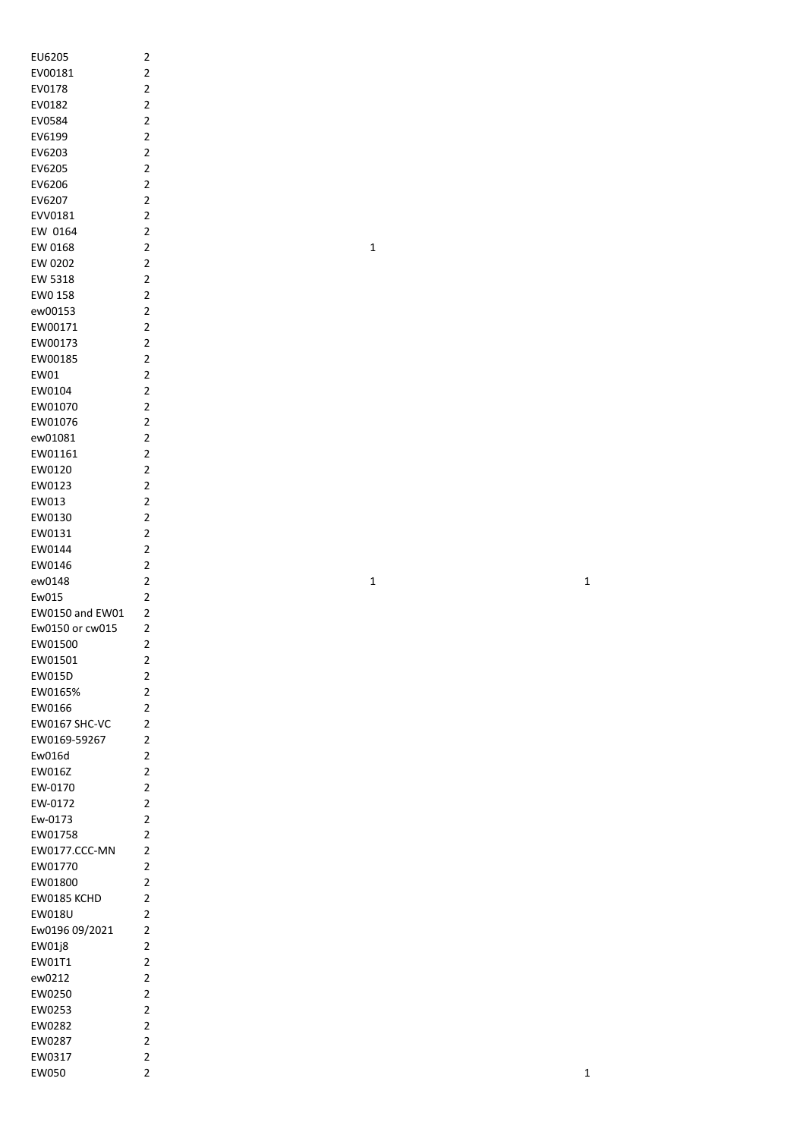| EU6205          | 2                       |
|-----------------|-------------------------|
| EV00181         | $\overline{c}$          |
| EV0178          | $\overline{c}$          |
| EV0182          | $\overline{c}$          |
| EV0584          | $\overline{\mathbf{c}}$ |
| EV6199          | $\overline{c}$          |
|                 |                         |
| EV6203          | $\overline{c}$          |
| EV6205          | $\overline{\mathbf{c}}$ |
| EV6206          | $\overline{\mathbf{c}}$ |
| EV6207          | $\overline{\mathbf{c}}$ |
| EVV0181         | $\overline{c}$          |
| EW 0164         | $\overline{c}$          |
|                 | $\overline{c}$          |
| EW 0168         |                         |
| EW 0202         | $\overline{2}$          |
| EW 5318         | $\overline{c}$          |
| EW0 158         | $\overline{c}$          |
| ew00153         | $\overline{c}$          |
| EW00171         | $\overline{c}$          |
| EW00173         | $\overline{c}$          |
|                 |                         |
| EW00185         | $\overline{c}$          |
| EW01            | $\overline{c}$          |
| EW0104          | $\overline{c}$          |
| EW01070         | $\overline{c}$          |
| EW01076         | $\overline{c}$          |
|                 | $\overline{c}$          |
| ew01081         |                         |
| EW01161         | $\overline{c}$          |
| EW0120          | $\overline{\mathbf{c}}$ |
| EW0123          | $\overline{c}$          |
| EW013           | $\overline{c}$          |
| EW0130          |                         |
| EW0131          |                         |
|                 |                         |
| EW0144          |                         |
| EW0146          | 2 2 2 2 2 2 2           |
| ew0148          |                         |
| Ew015           |                         |
| EW0150 and EW01 |                         |
| Ew0150 or cw015 | $\overline{c}$          |
|                 |                         |
| EW01500         | 2                       |
| EW01501         | $\overline{\mathbf{c}}$ |
| <b>EW015D</b>   | $\overline{c}$          |
| EW0165%         | $\overline{c}$          |
| EW0166          | $\overline{c}$          |
| EW0167 SHC-VC   | $\overline{c}$          |
|                 |                         |
| EW0169-59267    | $\overline{2}$          |
| Ew016d          | $\overline{c}$          |
| <b>EW016Z</b>   | $\overline{2}$          |
| EW-0170         | $\overline{c}$          |
| EW-0172         | $\overline{c}$          |
| Ew-0173         | $\overline{c}$          |
| EW01758         | $\overline{c}$          |
|                 |                         |
| EW0177.CCC-MN   | $\overline{c}$          |
| EW01770         | $\overline{\mathbf{c}}$ |
| EW01800         | $\overline{\mathbf{c}}$ |
| EW0185 KCHD     | $\overline{\mathbf{c}}$ |
| EW018U          | $\overline{\mathbf{c}}$ |
| Ew0196 09/2021  | $\overline{\mathbf{c}}$ |
|                 |                         |
| EW01j8          | $\overline{\mathbf{c}}$ |
| EW01T1          | $\overline{c}$          |
| ew0212          | $\overline{\mathbf{c}}$ |
| EW0250          | $\overline{c}$          |
| EW0253          | $\overline{c}$          |
| EW0282          | $\overline{c}$          |
|                 |                         |
| EW0287          | $\overline{c}$          |
| EW0317          | $\overline{c}$          |
| EW050           | $\overline{c}$          |

1

1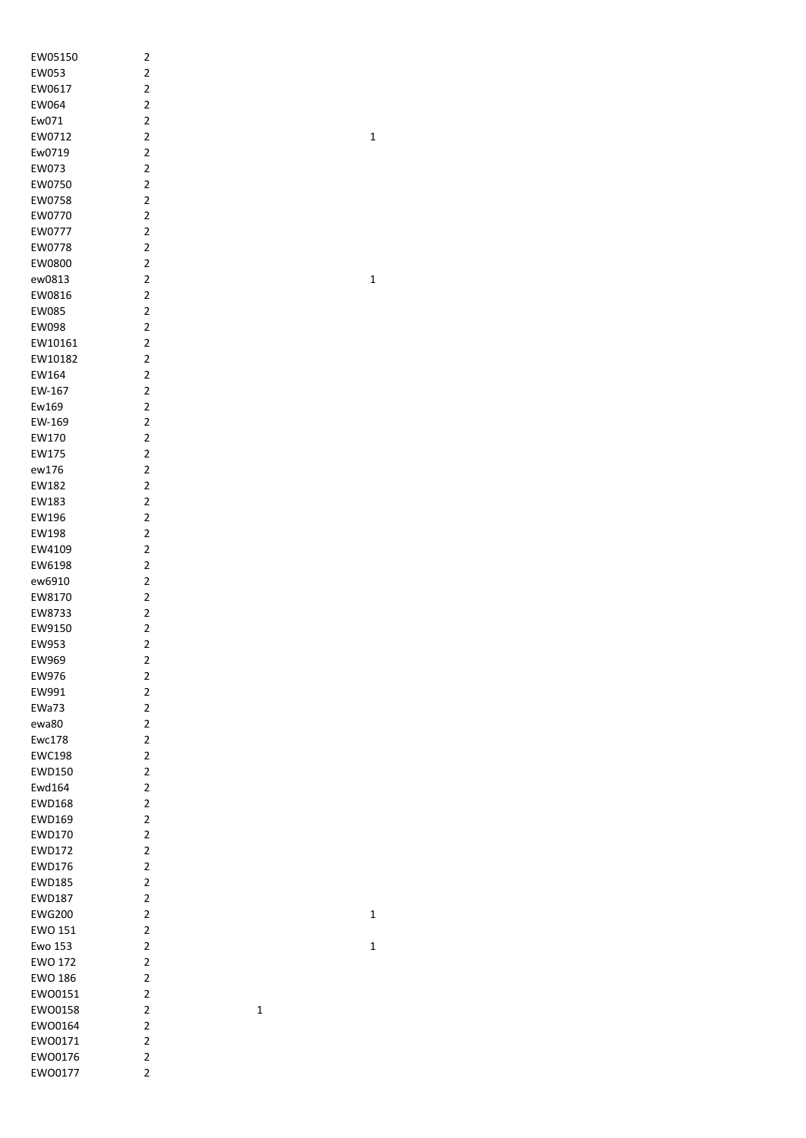| EW05150        | 2                       |   |
|----------------|-------------------------|---|
| EW053          | $\overline{2}$          |   |
| EW0617         | $\overline{c}$          |   |
| EW064          | $\overline{2}$          |   |
| Ew071          | $\overline{2}$          |   |
| EW0712         | $\overline{c}$          |   |
| Ew0719         | $\overline{c}$          |   |
| EW073          | $\overline{c}$          |   |
|                |                         |   |
| EW0750         | $\overline{c}$          |   |
| EW0758         | $\overline{c}$          |   |
| EW0770         | $\overline{2}$          |   |
| EW0777         | $\overline{2}$          |   |
| EW0778         | $\overline{c}$          |   |
| EW0800         | $\overline{c}$          |   |
| ew0813         | $\overline{2}$          |   |
| EW0816         | $\overline{c}$          |   |
| EW085          | $\overline{\mathbf{c}}$ |   |
| EW098          | $\overline{c}$          |   |
| EW10161        | $\overline{c}$          |   |
| EW10182        | $\overline{\mathbf{c}}$ |   |
| EW164          | $\overline{\mathbf{c}}$ |   |
| EW-167         | $\overline{\mathbf{c}}$ |   |
| Ew169          | $\overline{2}$          |   |
|                |                         |   |
| EW-169         | $\overline{\mathbf{c}}$ |   |
| EW170          | $\overline{c}$          |   |
| EW175          | $\overline{c}$          |   |
| ew176          | $\overline{\mathbf{c}}$ |   |
| EW182          | $\overline{\mathbf{c}}$ |   |
| EW183          | 2                       |   |
| EW196          | $\overline{\mathbf{c}}$ |   |
| EW198          | $\overline{\mathbf{c}}$ |   |
| EW4109         | $\overline{2}$          |   |
| EW6198         | $\overline{\mathbf{c}}$ |   |
| ew6910         | $\overline{2}$          |   |
| EW8170         | 2                       |   |
| EW8733         | $\overline{\mathbf{c}}$ |   |
| EW9150         | $\overline{2}$          |   |
| EW953          | $\overline{\mathbf{c}}$ |   |
| EW969          | $\overline{\mathbf{c}}$ |   |
| EW976          | 2                       |   |
| EW991          | $\overline{2}$          |   |
| EWa73          | $\overline{c}$          |   |
| ewa80          | $\overline{c}$          |   |
| <b>Ewc178</b>  | $\overline{\mathbf{c}}$ |   |
| <b>EWC198</b>  | $\overline{c}$          |   |
| <b>EWD150</b>  | $\overline{c}$          |   |
| Ewd164         | 2                       |   |
|                | $\overline{c}$          |   |
| <b>EWD168</b>  |                         |   |
| <b>EWD169</b>  | $\overline{c}$          |   |
| <b>EWD170</b>  | $\overline{\mathbf{c}}$ |   |
| <b>EWD172</b>  | $\overline{c}$          |   |
| <b>EWD176</b>  | $\overline{c}$          |   |
| <b>EWD185</b>  | $\overline{\mathbf{c}}$ |   |
| <b>EWD187</b>  | $\overline{2}$          |   |
| <b>EWG200</b>  | $\overline{c}$          |   |
| <b>EWO 151</b> | $\overline{\mathbf{c}}$ |   |
| <b>Ewo 153</b> | $\overline{\mathbf{c}}$ |   |
| <b>EWO 172</b> | $\overline{\mathbf{c}}$ |   |
| <b>EWO 186</b> | 2                       |   |
| EWO0151        | $\overline{\mathbf{c}}$ |   |
| EWO0158        | $\overline{\mathbf{c}}$ | 1 |
| EW00164        | $\overline{\mathbf{c}}$ |   |
| EW00171        | $\overline{\mathbf{c}}$ |   |
| EW00176        | $\overline{\mathbf{c}}$ |   |
| EW00177        | $\overline{\mathbf{c}}$ |   |
|                |                         |   |

 $\mathbf{1}$ 

 $\mathbf 1$ 

 $\overline{\mathbf{1}}$ 

 $\mathbf{1}$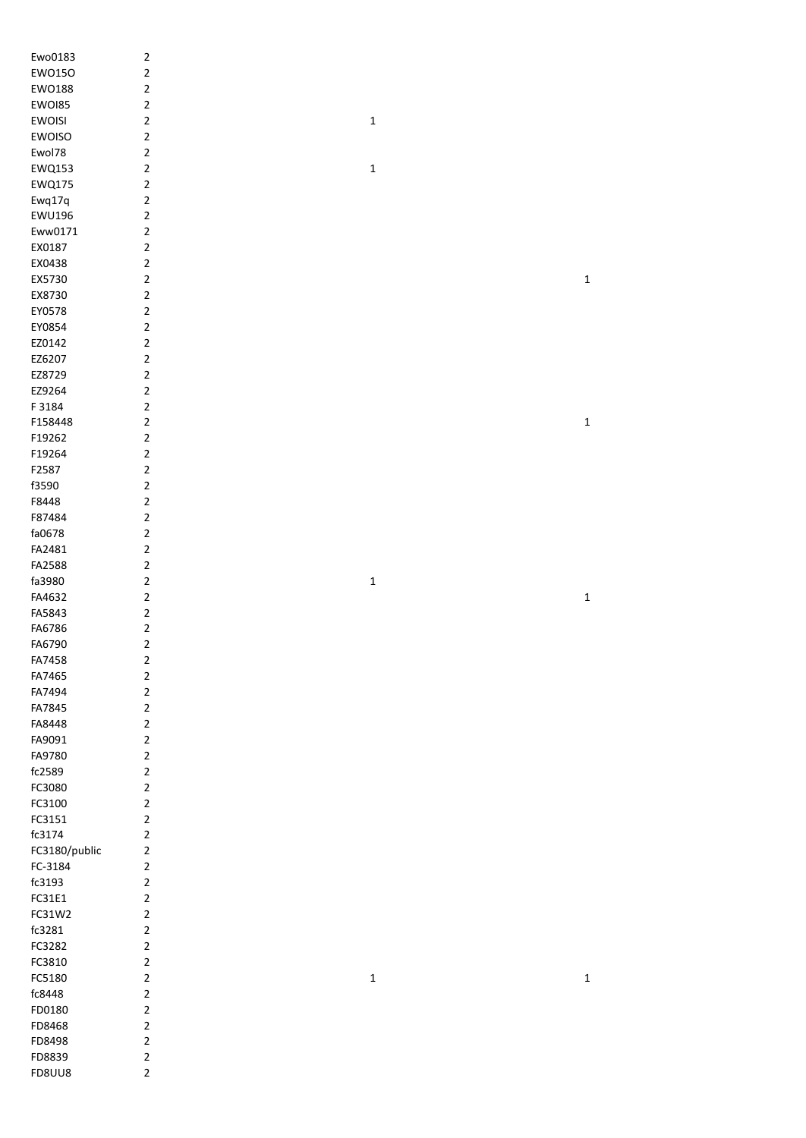| Ewo0183          | $\overline{\mathbf{c}}$          |             |             |
|------------------|----------------------------------|-------------|-------------|
| EW0150           | $\overline{\mathbf{c}}$          |             |             |
| EW0188           | $\mathbf 2$                      |             |             |
| EWOI85           | $\overline{2}$                   |             |             |
| <b>EWOISI</b>    | $\overline{2}$                   | $\mathbf 1$ |             |
| <b>EWOISO</b>    | $\overline{2}$                   |             |             |
| Ewol78           | $\mathbf 2$                      |             |             |
| EWQ153           | $\mathbf 2$                      | $\mathbf 1$ |             |
| <b>EWQ175</b>    | $\mathbf 2$                      |             |             |
| Ewq17q           | $\mathbf 2$                      |             |             |
| <b>EWU196</b>    | $\overline{\mathbf{c}}$          |             |             |
| Eww0171          | $\mathbf 2$                      |             |             |
| EX0187           | $\overline{\mathbf{c}}$          |             |             |
| EX0438           | $\overline{2}$                   |             |             |
| EX5730           | $\overline{2}$                   |             | $\mathbf 1$ |
| EX8730           | $\overline{2}$                   |             |             |
| EY0578           | $\overline{2}$                   |             |             |
| EY0854           | $\overline{2}$                   |             |             |
| EZ0142           | $\overline{2}$                   |             |             |
| EZ6207           | $\overline{2}$                   |             |             |
| EZ8729           | $\overline{2}$                   |             |             |
| EZ9264           | $\overline{2}$                   |             |             |
| F 3184           | $\mathbf 2$                      |             |             |
| F158448          | $\overline{2}$                   |             | $\mathbf 1$ |
| F19262           | $\mathbf 2$                      |             |             |
| F19264           | $\mathbf 2$                      |             |             |
| F2587            | $\mathbf 2$                      |             |             |
| f3590            | $\mathbf 2$                      |             |             |
| F8448            | $\overline{2}$                   |             |             |
| F87484           | $\overline{2}$                   |             |             |
| fa0678           | $\mathbf 2$                      |             |             |
| FA2481           | $\mathbf 2$                      |             |             |
|                  |                                  |             |             |
|                  |                                  |             |             |
| FA2588           | $\mathbf 2$                      |             |             |
| fa3980           | $\mathbf 2$                      | $\mathbf 1$ |             |
| FA4632           | $\mathbf 2$                      |             | $\mathbf 1$ |
| FA5843           | $\mathbf 2$                      |             |             |
| FA6786           | $\overline{\mathbf{c}}$          |             |             |
| FA6790           | $\mathbf 2$                      |             |             |
| FA7458           | 2                                |             |             |
| FA7465           | $\mathbf 2$                      |             |             |
| FA7494           | $\overline{2}$                   |             |             |
| FA7845           | $\overline{2}$                   |             |             |
| FA8448           | $\overline{2}$                   |             |             |
| FA9091           | $\overline{2}$                   |             |             |
| FA9780           | $\overline{2}$                   |             |             |
| fc2589           | $\overline{2}$                   |             |             |
| FC3080           | $\overline{2}$                   |             |             |
| FC3100           | $\overline{2}$                   |             |             |
| FC3151           | $\mathbf 2$                      |             |             |
| fc3174           | $\mathbf 2$<br>$\overline{2}$    |             |             |
| FC3180/public    |                                  |             |             |
| FC-3184          | $\overline{2}$                   |             |             |
| fc3193           | $\overline{2}$<br>$\overline{2}$ |             |             |
| FC31E1           | $\overline{2}$                   |             |             |
| FC31W2<br>fc3281 | $\overline{2}$                   |             |             |
| FC3282           | $\overline{2}$                   |             |             |
| FC3810           | $\overline{2}$                   |             |             |
| FC5180           | $\mathbf 2$                      | $\mathbf 1$ | $\mathbf 1$ |
| fc8448           | $\overline{2}$                   |             |             |
| FD0180           | $\overline{2}$                   |             |             |
| FD8468           | $\overline{2}$                   |             |             |
| FD8498           | $\overline{2}$                   |             |             |
| FD8839           | $\overline{2}$                   |             |             |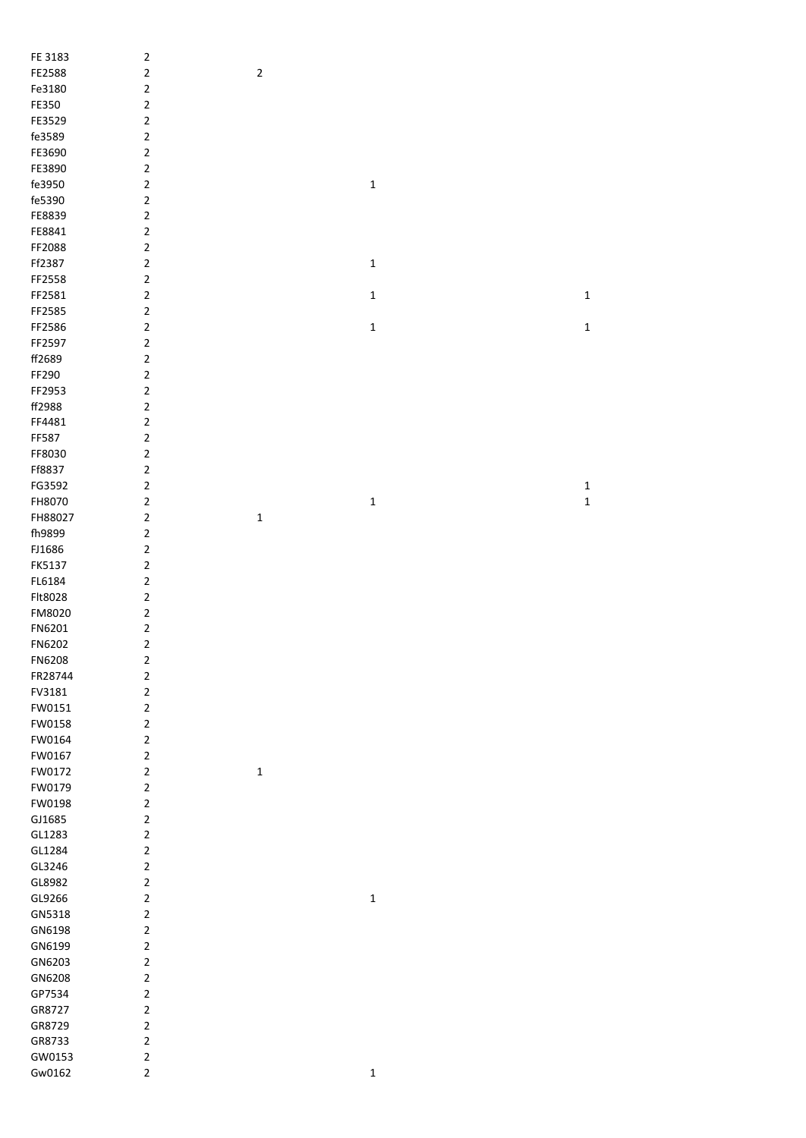| FE 3183          | $\sqrt{2}$                 |             |             |             |
|------------------|----------------------------|-------------|-------------|-------------|
| FE2588           | $\mathbf 2$                | $\mathbf 2$ |             |             |
| Fe3180           | $\mathbf 2$                |             |             |             |
| FE350            | $\mathbf 2$                |             |             |             |
| FE3529           | $\mathbf 2$                |             |             |             |
| fe3589           | $\mathbf 2$                |             |             |             |
| FE3690           | $\mathbf 2$                |             |             |             |
| FE3890           | $\mathbf 2$                |             |             |             |
| fe3950           | $\mathbf 2$                |             | $\mathbf 1$ |             |
| fe5390           | $\mathbf 2$                |             |             |             |
| FE8839           | $\mathbf 2$                |             |             |             |
| FE8841           | $\overline{2}$             |             |             |             |
| FF2088           | $\overline{2}$             |             |             |             |
| Ff2387           | $\mathbf 2$                |             | $\mathbf 1$ |             |
| FF2558           | $\mathbf 2$                |             |             |             |
| FF2581           | $\mathbf 2$                |             | $\mathbf 1$ | $\mathbf 1$ |
| FF2585           | $\mathbf 2$                |             |             |             |
| FF2586           | $\mathbf 2$                |             | $\mathbf 1$ | $\mathbf 1$ |
| FF2597           | $\mathbf 2$                |             |             |             |
| ff2689           | $\mathbf 2$                |             |             |             |
| FF290            | $\mathbf 2$                |             |             |             |
| FF2953           | $\mathbf 2$                |             |             |             |
| ff2988           | $\mathbf 2$                |             |             |             |
| FF4481           | $\mathbf 2$                |             |             |             |
| FF587            | $\mathbf 2$                |             |             |             |
| FF8030           | $\mathbf 2$                |             |             |             |
| Ff8837           | $\mathbf 2$                |             |             |             |
| FG3592           | $\mathbf 2$                |             |             | $\mathbf 1$ |
| FH8070           | $\mathbf 2$                |             | $\mathbf 1$ | $\mathbf 1$ |
| FH88027          | $\mathbf 2$                | $\mathbf 1$ |             |             |
|                  |                            |             |             |             |
| fh9899           | $\mathbf 2$                |             |             |             |
| FJ1686           | $\mathbf 2$                |             |             |             |
| FK5137           | $\mathbf 2$                |             |             |             |
| FL6184           | $\mathbf 2$                |             |             |             |
| Flt8028          | $\mathbf 2$                |             |             |             |
| FM8020           | $\mathbf 2$                |             |             |             |
| FN6201           | $\mathbf 2$                |             |             |             |
| FN6202           | $\mathbf 2$                |             |             |             |
| FN6208           | $\mathbf 2$                |             |             |             |
| FR28744          | $\mathbf 2$                |             |             |             |
| FV3181           | $\mathbf 2$                |             |             |             |
| FW0151           | $\mathbf 2$                |             |             |             |
| FW0158           | $\overline{2}$             |             |             |             |
| FW0164           | $\mathbf 2$                |             |             |             |
| FW0167           | $\mathbf 2$                |             |             |             |
| FW0172           | $\mathbf 2$                | $\mathbf 1$ |             |             |
| FW0179<br>FW0198 | $\mathbf 2$<br>$\mathbf 2$ |             |             |             |
|                  |                            |             |             |             |
| GJ1685           | $\mathbf 2$<br>$\mathbf 2$ |             |             |             |
| GL1283           |                            |             |             |             |
| GL1284           | $\mathbf 2$                |             |             |             |
| GL3246           | $\mathbf 2$                |             |             |             |
| GL8982<br>GL9266 | $\mathbf 2$<br>$\mathbf 2$ |             | $\mathbf 1$ |             |
|                  |                            |             |             |             |
| GN5318           | $\mathbf 2$                |             |             |             |
| GN6198           | $\mathbf 2$                |             |             |             |
| GN6199           | $\mathbf 2$                |             |             |             |
| GN6203           | $\mathbf 2$                |             |             |             |
| GN6208           | $\mathbf 2$                |             |             |             |
| GP7534           | $\mathbf 2$                |             |             |             |
| GR8727           | $\mathbf 2$                |             |             |             |
| GR8729           | $\mathbf 2$                |             |             |             |
| GR8733           | $\mathbf 2$                |             |             |             |
| GW0153           | $\mathbf 2$                |             |             |             |
| Gw0162           | $\overline{2}$             |             | $\mathbf 1$ |             |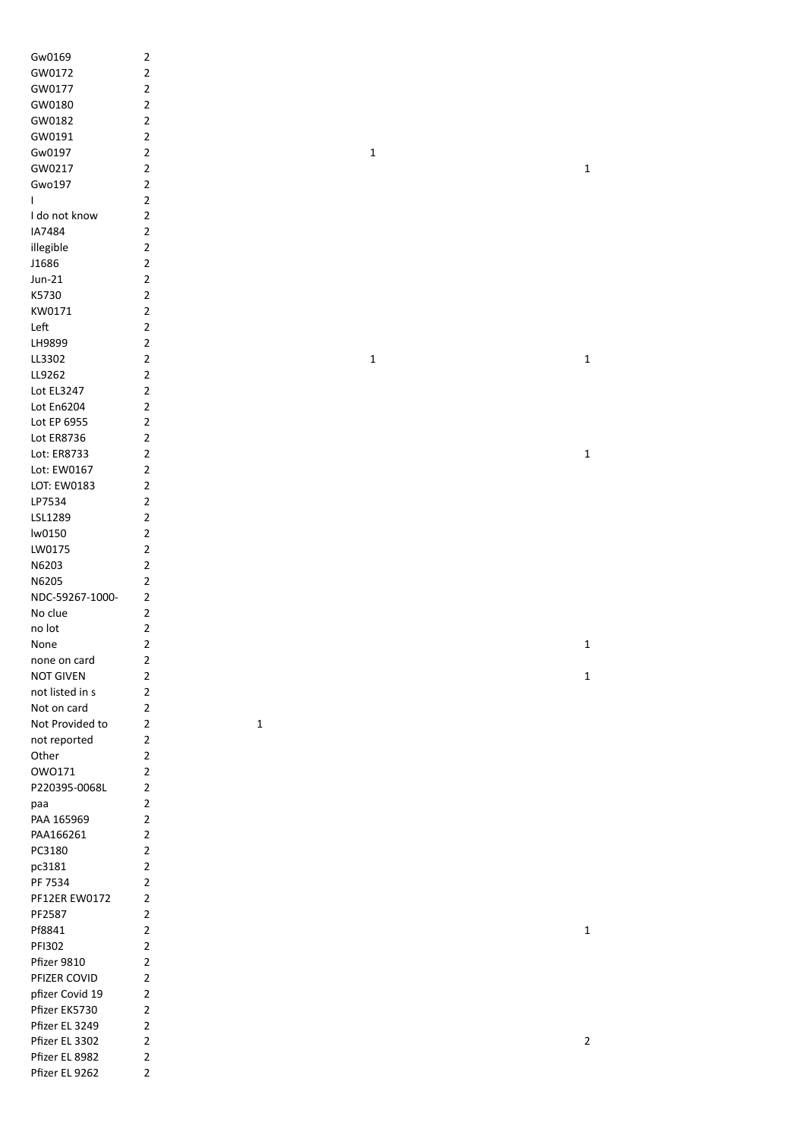| Gw0169            | $\sqrt{2}$     |
|-------------------|----------------|
|                   |                |
| GW0172            | $\mathbf 2$    |
| GW0177            | $\mathbf 2$    |
| GW0180            | $\mathbf 2$    |
| GW0182            | $\mathbf 2$    |
| GW0191            | $\mathbf 2$    |
| Gw0197            | $\mathbf 2$    |
| GW0217            | $\overline{2}$ |
|                   |                |
| Gwo197            | $\overline{2}$ |
| L                 | $\overline{2}$ |
| I do not know     | $\mathbf 2$    |
| IA7484            | $\mathbf 2$    |
| illegible         | $\mathbf 2$    |
| J1686             | $\mathbf 2$    |
|                   | $\mathbf 2$    |
| $Jun-21$          |                |
| K5730             | $\mathbf 2$    |
| KW0171            | $\mathbf 2$    |
| Left              | $\mathbf 2$    |
| LH9899            | $\mathbf 2$    |
| LL3302            | $\mathbf 2$    |
| LL9262            | $\mathbf 2$    |
|                   |                |
| Lot EL3247        | $\mathbf 2$    |
| <b>Lot En6204</b> | $\mathbf 2$    |
| Lot EP 6955       | $\mathbf 2$    |
| Lot ER8736        | $\mathbf 2$    |
| Lot: ER8733       | $\mathbf 2$    |
| Lot: EW0167       | $\mathbf 2$    |
| LOT: EW0183       | $\mathbf 2$    |
|                   |                |
| LP7534            | $\sqrt{2}$     |
| LSL1289           | $\mathbf 2$    |
| lw0150            | $\mathbf 2$    |
| LW0175            | $\mathbf 2$    |
| N6203             | $\mathbf 2$    |
| N6205             | $\mathbf 2$    |
| NDC-59267-1000-   | $\overline{2}$ |
|                   | $\mathbf 2$    |
| No clue           |                |
| no lot            | $\mathbf 2$    |
| None              | $\overline{2}$ |
| none on card      | 2              |
| <b>NOT GIVEN</b>  | $\sqrt{2}$     |
| not listed in s   | $\mathbf 2$    |
|                   |                |
| Not on card       | $\mathbf 2$    |
| Not Provided to   | $\mathbf 2$    |
| not reported      | $\mathbf 2$    |
| Other             | $\overline{2}$ |
| OW0171            | $\overline{2}$ |
| P220395-0068L     | $\mathbf 2$    |
| paa               | $\overline{2}$ |
|                   |                |
| PAA 165969        | $\mathbf 2$    |
| PAA166261         | $\mathbf 2$    |
| PC3180            | $\mathbf 2$    |
| pc3181            | $\mathbf 2$    |
| PF 7534           | $\mathbf 2$    |
| PF12ER EW0172     | $\mathbf 2$    |
| PF2587            | $\overline{2}$ |
|                   |                |
| Pf8841            | $\overline{2}$ |
| PFI302            | $\overline{2}$ |
| Pfizer 9810       | $\overline{2}$ |
| PFIZER COVID      | $\overline{2}$ |
| pfizer Covid 19   | $\overline{2}$ |
| Pfizer EK5730     | $\mathbf 2$    |
|                   |                |
| Pfizer EL 3249    | $\mathbf 2$    |
| Pfizer EL 3302    | $\mathbf 2$    |
| Pfizer EL 8982    | $\mathbf 2$    |
| Pfizer EL 9262    | $\mathbf 2$    |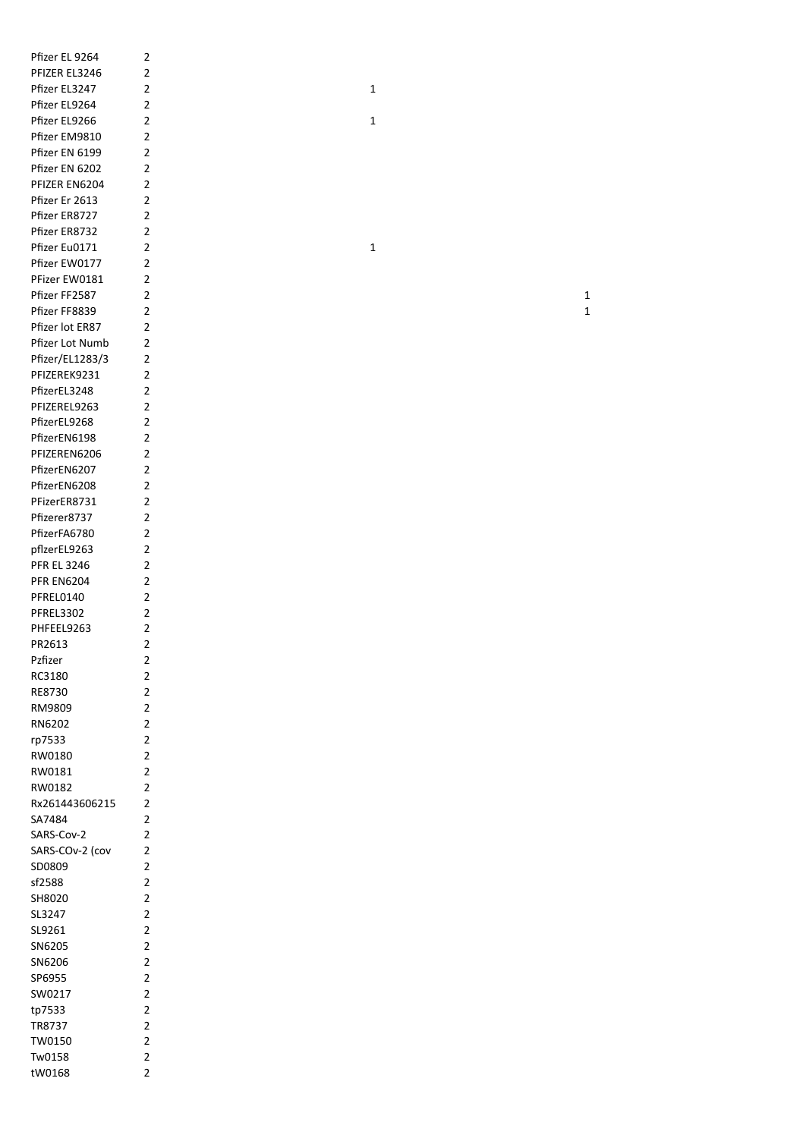| Pfizer EL 9264     | $\overline{2}$ |  |              |  |
|--------------------|----------------|--|--------------|--|
| PFIZER EL3246      | $\overline{2}$ |  |              |  |
| Pfizer EL3247      | $\overline{2}$ |  | $\mathbf 1$  |  |
| Pfizer EL9264      | $\overline{2}$ |  |              |  |
| Pfizer EL9266      | $\overline{2}$ |  | $\mathbf{1}$ |  |
| Pfizer EM9810      | $\overline{2}$ |  |              |  |
| Pfizer EN 6199     | $\overline{2}$ |  |              |  |
| Pfizer EN 6202     | $\overline{2}$ |  |              |  |
| PFIZER EN6204      | $\overline{2}$ |  |              |  |
| Pfizer Er 2613     | $\overline{2}$ |  |              |  |
| Pfizer ER8727      | $\overline{2}$ |  |              |  |
| Pfizer ER8732      | $\overline{2}$ |  |              |  |
|                    |                |  |              |  |
| Pfizer Eu0171      | $\overline{2}$ |  | $\mathbf{1}$ |  |
| Pfizer EW0177      | $\overline{2}$ |  |              |  |
| PFizer EW0181      | $\overline{2}$ |  |              |  |
| Pfizer FF2587      | $\overline{2}$ |  |              |  |
| Pfizer FF8839      | $\overline{2}$ |  |              |  |
| Pfizer lot ER87    | $\overline{2}$ |  |              |  |
| Pfizer Lot Numb    | $\overline{2}$ |  |              |  |
| Pfizer/EL1283/3    | $\overline{2}$ |  |              |  |
| PFIZEREK9231       | $\overline{2}$ |  |              |  |
| PfizerEL3248       | $\overline{2}$ |  |              |  |
| PFIZEREL9263       | $\overline{2}$ |  |              |  |
| PfizerEL9268       | $\overline{2}$ |  |              |  |
| PfizerEN6198       | $\overline{2}$ |  |              |  |
| PFIZEREN6206       | $\overline{2}$ |  |              |  |
| PfizerEN6207       | $\overline{2}$ |  |              |  |
| PfizerEN6208       | $\overline{2}$ |  |              |  |
| PFizerER8731       | $\overline{2}$ |  |              |  |
| Pfizerer8737       | $\overline{2}$ |  |              |  |
| PfizerFA6780       | $\overline{2}$ |  |              |  |
| pflzerEL9263       | $\overline{2}$ |  |              |  |
| <b>PFR EL 3246</b> | $\overline{2}$ |  |              |  |
|                    |                |  |              |  |
| <b>PFR EN6204</b>  | $\overline{2}$ |  |              |  |
| PFREL0140          | $\overline{2}$ |  |              |  |
| PFREL3302          | $\overline{2}$ |  |              |  |
| PHFEEL9263         | $\overline{2}$ |  |              |  |
| PR2613             | $\overline{2}$ |  |              |  |
| Pzfizer            | 2              |  |              |  |
| RC3180             | $\overline{2}$ |  |              |  |
| RE8730             | $\overline{2}$ |  |              |  |
| RM9809             | $\overline{2}$ |  |              |  |
| RN6202             | $\overline{2}$ |  |              |  |
| rp7533             | $\overline{2}$ |  |              |  |
| RW0180             | $\overline{2}$ |  |              |  |
| RW0181             | $\overline{2}$ |  |              |  |
| RW0182             | $\overline{2}$ |  |              |  |
| Rx261443606215     | $\overline{2}$ |  |              |  |
| SA7484             | $\overline{2}$ |  |              |  |
| SARS-Cov-2         | $\overline{2}$ |  |              |  |
| SARS-COv-2 (cov    | $\overline{2}$ |  |              |  |
| SD0809             | $\overline{2}$ |  |              |  |
| sf2588             | $\overline{2}$ |  |              |  |
| SH8020             | $\overline{2}$ |  |              |  |
| SL3247             | $\overline{2}$ |  |              |  |
| SL9261             | $\overline{2}$ |  |              |  |
| SN6205             | $\overline{2}$ |  |              |  |
|                    |                |  |              |  |
| SN6206             | $\overline{2}$ |  |              |  |
| SP6955             | $\overline{2}$ |  |              |  |
| SW0217             | $\overline{2}$ |  |              |  |
| tp7533             | $\overline{2}$ |  |              |  |
| TR8737             | $\overline{2}$ |  |              |  |
| TW0150             | $\overline{2}$ |  |              |  |
| Tw0158             | $\overline{2}$ |  |              |  |
| tW0168             | $\overline{2}$ |  |              |  |
|                    |                |  |              |  |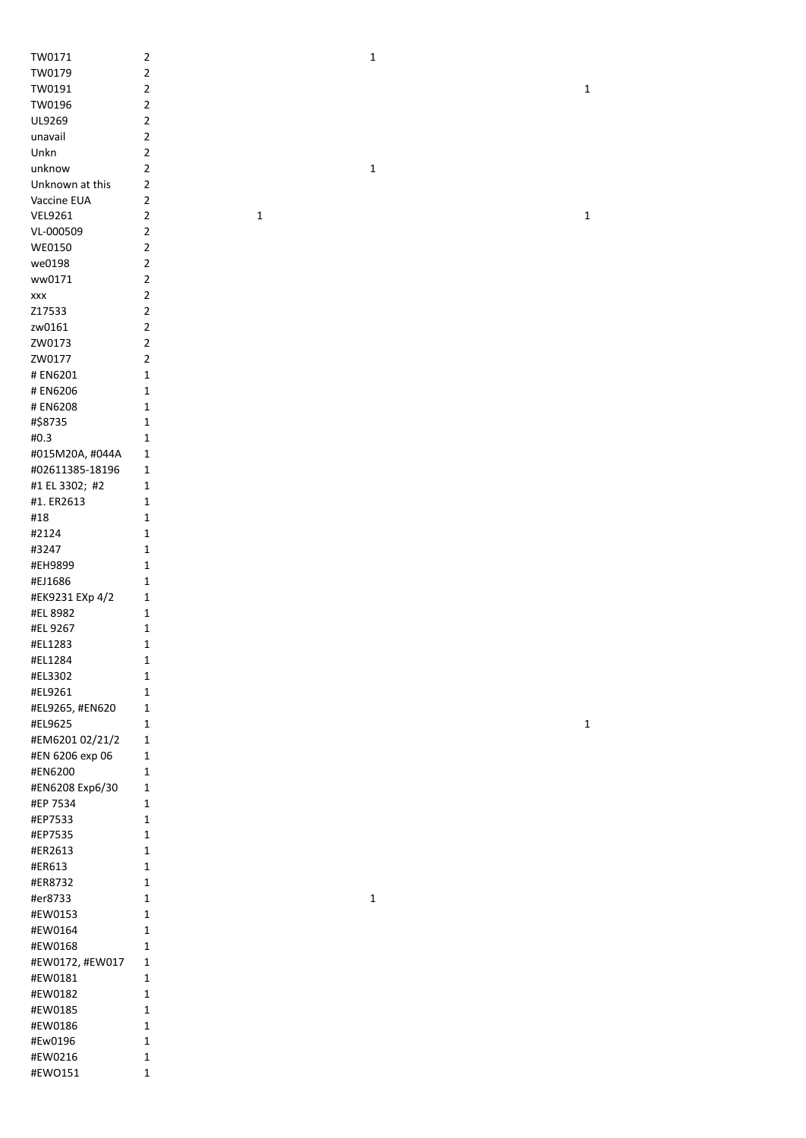| TW0171               | $\overline{2}$          |             | $\mathbf{1}$ |             |  |
|----------------------|-------------------------|-------------|--------------|-------------|--|
| TW0179               | $\overline{\mathbf{c}}$ |             |              |             |  |
| TW0191               | $\overline{\mathbf{c}}$ |             |              | $\mathbf 1$ |  |
| TW0196               | $\sqrt{2}$              |             |              |             |  |
|                      |                         |             |              |             |  |
| UL9269               | $\sqrt{2}$              |             |              |             |  |
| unavail              | $\sqrt{2}$              |             |              |             |  |
| Unkn                 | $\overline{\mathbf{c}}$ |             |              |             |  |
| unknow               | $\overline{\mathbf{c}}$ |             | $\mathbf 1$  |             |  |
| Unknown at this      | $\mathbf 2$             |             |              |             |  |
| Vaccine EUA          | $\overline{\mathbf{c}}$ |             |              |             |  |
| <b>VEL9261</b>       | $\overline{\mathbf{c}}$ | $\mathbf 1$ |              | $\mathbf 1$ |  |
| VL-000509            | $\overline{\mathbf{c}}$ |             |              |             |  |
| WE0150               | $\overline{\mathbf{c}}$ |             |              |             |  |
| we0198               | $\overline{2}$          |             |              |             |  |
|                      |                         |             |              |             |  |
| ww0171               | $\mathbf 2$             |             |              |             |  |
| $\pmb{\mathsf{XXX}}$ | $\mathbf 2$             |             |              |             |  |
| Z17533               | $\mathbf 2$             |             |              |             |  |
| zw0161               | $\mathbf 2$             |             |              |             |  |
| ZW0173               | $\mathbf 2$             |             |              |             |  |
| ZW0177               | $\overline{\mathbf{c}}$ |             |              |             |  |
| # EN6201             | 1                       |             |              |             |  |
| # EN6206             | 1                       |             |              |             |  |
| # EN6208             | 1                       |             |              |             |  |
| #\$8735              | 1                       |             |              |             |  |
| #0.3                 |                         |             |              |             |  |
|                      | 1                       |             |              |             |  |
| #015M20A, #044A      | 1                       |             |              |             |  |
| #02611385-18196      | $\mathbf{1}$            |             |              |             |  |
| #1 EL 3302; #2       | 1                       |             |              |             |  |
| #1. ER2613           | 1                       |             |              |             |  |
| #18                  | 1                       |             |              |             |  |
| #2124                | 1                       |             |              |             |  |
| #3247                | 1                       |             |              |             |  |
| #EH9899              | 1                       |             |              |             |  |
| #EJ1686              | 1                       |             |              |             |  |
| #EK9231 EXp 4/2      | 1                       |             |              |             |  |
| #EL 8982             | 1                       |             |              |             |  |
|                      |                         |             |              |             |  |
| #EL 9267             | 1                       |             |              |             |  |
| #EL1283              | 1                       |             |              |             |  |
| #EL1284              | 1                       |             |              |             |  |
| #EL3302              | 1                       |             |              |             |  |
| #EL9261              | $\mathbf 1$             |             |              |             |  |
| #EL9265, #EN620      | 1                       |             |              |             |  |
| #EL9625              | 1                       |             |              | $\mathbf 1$ |  |
| #EM6201 02/21/2      | $\mathbf 1$             |             |              |             |  |
| #EN 6206 exp 06      | 1                       |             |              |             |  |
| #EN6200              | 1                       |             |              |             |  |
| #EN6208 Exp6/30      | $\mathbf 1$             |             |              |             |  |
| #EP 7534             | 1                       |             |              |             |  |
| #EP7533              |                         |             |              |             |  |
|                      | 1                       |             |              |             |  |
| #EP7535              | 1                       |             |              |             |  |
| #ER2613              | $\mathbf{1}$            |             |              |             |  |
| #ER613               | $\mathbf{1}$            |             |              |             |  |
| #ER8732              | $\mathbf{1}$            |             |              |             |  |
| #er8733              | $\mathbf{1}$            |             | $\mathbf 1$  |             |  |
| #EW0153              | $\mathbf{1}$            |             |              |             |  |
| #EW0164              | $\mathbf 1$             |             |              |             |  |
| #EW0168              | $\mathbf{1}$            |             |              |             |  |
| #EW0172, #EW017      | $\mathbf{1}$            |             |              |             |  |
| #EW0181              | $\mathbf{1}$            |             |              |             |  |
| #EW0182              | 1                       |             |              |             |  |
|                      |                         |             |              |             |  |
| #EW0185              | 1                       |             |              |             |  |
| #EW0186              | $\mathbf 1$             |             |              |             |  |
| #Ew0196              | $\mathbf 1$             |             |              |             |  |
| #EW0216              | $\mathbf 1$             |             |              |             |  |
| #EWO151              | $\mathbf 1$             |             |              |             |  |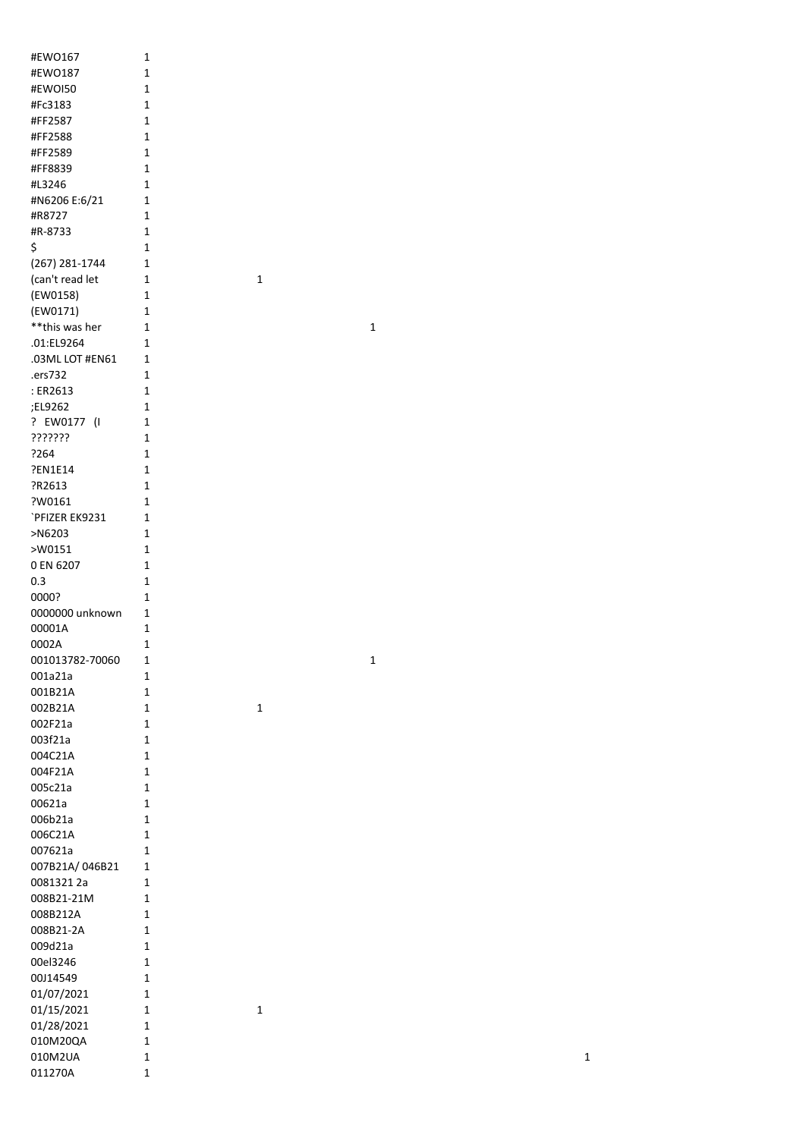| #EWO167            | 1            |
|--------------------|--------------|
| #EWO187            | 1            |
| #EWOI50            | $\mathbf{1}$ |
| #Fc3183            | 1            |
| #FF2587            | 1            |
| #FF2588            | 1            |
| #FF2589            | 1            |
| #FF8839            | $\mathbf{1}$ |
| #L3246             | $\mathbf{1}$ |
|                    | $\mathbf{1}$ |
| #N6206 E:6/21      |              |
| #R8727             | $\mathbf{1}$ |
| #R-8733            | $\mathbf{1}$ |
| \$                 | $\mathbf{1}$ |
| (267) 281-1744     | 1            |
| (can't read let    | 1            |
| (EW0158)           | $\mathbf{1}$ |
| (EW0171)           | 1            |
| **this was her     | 1            |
| .01:EL9264         | 1            |
| .03ML LOT #EN61    | $\mathbf{1}$ |
| .ers732            | $\mathbf{1}$ |
| : ER2613           | $\mathbf{1}$ |
| :EL9262            | 1            |
| ? EW0177 (I        | 1            |
|                    |              |
| ???????            | 1            |
| ?264               | 1            |
| ?EN1E14            | 1            |
| ?R2613             | 1            |
| ?W0161             | 1            |
| `PFIZER EK9231     | 1            |
| >N6203             | 1            |
| >W0151             | 1            |
| 0 EN 6207          | $\mathbf{1}$ |
| 0.3                | $\mathbf{1}$ |
| 0000?              | 1            |
| 0000000 unknown    | 1            |
| 00001A             | 1            |
| 0002A              | 1            |
| 001013782-70060    |              |
|                    | 1            |
| 001a21a            | 1            |
| 001B21A            | 1            |
| 002B21A            | 1            |
| 002F21a            | 1            |
| 003f21a            |              |
|                    | 1            |
| 004C21A            | 1            |
| 004F21A            | 1            |
| 005c21a            | 1            |
| 00621a             | 1            |
| 006b21a            | 1            |
|                    | 1            |
| 006C21A<br>007621a | 1            |
|                    | 1            |
| 007B21A/046B21     |              |
| 0081321 2a         | 1            |
| 008B21-21M         | 1            |
| 008B212A           | 1            |
| 008B21-2A          | 1            |
| 009d21a            | 1            |
| 00el3246           | 1            |
| 00J14549           | 1            |
| 01/07/2021         | 1            |
| 01/15/2021         | 1            |
| 01/28/2021         | 1            |
| 010M20QA           | 1            |
| 010M2UA            | 1            |

 $\overline{\mathbf{1}}$ 

 $\overline{\mathbf{1}}$ 

 $\overline{\mathbf{1}}$ 

 $\overline{\mathbf{1}}$ 

 $\overline{\mathbf{1}}$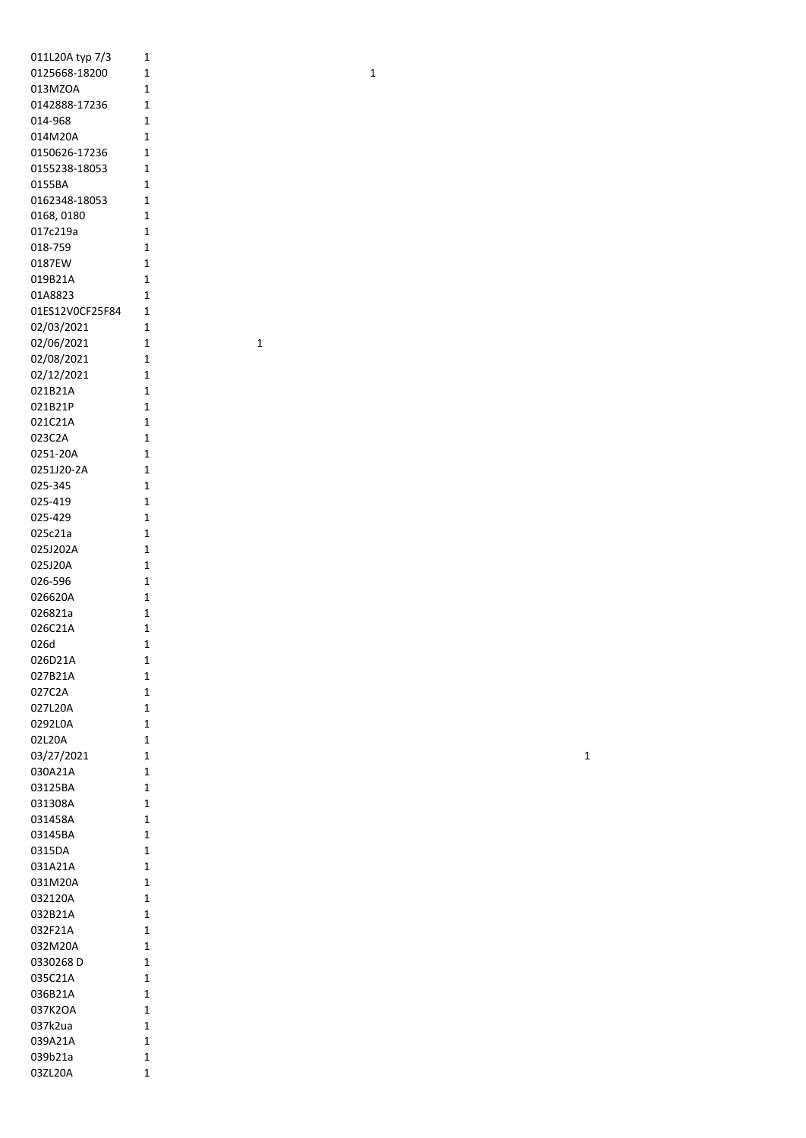| 011L20A typ 7/3   | 1              |
|-------------------|----------------|
| 0125668-18200     | 1              |
| 013MZOA           | 1              |
| 0142888-17236     | 1              |
| 014-968           | 1              |
| 014M20A           | 1              |
| 0150626-17236     | 1              |
| 0155238-18053     | 1              |
| 0155BA            | 1              |
| 0162348-18053     | 1              |
| 0168, 0180        | 1              |
| 017c219a          | 1              |
| 018-759           | 1              |
| 0187EW            | 1              |
| 019B21A           | 1              |
| 01A8823           | 1              |
| 01ES12V0CF25F84   | 1              |
| 02/03/2021        | 1              |
| 02/06/2021        | 1              |
| 02/08/2021        | 1              |
| 02/12/2021        | 1              |
| 021B21A           | 1              |
| 021B21P           | 1              |
| 021C21A           | 1              |
| 023C2A            | 1              |
| 0251-20A          | 1              |
| 0251J20-2A        | 1              |
| 025-345           | 1              |
| 025-419           | 1              |
| 025-429           | 1              |
| 025c21a           | 1              |
| 025J202A          | 1              |
| 025J20A           | 1              |
| 026-596           | 1              |
| 026620A           | 1              |
| 026821a           | 1              |
| 026C21A           | 1              |
| 026d              | 1              |
| 026D21A           | 1              |
| 027B21A           | 1              |
| 027C2A<br>027L20A | 1<br>1         |
|                   | 1              |
| 0292L0A<br>02L20A | 1              |
| 03/27/2021        | 1              |
| 030A21A           | 1              |
| 03125BA           | 1              |
| 031308A           | 1              |
| 031458A           | 1              |
| 03145BA           | 1              |
| 0315DA            | 1              |
| 031A21A           | 1              |
| 031M20A           | $\overline{1}$ |
| 032120A           | $\overline{1}$ |
| 032B21A           | $\overline{1}$ |
| 032F21A           | 1              |
| 032M20A           | 1              |
| 0330268 D         | 1              |
| 035C21A           | 1              |
| 036B21A           | 1              |
| 037K2OA           | 1              |
| 037k2ua           | 1              |
| 039A21A           | 1              |
| 039b21a           | 1              |
|                   | 1              |

 $\overline{1}$ 

 $\mathbf{1}$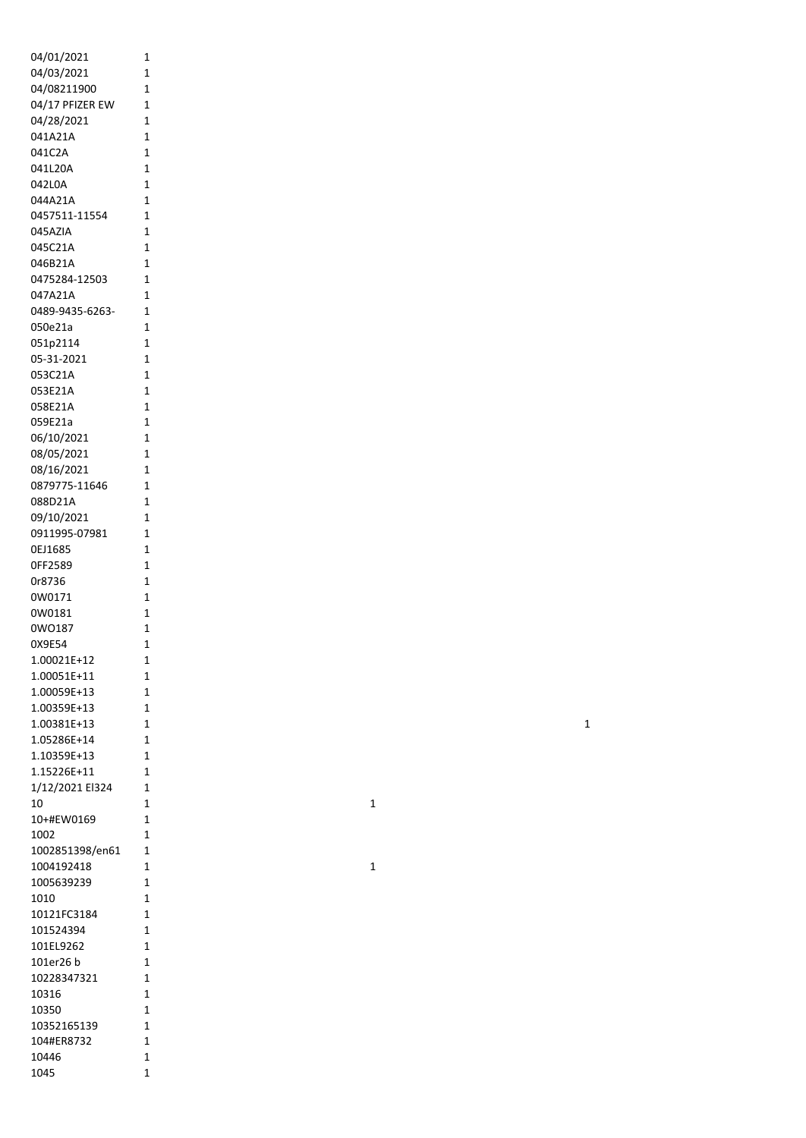| 04/01/2021           | 1              |
|----------------------|----------------|
| 04/03/2021           | 1              |
| 04/08211900          | 1              |
| 04/17 PFIZER EW      | $\overline{1}$ |
| 04/28/2021           | 1              |
| 041A21A              | 1              |
| 041C2A               | $\overline{1}$ |
| 041L20A              | 1              |
| 042L0A               | $\mathbf{1}$   |
| 044A21A              | $\overline{1}$ |
| 0457511-11554        | 1              |
| 045AZIA              | 1              |
| 045C21A              | 1              |
| 046B21A              | 1              |
| 0475284-12503        | 1              |
| 047A21A              | 1              |
| 0489-9435-6263-      | 1              |
| 050e21a              | 1              |
| 051p2114             | $\overline{1}$ |
| 05-31-2021           | 1              |
| 053C21A              | 1              |
| 053E21A              | 1              |
| 058E21A              | 1              |
| 059E21a              | 1              |
| 06/10/2021           | 1              |
| 08/05/2021           | 1              |
| 08/16/2021           | 1              |
| 0879775-11646        | 1              |
| 088D21A              | 1              |
| 09/10/2021           | 1              |
| 0911995-07981        | 1              |
| 0EJ1685              | 1              |
| OFF2589              | 1              |
| 0r8736               | 1              |
| 0W0171               | 1              |
| 0W0181               | 1              |
| 0WO187               | 1              |
| 0X9E54               | $\mathbf 1$    |
| 1.00021E+12          | 1              |
| 1.00051E+11          | 1              |
| 1.00059E+13          | 1              |
| 1.00359E+13          | 1              |
| 1.00381E+13          | 1              |
| 1.05286E+14          | 1              |
| 1.10359E+13          | 1              |
| 1.15226E+11          | 1              |
| 1/12/2021 El324      | 1              |
| 10                   | 1              |
| 10+#EW0169           | 1              |
| 1002                 | 1              |
| 1002851398/en61      | 1              |
| 1004192418           | 1              |
| 1005639239           | 1              |
| 1010                 | 1              |
|                      |                |
| 10121FC3184          | 1              |
| 101524394            | 1              |
| 101EL9262            | 1              |
| 101er26 b            | 1              |
| 10228347321          | 1              |
| 10316                | 1              |
|                      | 1              |
| 10350<br>10352165139 | 1              |
| 104#ER8732           | 1              |
| 10446                | 1              |

 $\mathbf{1}$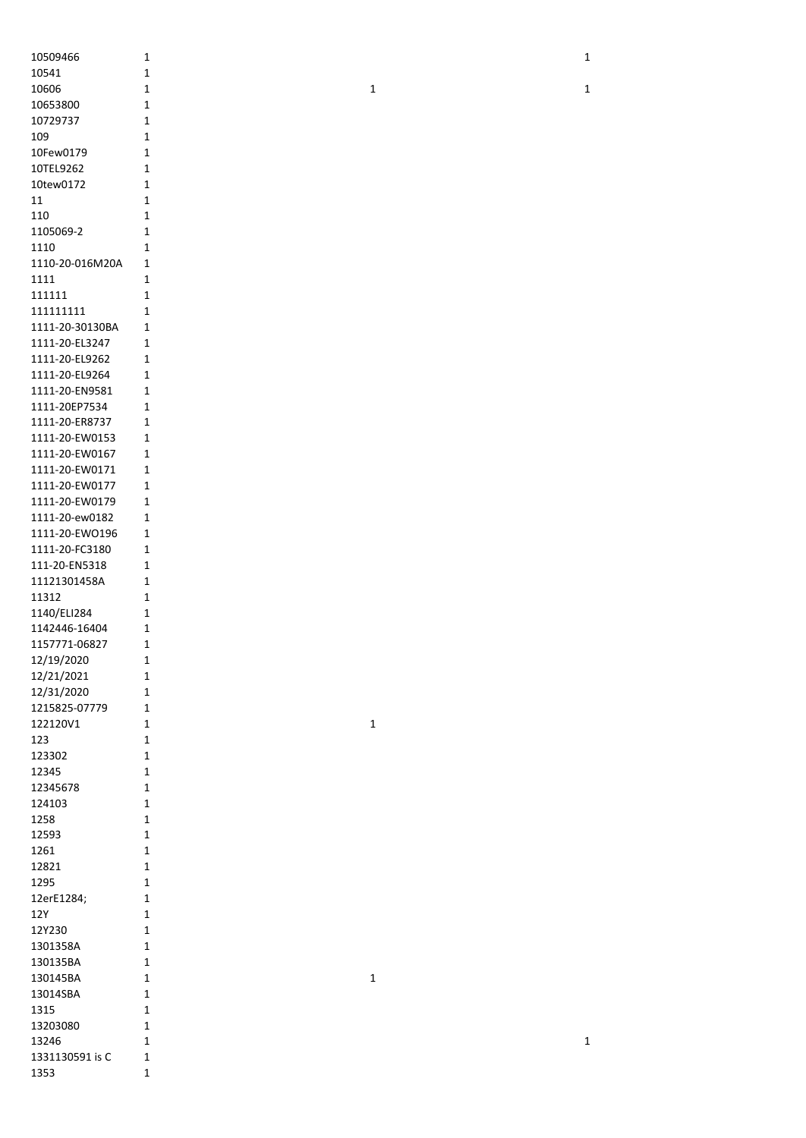|                         | $\mathbf 1$                |             | $\mathbf 1$ |  |
|-------------------------|----------------------------|-------------|-------------|--|
| 10541                   | $\mathbf 1$                |             |             |  |
| 10606                   | $\mathbf 1$                | $\mathbf 1$ | $\mathbf 1$ |  |
| 10653800                | $\mathbf 1$                |             |             |  |
| 10729737                | $\mathbf 1$                |             |             |  |
| 109                     | $\mathbf 1$                |             |             |  |
| 10Few0179               | $\mathbf 1$                |             |             |  |
| 10TEL9262               | $\mathbf 1$                |             |             |  |
| 10tew0172               | $\mathbf{1}$               |             |             |  |
| 11                      | $\mathbf 1$                |             |             |  |
| 110                     | $\mathbf 1$                |             |             |  |
| 1105069-2               | $\mathbf 1$                |             |             |  |
| 1110                    | $\mathbf 1$                |             |             |  |
| 1110-20-016M20A         | $\mathbf{1}$               |             |             |  |
| 1111                    | $\mathbf 1$                |             |             |  |
| 111111                  | $\mathbf 1$                |             |             |  |
| 111111111               | $\mathbf{1}$               |             |             |  |
| 1111-20-30130BA         | $\mathbf 1$                |             |             |  |
| 1111-20-EL3247          | $\mathbf{1}$               |             |             |  |
| 1111-20-EL9262          | $\mathbf 1$                |             |             |  |
| 1111-20-EL9264          | $\mathbf 1$                |             |             |  |
| 1111-20-EN9581          | $\mathbf 1$                |             |             |  |
| 1111-20EP7534           | $\mathbf 1$                |             |             |  |
| 1111-20-ER8737          | $\mathbf 1$                |             |             |  |
| 1111-20-EW0153          | $\mathbf 1$                |             |             |  |
| 1111-20-EW0167          | $\mathbf 1$                |             |             |  |
| 1111-20-EW0171          | $\mathbf{1}$               |             |             |  |
| 1111-20-EW0177          | $\mathbf{1}$               |             |             |  |
| 1111-20-EW0179          | $\mathbf{1}$               |             |             |  |
| 1111-20-ew0182          | $\mathbf 1$                |             |             |  |
| 1111-20-EWO196          | $\mathbf{1}$               |             |             |  |
| 1111-20-FC3180          | $\mathbf{1}$               |             |             |  |
| 111-20-EN5318           | 1                          |             |             |  |
| 11121301458A            | 1                          |             |             |  |
| 11312                   | $\mathbf 1$                |             |             |  |
| 1140/ELI284             | $\mathbf 1$                |             |             |  |
| 1142446-16404           | $\mathbf 1$                |             |             |  |
| 1157771-06827           | $\mathbf{1}$               |             |             |  |
| 12/19/2020              | 1                          |             |             |  |
| 12/21/2021              | $\mathbf 1$                |             |             |  |
| 12/31/2020              | $\mathbf 1$                |             |             |  |
| 1215825-07779           | $\mathbf 1$                |             |             |  |
| 122120V1                |                            |             |             |  |
|                         | $\mathbf 1$                | $\mathbf 1$ |             |  |
| 123                     | $\mathbf 1$                |             |             |  |
| 123302                  | $\mathbf 1$                |             |             |  |
| 12345                   | $\mathbf 1$                |             |             |  |
| 12345678                | $\mathbf 1$                |             |             |  |
| 124103                  | $\mathbf 1$                |             |             |  |
| 1258                    | $\mathbf 1$                |             |             |  |
| 12593                   | $\mathbf 1$                |             |             |  |
| 1261                    | $\mathbf 1$                |             |             |  |
| 12821                   | $\mathbf 1$                |             |             |  |
| 1295                    | $\mathbf 1$                |             |             |  |
| 12erE1284;              | $\mathbf 1$                |             |             |  |
| 12Y                     | $\mathbf 1$                |             |             |  |
| 12Y230                  | $\mathbf 1$                |             |             |  |
| 1301358A                | $\mathbf 1$                |             |             |  |
| 130135BA                | $\mathbf{1}$               |             |             |  |
| 130145BA                | $\mathbf 1$                | $\mathbf 1$ |             |  |
| 13014SBA                | $\mathbf 1$                |             |             |  |
| 1315                    | $\mathbf 1$                |             |             |  |
| 13203080                | $\mathbf 1$                |             |             |  |
| 13246                   | $\mathbf 1$                |             | $\mathbf 1$ |  |
| 1331130591 is C<br>1353 | $\mathbf 1$<br>$\mathbf 1$ |             |             |  |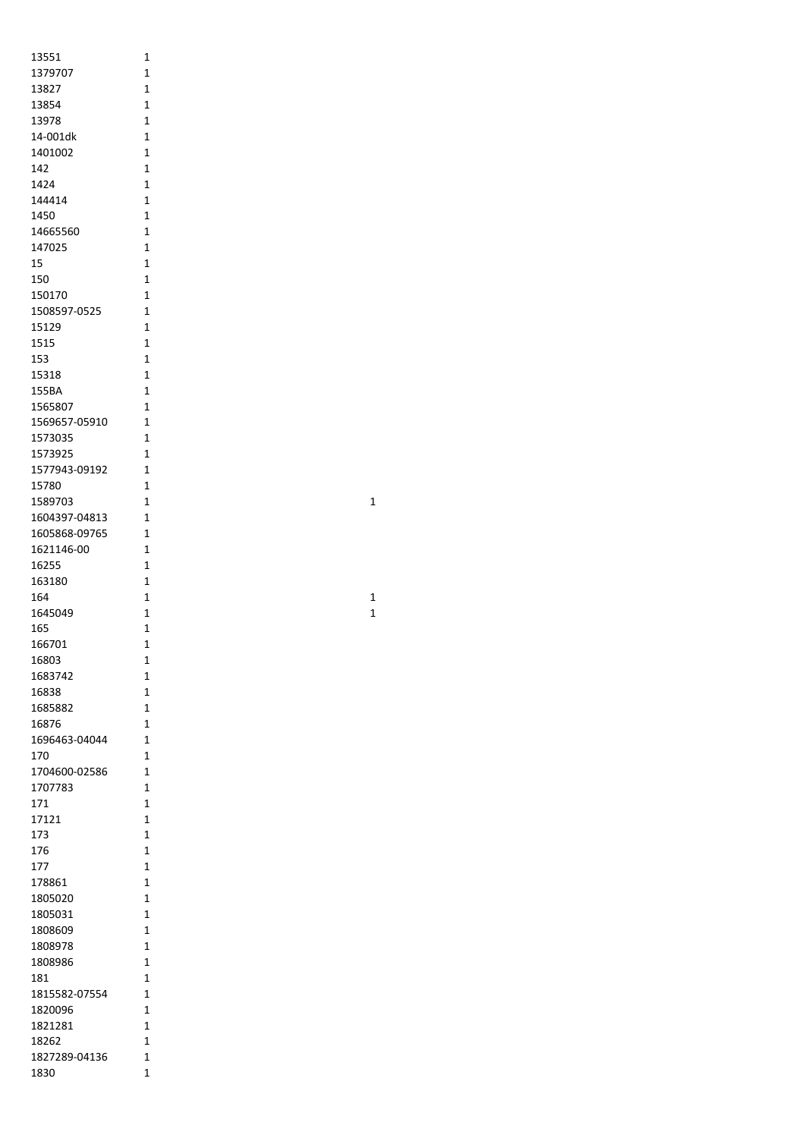| 13551                    | 1                                |
|--------------------------|----------------------------------|
| 1379707                  | 1                                |
| 13827<br>13854           | 1<br>1                           |
| 13978                    | $\overline{1}$                   |
| 14-001dk                 | 1                                |
| 1401002                  | 1                                |
| 142                      | 1                                |
| 1424                     | 1                                |
| 144414                   | $\mathbf{1}$                     |
| 1450<br>14665560         | 1<br>1                           |
| 147025                   | 1                                |
| 15                       | 1                                |
| 150                      | 1                                |
| 150170                   | 1                                |
| 1508597-0525             | 1                                |
| 15129                    | 1                                |
| 1515<br>153              | 1<br>1                           |
| 15318                    | 1                                |
| 155BA                    | $\overline{1}$                   |
| 1565807                  | $\overline{1}$                   |
| 1569657-05910            | 1                                |
| 1573035                  | 1                                |
| 1573925                  | 1                                |
| 1577943-09192            | 1                                |
| 15780<br>1589703         | 1<br>1                           |
| 1604397-04813            | 1                                |
| 1605868-09765            | 1                                |
| 1621146-00               | 1                                |
| 16255                    | 1                                |
| 163180                   | $\overline{1}$                   |
| 164                      | $\overline{1}$                   |
| 1645049                  | 1                                |
| 165                      | 1                                |
| 166701<br>16803          | 1<br>1                           |
| 1683742                  | 1                                |
| 16838                    | 1                                |
| 1685882                  | $\overline{1}$                   |
| 16876                    | 1                                |
| 1696463-04044            | 1                                |
| 170                      | 1                                |
| 1704600-02586<br>1707783 | 1<br>1                           |
| 171                      | 1                                |
| 17121                    | $\overline{1}$                   |
| 173                      | 1                                |
| 176                      | 1                                |
| 177                      | $\overline{1}$                   |
| 178861                   | 1                                |
| 1805020                  | 1                                |
| 1805031                  | $\overline{1}$<br>$\overline{1}$ |
| 1808609<br>1808978       | 1                                |
| 1808986                  | 1                                |
| 181                      | 1                                |
| 1815582-07554            | 1                                |
| 1820096                  | 1                                |
| 1821281                  | 1                                |
| 18262                    | 1                                |
| 1827289-04136            | 1                                |
| 1830                     | $\overline{1}$                   |

1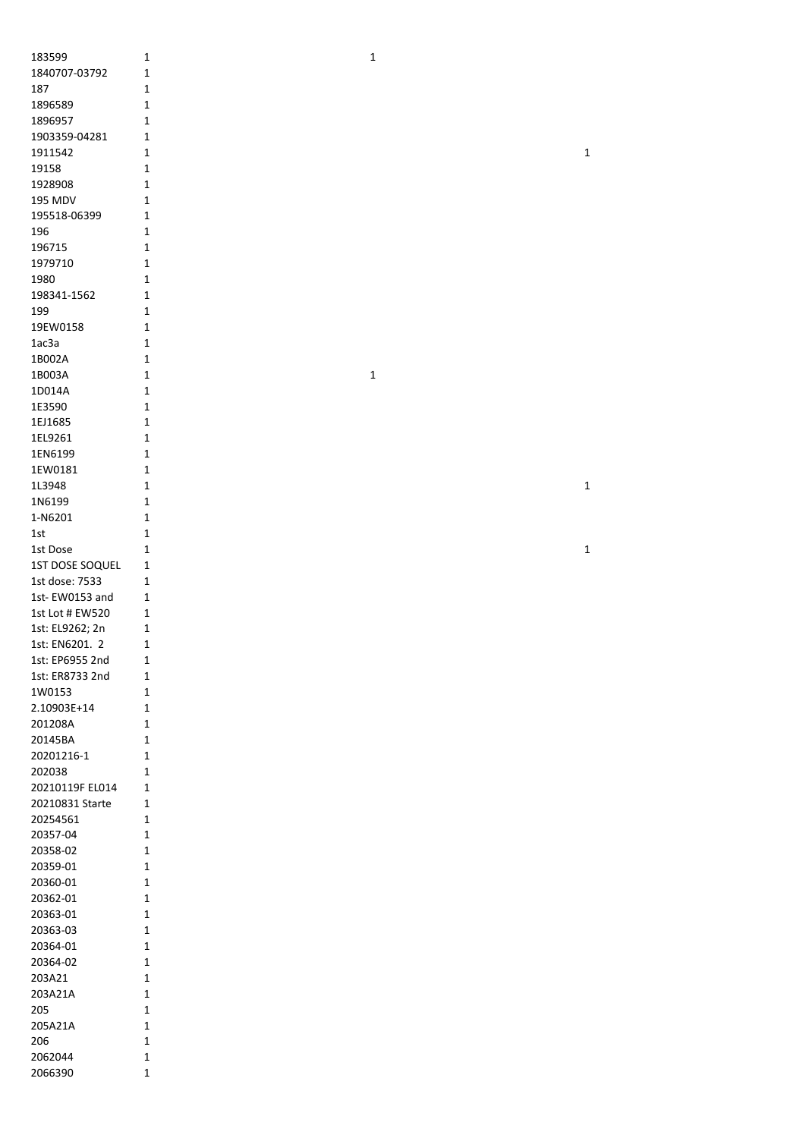| 183599               | $\mathbf 1$                | 1           |             |
|----------------------|----------------------------|-------------|-------------|
| 1840707-03792        | $\mathbf 1$                |             |             |
| 187                  | $\mathbf 1$                |             |             |
| 1896589              | $\mathbf 1$                |             |             |
| 1896957              | 1                          |             |             |
| 1903359-04281        | 1                          |             |             |
| 1911542              | 1                          |             | $\mathbf 1$ |
| 19158                | 1                          |             |             |
| 1928908              | 1                          |             |             |
| 195 MDV              | $\mathbf{1}$               |             |             |
| 195518-06399         | 1                          |             |             |
| 196                  | $\mathbf 1$                |             |             |
| 196715               | 1                          |             |             |
| 1979710              | 1                          |             |             |
| 1980                 | $\mathbf 1$                |             |             |
| 198341-1562          | 1                          |             |             |
| 199                  | $\mathbf{1}$               |             |             |
| 19EW0158             | 1                          |             |             |
| 1ac3a                | 1                          |             |             |
| 1B002A               | 1                          |             |             |
| 1B003A               | $\mathbf{1}$               | $\mathbf 1$ |             |
| 1D014A               | 1                          |             |             |
| 1E3590               | $\mathbf{1}$               |             |             |
| 1EJ1685              | $\mathbf 1$                |             |             |
| 1EL9261              | $\mathbf 1$                |             |             |
| 1EN6199              | 1                          |             |             |
| 1EW0181              | $\mathbf 1$                |             |             |
| 1L3948               | $\mathbf 1$                |             | $\mathbf 1$ |
| 1N6199               | $\mathbf 1$                |             |             |
| 1-N6201              | 1                          |             |             |
| $1st$                | 1                          |             |             |
| 1st Dose             | $\mathbf 1$                |             | $\mathbf 1$ |
| 1ST DOSE SOQUEL      | 1                          |             |             |
| 1st dose: 7533       | 1                          |             |             |
| 1st-EW0153 and       | 1                          |             |             |
|                      |                            |             |             |
| 1st Lot # EW520      | 1                          |             |             |
| 1st: EL9262; 2n      | 1                          |             |             |
| 1st: EN6201. 2       | 1                          |             |             |
| 1st: EP6955 2nd      | $\mathbf 1$                |             |             |
| 1st: ER8733 2nd      | $\mathbf 1$                |             |             |
| 1W0153               | $\mathbf 1$                |             |             |
| 2.10903E+14          | $\mathbf{1}$               |             |             |
| 201208A              | 1                          |             |             |
| 20145BA              | 1                          |             |             |
| 20201216-1           | $\mathbf 1$                |             |             |
| 202038               | $\mathbf 1$                |             |             |
| 20210119F EL014      | $\mathbf 1$                |             |             |
| 20210831 Starte      | 1                          |             |             |
| 20254561             | 1                          |             |             |
| 20357-04             | $\mathbf 1$                |             |             |
| 20358-02             | $\mathbf 1$                |             |             |
| 20359-01             | $\mathbf 1$                |             |             |
| 20360-01             | $\mathbf 1$<br>$\mathbf 1$ |             |             |
| 20362-01             | 1                          |             |             |
| 20363-01<br>20363-03 | 1                          |             |             |
| 20364-01             | $\mathbf 1$                |             |             |
| 20364-02             | $\mathbf 1$                |             |             |
| 203A21               | $\mathbf 1$                |             |             |
| 203A21A              | $\mathbf{1}$               |             |             |
| 205                  | $\mathbf{1}$               |             |             |
| 205A21A              | $\mathbf{1}$               |             |             |
| 206                  | $\mathbf{1}$               |             |             |
| 2062044              | 1                          |             |             |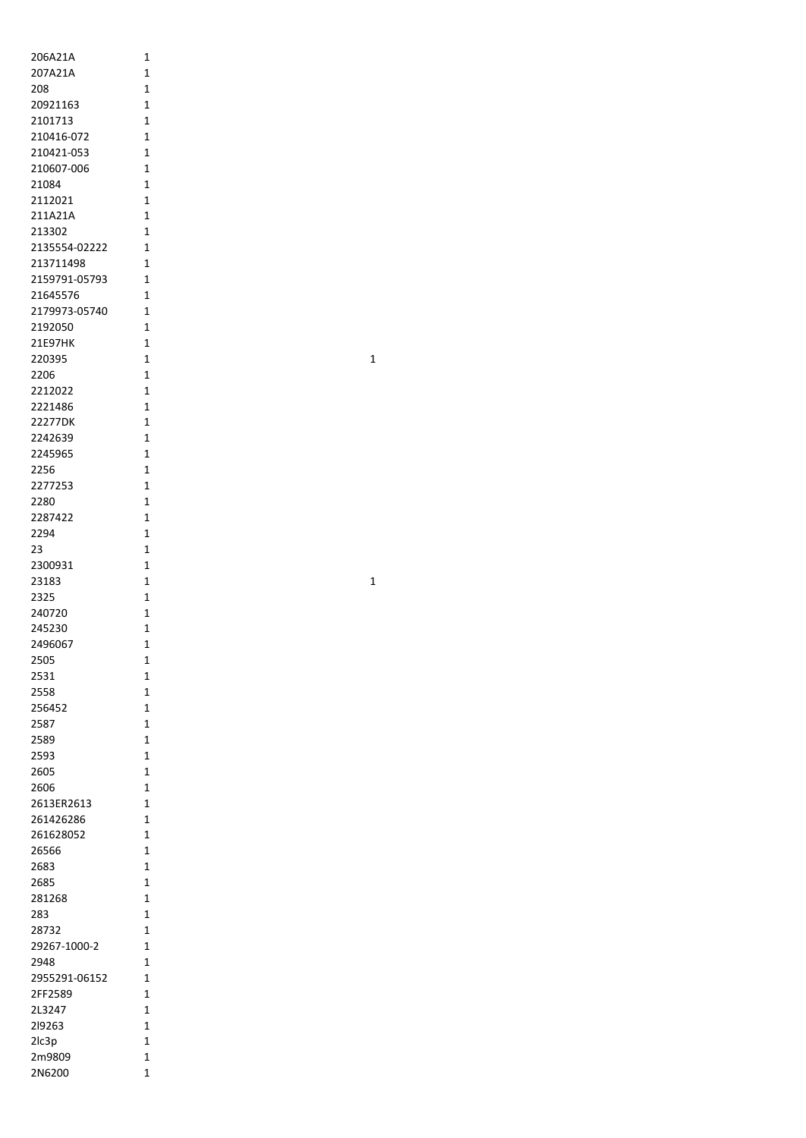| 206A21A               | 1                   |
|-----------------------|---------------------|
| 207A21A               | 1                   |
| 208<br>20921163       | 1<br>1              |
| 2101713               | 1                   |
| 210416-072            | 1                   |
| 210421-053            | 1                   |
| 210607-006            | 1                   |
| 21084                 | 1                   |
| 2112021<br>211A21A    | 1<br>1              |
| 213302                | 1                   |
| 2135554-02222         | 1                   |
| 213711498             | 1                   |
| 2159791-05793         | 1                   |
| 21645576              | 1                   |
| 2179973-05740         | 1                   |
| 2192050<br>21E97HK    | 1<br>1              |
| 220395                | $\overline{1}$      |
| 2206                  | 1                   |
| 2212022               | 1                   |
| 2221486               | 1                   |
| 22277DK               | $\overline{1}$      |
| 2242639               | 1                   |
| 2245965               | 1                   |
| 2256<br>2277253       | 1<br>1              |
| 2280                  | 1                   |
| 2287422               | 1                   |
| 2294                  | 1                   |
| 23                    | 1                   |
| 2300931               | 1                   |
| 23183                 | 1                   |
| 2325                  | $\mathbf{1}$        |
| 240720                | 1                   |
| 245230                | $\overline{1}$      |
| 2496067<br>2505       | 1<br>1              |
| 2531                  | 1                   |
| 2558                  | $\overline{1}$      |
| 256452                | 1                   |
| 2587                  | 1                   |
| 2589                  | 1                   |
| 2593                  | $\overline{1}$      |
| 2605                  | 1<br>$\overline{1}$ |
| 2606<br>2613ER2613    | 1                   |
| 261426286             | 1                   |
| 261628052             | 1                   |
| 26566                 | 1                   |
| 2683                  | 1                   |
| 2685                  | 1                   |
| 281268                | 1                   |
| 283                   | 1                   |
| 28732<br>29267-1000-2 | 1<br>1              |
| 2948                  | 1                   |
| 2955291-06152         | 1                   |
| 2FF2589               | 1                   |
| 2L3247                | 1                   |
| 219263                | 1                   |
| 2lc3p                 | 1                   |
| 2m9809                | 1                   |
| 2N6200                | 1                   |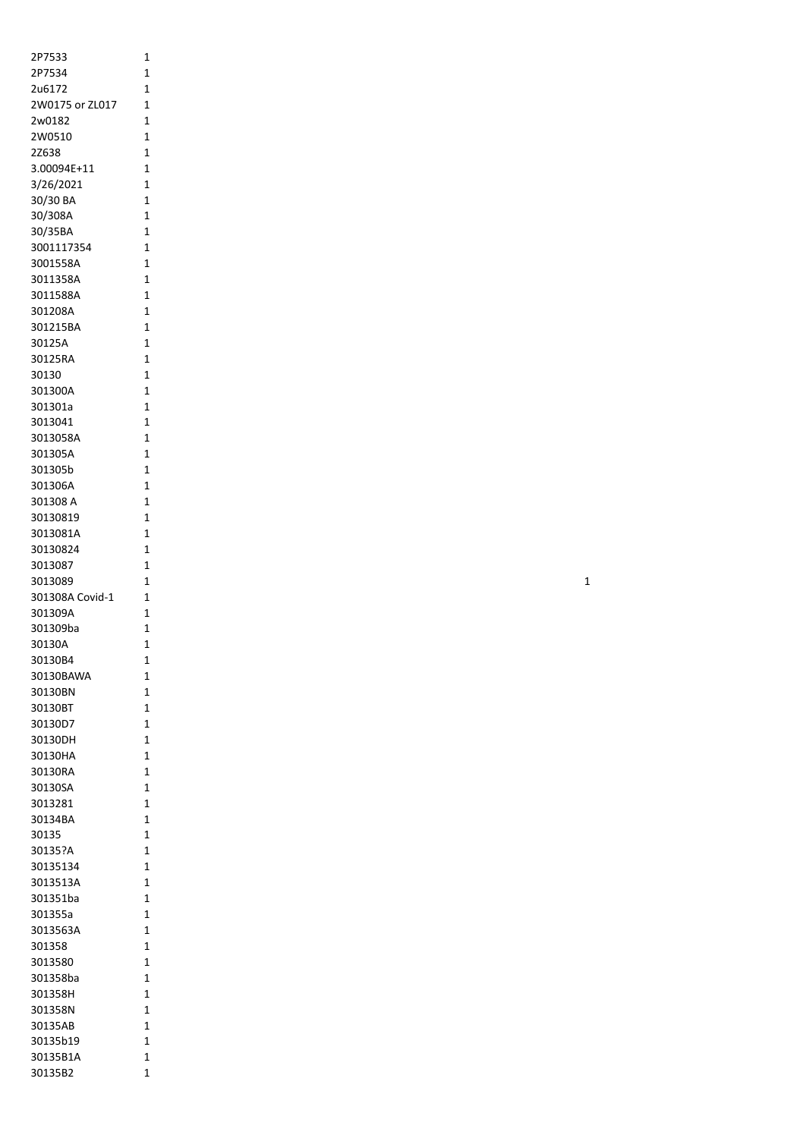| 2P7533          | 1              |
|-----------------|----------------|
| 2P7534          | 1              |
| 2u6172          | 1              |
| 2W0175 or ZL017 | 1              |
| 2w0182          | 1              |
| 2W0510          | 1              |
| 2Z638           | 1              |
| 3.00094E+11     | 1              |
| 3/26/2021       | 1              |
| 30/30 BA        | 1              |
| 30/308A         | 1              |
| 30/35BA         | 1              |
| 3001117354      | $\overline{1}$ |
| 3001558A        | $\overline{1}$ |
| 3011358A        | 1              |
| 3011588A        | 1              |
| 301208A         | 1              |
| 301215BA        | 1              |
| 30125A          | 1              |
| 30125RA         | 1              |
| 30130           | 1              |
| 301300A         | 1              |
| 301301a         | 1              |
| 3013041         | 1              |
| 3013058A        | 1              |
| 301305A         | 1              |
| 301305b         | 1              |
| 301306A         | 1              |
| 301308 A        | 1              |
| 30130819        | 1              |
| 3013081A        | 1              |
| 30130824        | 1              |
| 3013087         | 1              |
| 3013089         | 1              |
| 301308A Covid-1 | 1              |
| 301309A         | 1              |
| 301309ba        | 1              |
| 30130A          | 1              |
| 30130B4         | 1              |
| 30130BAWA       | 1              |
| 30130BN         | 1              |
| 30130BT         | 1              |
| 30130D7         | 1              |
| 30130DH         | 1              |
| 30130HA         | 1              |
| 30130RA         | 1              |
| 30130SA         | 1              |
| 3013281         | 1              |
| 30134BA         | 1              |
| 30135           | 1              |
| 30135?A         | 1              |
| 30135134        | 1              |
| 3013513A        | 1              |
| 301351ba        | 1              |
| 301355a         | 1              |
| 3013563A        | 1              |
| 301358          | 1              |
| 3013580         | 1              |
| 301358ba        | 1              |
| 301358H         | 1              |
| 301358N         | 1              |
| 30135AB         | 1              |
| 30135b19        | 1              |
| 30135B1A        | 1              |
| 30135B2         | 1              |
|                 |                |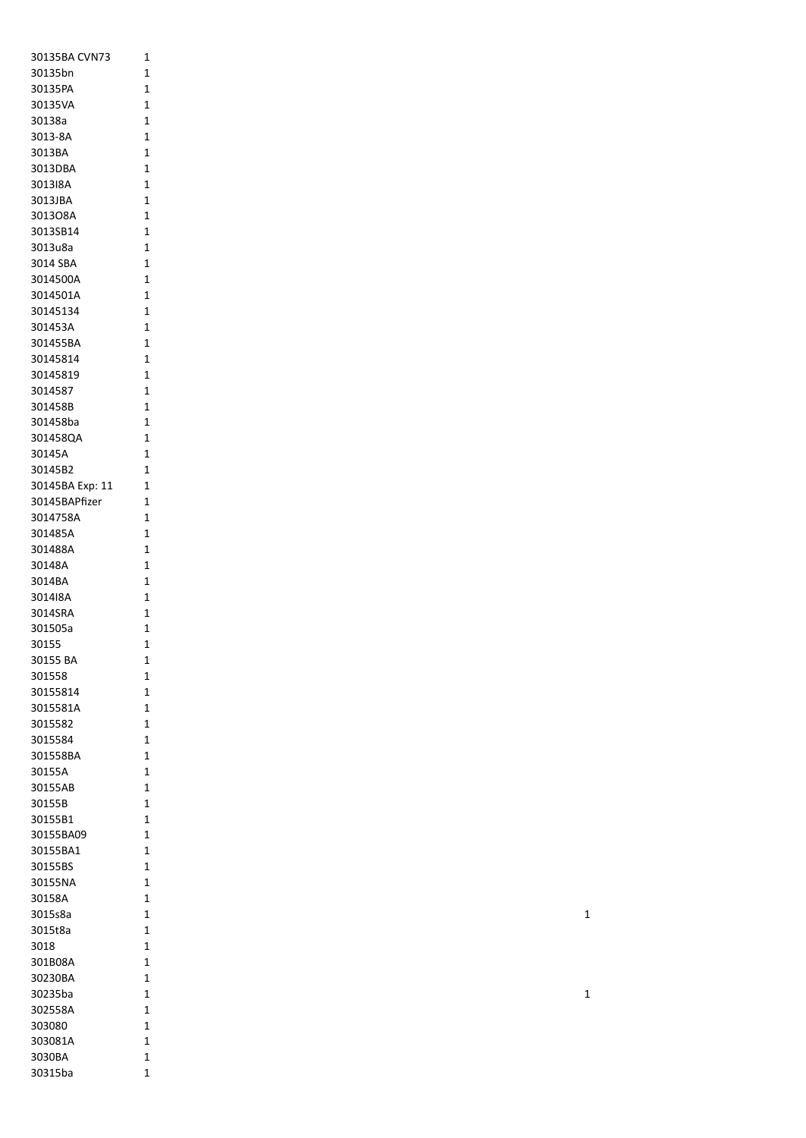| 30135BA CVN73   | 1            |
|-----------------|--------------|
| 30135bn         | 1            |
| 30135PA         | 1            |
| 30135VA         | 1            |
|                 |              |
| 30138a          | 1            |
| 3013-8A         | 1            |
| 3013BA          | 1            |
| 3013DBA         | 1            |
| 3013I8A         | 1            |
| 3013JBA         | 1            |
| 3013O8A         | 1            |
| 3013SB14        | 1            |
| 3013u8a         | 1            |
| 3014 SBA        | 1            |
| 3014500A        | 1            |
| 3014501A        | 1            |
| 30145134        | 1            |
| 301453A         | 1            |
|                 |              |
| 301455BA        | 1            |
| 30145814        | 1            |
| 30145819        | 1            |
| 3014587         | 1            |
| 301458B         | 1            |
| 301458ba        | 1            |
| 301458QA        | 1            |
| 30145A          | 1            |
| 30145B2         | 1            |
| 30145BA Exp: 11 | 1            |
| 30145BAPfizer   | 1            |
| 3014758A        | 1            |
|                 |              |
| 301485A         | 1            |
| 301488A         | 1            |
| 30148A          | 1            |
| 3014BA          | 1            |
| 3014I8A         | 1            |
| 3014SRA         | 1            |
| 301505a         | 1            |
| 30155           | 1            |
| 30155 BA        | 1            |
| 301558          | 1            |
| 30155814        | 1            |
| 3015581A        | 1            |
| 3015582         | 1            |
| 3015584         | 1            |
| 301558BA        | 1            |
|                 |              |
| 30155A          | 1            |
| 30155AB         | $\mathbf{1}$ |
| 30155B          | 1            |
| 30155B1         | 1            |
| 30155BA09       | 1            |
| 30155BA1        | 1            |
| 30155BS         | 1            |
| 30155NA         | 1            |
| 30158A          | 1            |
| 3015s8a         | 1            |
| 3015t8a         | 1            |
| 3018            | 1            |
| 301B08A         | 1            |
|                 |              |
| 30230BA         | 1            |
| 30235ba         | 1            |
| 302558A         | 1            |
| 303080          | 1            |
| 303081A         | 1            |
| 3030BA          | 1            |
| 30315ba         | $\mathbf 1$  |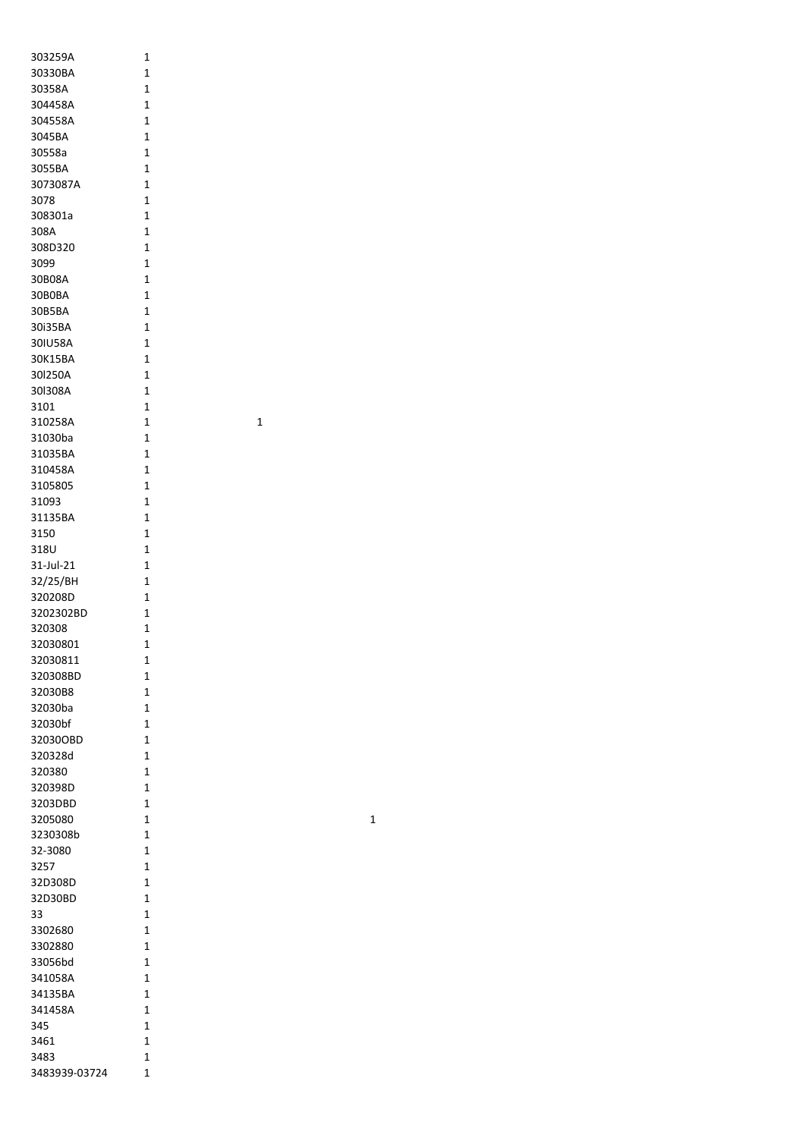| 303259A              | 1              |
|----------------------|----------------|
| 30330BA              | 1              |
| 30358A               | 1              |
| 304458A              | 1              |
| 304558A              | 1              |
| 3045BA               | 1              |
| 30558a               | $\overline{1}$ |
| 3055BA               | 1              |
| 3073087A             | 1              |
| 3078                 | 1              |
| 308301a              | 1              |
| 308A                 | 1              |
| 308D320              | 1              |
| 3099                 | 1              |
| 30B08A               | 1              |
| 30B0BA               | 1              |
| 30B5BA               | $\overline{1}$ |
| 30i35BA              | 1              |
| 30IU58A              | 1              |
| 30K15BA              | 1              |
| 30l250A              | 1              |
| 30I308A              | 1              |
| 3101                 | $\overline{1}$ |
| 310258A              | $\overline{1}$ |
| 31030ba              | $\overline{1}$ |
| 31035BA              | 1              |
| 310458A              | 1              |
| 3105805              | 1              |
| 31093                | 1              |
| 31135BA              | $\overline{1}$ |
| 3150                 | $\overline{1}$ |
| 318U                 | 1              |
|                      | 1              |
| 31-Jul-21            |                |
| 32/25/BH             | 1<br>1         |
| 320208D<br>3202302BD | 1              |
|                      | 1              |
| 320308<br>32030801   | 1              |
|                      |                |
| 32030811             | 1              |
| 320308BD             | 1<br>1         |
| 32030B8<br>32030ba   | $\overline{1}$ |
|                      | 1              |
| 32030bf              | 1              |
| 32030OBD<br>320328d  | $\overline{1}$ |
|                      | 1              |
| 320380<br>320398D    | $\overline{1}$ |
| 3203DBD              |                |
|                      | 1              |
| 3205080              | 1              |
| 3230308b             | 1              |
| 32-3080              | 1              |
| 3257                 | 1              |
| 32D308D              | 1              |
| 32D30BD              | $\overline{1}$ |
| 33                   | $\overline{1}$ |
| 3302680              | 1              |
| 3302880              | 1              |
| 33056bd              | 1              |
| 341058A              | 1              |
| 34135BA              | 1              |
| 341458A              | 1              |
| 345                  | 1              |
| 3461                 | 1              |
| 3483                 | 1              |
| 3483939-03724        | 1              |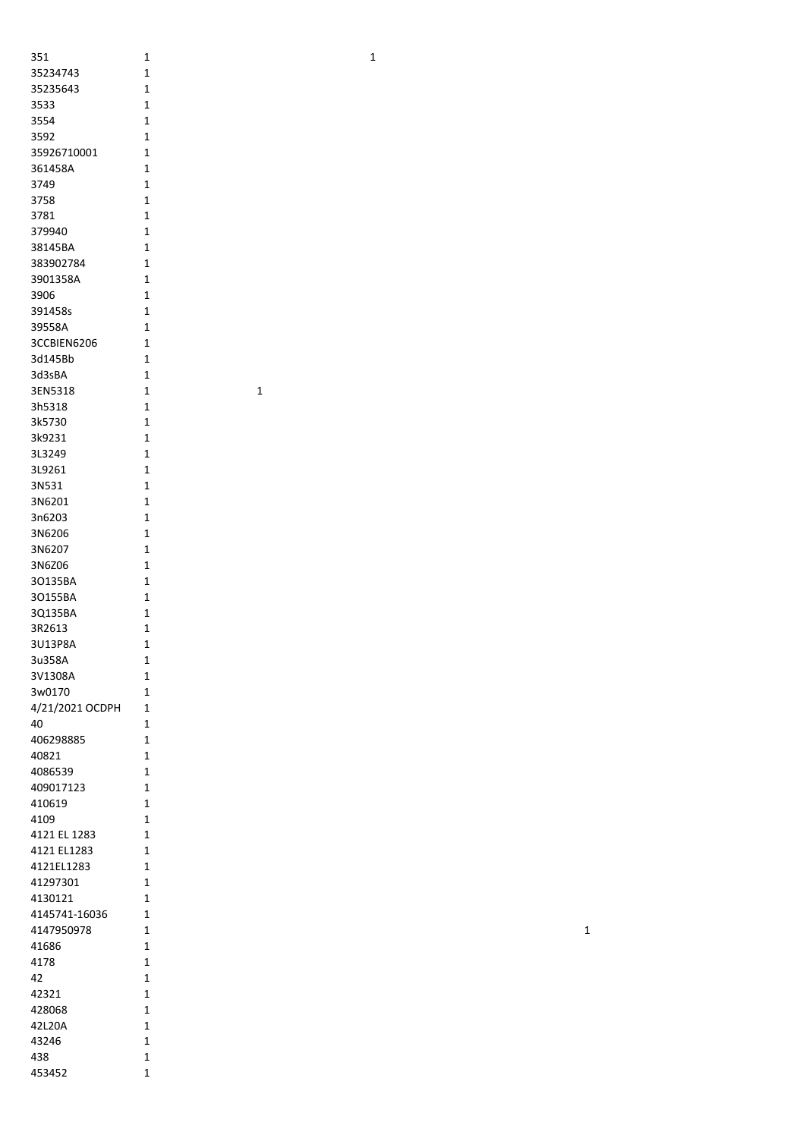| 351             | 1              |
|-----------------|----------------|
| 35234743        | 1              |
| 35235643        | 1              |
| 3533            | 1              |
| 3554            | 1              |
| 3592            | 1              |
| 35926710001     | 1              |
| 361458A         | 1              |
| 3749            | 1              |
| 3758            | 1              |
| 3781            | 1              |
| 379940          | 1              |
| 38145BA         | 1              |
| 383902784       | 1              |
| 3901358A        | 1              |
| 3906            | 1              |
| 391458s         | 1              |
| 39558A          | 1              |
| 3CCBIEN6206     | 1              |
| 3d145Bb         | 1              |
| 3d3sBA          | 1              |
| 3EN5318         | 1              |
| 3h5318          | 1              |
| 3k5730          | 1              |
| 3k9231          | 1              |
| 3L3249          | 1              |
| 3L9261          | 1              |
| 3N531           | $\overline{1}$ |
| 3N6201          | 1              |
| 3n6203          | 1              |
| 3N6206          | 1              |
|                 |                |
| 3N6207          | 1<br>1         |
| 3N6Z06          |                |
| 3O135BA         | 1              |
| 30155BA         | 1              |
| 3Q135BA         | 1              |
| 3R2613          | 1              |
| 3U13P8A         | $\overline{1}$ |
| 3u358A          | $\overline{1}$ |
| 3V1308A         | 1              |
| 3w0170          | 1              |
| 4/21/2021 OCDPH | 1              |
| 40              | 1              |
| 406298885       | 1              |
| 40821           | 1              |
| 4086539         | 1              |
| 409017123       | 1              |
| 410619          | 1              |
| 4109            | 1              |
| 4121 EL 1283    | 1              |
| 4121 EL1283     | 1              |
| 4121EL1283      | 1              |
| 41297301        | 1              |
| 4130121         | 1              |
| 4145741-16036   | 1              |
| 4147950978      | 1              |
| 41686           | 1              |
| 4178            | 1              |
| 42              | 1              |
| 42321           | 1              |
| 428068          | 1              |
| 42L20A          | 1              |
| 43246           | 1              |
| 438             | 1              |
| 453452          | 1              |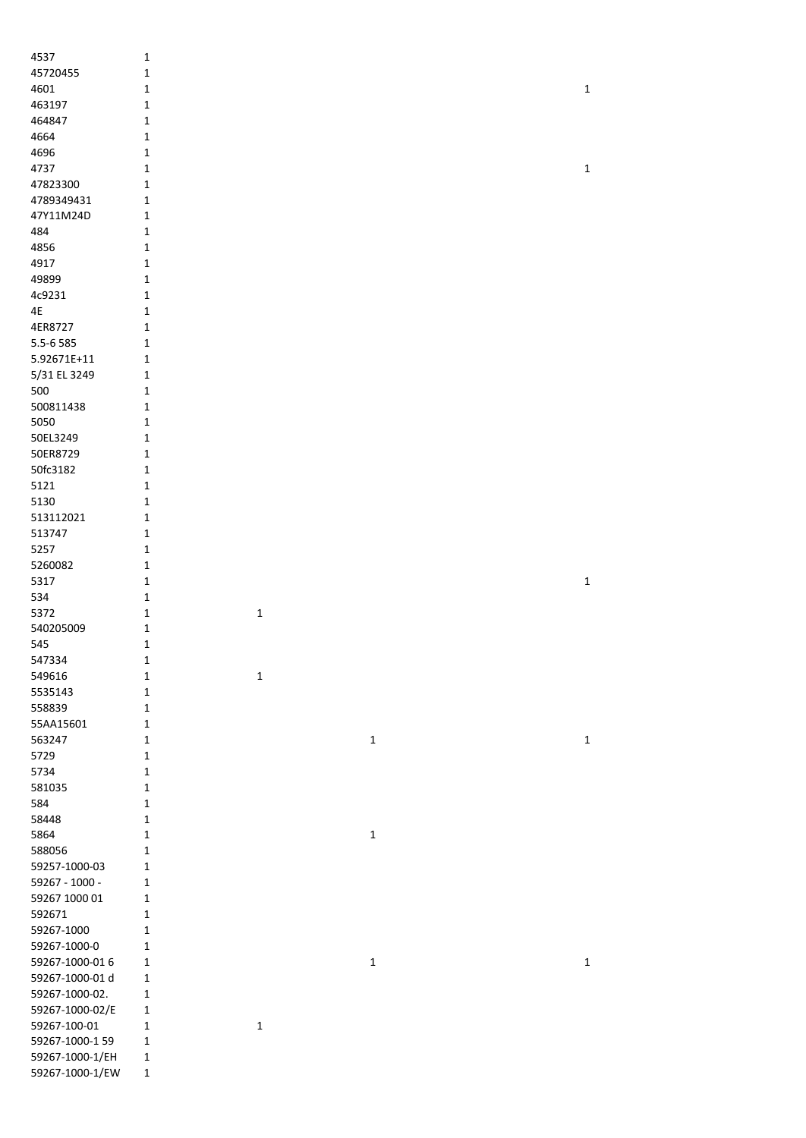| 4537                               | $\mathbf 1$      |             |             |             |
|------------------------------------|------------------|-------------|-------------|-------------|
| 45720455                           | $\mathbf 1$      |             |             |             |
|                                    |                  |             |             |             |
| 4601                               | $\mathbf 1$      |             |             | $\mathbf 1$ |
| 463197                             | $\mathbf 1$      |             |             |             |
| 464847                             | $\mathbf 1$      |             |             |             |
| 4664                               | $\mathbf 1$      |             |             |             |
| 4696                               | $\mathbf 1$      |             |             |             |
| 4737                               | $\mathbf 1$      |             |             | $\mathbf 1$ |
| 47823300                           | $\mathbf 1$      |             |             |             |
| 4789349431                         | $\mathbf 1$      |             |             |             |
| 47Y11M24D                          | $\mathbf 1$      |             |             |             |
| 484                                | $\mathbf 1$      |             |             |             |
|                                    |                  |             |             |             |
| 4856                               | $\mathbf 1$      |             |             |             |
| 4917                               | $\mathbf{1}$     |             |             |             |
| 49899                              | $\mathbf{1}$     |             |             |             |
| 4c9231                             | $\mathbf{1}$     |             |             |             |
| 4E                                 | $\mathbf{1}$     |             |             |             |
| 4ER8727                            | $\mathbf{1}$     |             |             |             |
| 5.5-6 585                          | $\mathbf{1}$     |             |             |             |
| 5.92671E+11                        | $\mathbf{1}$     |             |             |             |
| 5/31 EL 3249                       | $\mathbf{1}$     |             |             |             |
|                                    |                  |             |             |             |
| 500                                | $\mathbf{1}$     |             |             |             |
| 500811438                          | $\mathbf 1$      |             |             |             |
| 5050                               | $\mathbf{1}$     |             |             |             |
| 50EL3249                           | $\mathbf{1}$     |             |             |             |
| 50ER8729                           | $\mathbf{1}$     |             |             |             |
| 50fc3182                           | $\mathbf{1}$     |             |             |             |
| 5121                               | $\mathbf{1}$     |             |             |             |
| 5130                               | $\mathbf{1}$     |             |             |             |
| 513112021                          | $\mathbf 1$      |             |             |             |
|                                    |                  |             |             |             |
| 513747                             | $\mathbf 1$      |             |             |             |
| 5257                               | $\mathbf{1}$     |             |             |             |
| 5260082                            | $\mathbf{1}$     |             |             |             |
| 5317                               | $\mathbf{1}$     |             |             | $\mathbf 1$ |
| 534                                | $\mathbf 1$      |             |             |             |
| 5372                               | $\mathbf 1$      | $\mathbf 1$ |             |             |
| 540205009                          | $\mathbf 1$      |             |             |             |
| 545                                | $\mathbf 1$      |             |             |             |
|                                    |                  |             |             |             |
| 547334                             | $\mathbf 1$      |             |             |             |
| 549616                             | $\mathbf 1$      | $\mathbf 1$ |             |             |
| 5535143                            | $\mathbf{1}$     |             |             |             |
| 558839                             | $\mathbf{1}$     |             |             |             |
| 55AA15601                          | $\mathbf{1}$     |             |             |             |
| 563247                             | $\mathbf{1}$     |             | $\mathbf 1$ | $\mathbf 1$ |
| 5729                               | $\mathbf{1}$     |             |             |             |
| 5734                               | $\mathbf{1}$     |             |             |             |
| 581035                             |                  |             |             |             |
|                                    | $\mathbf{1}$     |             |             |             |
| 584                                | $\mathbf 1$      |             |             |             |
| 58448                              | $\mathbf 1$      |             |             |             |
| 5864                               | $\mathbf 1$      |             | $\mathbf 1$ |             |
| 588056                             | 1                |             |             |             |
| 59257-1000-03                      | 1                |             |             |             |
| 59267 - 1000 -                     | $\mathbf{1}$     |             |             |             |
| 59267 1000 01                      | $\mathbf{1}$     |             |             |             |
| 592671                             | $\mathbf 1$      |             |             |             |
|                                    |                  |             |             |             |
| 59267-1000                         | $\mathbf{1}$     |             |             |             |
| 59267-1000-0                       | $\mathbf{1}$     |             |             |             |
| 59267-1000-016                     | $\mathbf{1}$     |             | $\mathbf 1$ | $\mathbf 1$ |
| 59267-1000-01 d                    | $\mathbf 1$      |             |             |             |
| 59267-1000-02.                     | $\mathbf 1$      |             |             |             |
| 59267-1000-02/E                    | $\mathbf{1}$     |             |             |             |
| 59267-100-01                       | $\mathbf{1}$     | $\mathbf 1$ |             |             |
| 59267-1000-1 59                    |                  |             |             |             |
|                                    |                  |             |             |             |
|                                    | $\mathbf{1}$     |             |             |             |
| 59267-1000-1/EH<br>59267-1000-1/EW | 1<br>$\mathbf 1$ |             |             |             |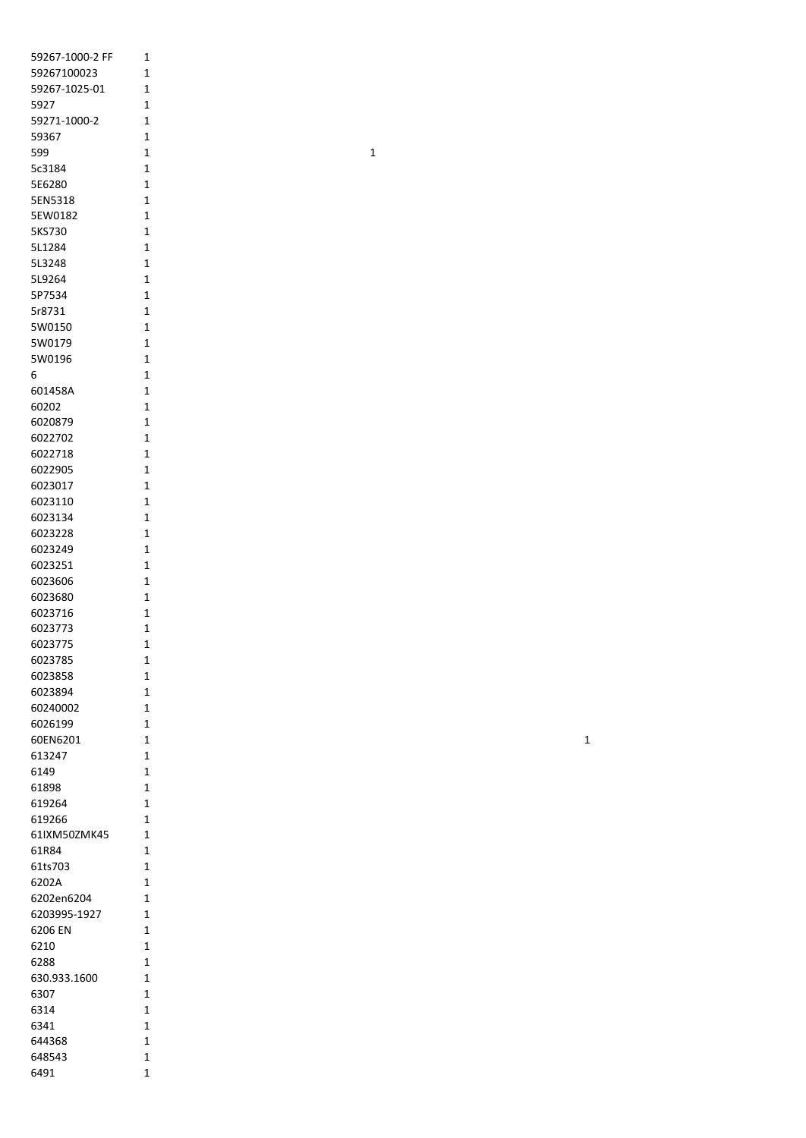| 59267-1000-2 FF | 1              |
|-----------------|----------------|
| 59267100023     | 1              |
| 59267-1025-01   | 1              |
|                 | 1              |
| 5927            |                |
| 59271-1000-2    | 1              |
| 59367           | 1              |
| 599             | $\overline{1}$ |
| 5c3184          | 1              |
| 5E6280          | 1              |
| 5EN5318         | 1              |
| 5EW0182         | $\mathbf 1$    |
| 5KS730          | 1              |
| 5L1284          | $\overline{1}$ |
| 5L3248          | 1              |
| 5L9264          | 1              |
|                 |                |
| 5P7534          | 1              |
| 5r8731          | $\overline{1}$ |
| 5W0150          | $\overline{1}$ |
| 5W0179          | $\overline{1}$ |
| 5W0196          | $\overline{1}$ |
| 6               | $\overline{1}$ |
| 601458A         | $\overline{1}$ |
| 60202           | 1              |
| 6020879         | 1              |
| 6022702         | 1              |
|                 |                |
| 6022718         | 1              |
| 6022905         | 1              |
| 6023017         | 1              |
| 6023110         | 1              |
| 6023134         | 1              |
| 6023228         | 1              |
| 6023249         | $\mathbf 1$    |
| 6023251         | $\overline{1}$ |
| 6023606         | 1              |
| 6023680         | $\overline{1}$ |
| 6023716         | 1              |
|                 | 1              |
| 6023773         |                |
| 6023775         | 1              |
| 6023785         | 1              |
| 6023858         | 1              |
| 6023894         | 1              |
| 60240002        | 1              |
| 6026199         | 1              |
| 60EN6201        | 1              |
| 613247          | 1              |
| 6149            | 1              |
| 61898           | 1              |
| 619264          | 1              |
|                 |                |
| 619266          | 1              |
| 61IXM50ZMK45    | 1              |
| 61R84           | 1              |
| 61ts703         | 1              |
| 6202A           | 1              |
| 6202en6204      | 1              |
| 6203995-1927    | 1              |
| 6206 EN         | 1              |
| 6210            | 1              |
| 6288            | 1              |
|                 |                |
| 630.933.1600    | 1              |
| 6307            | 1              |
| 6314            | 1              |
| 6341            | 1              |
| 644368          | 1              |
| 648543          | 1              |
| 6491            | 1              |
|                 |                |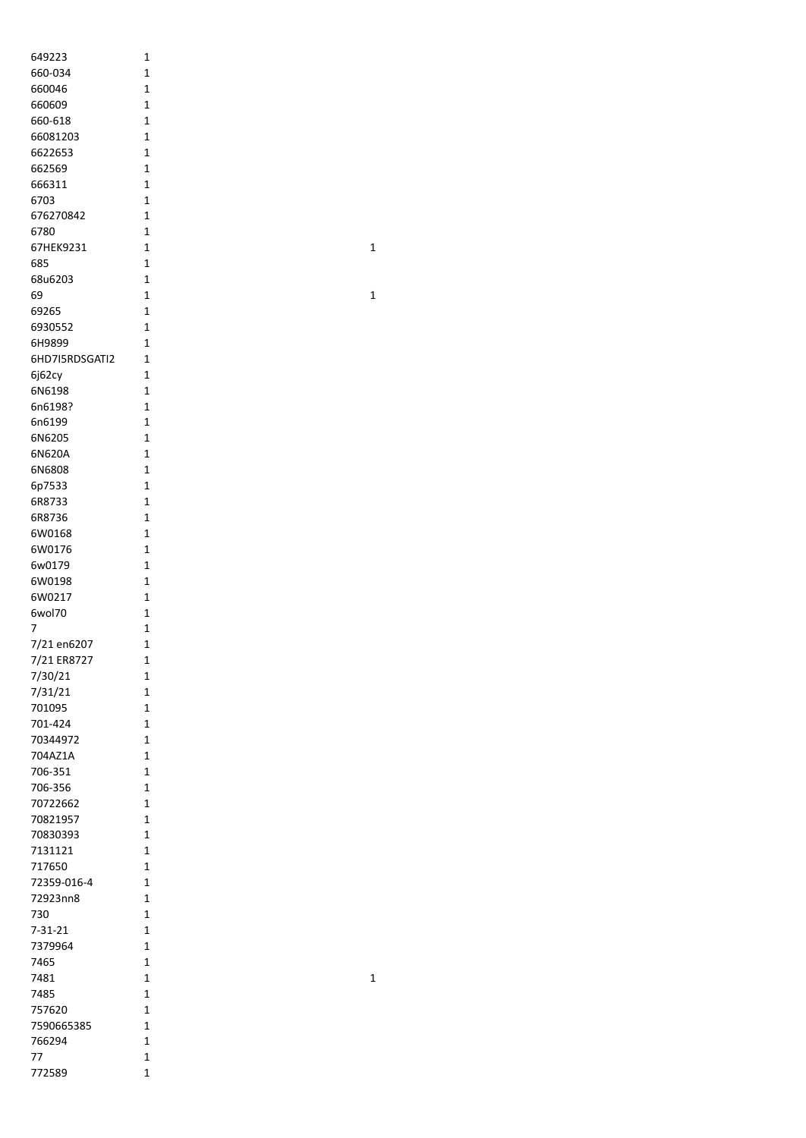| 649223         | 1              |
|----------------|----------------|
|                |                |
| 660-034        | 1              |
| 660046         | 1              |
|                |                |
| 660609         | 1              |
| 660-618        | $\mathbf 1$    |
|                |                |
| 66081203       | $\overline{1}$ |
| 6622653        | 1              |
|                |                |
| 662569         | 1              |
| 666311         | 1              |
|                |                |
| 6703           | $\overline{1}$ |
| 676270842      | 1              |
|                |                |
| 6780           | 1              |
| 67HEK9231      | 1              |
|                |                |
| 685            | 1              |
| 68u6203        | 1              |
|                |                |
| 69             | 1              |
| 69265          | 1              |
|                |                |
| 6930552        | 1              |
| 6H9899         | 1              |
|                |                |
| 6HD7I5RDSGATI2 | $\mathbf{1}$   |
|                | $\overline{1}$ |
| 6j62cy         |                |
| 6N6198         | $\overline{1}$ |
|                |                |
| 6n6198?        | $\overline{1}$ |
| 6n6199         | 1              |
|                |                |
| 6N6205         | $\overline{1}$ |
| 6N620A         | $\overline{1}$ |
|                |                |
| 6N6808         | 1              |
| 6p7533         | 1              |
|                |                |
| 6R8733         | 1              |
| 6R8736         | 1              |
|                |                |
| 6W0168         | 1              |
| 6W0176         | 1              |
|                |                |
| 6w0179         | 1              |
| 6W0198         | 1              |
|                |                |
| 6W0217         | $\overline{1}$ |
| 6wol70         | 1              |
|                |                |
| 7              | 1              |
| 7/21 en6207    | 1              |
|                |                |
| 7/21 ER8727    | 1              |
|                | 1              |
| 7/30/21        |                |
| 7/31/21        | 1              |
| 701095         | 1              |
|                |                |
| 701-424        | $\mathbf{1}$   |
|                | $\mathbf{1}$   |
| 70344972       |                |
| 704AZ1A        | $\overline{1}$ |
| 706-351        | $\overline{1}$ |
|                |                |
| 706-356        | 1              |
|                | 1              |
| 70722662       |                |
| 70821957       | $\overline{1}$ |
|                | $\overline{1}$ |
| 70830393       |                |
| 7131121        | 1              |
|                |                |
| 717650         | 1              |
| 72359-016-4    | 1              |
|                |                |
| 72923nn8       | 1              |
| 730            | 1              |
|                |                |
| 7-31-21        | 1              |
| 7379964        | 1              |
|                |                |
| 7465           | 1              |
| 7481           | 1              |
|                |                |
| 7485           | 1              |
| 757620         | 1              |
|                |                |
| 7590665385     | 1              |
| 766294         | 1              |
|                |                |
| 77             | 1              |
| 772589         | 1              |
|                |                |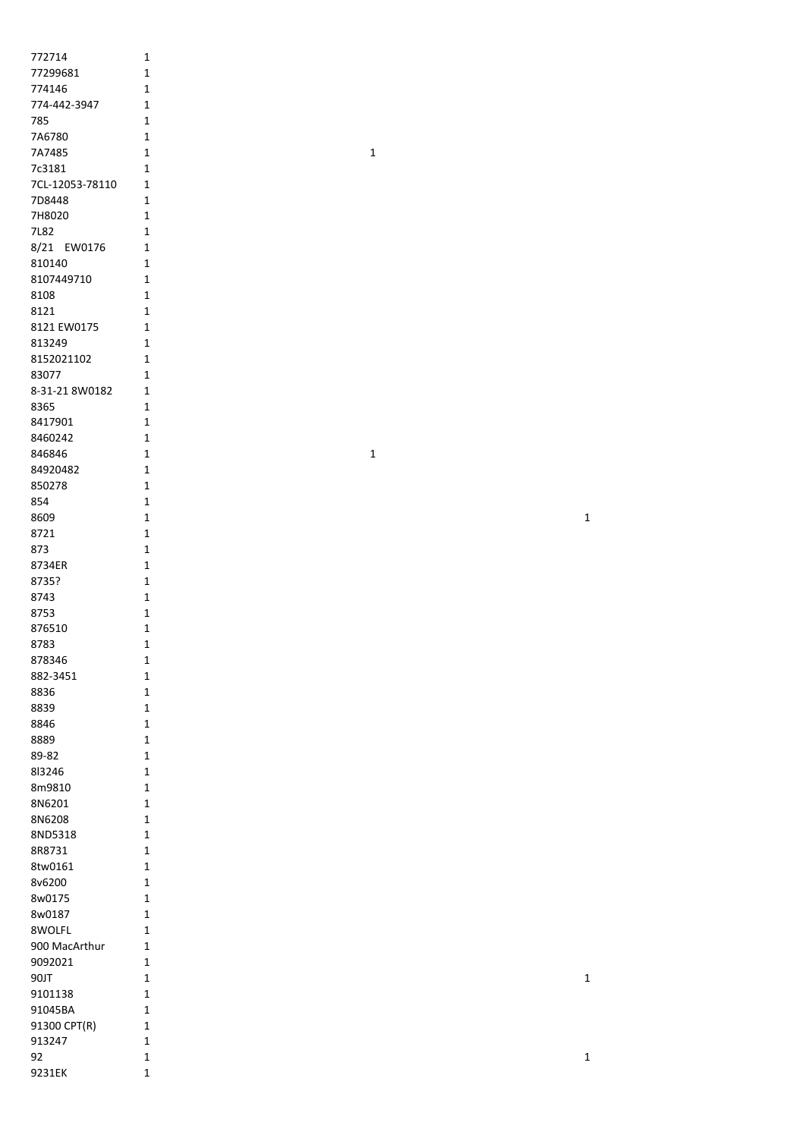| 772714          | $\mathbf 1$  |  |              |             |
|-----------------|--------------|--|--------------|-------------|
| 77299681        | $\mathbf{1}$ |  |              |             |
| 774146          | $\mathbf{1}$ |  |              |             |
| 774-442-3947    | $\mathbf 1$  |  |              |             |
|                 |              |  |              |             |
| 785             | $\mathbf 1$  |  |              |             |
| 7A6780          | $\mathbf 1$  |  |              |             |
| 7A7485          | $\mathbf 1$  |  | $\mathbf 1$  |             |
| 7c3181          | 1            |  |              |             |
| 7CL-12053-78110 | $\mathbf{1}$ |  |              |             |
| 7D8448          | $\mathbf{1}$ |  |              |             |
| 7H8020          | $\mathbf 1$  |  |              |             |
| 7L82            | $1\,$        |  |              |             |
| 8/21 EW0176     | $\mathbf{1}$ |  |              |             |
| 810140          | 1            |  |              |             |
| 8107449710      | $\mathbf{1}$ |  |              |             |
|                 |              |  |              |             |
| 8108            | $\mathbf{1}$ |  |              |             |
| 8121            | $\mathbf 1$  |  |              |             |
| 8121 EW0175     | $1\,$        |  |              |             |
| 813249          | $\mathbf{1}$ |  |              |             |
| 8152021102      | $\mathbf{1}$ |  |              |             |
| 83077           | $\mathbf 1$  |  |              |             |
| 8-31-21 8W0182  | $\mathbf 1$  |  |              |             |
| 8365            | $\mathbf 1$  |  |              |             |
| 8417901         | $\mathbf 1$  |  |              |             |
| 8460242         | $\mathbf 1$  |  |              |             |
| 846846          | 1            |  | $\mathbf{1}$ |             |
|                 |              |  |              |             |
| 84920482        | $\mathbf{1}$ |  |              |             |
| 850278          | $\mathbf{1}$ |  |              |             |
| 854             | $\mathbf 1$  |  |              |             |
| 8609            | $\mathbf 1$  |  |              | $\mathbf 1$ |
| 8721            | $\mathbf 1$  |  |              |             |
| 873             | $\mathbf{1}$ |  |              |             |
| 8734ER          | $\mathbf{1}$ |  |              |             |
| 8735?           | $\mathbf{1}$ |  |              |             |
| 8743            | $\mathbf 1$  |  |              |             |
| 8753            | $\mathbf 1$  |  |              |             |
| 876510          | $\mathbf 1$  |  |              |             |
| 8783            | 1            |  |              |             |
| 878346          | 1            |  |              |             |
|                 |              |  |              |             |
| 882-3451        | $\mathbf 1$  |  |              |             |
| 8836            | $\mathbf 1$  |  |              |             |
| 8839            | $\mathbf 1$  |  |              |             |
| 8846            | $\mathbf 1$  |  |              |             |
| 8889            | $\mathbf 1$  |  |              |             |
| 89-82           | $\mathbf 1$  |  |              |             |
| 813246          | $\mathbf 1$  |  |              |             |
| 8m9810          | $\mathbf 1$  |  |              |             |
| 8N6201          | $\mathbf 1$  |  |              |             |
| 8N6208          | $\mathbf 1$  |  |              |             |
| 8ND5318         | $\mathbf 1$  |  |              |             |
| 8R8731          | $\mathbf{1}$ |  |              |             |
| 8tw0161         | $\mathbf 1$  |  |              |             |
|                 |              |  |              |             |
| 8v6200          | $\mathbf 1$  |  |              |             |
| 8w0175          | $\mathbf 1$  |  |              |             |
| 8w0187          | $\mathbf 1$  |  |              |             |
| 8WOLFL          | $\mathbf 1$  |  |              |             |
| 900 MacArthur   | $\mathbf{1}$ |  |              |             |
| 9092021         | $\mathbf 1$  |  |              |             |
| 90JT            | $\mathbf 1$  |  |              | $\mathbf 1$ |
| 9101138         | $\mathbf{1}$ |  |              |             |
| 91045BA         | $\mathbf{1}$ |  |              |             |
|                 |              |  |              |             |
| 91300 CPT(R)    | $\mathbf{1}$ |  |              |             |
| 913247          | $\mathbf{1}$ |  |              |             |
| 92<br>9231EK    | $\mathbf 1$  |  |              | $\mathbf 1$ |
|                 | $\mathbf 1$  |  |              |             |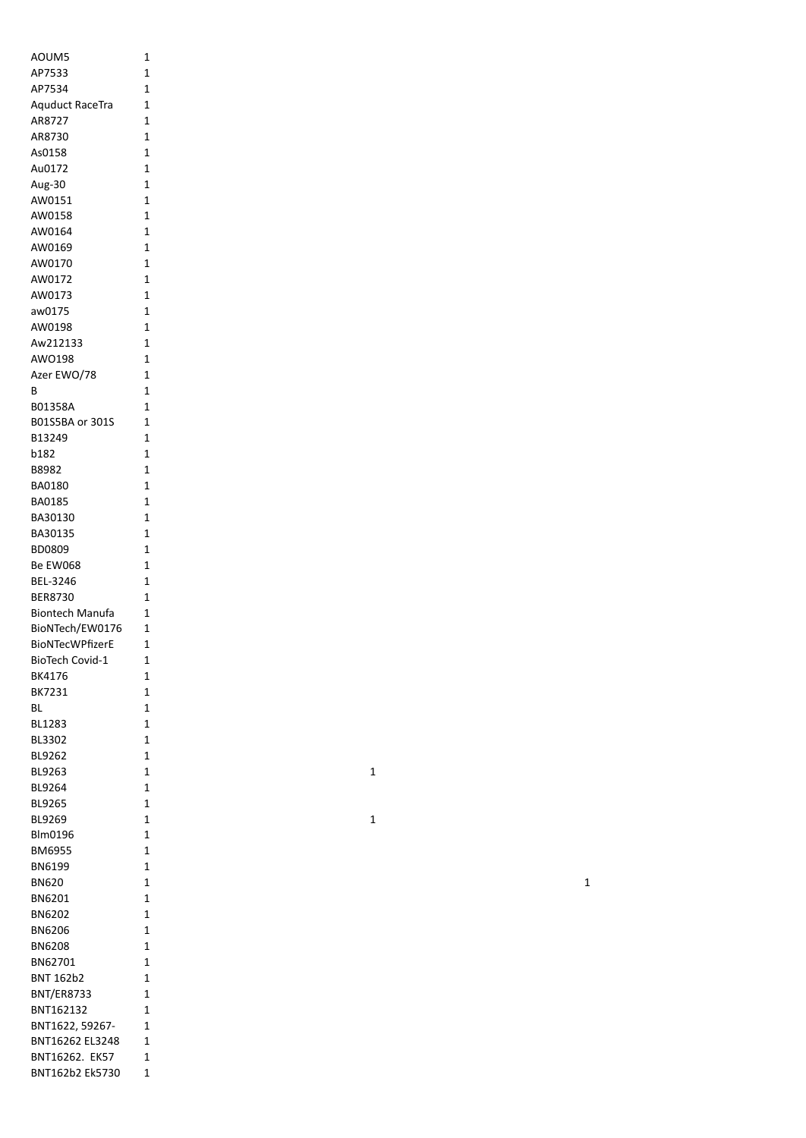| AOUM5                  | 1              |
|------------------------|----------------|
| AP7533                 | 1              |
| AP7534                 | 1              |
| <b>Aquduct RaceTra</b> | 1              |
| AR8727                 | 1              |
| AR8730                 | $\mathbf{1}$   |
| As0158                 | $\overline{1}$ |
| Au0172                 | $\mathbf{1}$   |
| Aug-30                 | $\mathbf{1}$   |
| AW0151                 | 1              |
| AW0158                 | 1              |
| AW0164                 | 1              |
| AW0169<br>AW0170       | 1<br>1         |
| AW0172                 | 1              |
| AW0173                 | 1              |
| aw0175                 | $\mathbf{1}$   |
| AW0198                 | 1              |
| Aw212133               | $\mathbf{1}$   |
| AWO198                 | $\mathbf{1}$   |
| Azer EWO/78            | 1              |
| В                      | 1              |
| B01358A                | 1              |
| B01S5BA or 301S        | 1              |
| B13249                 | 1              |
| b182                   | 1              |
| B8982                  | 1              |
| BA0180                 | 1              |
| BA0185                 | 1              |
| BA30130                | 1              |
| BA30135                | 1              |
| BD0809                 | 1              |
| Be EW068               | 1              |
| BEL-3246               | 1              |
| <b>BER8730</b>         | 1              |
| <b>Biontech Manufa</b> | 1              |
| BioNTech/EW0176        | 1              |
| <b>BioNTecWPfizerE</b> | 1              |
| <b>BioTech Covid-1</b> | 1              |
| BK4176                 | 1              |
| BK7231                 | 1              |
| ВL                     | 1              |
| BL1283                 | 1              |
| BL3302                 | 1              |
| BL9262                 | 1              |
| BL9263                 | 1              |
| BL9264                 | 1              |
| BL9265                 | 1              |
| BL9269                 | 1              |
| Blm0196                | 1              |
| BM6955                 | 1              |
| BN6199                 | 1              |
| <b>BN620</b>           | 1              |
| BN6201                 | 1              |
| BN6202                 | 1              |
| BN6206                 | 1              |
| <b>BN6208</b>          | 1              |
| BN62701                | 1              |
| <b>BNT 162b2</b>       | 1              |
| <b>BNT/ER8733</b>      | 1              |
| BNT162132              | 1              |
| BNT1622, 59267-        | 1              |
| BNT16262 EL3248        | 1              |
| BNT16262. EK57         | 1              |
| BNT162b2 Ek5730        | 1              |

 $\mathbf 1$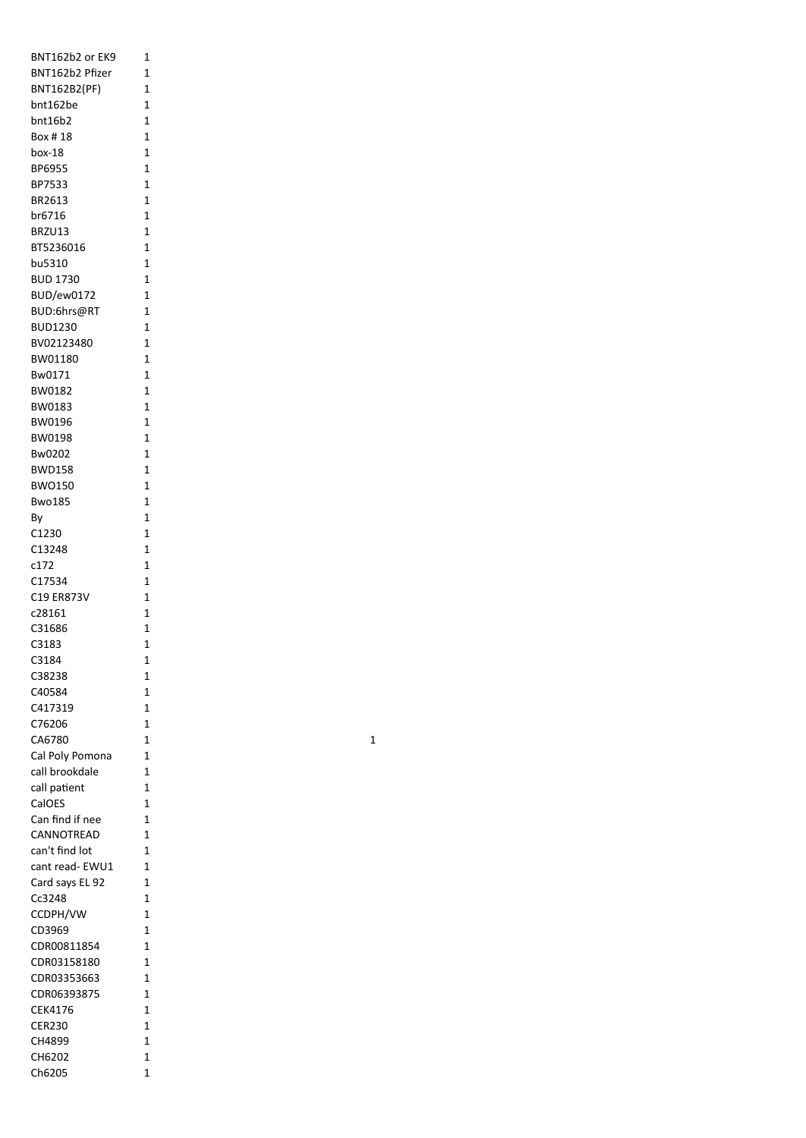| BNT162b2 or EK9   | 1              |
|-------------------|----------------|
| BNT162b2 Pfizer   | 1              |
| BNT162B2(PF)      | 1              |
| bnt162be          | 1              |
| bnt16b2           | 1              |
| Box #18           | 1              |
|                   |                |
| box-18            | 1              |
| BP6955            | 1              |
| BP7533            | 1              |
| BR2613            | 1              |
| br6716            | 1              |
| BRZU13            | 1              |
|                   |                |
| BT5236016         | 1              |
| bu5310            | 1              |
| <b>BUD 1730</b>   | 1              |
| <b>BUD/ew0172</b> | 1              |
| BUD:6hrs@RT       | 1              |
| <b>BUD1230</b>    | 1              |
|                   |                |
| BV02123480        | 1              |
| BW01180           | 1              |
| Bw0171            | 1              |
| BW0182            | 1              |
| BW0183            | 1              |
| <b>BW0196</b>     | 1              |
|                   |                |
| <b>BW0198</b>     | 1              |
| Bw0202            | 1              |
| <b>BWD158</b>     | 1              |
| <b>BWO150</b>     | 1              |
| <b>Bwo185</b>     | 1              |
| By                | 1              |
|                   |                |
| C1230             | 1              |
| C13248            | 1              |
| c172              | 1              |
| C17534            | 1              |
| C19 ER873V        | 1              |
| c28161            | 1              |
| C31686            |                |
|                   | 1              |
| C3183             | 1              |
| C3184             | $\overline{1}$ |
| C38238            | 1              |
| C40584            | 1              |
| C417319           | 1              |
|                   | 1              |
| C76206            |                |
| CA6780            | 1              |
| Cal Poly Pomona   | 1              |
| call brookdale    | 1              |
| call patient      | 1              |
| CalOES            | $\overline{1}$ |
| Can find if nee   | 1              |
|                   |                |
| CANNOTREAD        | 1              |
| can't find lot    | 1              |
| cant read- EWU1   | 1              |
| Card says EL 92   | 1              |
| Cc3248            | 1              |
|                   | 1              |
| CCDPH/VW          |                |
| CD3969            | 1              |
| CDR00811854       | 1              |
| CDR03158180       | 1              |
| CDR03353663       | 1              |
| CDR06393875       | 1              |
|                   |                |
| CEK4176           | 1              |
| <b>CER230</b>     | 1              |
| CH4899            | 1              |
| CH6202            | 1              |
| Ch6205            | 1              |
|                   |                |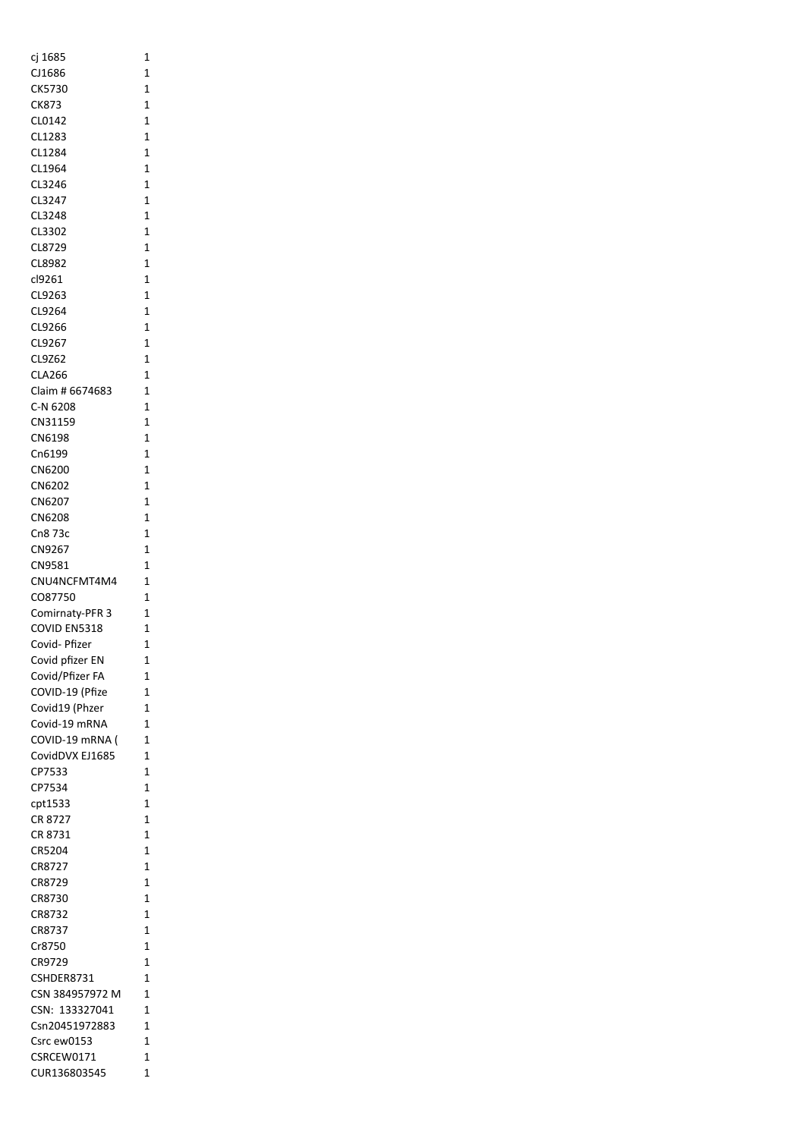| cj 1685         | 1            |
|-----------------|--------------|
| CJ1686          | 1            |
| CK5730          | 1            |
| CK873           | 1            |
| CL0142          | 1            |
| CL1283          | 1            |
| CL1284          | 1            |
| CL1964          | 1            |
| CL3246          | 1            |
| CL3247          | 1            |
| CL3248          | 1            |
| CL3302          | 1            |
| CL8729          | 1            |
| CL8982          | 1            |
| cl9261          | 1            |
| CL9263          | 1            |
| CL9264          | $\mathbf{1}$ |
| CL9266          | 1            |
| CL9267          | 1            |
| CL9Z62          | 1            |
| CLA266          | 1            |
| Claim # 6674683 | 1            |
| C-N 6208        | 1            |
| CN31159         | 1            |
|                 | 1            |
| CN6198          |              |
| Cn6199          | 1            |
| CN6200          | 1            |
| CN6202          | 1            |
| CN6207          | 1            |
| CN6208          | 1            |
| Cn8 73c         | 1            |
| CN9267          | 1            |
| CN9581          | 1            |
| CNU4NCFMT4M4    | 1            |
| CO87750         | 1            |
| Comirnaty-PFR 3 | 1            |
| COVID EN5318    | 1            |
| Covid- Pfizer   | 1            |
| Covid pfizer EN | 1            |
| Covid/Pfizer FA | 1            |
| COVID-19 (Pfize | 1            |
| Covid19 (Phzer  | 1            |
| Covid-19 mRNA   | 1            |
| COVID-19 mRNA ( | 1            |
| CovidDVX EJ1685 | 1            |
| CP7533          | 1            |
| CP7534          | 1            |
| cpt1533         | 1            |
| CR 8727         | 1            |
| CR 8731         | 1            |
| CR5204          | 1            |
| CR8727          | 1            |
| CR8729          | 1            |
| CR8730          | 1            |
| CR8732          | 1            |
| CR8737          | 1            |
| Cr8750          | 1            |
| CR9729          | 1            |
| CSHDER8731      | 1            |
| CSN 384957972 M | 1            |
| CSN: 133327041  | 1            |
| Csn20451972883  | 1            |
| Csrc ew0153     | 1            |
| CSRCEW0171      | 1            |
| CUR136803545    | 1            |
|                 |              |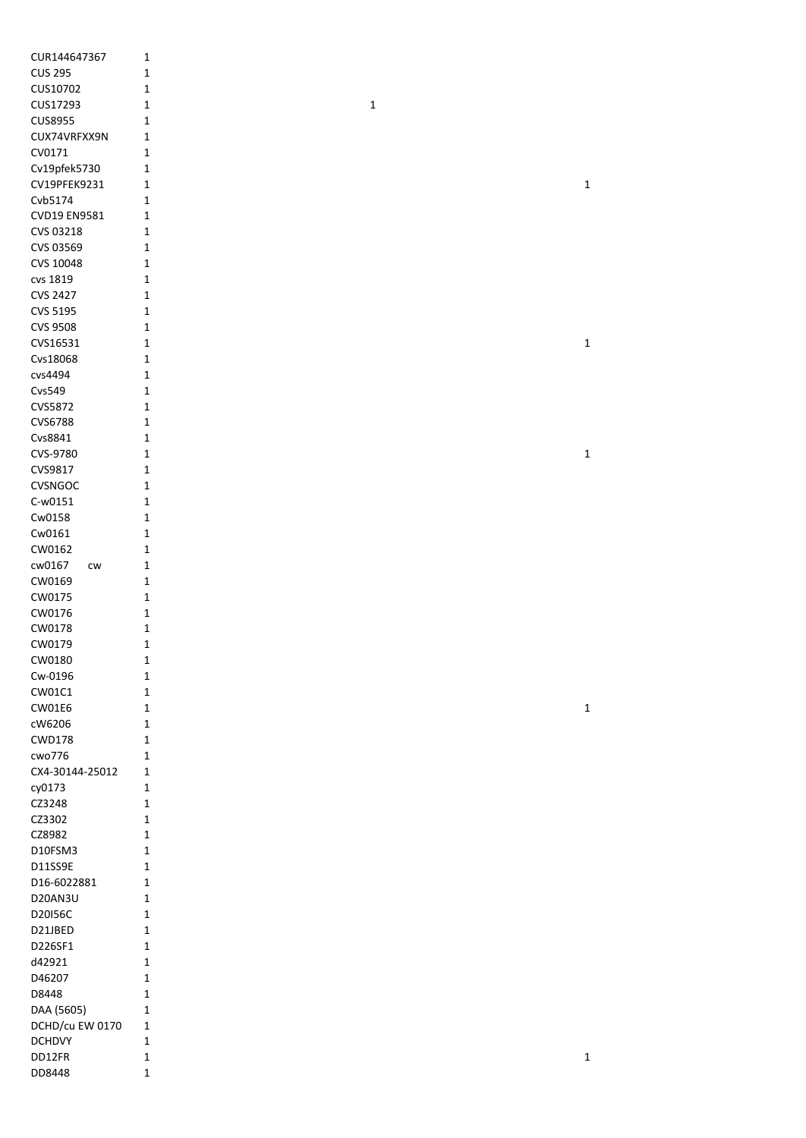| CUR144647367    | $\mathbf 1$ |             |             |
|-----------------|-------------|-------------|-------------|
| <b>CUS 295</b>  | 1           |             |             |
| CUS10702        | 1           |             |             |
| CUS17293        | 1           | $\mathbf 1$ |             |
| <b>CUS8955</b>  | 1           |             |             |
|                 |             |             |             |
| CUX74VRFXX9N    | 1           |             |             |
| CV0171          | 1           |             |             |
| Cv19pfek5730    | 1           |             |             |
| CV19PFEK9231    | 1           |             | $\mathbf 1$ |
| Cvb5174         | 1           |             |             |
| CVD19 EN9581    | 1           |             |             |
| CVS 03218       | 1           |             |             |
| CVS 03569       | 1           |             |             |
| CVS 10048       | 1           |             |             |
| cvs 1819        | 1           |             |             |
|                 |             |             |             |
| <b>CVS 2427</b> | 1           |             |             |
| CVS 5195        | 1           |             |             |
| <b>CVS 9508</b> | 1           |             |             |
| CVS16531        | 1           |             | $\mathbf 1$ |
| Cvs18068        | 1           |             |             |
| cvs4494         | 1           |             |             |
| Cvs549          | 1           |             |             |
| CVS5872         | 1           |             |             |
| CVS6788         | $\mathbf 1$ |             |             |
|                 |             |             |             |
| Cvs8841         | 1           |             |             |
| CVS-9780        | $\mathbf 1$ |             | $\mathbf 1$ |
| CVS9817         | 1           |             |             |
| CVSNGOC         | 1           |             |             |
| C-w0151         | 1           |             |             |
| Cw0158          | 1           |             |             |
| Cw0161          | 1           |             |             |
| CW0162          | 1           |             |             |
|                 |             |             |             |
| cw0167<br>CW    | 1           |             |             |
| CW0169          | 1           |             |             |
| CW0175          | 1           |             |             |
| CW0176          | 1           |             |             |
| CW0178          | 1           |             |             |
| CW0179          | $\mathbf 1$ |             |             |
| CW0180          | 1           |             |             |
| Cw-0196         | $\mathbf 1$ |             |             |
| CW01C1          | $\mathbf 1$ |             |             |
| CW01E6          | 1           |             | $\mathbf 1$ |
|                 |             |             |             |
| cW6206          | 1           |             |             |
| <b>CWD178</b>   | $\mathbf 1$ |             |             |
| cwo776          | 1           |             |             |
| CX4-30144-25012 | 1           |             |             |
| cy0173          | 1           |             |             |
| CZ3248          | 1           |             |             |
| CZ3302          | 1           |             |             |
| CZ8982          | $\mathbf 1$ |             |             |
| D10FSM3         |             |             |             |
|                 | 1           |             |             |
| D11SS9E         | 1           |             |             |
| D16-6022881     | 1           |             |             |
| D20AN3U         | 1           |             |             |
| D20156C         | 1           |             |             |
| D21JBED         | 1           |             |             |
| D226SF1         | 1           |             |             |
| d42921          | 1           |             |             |
| D46207          |             |             |             |
|                 | 1           |             |             |
| D8448           | 1           |             |             |
| DAA (5605)      | 1           |             |             |
| DCHD/cu EW 0170 | 1           |             |             |
| <b>DCHDVY</b>   | $\mathbf 1$ |             |             |
| DD12FR          | $\mathbf 1$ |             | $\mathbf 1$ |
| DD8448          | $\mathbf 1$ |             |             |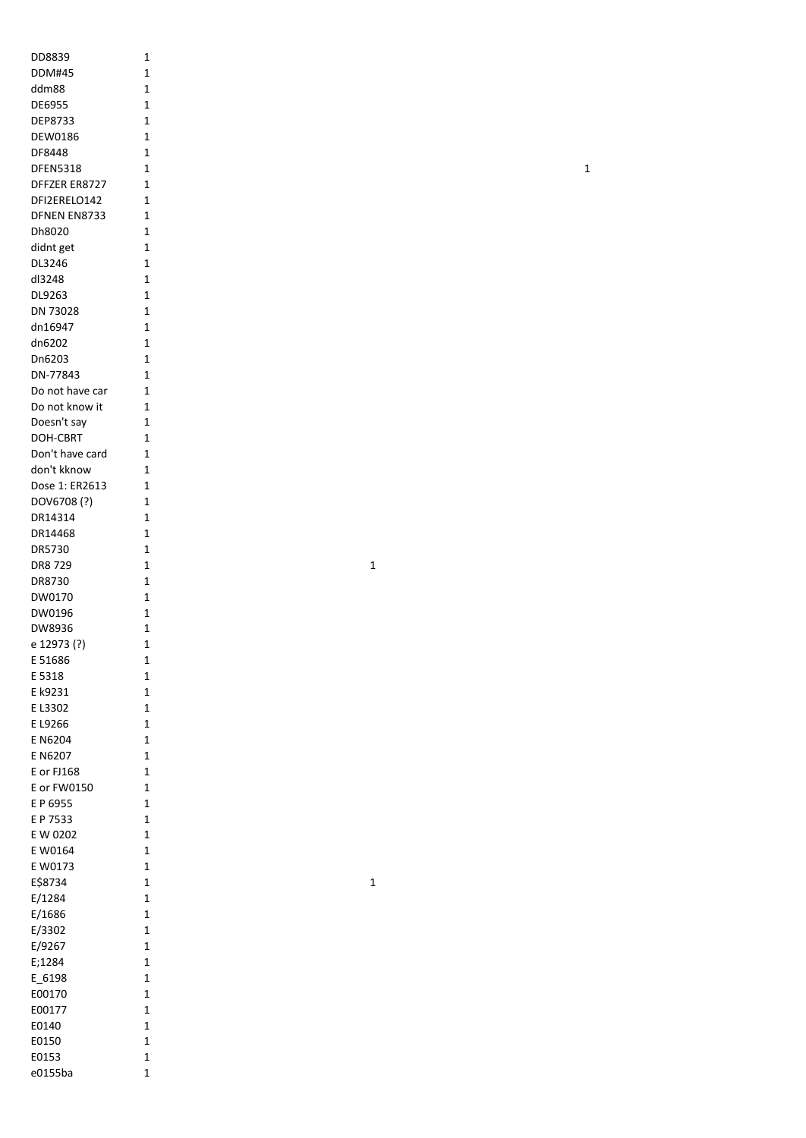| DD8839          | 1              |
|-----------------|----------------|
|                 |                |
| DDM#45          | 1              |
| ddm88           | 1              |
| DE6955          | 1              |
| DEP8733         | 1              |
|                 |                |
| DEW0186         | 1              |
| DF8448          | 1              |
| <b>DFEN5318</b> | 1              |
| DFFZER ER8727   | 1              |
|                 |                |
| DFI2ERELO142    | 1              |
| DFNEN EN8733    | 1              |
| Dh8020          | 1              |
|                 |                |
| didnt get       | 1              |
| DL3246          | 1              |
| dl3248          | 1              |
| DL9263          | 1              |
|                 |                |
| DN 73028        | $\mathbf{1}$   |
| dn16947         | 1              |
| dn6202          | 1              |
|                 |                |
| Dn6203          | $\mathbf{1}$   |
| DN-77843        | $\mathbf{1}$   |
| Do not have car | 1              |
|                 |                |
| Do not know it  | 1              |
| Doesn't say     | 1              |
| DOH-CBRT        | 1              |
|                 |                |
| Don't have card | 1              |
| don't kknow     | 1              |
| Dose 1: ER2613  | 1              |
| DOV6708(?)      | $\mathbf{1}$   |
|                 |                |
| DR14314         | $\mathbf{1}$   |
| DR14468         | $\mathbf{1}$   |
| DR5730          | 1              |
|                 |                |
| DR8 729         | 1              |
| DR8730          | 1              |
| DW0170          | 1              |
|                 |                |
| DW0196          | 1              |
| DW8936          | 1              |
| e 12973 (?)     | 1              |
|                 |                |
| E 51686         | 1              |
| E 5318          | 1              |
| E k9231         | 1              |
| E L3302         | 1              |
|                 |                |
| E L9266         | 1              |
| E N6204         | 1              |
| E N6207         | 1              |
|                 |                |
| E or FJ168      | 1              |
| E or FW0150     | $\overline{1}$ |
| E P 6955        | 1              |
|                 |                |
| E P 7533        | 1              |
| E W 0202        | 1              |
| E W0164         | 1              |
| E W0173         | 1              |
|                 |                |
| E\$8734         | 1              |
| E/1284          | 1              |
| E/1686          | 1              |
|                 |                |
| E/3302          | 1              |
| E/9267          | 1              |
| E;1284          | 1              |
|                 |                |
| E 6198          | 1              |
| E00170          | 1              |
| E00177          | 1              |
| E0140           | 1              |
|                 |                |
| E0150           | 1              |
| E0153           | 1              |
| e0155ba         | 1              |
|                 |                |

 $\mathbf 1$ 

 $\mathbf 1$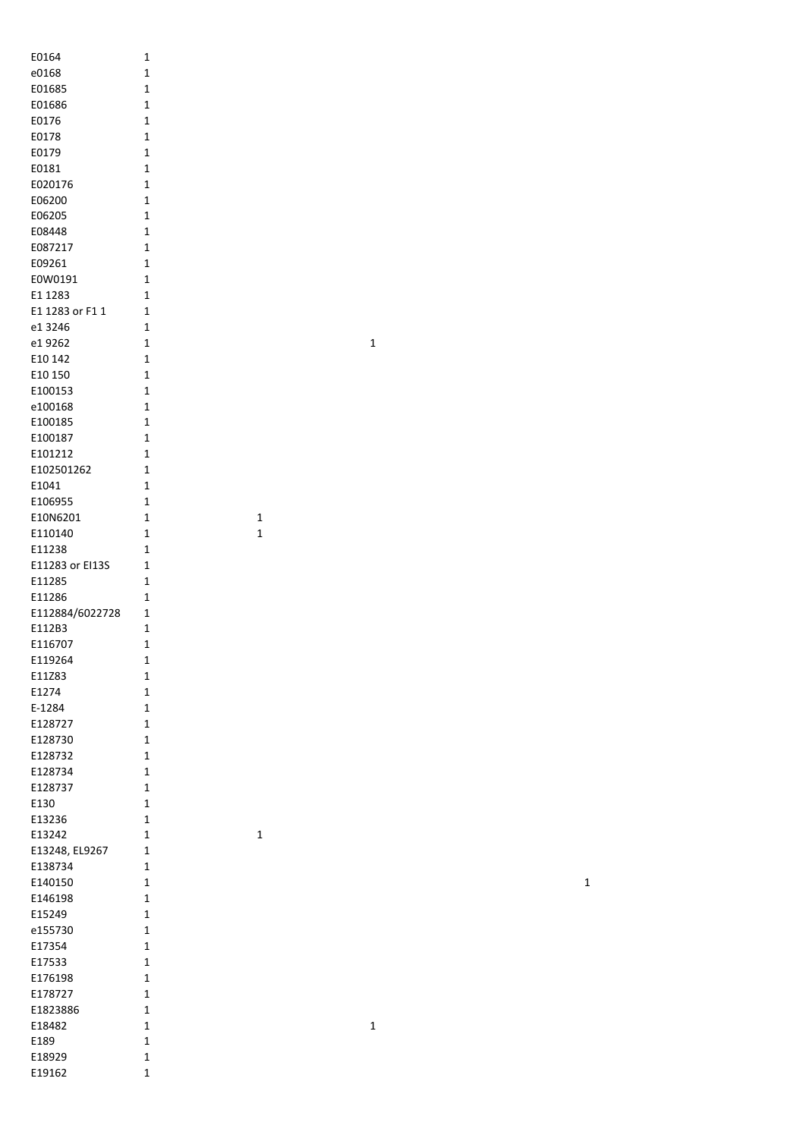| E0164              | 1              |
|--------------------|----------------|
| e0168              | 1              |
| E01685             | 1              |
| E01686             | 1              |
| E0176              | 1              |
| E0178              | 1              |
| E0179              | 1              |
| E0181              | 1              |
| E020176            | 1              |
| E06200             | 1              |
| E06205             | $\mathbf 1$    |
| E08448             | 1              |
| E087217            | 1              |
| E09261             | 1              |
| E0W0191            | 1              |
| E1 1283            | 1              |
| E1 1283 or F1 1    | 1              |
| e1 3246            | 1              |
| e1 9262            | 1              |
| E10 142            | 1              |
| E10 150            | 1              |
| E100153            | $\mathbf{1}$   |
| e100168            | 1              |
| E100185            | 1              |
| E100187            | 1              |
| E101212            | 1              |
| E102501262         | 1              |
| E1041              | 1              |
| E106955            | 1              |
| E10N6201           | 1              |
| E110140            | 1              |
| E11238             | 1              |
| E11283 or EI13S    | 1              |
| E11285             | 1              |
| E11286             | 1              |
| E112884/6022728    | 1              |
| E112B3             | 1              |
| E116707            | 1              |
| E119264            | 1              |
| E11Z83             | 1              |
| E1274              | 1              |
| E-1284             | 1              |
| E128727<br>E128730 | 1<br>1         |
| E128732            | 1              |
| E128734            | 1              |
| E128737            | 1              |
| E130               | 1              |
| E13236             | 1              |
| E13242             | 1              |
| E13248, EL9267     | 1              |
| E138734            | 1              |
| E140150            | 1              |
| E146198            | 1              |
| E15249             | 1              |
| e155730            | 1              |
| E17354             | 1              |
| E17533             | 1              |
| E176198            | 1              |
| E178727            | 1              |
| E1823886           | $\overline{1}$ |
| E18482             | 1              |
| E189               | 1              |
| E18929             | 1              |
| E19162             | 1              |
|                    |                |

1

1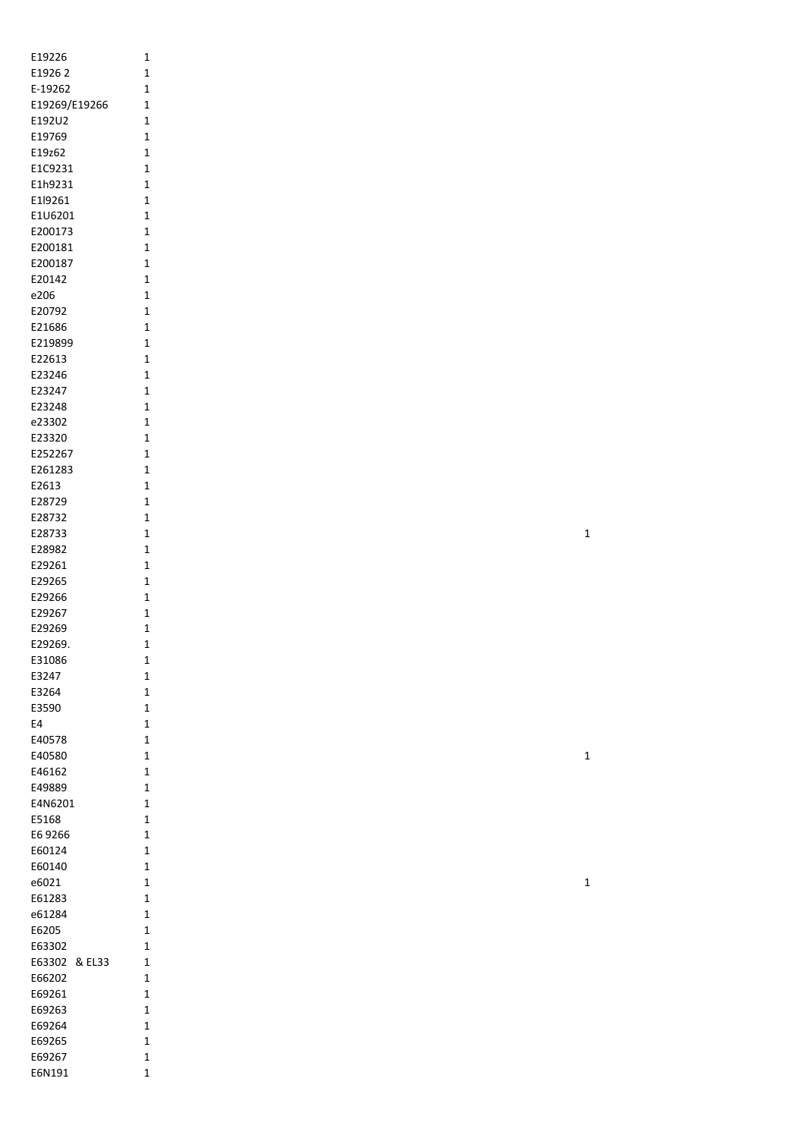| E19226        | 1              |
|---------------|----------------|
| E19262        | $\overline{1}$ |
| E-19262       | 1              |
| E19269/E19266 | 1              |
| E192U2        | 1              |
| E19769        | 1              |
| E19z62        | 1              |
| E1C9231       | 1              |
| E1h9231       | 1              |
| E1l9261       | 1              |
| E1U6201       | $\overline{1}$ |
| E200173       | 1              |
| E200181       | 1              |
| E200187       | 1              |
| E20142        | 1              |
| e206          | 1              |
| E20792        | 1              |
| E21686        | 1              |
| E219899       | 1              |
| E22613        | 1              |
| E23246        | 1              |
| E23247        | 1              |
| E23248        | 1              |
| e23302        | 1              |
| E23320        | 1              |
| E252267       | 1              |
| E261283       | 1              |
| E2613         | 1              |
| E28729        | 1              |
| E28732        | 1              |
| E28733        | 1              |
| E28982        | 1              |
| E29261        | 1              |
| E29265        | 1              |
| E29266        | 1              |
| E29267        | 1              |
| E29269        | 1              |
| E29269.       | 1              |
| E31086        | 1              |
| E3247         | 1              |
| E3264         | 1              |
| E3590         | 1              |
| E4            | 1              |
| E40578        | 1              |
| E40580        | $\overline{1}$ |
| E46162        | 1              |
| E49889        | 1              |
| E4N6201       | 1              |
| E5168         | 1              |
| E6 9266       | 1              |
| E60124        | 1              |
| E60140        | 1              |
| e6021         | 1              |
| E61283        | 1              |
| e61284        | 1              |
| E6205         | 1              |
| E63302        | 1              |
| E63302        | & EL33<br>1    |
| E66202        | 1              |
| E69261        | 1              |
|               |                |
| E69263        | 1              |
| E69264        | 1              |
| E69265        | 1              |
| E69267        | 1              |
| E6N191        | 1              |

1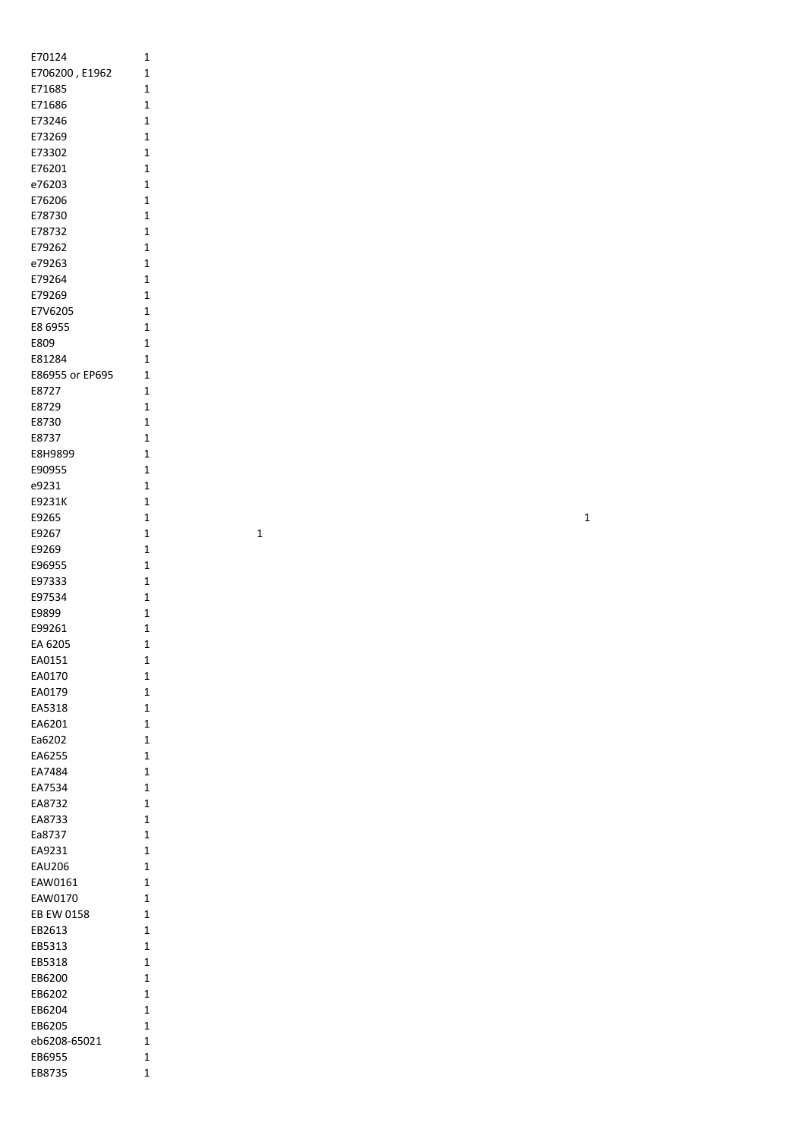| E70124          | 1            |
|-----------------|--------------|
| E706200, E1962  | 1            |
| E71685          | 1            |
| E71686          | 1            |
|                 |              |
| E73246          | 1            |
| E73269          | 1            |
| E73302          | 1            |
| E76201          | 1            |
|                 |              |
| e76203          | 1            |
| E76206          | 1            |
| E78730          | 1            |
|                 |              |
| E78732          | 1            |
| E79262          | 1            |
| e79263          | 1            |
| E79264          | 1            |
|                 |              |
| E79269          | 1            |
| E7V6205         | $\mathbf{1}$ |
| E8 6955         | 1            |
| E809            | 1            |
|                 |              |
| E81284          | 1            |
| E86955 or EP695 | 1            |
| E8727           | 1            |
|                 |              |
| E8729           | 1            |
| E8730           | 1            |
| E8737           | 1            |
|                 |              |
| E8H9899         | 1            |
| E90955          | 1            |
| e9231           | 1            |
| E9231K          | 1            |
|                 |              |
| E9265           | 1            |
| E9267           | 1            |
| E9269           | 1            |
|                 |              |
| E96955          | 1            |
| E97333          | 1            |
| E97534          | 1            |
| E9899           | 1            |
|                 |              |
| E99261          | 1            |
| EA 6205         | 1            |
| EA0151          | 1            |
|                 |              |
| EA0170          | 1            |
| EA0179          | 1            |
| EA5318          | 1            |
| EA6201          | 1            |
|                 |              |
| Ea6202          | 1            |
| EA6255          | 1            |
| EA7484          | 1            |
| EA7534          |              |
|                 | 1            |
| EA8732          | 1            |
| EA8733          | 1            |
| Ea8737          | 1            |
|                 |              |
| EA9231          | 1            |
| <b>EAU206</b>   | 1            |
| EAW0161         | 1            |
| EAW0170         | 1            |
|                 |              |
| EB EW 0158      | 1            |
| EB2613          | 1            |
| EB5313          | 1            |
|                 |              |
| EB5318          | 1            |
| EB6200          | 1            |
| EB6202          | 1            |
|                 |              |
| EB6204          | 1            |
| EB6205          | 1            |
| eb6208-65021    | 1            |
| EB6955          | 1            |
|                 |              |
| EB8735          | 1            |
|                 |              |

 $\overline{1}$ 

 $\overline{1}$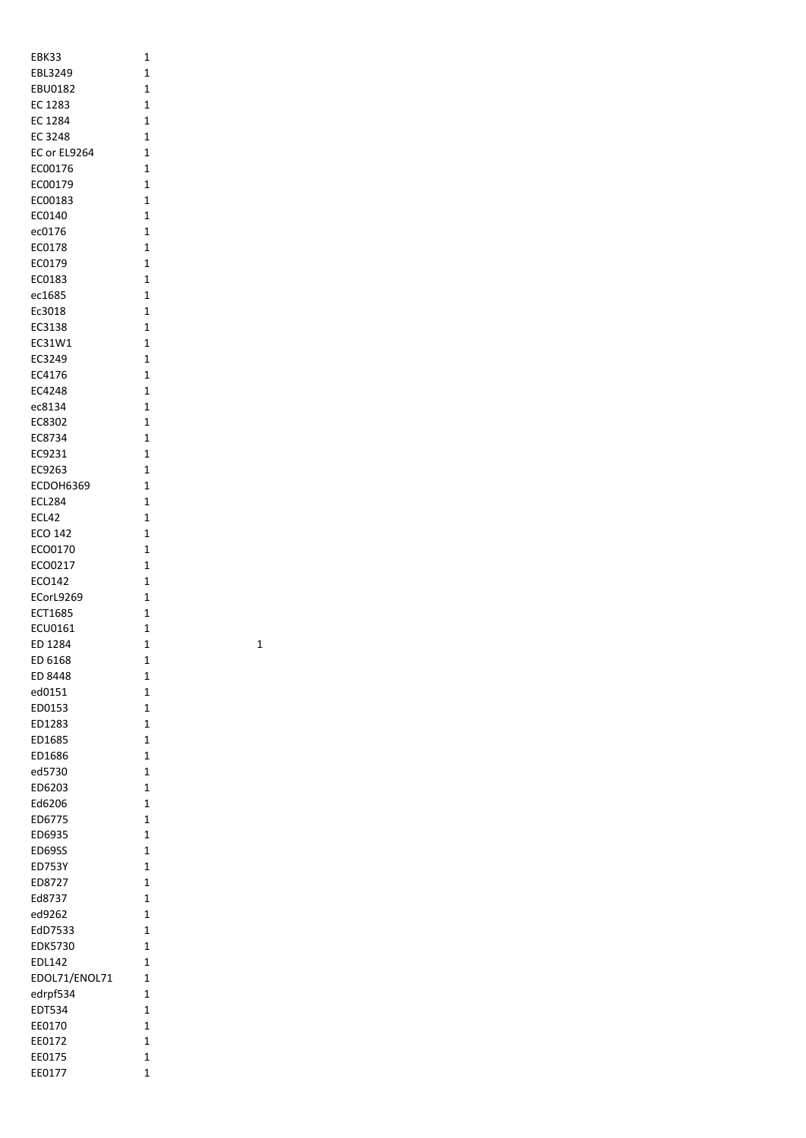| EBK33                     | 1                          |   |
|---------------------------|----------------------------|---|
| EBL3249                   | $\mathbf 1$                |   |
| <b>EBU0182</b>            | $\mathbf 1$                |   |
| EC 1283                   | $\mathbf 1$                |   |
| EC 1284                   | $\mathbf 1$                |   |
| EC 3248                   | $\mathbf 1$                |   |
| EC or EL9264              | 1                          |   |
| EC00176                   | 1                          |   |
| EC00179                   | 1                          |   |
| EC00183                   | $\mathbf 1$                |   |
| EC0140                    | $\mathbf 1$                |   |
| ec0176                    | 1                          |   |
| EC0178                    | $\mathbf 1$<br>$\mathbf 1$ |   |
| EC0179<br>EC0183          | $\mathbf 1$                |   |
| ec1685                    | $\mathbf 1$                |   |
| Ec3018                    | 1                          |   |
| EC3138                    | 1                          |   |
| EC31W1                    | 1                          |   |
| EC3249                    | 1                          |   |
| EC4176                    | $\mathbf 1$                |   |
| EC4248                    | $\mathbf 1$                |   |
| ec8134                    | 1                          |   |
| EC8302                    | 1                          |   |
| EC8734                    | 1                          |   |
| EC9231                    | $\mathbf{1}$               |   |
| EC9263                    | $\mathbf 1$                |   |
| ECDOH6369                 | $\mathbf 1$                |   |
| <b>ECL284</b>             | $\mathbf 1$                |   |
| ECL42                     | 1                          |   |
| ECO 142                   | 1                          |   |
| ECO0170                   | 1                          |   |
| ECO0217                   | $\mathbf 1$                |   |
| ECO142                    | $\mathbf 1$                |   |
| ECorL9269                 | $\mathbf 1$                |   |
| ECT1685                   | 1                          |   |
| ECU0161                   | 1                          |   |
| ED 1284                   | 1                          | 1 |
| ED 6168                   | 1                          |   |
| ED 8448                   | 1                          |   |
| ed0151                    | $\mathbf{1}$               |   |
| ED0153                    | 1                          |   |
| ED1283                    | 1                          |   |
| ED1685                    | $\overline{1}$             |   |
| ED1686                    | $\mathbf{1}$               |   |
| ed5730                    | $\mathbf 1$                |   |
| ED6203                    | $\overline{1}$             |   |
| Ed6206                    | $\mathbf 1$                |   |
| ED6775                    | $\mathbf 1$                |   |
| ED6935                    | $\mathbf{1}$               |   |
| ED69SS                    | $\mathbf 1$                |   |
| ED753Y                    | $\mathbf 1$                |   |
| ED8727                    | $\mathbf 1$<br>$\mathbf 1$ |   |
| Ed8737                    |                            |   |
| ed9262                    | $\mathbf 1$                |   |
| EdD7533<br><b>EDK5730</b> | 1<br>$\mathbf 1$           |   |
| EDL142                    | $\mathbf 1$                |   |
| EDOL71/ENOL71             | $\overline{1}$             |   |
| edrpf534                  | $\mathbf 1$                |   |
| EDT534                    | $\mathbf 1$                |   |
| EE0170                    | $\mathbf 1$                |   |
| EE0172                    | $\mathbf 1$                |   |
| EE0175                    | $\mathbf 1$                |   |
| EE0177                    | 1                          |   |
|                           |                            |   |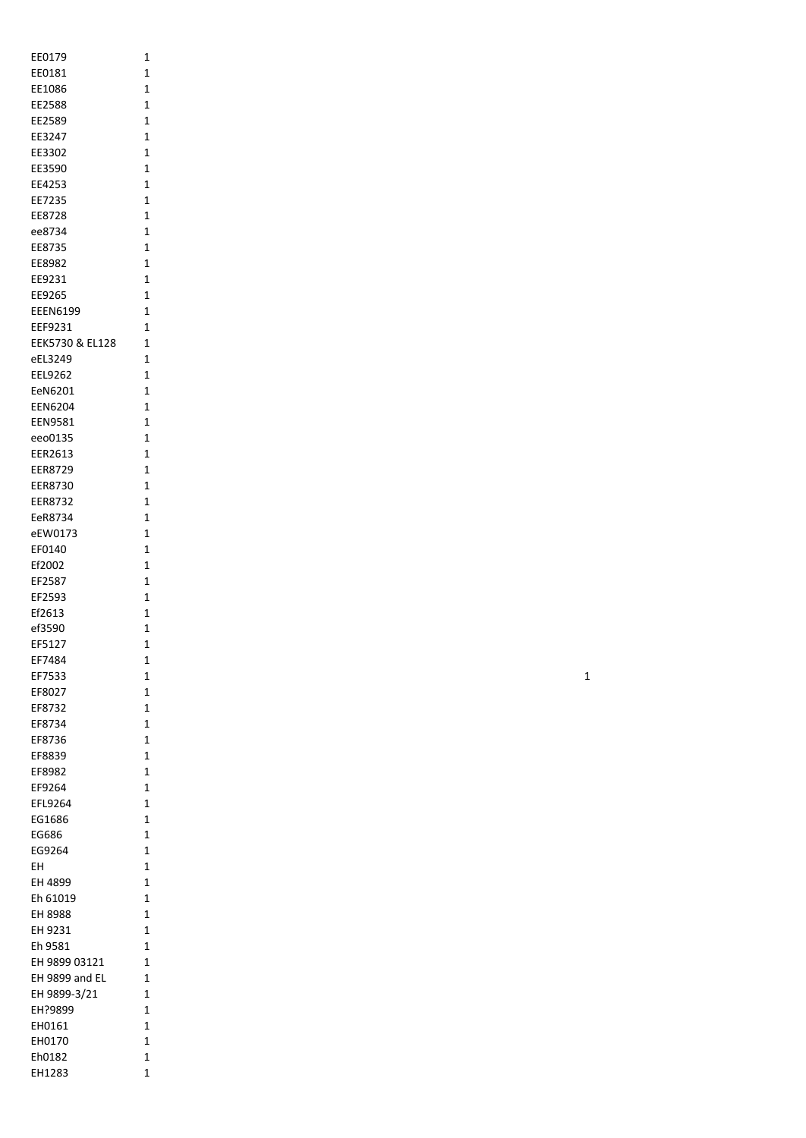| EE0179          | 1            |
|-----------------|--------------|
|                 | 1            |
| EE0181          |              |
| EE1086          | 1            |
| EE2588          | 1            |
|                 |              |
| EE2589          | 1            |
| EE3247          | 1            |
|                 |              |
| EE3302          | 1            |
| EE3590          | 1            |
|                 |              |
| EE4253          | 1            |
| EE7235          | 1            |
|                 |              |
| EE8728          | 1            |
| ee8734          | 1            |
|                 |              |
| EE8735          | 1            |
| EE8982          | 1            |
|                 |              |
| EE9231          | 1            |
| EE9265          | 1            |
| <b>EEEN6199</b> | 1            |
|                 |              |
| EEF9231         | 1            |
| EEK5730 & EL128 | 1            |
|                 |              |
| eEL3249         | 1            |
| EEL9262         | 1            |
|                 |              |
| EeN6201         | 1            |
| <b>EEN6204</b>  | $\mathbf{1}$ |
|                 |              |
| EEN9581         | 1            |
| eeo0135         | 1            |
|                 |              |
| EER2613         | 1            |
| EER8729         | 1            |
|                 |              |
| EER8730         | 1            |
| <b>EER8732</b>  | 1            |
|                 |              |
| EeR8734         | 1            |
| eEW0173         | 1            |
|                 |              |
| EF0140          | 1            |
| Ef2002          | 1            |
|                 |              |
| EF2587          | 1            |
| EF2593          | 1            |
|                 |              |
| Ef2613          | 1            |
| ef3590          | 1            |
| EF5127          |              |
|                 | 1            |
| EF7484          | 1            |
|                 |              |
| EF7533          | 1            |
| EF8027          | 1            |
|                 | 1            |
| EF8732          |              |
| EF8734          | 1            |
| EF8736          | 1            |
|                 |              |
| EF8839          | 1            |
| EF8982          | 1            |
|                 |              |
| EF9264          | 1            |
| EFL9264         | 1            |
|                 |              |
| EG1686          | 1            |
| EG686           | 1            |
|                 |              |
| EG9264          | 1            |
| EΗ              | 1            |
|                 |              |
| EH 4899         | 1            |
| Eh 61019        | 1            |
|                 |              |
| EH 8988         | 1            |
| EH 9231         | 1            |
|                 |              |
| Eh 9581         | 1            |
| EH 9899 03121   | 1            |
|                 |              |
| EH 9899 and EL  | 1            |
| EH 9899-3/21    | 1            |
|                 |              |
| EH?9899         | 1            |
| EH0161          | 1            |
|                 |              |
|                 |              |
| EH0170          | 1            |
| Eh0182          | 1            |
| EH1283          | 1            |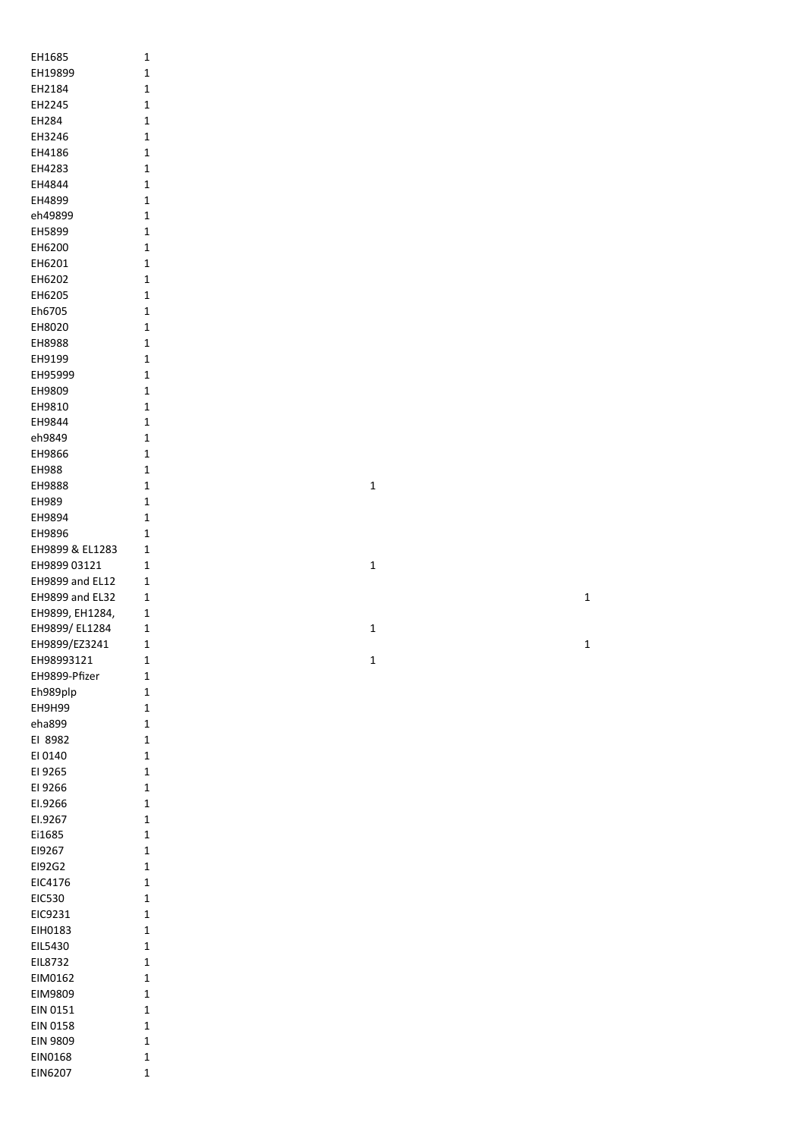| EH1685                 | 1            |
|------------------------|--------------|
| EH19899                | 1            |
|                        |              |
| EH2184                 | 1            |
| EH2245                 | 1            |
| EH284                  | 1            |
| EH3246                 | 1            |
| EH4186                 | 1            |
| EH4283                 | 1            |
| EH4844                 | 1            |
| EH4899                 | 1            |
| eh49899                | 1            |
| EH5899                 | 1            |
| EH6200                 | 1            |
| EH6201                 | 1            |
| EH6202                 | 1            |
| EH6205                 | 1            |
|                        |              |
| Eh6705                 | 1            |
| EH8020                 | 1            |
| EH8988                 | 1            |
| EH9199                 | 1            |
| EH95999                | 1            |
| EH9809                 | 1            |
| EH9810                 | 1            |
| EH9844                 | 1            |
| eh9849                 | 1            |
| EH9866                 | 1            |
| EH988                  | 1            |
| EH9888                 | 1            |
| EH989                  | 1            |
| EH9894                 | 1            |
| EH9896                 | 1            |
|                        |              |
| EH9899 & EL1283        | 1            |
| EH9899 03121           | 1            |
| <b>EH9899 and EL12</b> | 1            |
| EH9899 and EL32        | 1            |
| EH9899, EH1284,        | 1            |
| EH9899/EL1284          | 1            |
| EH9899/EZ3241          | $\mathbf{1}$ |
| EH98993121             | 1            |
| EH9899-Pfizer          | 1            |
| Eh989plp               | 1            |
| EH9H99                 | 1            |
| eha899                 | 1            |
| EI 8982                | 1            |
| EI 0140                | 1            |
| EI 9265                | 1            |
| EI 9266                | 1            |
|                        |              |
| EI.9266                | 1            |
| EI.9267                | 1            |
| Ei1685                 | 1            |
| EI9267                 | 1            |
| E192G2                 | 1            |
| EIC4176                | 1            |
| EIC530                 | 1            |
| EIC9231                | 1            |
| EIH0183                | 1            |
| EIL5430                | 1            |
| EIL8732                | 1            |
| EIM0162                | 1            |
| EIM9809                | 1            |
| EIN 0151               | 1            |
| EIN 0158               | 1            |
| EIN 9809               | $\mathbf{1}$ |
|                        |              |
| EIN0168                | 1            |
| EIN6207                | $\mathbf{1}$ |

 $\mathbf{1}$ 

 $\mathbf 1$  $\mathbf{1}$   $\mathbf{1}$ 

 $\overline{1}$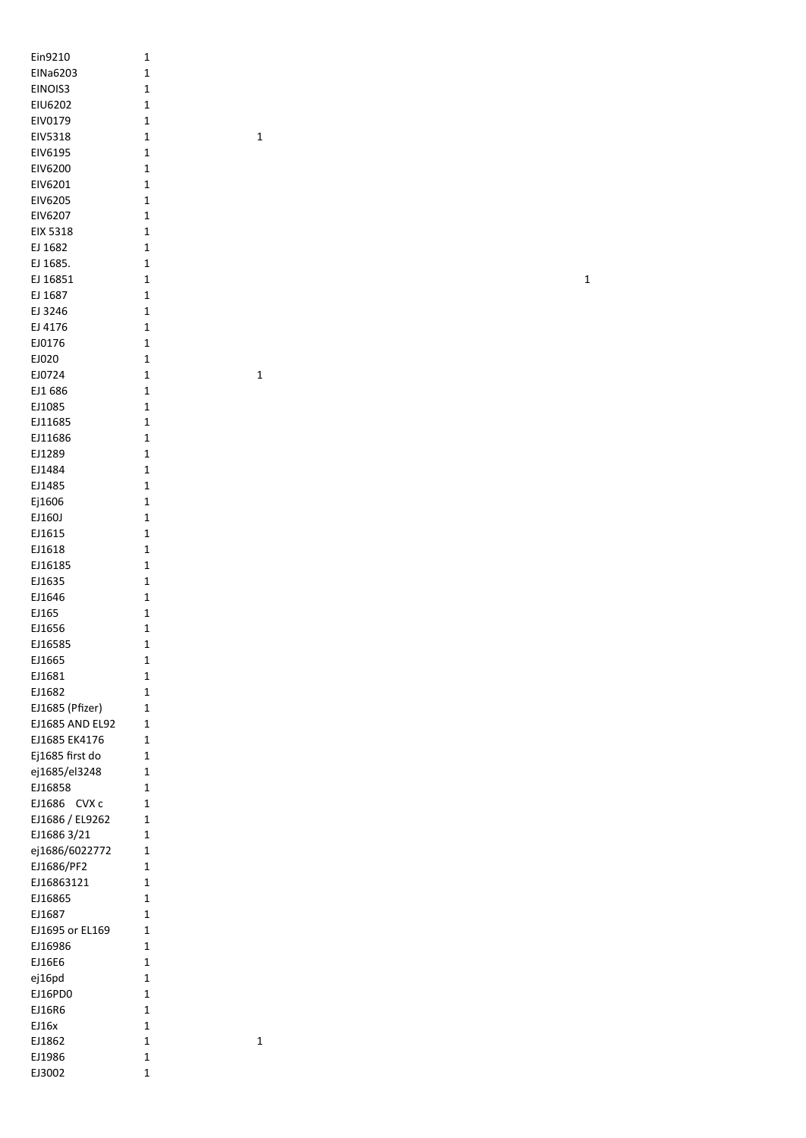| Ein9210         | $\mathbf 1$  |             |  |             |
|-----------------|--------------|-------------|--|-------------|
| EINa6203        | $\mathbf 1$  |             |  |             |
| EINOIS3         | $\mathbf 1$  |             |  |             |
|                 |              |             |  |             |
| EIU6202         | $\mathbf 1$  |             |  |             |
| EIV0179         | $\mathbf 1$  |             |  |             |
| EIV5318         | $\mathbf 1$  | $\mathbf 1$ |  |             |
| EIV6195         | $\mathbf 1$  |             |  |             |
| EIV6200         | $\mathbf 1$  |             |  |             |
|                 |              |             |  |             |
| EIV6201         | $\mathbf 1$  |             |  |             |
| EIV6205         | $\mathbf 1$  |             |  |             |
| EIV6207         | $\mathbf 1$  |             |  |             |
| EIX 5318        | $\mathbf 1$  |             |  |             |
|                 |              |             |  |             |
| EJ 1682         | $\mathbf 1$  |             |  |             |
| EJ 1685.        | $\mathbf 1$  |             |  |             |
| EJ 16851        | $\mathbf 1$  |             |  | $\mathbf 1$ |
| EJ 1687         | $\mathbf 1$  |             |  |             |
| EJ 3246         | $\mathbf 1$  |             |  |             |
|                 |              |             |  |             |
| EJ 4176         | $\mathbf 1$  |             |  |             |
| EJ0176          | $\mathbf 1$  |             |  |             |
| EJ020           | $\mathbf 1$  |             |  |             |
| EJ0724          | $\mathbf 1$  | $\mathbf 1$ |  |             |
| EJ1 686         | $\mathbf 1$  |             |  |             |
|                 |              |             |  |             |
| EJ1085          | $\mathbf 1$  |             |  |             |
| EJ11685         | $\mathbf 1$  |             |  |             |
| EJ11686         | $\mathbf 1$  |             |  |             |
| EJ1289          | $\mathbf 1$  |             |  |             |
| EJ1484          | $\mathbf 1$  |             |  |             |
|                 |              |             |  |             |
| EJ1485          | $\mathbf 1$  |             |  |             |
| Ej1606          | $\mathbf 1$  |             |  |             |
| EJ160J          | $\mathbf 1$  |             |  |             |
| EJ1615          | $\mathbf 1$  |             |  |             |
| EJ1618          | $\mathbf 1$  |             |  |             |
| EJ16185         | $\mathbf 1$  |             |  |             |
|                 |              |             |  |             |
| EJ1635          | $\mathbf 1$  |             |  |             |
| EJ1646          | $\mathbf 1$  |             |  |             |
| EJ165           | $\mathbf 1$  |             |  |             |
| EJ1656          | $\mathbf 1$  |             |  |             |
| EJ16585         | $\mathbf 1$  |             |  |             |
| EJ1665          | $\mathbf 1$  |             |  |             |
|                 |              |             |  |             |
| EJ1681          | $\mathbf 1$  |             |  |             |
| EJ1682          | $\mathbf 1$  |             |  |             |
| EJ1685 (Pfizer) | $\mathbf 1$  |             |  |             |
| EJ1685 AND EL92 | $\mathbf{1}$ |             |  |             |
| EJ1685 EK4176   | $\mathbf{1}$ |             |  |             |
| Ej1685 first do | $\mathbf 1$  |             |  |             |
| ej1685/el3248   | $\mathbf 1$  |             |  |             |
|                 |              |             |  |             |
| EJ16858         | $\mathbf 1$  |             |  |             |
| EJ1686 CVX c    | $\mathbf 1$  |             |  |             |
| EJ1686 / EL9262 | $\mathbf 1$  |             |  |             |
| EJ1686 3/21     | $\mathbf 1$  |             |  |             |
| ej1686/6022772  | $\mathbf 1$  |             |  |             |
| EJ1686/PF2      | $\mathbf 1$  |             |  |             |
| EJ16863121      | $\mathbf 1$  |             |  |             |
|                 |              |             |  |             |
| EJ16865         | $\mathbf 1$  |             |  |             |
| EJ1687          | $\mathbf 1$  |             |  |             |
| EJ1695 or EL169 | $\mathbf 1$  |             |  |             |
| EJ16986         | $\mathbf{1}$ |             |  |             |
| EJ16E6          | $\mathbf 1$  |             |  |             |
| ej16pd          | $\mathbf 1$  |             |  |             |
|                 |              |             |  |             |
| EJ16PD0         | $\mathbf 1$  |             |  |             |
| EJ16R6          | $\mathbf 1$  |             |  |             |
| EJ16x           | $\mathbf 1$  |             |  |             |
| EJ1862          | $\mathbf 1$  | $\mathbf 1$ |  |             |
| EJ1986          | $\mathbf 1$  |             |  |             |
| EJ3002          | $\mathbf 1$  |             |  |             |
|                 |              |             |  |             |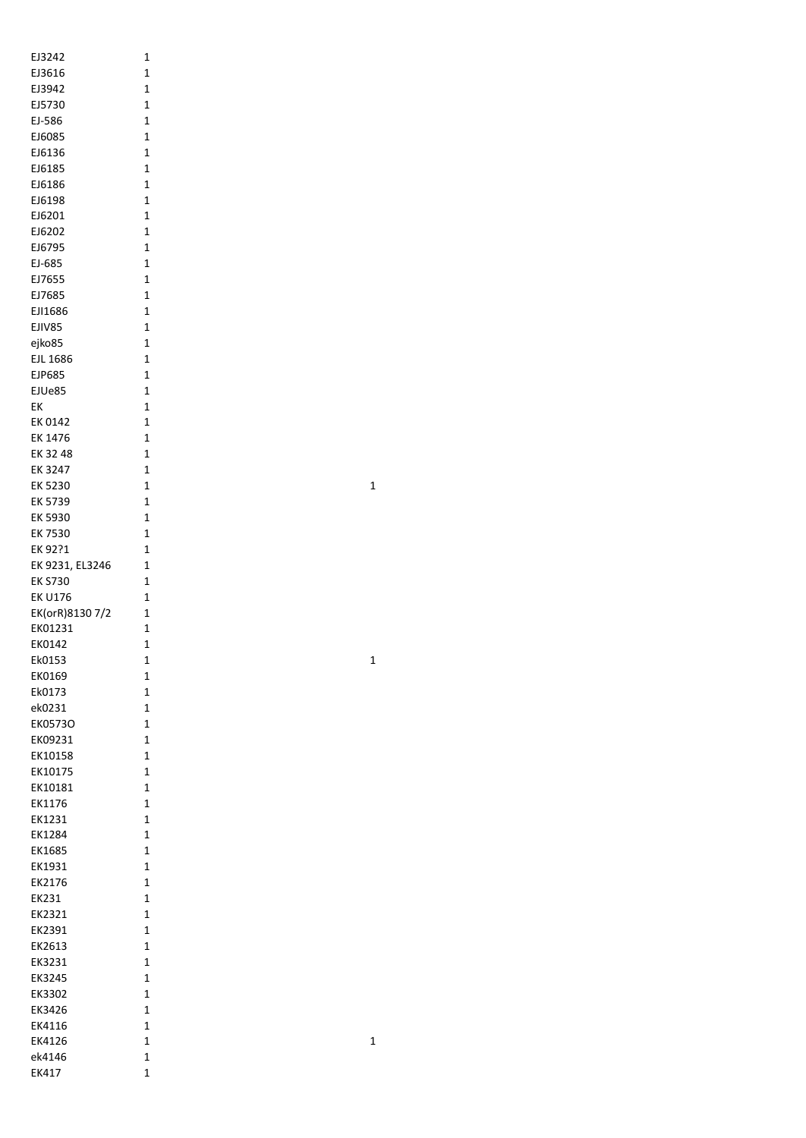| EJ3242          | 1              |
|-----------------|----------------|
| EJ3616          | 1              |
|                 |                |
| EJ3942          | 1              |
|                 | 1              |
| EJ5730          |                |
| EJ-586          | $\overline{1}$ |
|                 |                |
| EJ6085          | $\overline{1}$ |
| EJ6136          | 1              |
|                 |                |
| EJ6185          | $\mathbf 1$    |
|                 |                |
| EJ6186          | 1              |
| EJ6198          | 1              |
|                 |                |
| EJ6201          | 1              |
| EJ6202          | 1              |
|                 |                |
| EJ6795          | 1              |
|                 |                |
| EJ-685          | 1              |
| EJ7655          | 1              |
|                 |                |
| EJ7685          | 1              |
| EJI1686         | $\mathbf 1$    |
|                 |                |
| EJIV85          | $\mathbf 1$    |
|                 |                |
| ejko85          | $\mathbf 1$    |
| <b>EJL 1686</b> | $\mathbf 1$    |
|                 |                |
| <b>EJP685</b>   | $\mathbf 1$    |
| EJUe85          | 1              |
|                 |                |
| EК              | 1              |
|                 |                |
| EK 0142         | 1              |
| EK 1476         | 1              |
|                 |                |
| EK 32 48        | 1              |
| EK 3247         | 1              |
|                 |                |
| EK 5230         | $\mathbf 1$    |
|                 | $\mathbf 1$    |
| EK 5739         |                |
| EK 5930         | 1              |
|                 |                |
| EK 7530         | 1              |
| EK 92?1         | 1              |
|                 |                |
| EK 9231, EL3246 | 1              |
|                 |                |
| EK S730         | 1              |
| EK U176         | 1              |
|                 |                |
| EK(orR)8130 7/2 | 1              |
| EK01231         | $\overline{1}$ |
|                 |                |
| EK0142          | 1              |
|                 |                |
| Ek0153          | 1              |
| EK0169          | 1              |
|                 |                |
| Ek0173          | 1              |
| ek0231          | 1              |
|                 |                |
| EK0573O         | 1              |
| EK09231         | 1              |
|                 |                |
| EK10158         | 1              |
|                 |                |
| EK10175         | 1              |
| EK10181         | 1              |
|                 |                |
| EK1176          | 1              |
| EK1231          | $\mathbf 1$    |
|                 |                |
| EK1284          | 1              |
|                 |                |
| EK1685          | 1              |
| EK1931          | 1              |
|                 |                |
| EK2176          | 1              |
| EK231           | 1              |
|                 |                |
| EK2321          | 1              |
|                 |                |
| EK2391          | 1              |
| EK2613          | 1              |
|                 |                |
| EK3231          | 1              |
| EK3245          | 1              |
|                 |                |
| EK3302          | 1              |
|                 |                |
| EK3426          | 1              |
| EK4116          | 1              |
|                 |                |
| EK4126          | 1              |
| ek4146          | 1              |
|                 |                |
| EK417           | $\mathbf{1}$   |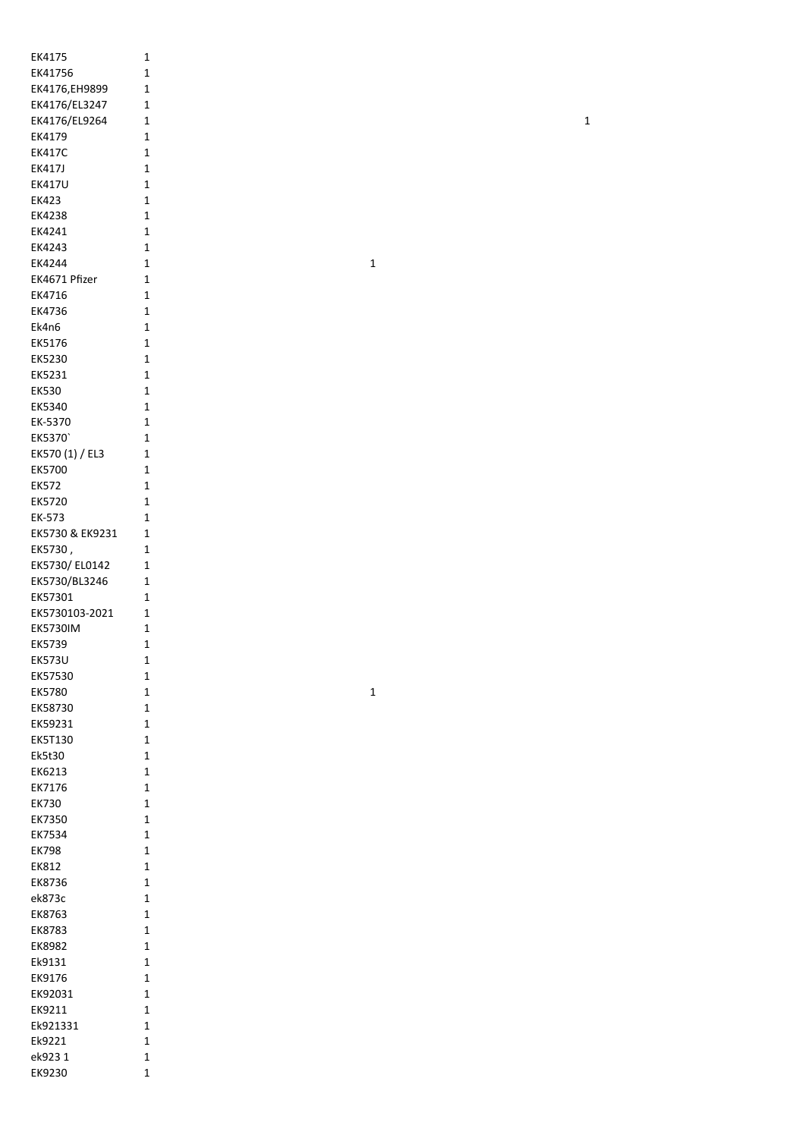| EK4175           | $\mathbf 1$                |
|------------------|----------------------------|
| EK41756          | $\mathbf 1$                |
|                  | $\mathbf 1$                |
| EK4176, EH9899   |                            |
| EK4176/EL3247    | $\mathbf 1$                |
| EK4176/EL9264    | $\mathbf 1$                |
| EK4179           | $\mathbf 1$                |
| <b>EK417C</b>    | $\mathbf{1}$               |
| <b>EK417J</b>    | $\mathbf{1}$               |
|                  |                            |
| <b>EK417U</b>    | $\mathbf{1}$               |
| EK423            | $\mathbf{1}$               |
| EK4238           | $\mathbf 1$                |
| EK4241           | $\mathbf 1$                |
|                  |                            |
| EK4243           | $\mathbf 1$                |
| EK4244           | $\mathbf{1}$               |
| EK4671 Pfizer    | $\mathbf 1$                |
| EK4716           | $\mathbf{1}$               |
| EK4736           | $\mathbf{1}$               |
|                  |                            |
| Ek4n6            | $\mathbf{1}$               |
| EK5176           | $\mathbf{1}$               |
| EK5230           | $\mathbf{1}$               |
| EK5231           | $\mathbf 1$                |
|                  |                            |
| <b>EK530</b>     | $\mathbf{1}$               |
| EK5340           | $\mathbf{1}$               |
| EK-5370          | $\mathbf{1}$               |
| EK5370           | $\mathbf{1}$               |
|                  |                            |
| EK570 (1) / EL3  | $\mathbf{1}$               |
| EK5700           | $\mathbf 1$                |
| <b>EK572</b>     | $\mathbf 1$                |
| EK5720           | $\mathbf 1$                |
|                  |                            |
| EK-573           | $\mathbf{1}$               |
| EK5730 & EK9231  | $\mathbf 1$                |
| EK5730,          | $\mathbf{1}$               |
| EK5730/EL0142    | $\mathbf 1$                |
|                  |                            |
| EK5730/BL3246    | $\mathbf{1}$               |
| EK57301          | $\mathbf 1$                |
| EK5730103-2021   | $\mathbf 1$                |
| <b>EK5730IM</b>  | $\mathbf 1$                |
|                  |                            |
| EK5739           | $\mathbf 1$                |
| <b>EK573U</b>    | $\mathbf 1$                |
| EK57530          | $\mathbf 1$                |
|                  | $\mathbf 1$                |
| EK5780           |                            |
| EK58730          | $\mathbf 1$                |
| EK59231          | $\mathbf 1$                |
| <b>EK5T130</b>   | $\mathbf 1$                |
|                  |                            |
| Ek5t30           | $\mathbf{1}$               |
| EK6213           | $\mathbf 1$                |
| EK7176           | $\mathbf 1$                |
| <b>EK730</b>     | $\mathbf{1}$               |
| EK7350           | $\mathbf 1$                |
|                  |                            |
| EK7534           | $\mathbf 1$                |
| <b>EK798</b>     | $\mathbf{1}$               |
| EK812            | $\mathbf 1$                |
| EK8736           | $\mathbf 1$                |
|                  |                            |
| ek873c           | $\mathbf 1$                |
| EK8763           | $\mathbf 1$                |
| EK8783           | $\mathbf{1}$               |
| EK8982           | $\mathbf 1$                |
|                  |                            |
| Ek9131           | $\mathbf 1$                |
| EK9176           | $\mathbf 1$                |
|                  |                            |
|                  |                            |
| EK92031          | $\mathbf 1$                |
| EK9211           | $\mathbf 1$                |
| Ek921331         | $\mathbf{1}$               |
| Ek9221           | $\mathbf 1$                |
|                  |                            |
| ek9231<br>EK9230 | $\mathbf 1$<br>$\mathbf 1$ |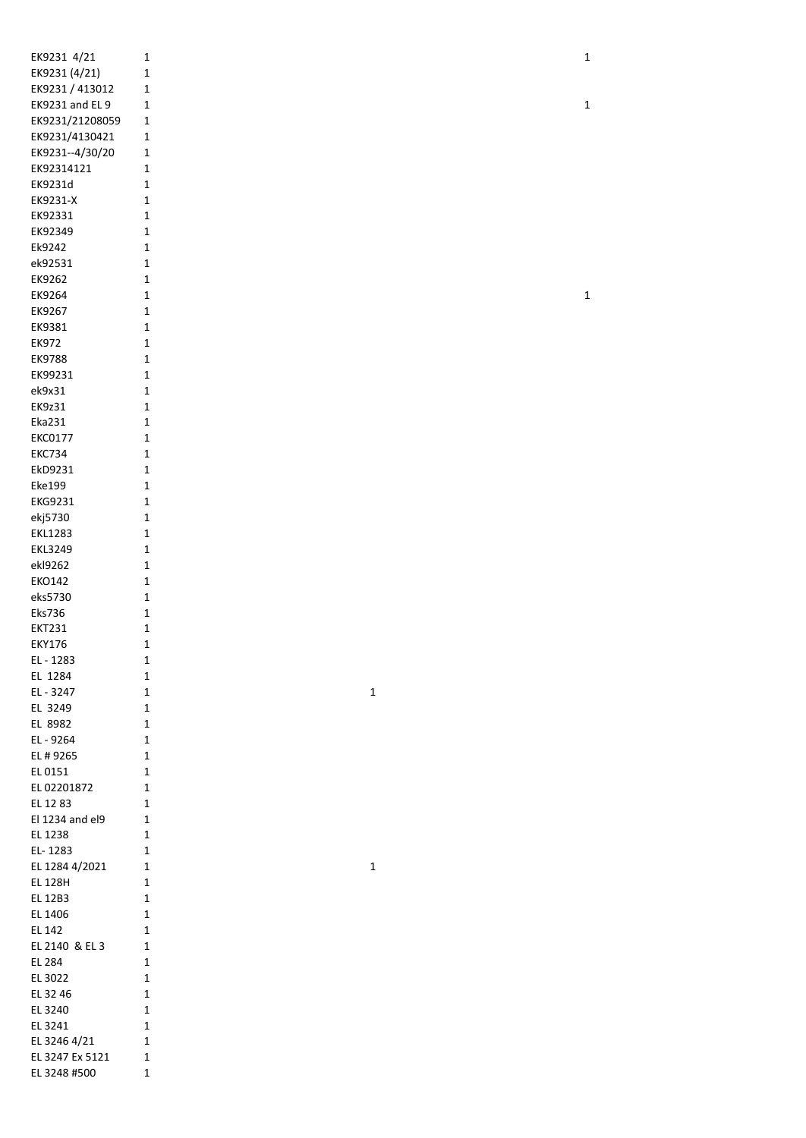| EK9231 4/21     | 1           |
|-----------------|-------------|
| EK9231 (4/21)   | 1           |
| EK9231 / 413012 | 1           |
| EK9231 and EL 9 | 1           |
| EK9231/21208059 | 1           |
| EK9231/4130421  | 1           |
| EK9231--4/30/20 | 1           |
| EK92314121      | 1           |
| EK9231d         | 1           |
| EK9231-X        | 1           |
| EK92331         | 1           |
| EK92349         | 1           |
| Ek9242          | 1           |
| ek92531         | 1           |
| EK9262          | 1           |
| EK9264          | 1           |
| EK9267          | 1           |
| EK9381          | 1           |
| <b>EK972</b>    | 1           |
| <b>EK9788</b>   | 1           |
| EK99231         | 1           |
| ek9x31          | 1           |
| <b>EK9z31</b>   | 1           |
| Eka231          | 1           |
| <b>EKC0177</b>  | 1           |
| <b>EKC734</b>   | 1           |
| EkD9231         | 1           |
| <b>Eke199</b>   | 1           |
| <b>EKG9231</b>  | 1           |
| ekj5730         | 1           |
| <b>EKL1283</b>  | $\mathbf 1$ |
| <b>EKL3249</b>  | $\mathbf 1$ |
| ekl9262         | 1           |
| <b>EKO142</b>   | 1           |
| eks5730         | 1           |
| <b>Eks736</b>   | 1           |
| <b>EKT231</b>   | 1           |
| <b>EKY176</b>   | 1           |
| EL-1283         | 1           |
| EL 1284         | 1           |
| EL - 3247       | 1           |
| EL 3249         | 1           |
| EL 8982         | 1           |
| EL - 9264       | 1           |
| EL # 9265       | 1           |
| EL 0151         | 1           |
| EL 02201872     | 1           |
| EL 1283         | 1           |
| El 1234 and el9 | 1           |
| EL 1238         | 1           |
| EL-1283         | 1           |
| EL 1284 4/2021  | 1           |
| <b>EL 128H</b>  | 1           |
| <b>EL 12B3</b>  | 1           |
| EL 1406         | 1           |
| EL 142          | 1           |
| EL 2140 & EL 3  | 1           |
| EL 284          | 1           |
| EL 3022         | 1           |
| EL 32 46        | 1           |
| EL 3240         | 1           |
| EL 3241         | 1           |
| EL 3246 4/21    | 1           |
| EL 3247 Ex 5121 | 1           |
| EL 3248 #500    | 1           |

1

1

1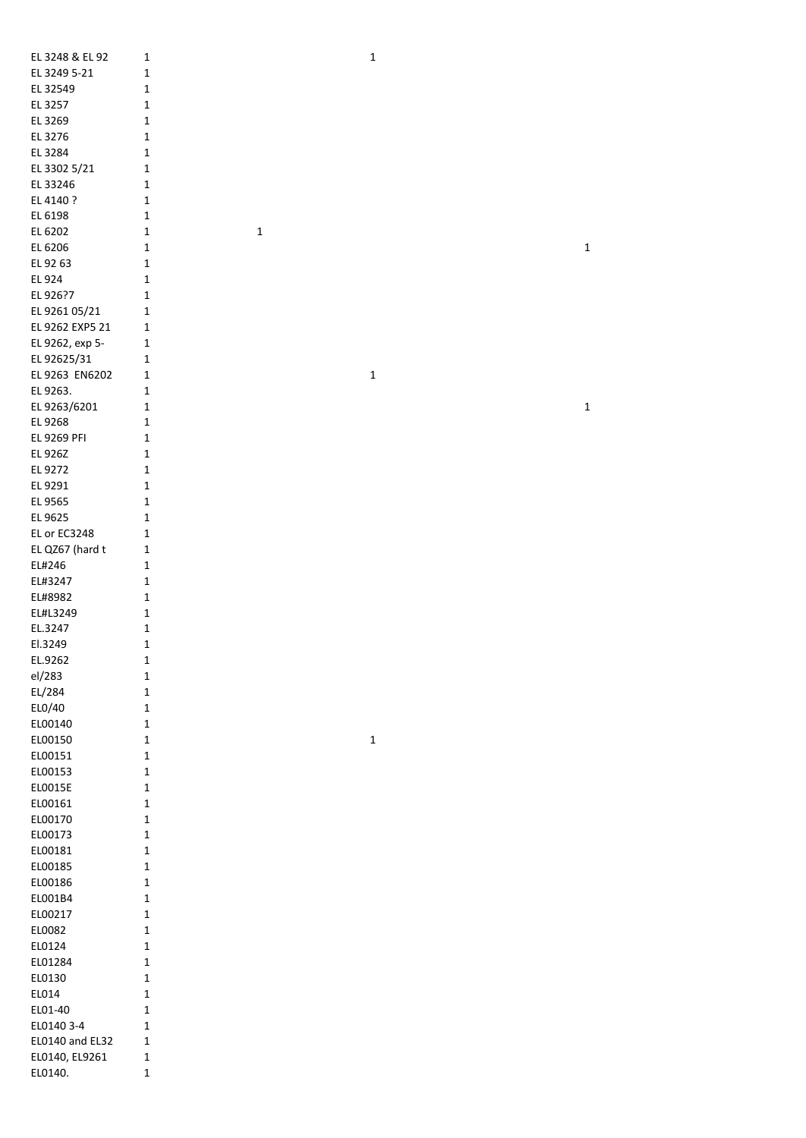| EL 3248 & EL 92 | $\mathbf 1$  |             | $\mathbf 1$ |  |
|-----------------|--------------|-------------|-------------|--|
|                 |              |             |             |  |
| EL 3249 5-21    | $\mathbf 1$  |             |             |  |
| EL 32549        | $\mathbf{1}$ |             |             |  |
| EL 3257         | $\mathbf{1}$ |             |             |  |
| EL 3269         | $\mathbf 1$  |             |             |  |
| EL 3276         | $\mathbf 1$  |             |             |  |
| EL 3284         | $\mathbf{1}$ |             |             |  |
| EL 3302 5/21    | $\mathbf{1}$ |             |             |  |
|                 |              |             |             |  |
| EL 33246        | 1            |             |             |  |
| EL 4140 ?       | $\mathbf{1}$ |             |             |  |
| EL 6198         | $\mathbf 1$  |             |             |  |
| EL 6202         | $\mathbf{1}$ | $\mathbf 1$ |             |  |
| EL 6206         | $\mathbf{1}$ |             |             |  |
| EL 92 63        | 1            |             |             |  |
| EL 924          | $\mathbf{1}$ |             |             |  |
| EL 926?7        | $\mathbf{1}$ |             |             |  |
| EL 9261 05/21   | $\mathbf{1}$ |             |             |  |
|                 | $\mathbf{1}$ |             |             |  |
| EL 9262 EXP5 21 |              |             |             |  |
| EL 9262, exp 5- | $\mathbf{1}$ |             |             |  |
| EL 92625/31     | $\mathbf{1}$ |             |             |  |
| EL 9263 EN6202  | $\mathbf{1}$ |             | $\mathbf 1$ |  |
| EL 9263.        | $\mathbf{1}$ |             |             |  |
| EL 9263/6201    | $\mathbf 1$  |             |             |  |
| EL 9268         | $\mathbf{1}$ |             |             |  |
| EL 9269 PFI     | $\mathbf{1}$ |             |             |  |
| EL 926Z         | 1            |             |             |  |
|                 |              |             |             |  |
| EL 9272         | 1            |             |             |  |
| EL 9291         | 1            |             |             |  |
| EL 9565         | $\mathbf 1$  |             |             |  |
| EL 9625         | $\mathbf{1}$ |             |             |  |
| EL or EC3248    | $\mathbf 1$  |             |             |  |
| EL QZ67 (hard t | $\mathbf{1}$ |             |             |  |
| EL#246          | $\mathbf{1}$ |             |             |  |
| EL#3247         | $\mathbf{1}$ |             |             |  |
| EL#8982         | $\mathbf 1$  |             |             |  |
|                 |              |             |             |  |
| EL#L3249        | $\mathbf{1}$ |             |             |  |
| EL.3247         | $\mathbf{1}$ |             |             |  |
| El.3249         | $\mathbf 1$  |             |             |  |
| EL.9262         | 1            |             |             |  |
| el/283          | $\mathbf{1}$ |             |             |  |
| EL/284          | $\mathbf 1$  |             |             |  |
| EL0/40          | $\mathbf{1}$ |             |             |  |
| EL00140         | $\mathbf{1}$ |             |             |  |
|                 | $\mathbf{1}$ |             | $\mathbf 1$ |  |
| EL00150         |              |             |             |  |
| EL00151         | $\mathbf{1}$ |             |             |  |
| EL00153         | $\mathbf{1}$ |             |             |  |
| EL0015E         | $\mathbf{1}$ |             |             |  |
| EL00161         | $\mathbf{1}$ |             |             |  |
| EL00170         | $\mathbf{1}$ |             |             |  |
| EL00173         | $\mathbf{1}$ |             |             |  |
| EL00181         | $\mathbf{1}$ |             |             |  |
| EL00185         | $\mathbf{1}$ |             |             |  |
|                 |              |             |             |  |
| EL00186         | $\mathbf 1$  |             |             |  |
| EL001B4         | $\mathbf{1}$ |             |             |  |
| EL00217         | $\mathbf{1}$ |             |             |  |
| EL0082          | $\mathbf{1}$ |             |             |  |
| EL0124          | $\mathbf{1}$ |             |             |  |
| EL01284         | $\mathbf{1}$ |             |             |  |
| EL0130          | $\mathbf{1}$ |             |             |  |
|                 | $\mathbf{1}$ |             |             |  |
| EL014           |              |             |             |  |
| EL01-40         | $\mathbf{1}$ |             |             |  |
| EL0140 3-4      | $\mathbf{1}$ |             |             |  |
| EL0140 and EL32 | $\mathbf{1}$ |             |             |  |
| EL0140, EL9261  | $\mathbf{1}$ |             |             |  |
| EL0140.         | $\mathbf{1}$ |             |             |  |
|                 |              |             |             |  |

 $1\quad$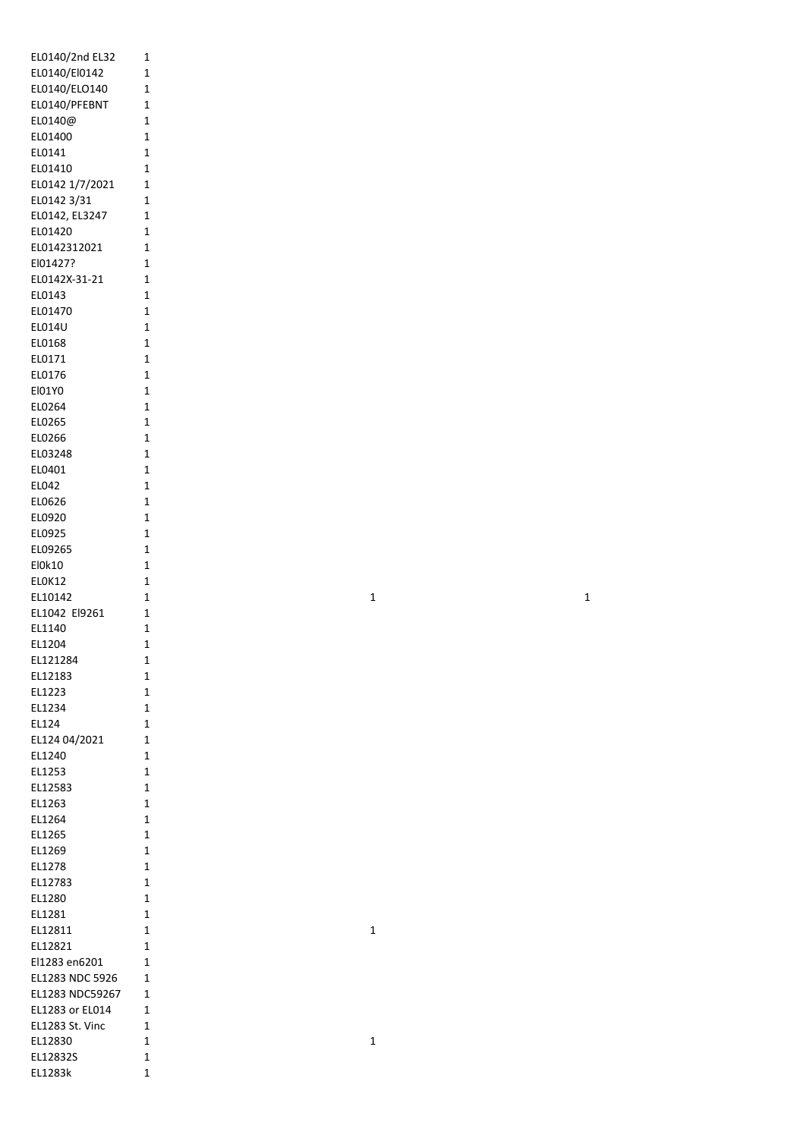| EL0140/2nd EL32                  | 1              |
|----------------------------------|----------------|
| EL0140/El0142                    | 1              |
| EL0140/ELO140                    | 1              |
| EL0140/PFEBNT                    | 1              |
| EL0140@                          | 1              |
| EL01400                          | 1              |
| EL0141                           | 1              |
| EL01410                          | $\overline{1}$ |
| EL0142 1/7/2021                  | 1              |
| EL0142 3/31                      | $\overline{1}$ |
| EL0142, EL3247                   | 1              |
| EL01420                          | 1              |
| EL0142312021                     | 1              |
| El01427?                         | 1              |
| EL0142X-31-21                    | 1              |
| EL0143                           | 1              |
| EL01470                          | 1              |
| EL014U                           | $\overline{1}$ |
| EL0168                           | 1              |
| EL0171                           | 1              |
| EL0176                           | 1              |
| El01Y0                           | $\overline{1}$ |
| EL0264                           | 1              |
| EL0265                           | 1              |
| EL0266                           | 1              |
| EL03248                          | 1<br>1         |
| EL0401<br>EL042                  | 1              |
| EL0626                           | 1              |
| EL0920                           | 1              |
| EL0925                           | 1              |
| EL09265                          | 1              |
| El0k10                           | 1              |
| ELOK12                           | 1              |
| EL10142                          | 1              |
| EL1042 El9261                    | 1              |
| EL1140                           | 1              |
| EL1204                           | 1              |
| EL121284                         | 1              |
| EL12183                          | 1              |
| EL1223                           | 1              |
| EL1234                           | 1              |
| EL124                            | 1              |
| EL124 04/2021                    | 1              |
| EL1240                           | 1              |
| EL1253                           | 1              |
| EL12583                          | 1              |
| EL1263                           | 1              |
| EL1264                           | 1              |
| EL1265                           | 1              |
| EL1269                           | 1              |
| EL1278                           | 1              |
| EL12783                          | 1              |
| EL1280                           | 1              |
| EL1281                           | 1              |
| EL12811                          | 1              |
| EL12821                          | 1              |
| El1283 en6201<br>EL1283 NDC 5926 | 1              |
| EL1283 NDC59267                  | 1<br>1         |
| EL1283 or EL014                  | 1              |
| EL1283 St. Vinc                  | 1              |
| EL12830                          | 1              |
| EL12832S                         | 1              |
| EL1283k                          | 1              |
|                                  |                |

1

1

1

1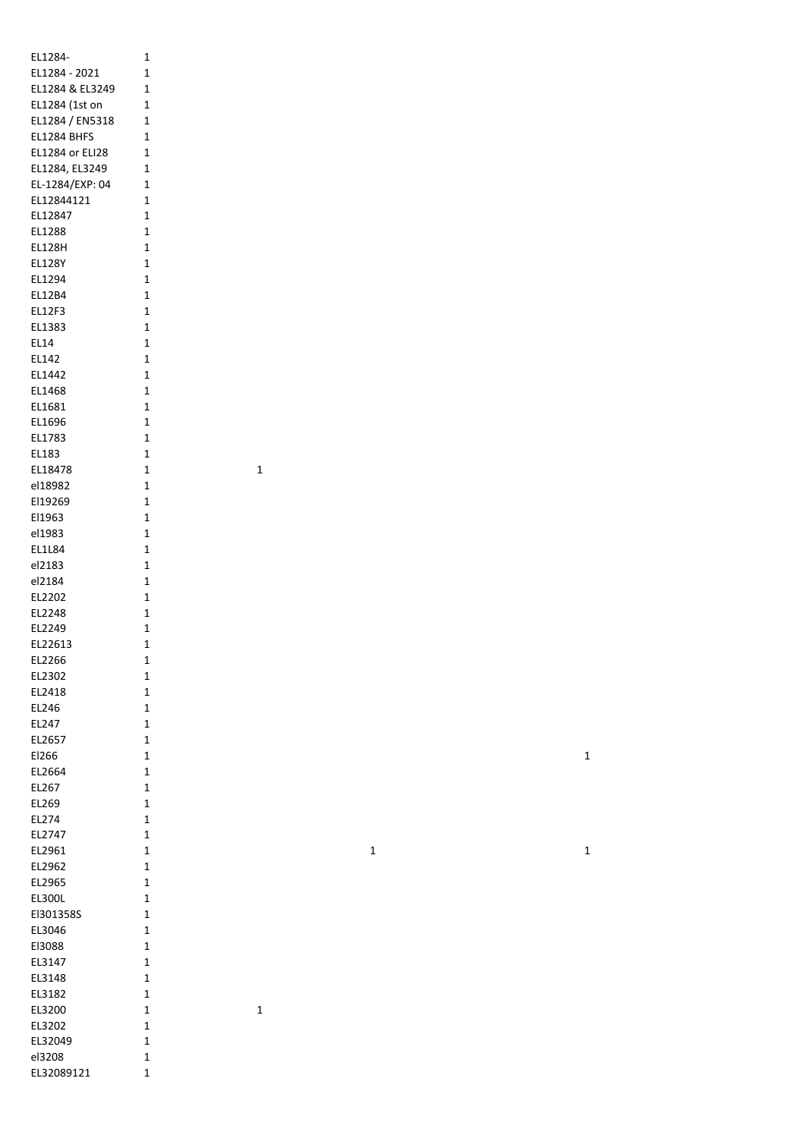| EL1284-                        | 1            |
|--------------------------------|--------------|
| EL1284 - 2021                  | 1            |
| EL1284 & EL3249                | 1            |
| EL1284 (1st on                 | 1            |
| EL1284 / EN5318                | 1            |
| EL1284 BHFS                    | 1            |
| <b>EL1284 or ELI28</b>         | 1            |
| EL1284, EL3249                 | 1            |
| EL-1284/EXP: 04                | 1            |
| EL12844121                     | 1            |
| EL12847                        | 1            |
| EL1288                         | 1            |
| <b>EL128H</b><br><b>EL128Y</b> | 1<br>1       |
| EL1294                         | 1            |
| EL12B4                         | 1            |
| EL12F3                         | 1            |
| EL1383                         | $\mathbf 1$  |
| EL14                           | $\mathbf 1$  |
| EL142                          | 1            |
| EL1442                         | 1            |
| EL1468                         | $\mathbf{1}$ |
| EL1681                         | 1            |
| EL1696                         | $\mathbf 1$  |
| EL1783                         | $\mathbf 1$  |
| EL183                          | $\mathbf 1$  |
| EL18478                        | 1            |
| el18982                        | 1            |
| El19269                        | 1            |
| El1963                         | 1            |
| el1983                         | 1            |
| EL1L84                         | 1            |
| el2183                         | 1            |
| el2184                         | 1            |
| EL2202                         | 1            |
| EL2248<br>EL2249               | 1<br>1       |
| EL22613                        | 1            |
| EL2266                         | 1            |
| EL2302                         | 1            |
| EL2418                         | 1            |
| EL246                          | 1            |
| EL247                          | $\mathbf 1$  |
| EL2657                         | 1            |
| El266                          | 1            |
| EL2664                         | 1            |
| EL267                          | 1            |
| EL269                          | 1            |
| EL274                          | 1            |
| EL2747                         | $\mathbf{1}$ |
| EL2961                         | 1            |
| EL2962                         | 1            |
| EL2965                         | 1            |
| EL300L                         | 1            |
| El301358S                      | 1            |
| EL3046                         | 1            |
| El3088                         | 1            |
| EL3147                         | 1<br>1       |
| EL3148<br>EL3182               | 1            |
| EL3200                         | 1            |
| EL3202                         | 1            |
| EL32049                        | 1            |
| el3208                         | 1            |
| EL32089121                     | 1            |
|                                |              |

 $\overline{\mathbf{1}}$ 

 $\overline{\mathbf{1}}$ 

 $\mathbf{1}$ 

 $\mathbf{1}$ 

 $\mathbf 1$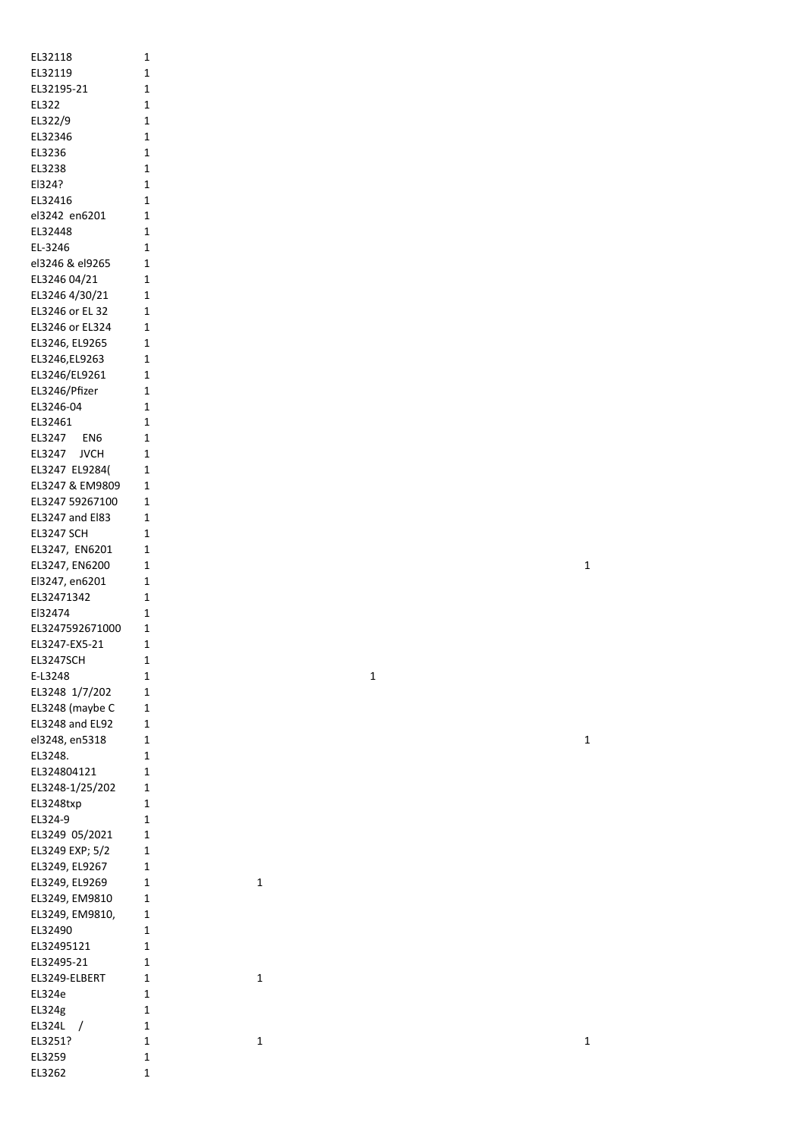| EL32118                | 1            |
|------------------------|--------------|
|                        |              |
| EL32119                | 1            |
|                        |              |
| EL32195-21             | 1            |
| EL322                  | 1            |
|                        |              |
| EL322/9                | $\mathbf{1}$ |
|                        |              |
| EL32346                | 1            |
| EL3236                 | 1            |
|                        |              |
| EL3238                 | 1            |
|                        |              |
| El324?                 | 1            |
| EL32416                | 1            |
|                        |              |
| el3242 en6201          | 1            |
|                        |              |
| EL32448                | 1            |
| EL-3246                | 1            |
|                        |              |
| el3246 & el9265        | 1            |
|                        |              |
| EL3246 04/21           | 1            |
| EL3246 4/30/21         | 1            |
|                        |              |
| EL3246 or EL 32        | 1            |
|                        |              |
| EL3246 or EL324        | 1            |
| EL3246, EL9265         | 1            |
|                        |              |
| EL3246, EL9263         | 1            |
|                        |              |
| EL3246/EL9261          | 1            |
| EL3246/Pfizer          | 1            |
|                        |              |
| EL3246-04              | 1            |
|                        |              |
| EL32461                | 1            |
|                        |              |
| EL3247 EN6             | 1            |
| EL3247 JVCH            | 1            |
|                        |              |
| EL3247 EL9284(         | 1            |
|                        |              |
| EL3247 & EM9809        | 1            |
| EL3247 59267100        | 1            |
|                        |              |
| <b>EL3247 and El83</b> | 1            |
|                        |              |
| <b>EL3247 SCH</b>      | 1            |
| EL3247, EN6201         | 1            |
|                        |              |
| EL3247, EN6200         | 1            |
|                        |              |
| El3247, en6201         | 1            |
| EL32471342             | 1            |
|                        |              |
| El32474                | $\mathbf{1}$ |
|                        |              |
| EL3247592671000        | 1            |
| EL3247-EX5-21          | 1            |
|                        |              |
| EL3247SCH              | 1            |
|                        |              |
| E-L3248                | 1            |
|                        |              |
| EL3248 1/7/202         | 1            |
| EL3248 (maybe C        | 1            |
|                        |              |
| <b>EL3248 and EL92</b> | 1            |
|                        |              |
| el3248, en5318         | 1            |
| EL3248.                | 1            |
|                        |              |
| EL324804121            | 1            |
| EL3248-1/25/202        | 1            |
|                        |              |
| EL3248txp              | 1            |
|                        |              |
|                        |              |
| EL324-9                | 1            |
|                        |              |
| EL3249 05/2021         | 1            |
|                        |              |
| EL3249 EXP; 5/2        | 1            |
|                        | 1            |
| EL3249, EL9267         |              |
| EL3249, EL9269         | 1            |
|                        |              |
| EL3249, EM9810         | 1            |
| EL3249, EM9810,        | 1            |
|                        |              |
| EL32490                | 1            |
|                        |              |
| EL32495121             | 1            |
| EL32495-21             | 1            |
|                        |              |
| EL3249-ELBERT          | 1            |
|                        |              |
| EL324e                 | 1            |
| EL324g                 | 1            |
|                        |              |
| EL324L                 | 1            |
|                        |              |
| EL3251?                | 1            |
| EL3259                 | 1            |
| EL3262                 | 1            |

 $\mathbf{1}$ 

 $\mathbf{1}$ 

 $\mathbf{1}$ 

 $\mathbf{1}$ 

 $\mathbf{1}$ 

 $\mathbf{1}$ 

 $\mathbf{1}$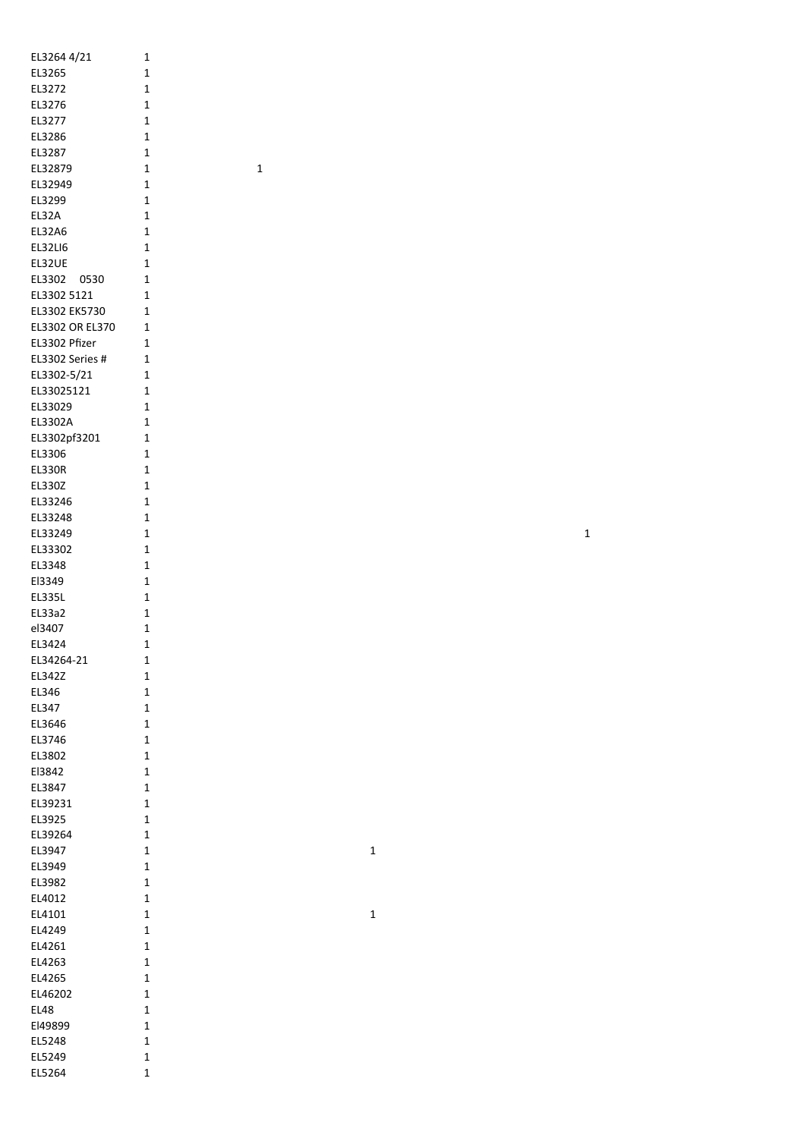| EL3264 4/21     | 1            |
|-----------------|--------------|
| EL3265          | 1            |
|                 |              |
| EL3272          | 1            |
| EL3276          | 1            |
| EL3277          | 1            |
| EL3286          | 1            |
| EL3287          | 1            |
| EL32879         | 1            |
|                 |              |
| EL32949         | 1            |
| EL3299          | 1            |
| EL32A           | 1            |
| <b>EL32A6</b>   | 1            |
| EL32LI6         | 1            |
| EL32UE          | 1            |
| EL3302<br>0530  | 1            |
|                 |              |
| EL3302 5121     | 1            |
| EL3302 EK5730   | 1            |
| EL3302 OR EL370 | 1            |
| EL3302 Pfizer   | 1            |
| EL3302 Series # | 1            |
| EL3302-5/21     | 1            |
|                 | $\mathbf{1}$ |
| EL33025121      |              |
| EL33029         | 1            |
| EL3302A         | 1            |
| EL3302pf3201    | 1            |
| EL3306          | 1            |
| EL330R          | 1            |
|                 | 1            |
| EL330Z          |              |
| EL33246         | 1            |
| EL33248         | 1            |
| EL33249         | 1            |
| EL33302         | 1            |
| EL3348          | 1            |
| El3349          | 1            |
|                 |              |
| <b>EL335L</b>   | 1            |
| EL33a2          | 1            |
| el3407          | 1            |
| EL3424          | 1            |
| EL34264-21      | 1            |
| EL342Z          | 1            |
| EL346           | 1            |
|                 |              |
| EL347           | 1            |
| EL3646          | 1            |
| EL3746          | 1            |
| EL3802          | 1            |
| El3842          | 1            |
| EL3847          | 1            |
|                 |              |
| EL39231         | 1            |
| EL3925          | 1            |
| EL39264         | 1            |
| EL3947          | 1            |
| EL3949          | 1            |
| EL3982          | 1            |
|                 | 1            |
| EL4012          |              |
| EL4101          | 1            |
| EL4249          | 1            |
| EL4261          | 1            |
| EL4263          | 1            |
| EL4265          | 1            |
| EL46202         | 1            |
|                 |              |
| EL48            | 1            |
| El49899         | 1            |
| EL5248          | 1            |
| EL5249          | 1            |
| EL5264          | 1            |
|                 |              |

1

1

1

1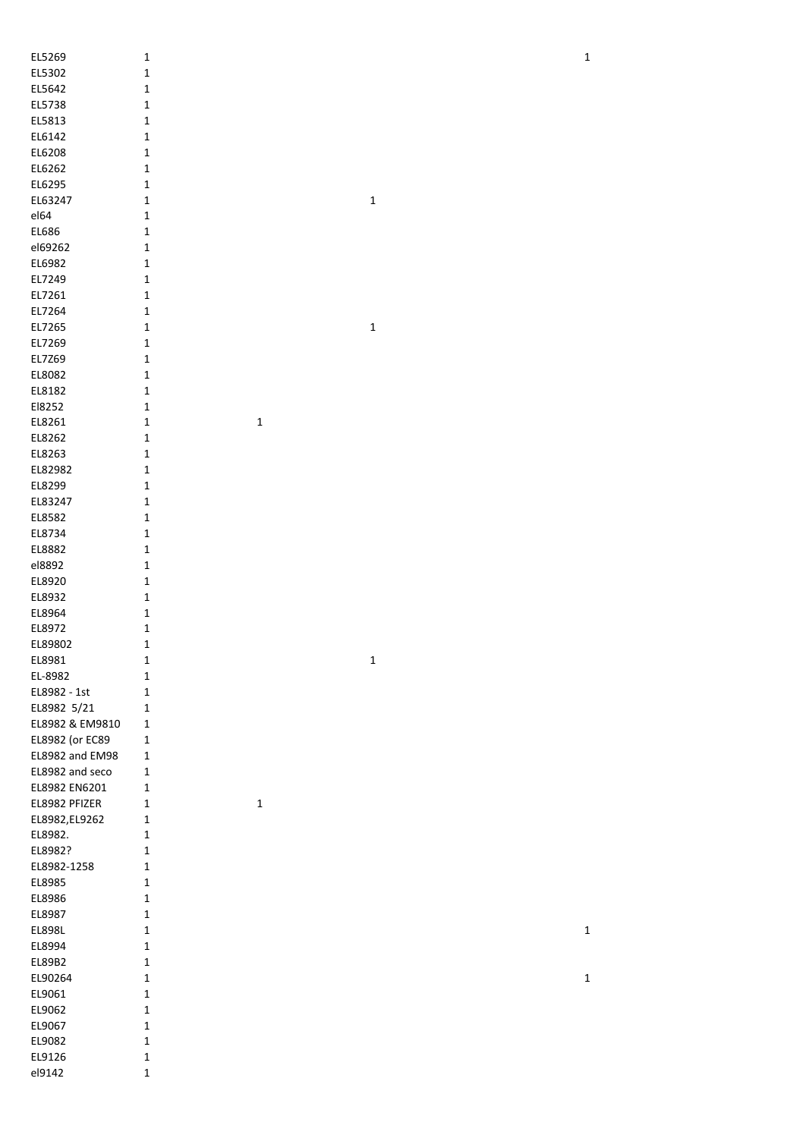| EL5269          | $\mathbf 1$  |             |             | $\mathbf 1$ |
|-----------------|--------------|-------------|-------------|-------------|
| EL5302          | $\mathbf 1$  |             |             |             |
| EL5642          | $\mathbf 1$  |             |             |             |
|                 |              |             |             |             |
| EL5738          | $\mathbf 1$  |             |             |             |
| EL5813          | $\mathbf 1$  |             |             |             |
| EL6142          | $\mathbf 1$  |             |             |             |
| EL6208          | $\mathbf 1$  |             |             |             |
| EL6262          | $\mathbf 1$  |             |             |             |
| EL6295          | $\mathbf 1$  |             |             |             |
| EL63247         | $\mathbf 1$  |             | $\mathbf 1$ |             |
| el64            | $\mathbf 1$  |             |             |             |
| EL686           | $\mathbf 1$  |             |             |             |
| el69262         | $\mathbf 1$  |             |             |             |
|                 |              |             |             |             |
| EL6982          | $\mathbf 1$  |             |             |             |
| EL7249          | $\mathbf 1$  |             |             |             |
| EL7261          | $\mathbf 1$  |             |             |             |
| EL7264          | $\mathbf 1$  |             |             |             |
| EL7265          | $\mathbf 1$  |             | $\mathbf 1$ |             |
| EL7269          | $\mathbf 1$  |             |             |             |
| EL7Z69          | $\mathbf 1$  |             |             |             |
| EL8082          | $\mathbf 1$  |             |             |             |
| EL8182          | $\mathbf 1$  |             |             |             |
|                 |              |             |             |             |
| El8252          | $\mathbf 1$  |             |             |             |
| EL8261          | $\mathbf 1$  | $\mathbf 1$ |             |             |
| EL8262          | $\mathbf 1$  |             |             |             |
| EL8263          | $\mathbf 1$  |             |             |             |
| EL82982         | $\mathbf 1$  |             |             |             |
| EL8299          | $\mathbf 1$  |             |             |             |
| EL83247         | $\mathbf 1$  |             |             |             |
| EL8582          | $\mathbf 1$  |             |             |             |
| EL8734          | $\mathbf 1$  |             |             |             |
| EL8882          | $\mathbf 1$  |             |             |             |
|                 |              |             |             |             |
| el8892          | $\mathbf 1$  |             |             |             |
| EL8920          | $\mathbf 1$  |             |             |             |
| EL8932          | $\mathbf 1$  |             |             |             |
| EL8964          | $\mathbf 1$  |             |             |             |
| EL8972          | $\mathbf 1$  |             |             |             |
| EL89802         | $\mathbf 1$  |             |             |             |
| EL8981          | $\mathbf 1$  |             | $\mathbf 1$ |             |
| EL-8982         | $\mathbf 1$  |             |             |             |
| EL8982 - 1st    | $\mathbf 1$  |             |             |             |
|                 |              |             |             |             |
| EL8982 5/21     | $\mathbf 1$  |             |             |             |
| EL8982 & EM9810 | 1            |             |             |             |
| EL8982 (or EC89 | $\mathbf 1$  |             |             |             |
| EL8982 and EM98 | 1            |             |             |             |
| EL8982 and seco | 1            |             |             |             |
| EL8982 EN6201   | 1            |             |             |             |
| EL8982 PFIZER   | 1            | $\mathbf 1$ |             |             |
| EL8982, EL9262  | 1            |             |             |             |
| EL8982.         | $\mathbf 1$  |             |             |             |
| EL8982?         | $\mathbf 1$  |             |             |             |
| EL8982-1258     |              |             |             |             |
|                 | $\mathbf{1}$ |             |             |             |
| EL8985          | $\mathbf 1$  |             |             |             |
| EL8986          | $\mathbf 1$  |             |             |             |
| EL8987          | $\mathbf 1$  |             |             |             |
| EL898L          | $\mathbf 1$  |             |             | $\mathbf 1$ |
| EL8994          | $\mathbf 1$  |             |             |             |
| EL89B2          | $\mathbf 1$  |             |             |             |
| EL90264         | $\mathbf 1$  |             |             | $\mathbf 1$ |
| EL9061          | $\mathbf 1$  |             |             |             |
|                 |              |             |             |             |
| EL9062          | $\mathbf 1$  |             |             |             |
| EL9067          | $\mathbf 1$  |             |             |             |
| EL9082          | $\mathbf 1$  |             |             |             |
| EL9126          | $\mathbf 1$  |             |             |             |
| el9142          | $\mathbf 1$  |             |             |             |